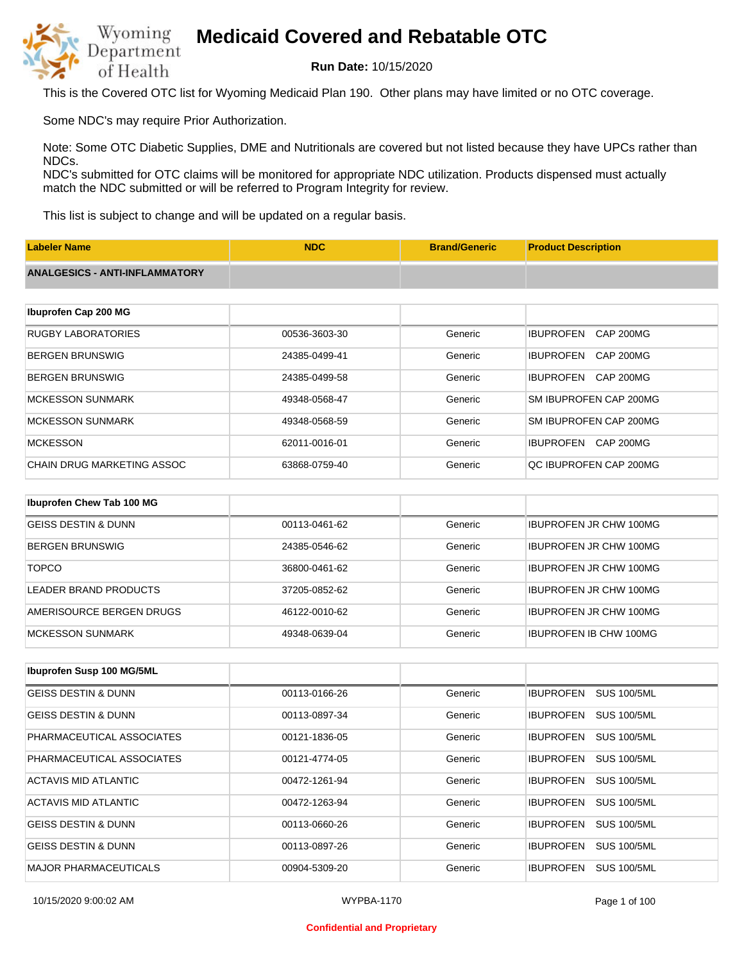

**Run Date:** 10/15/2020

This is the Covered OTC list for Wyoming Medicaid Plan 190. Other plans may have limited or no OTC coverage.

Some NDC's may require Prior Authorization.

Note: Some OTC Diabetic Supplies, DME and Nutritionals are covered but not listed because they have UPCs rather than NDCs.

NDC's submitted for OTC claims will be monitored for appropriate NDC utilization. Products dispensed must actually match the NDC submitted or will be referred to Program Integrity for review.

This list is subject to change and will be updated on a regular basis.

| <b>Labeler Name</b>                   | <b>NDC</b>    | <b>Brand/Generic</b> | <b>Product Description</b>           |
|---------------------------------------|---------------|----------------------|--------------------------------------|
| <b>ANALGESICS - ANTI-INFLAMMATORY</b> |               |                      |                                      |
|                                       |               |                      |                                      |
| Ibuprofen Cap 200 MG                  |               |                      |                                      |
| <b>RUGBY LABORATORIES</b>             | 00536-3603-30 | Generic              | <b>IBUPROFEN</b><br>CAP 200MG        |
| <b>BERGEN BRUNSWIG</b>                | 24385-0499-41 | Generic              | <b>IBUPROFEN</b><br><b>CAP 200MG</b> |
| <b>BERGEN BRUNSWIG</b>                | 24385-0499-58 | Generic              | <b>IBUPROFEN</b><br>CAP 200MG        |
| <b>MCKESSON SUNMARK</b>               | 49348-0568-47 | Generic              | SM IBUPROFEN CAP 200MG               |
| <b>MCKESSON SUNMARK</b>               | 49348-0568-59 | Generic              | SM IBUPROFEN CAP 200MG               |
| <b>MCKESSON</b>                       | 62011-0016-01 | Generic              | IBUPROFEN CAP 200MG                  |
| CHAIN DRUG MARKETING ASSOC            | 63868-0759-40 | Generic              | QC IBUPROFEN CAP 200MG               |
|                                       |               |                      |                                      |
| Ibuprofen Chew Tab 100 MG             |               |                      |                                      |
| <b>GEISS DESTIN &amp; DUNN</b>        | 00113-0461-62 | Generic              | <b>IBUPROFEN JR CHW 100MG</b>        |

| BERGEN BRUNSWIG          | 24385-0546-62 | Generic | <b>IBUPROFEN JR CHW 100MG</b> |
|--------------------------|---------------|---------|-------------------------------|
| <b>TOPCO</b>             | 36800-0461-62 | Generic | <b>IBUPROFEN JR CHW 100MG</b> |
| LEADER BRAND PRODUCTS    | 37205-0852-62 | Generic | <b>IBUPROFEN JR CHW 100MG</b> |
| AMERISOURCE BERGEN DRUGS | 46122-0010-62 | Generic | <b>IBUPROFEN JR CHW 100MG</b> |
| <b>IMCKESSON SUNMARK</b> | 49348-0639-04 | Generic | <b>IBUPROFEN IB CHW 100MG</b> |

| Ibuprofen Susp 100 MG/5ML      |               |         |                                        |
|--------------------------------|---------------|---------|----------------------------------------|
| GEISS DESTIN & DUNN            | 00113-0166-26 | Generic | <b>IBUPROFEN</b><br><b>SUS 100/5ML</b> |
| <b>GEISS DESTIN &amp; DUNN</b> | 00113-0897-34 | Generic | <b>SUS 100/5ML</b><br><b>IBUPROFEN</b> |
| PHARMACEUTICAL ASSOCIATES      | 00121-1836-05 | Generic | <b>IBUPROFEN</b><br><b>SUS 100/5ML</b> |
| PHARMACEUTICAL ASSOCIATES      | 00121-4774-05 | Generic | <b>SUS 100/5ML</b><br><b>IBUPROFEN</b> |
| ACTAVIS MID ATLANTIC           | 00472-1261-94 | Generic | <b>SUS 100/5ML</b><br><b>IBUPROFEN</b> |
| ACTAVIS MID ATLANTIC           | 00472-1263-94 | Generic | <b>SUS 100/5ML</b><br><b>IBUPROFEN</b> |
| <b>GEISS DESTIN &amp; DUNN</b> | 00113-0660-26 | Generic | <b>IBUPROFEN</b><br><b>SUS 100/5ML</b> |
| <b>GEISS DESTIN &amp; DUNN</b> | 00113-0897-26 | Generic | <b>IBUPROFEN</b><br><b>SUS 100/5ML</b> |
| <b>MAJOR PHARMACEUTICALS</b>   | 00904-5309-20 | Generic | <b>IBUPROFEN</b><br><b>SUS 100/5ML</b> |

### **Confidential and Proprietary**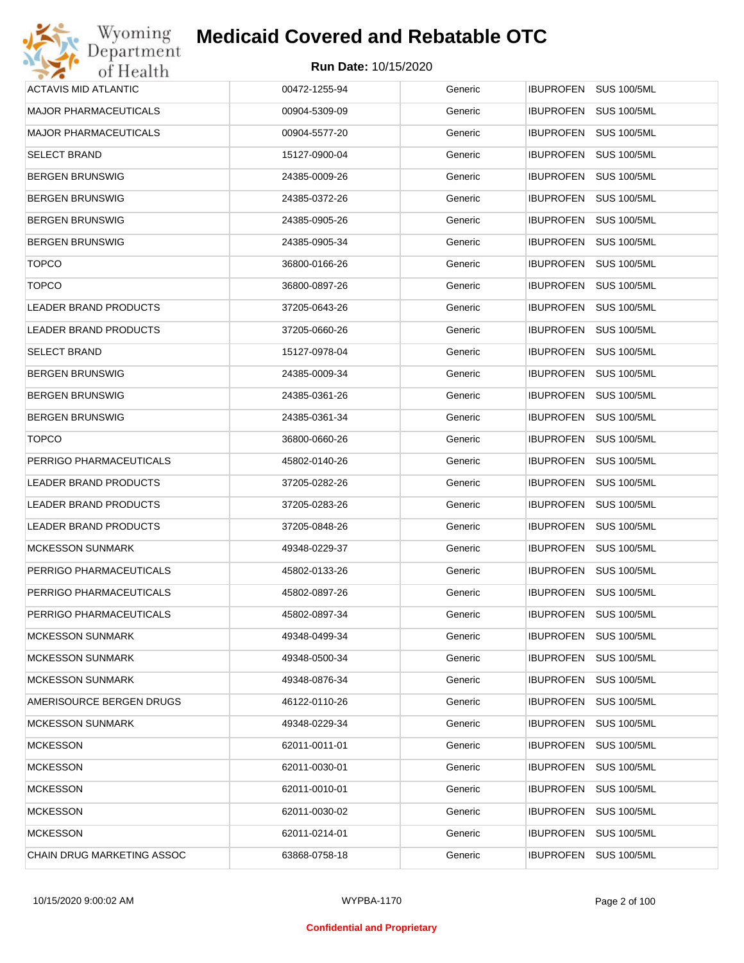| Wyoming                      | <b>Medicaid Covered and Rebatable OTC</b> |         |                                        |
|------------------------------|-------------------------------------------|---------|----------------------------------------|
| Department<br>of Health      | <b>Run Date: 10/15/2020</b>               |         |                                        |
| <b>ACTAVIS MID ATLANTIC</b>  | 00472-1255-94                             | Generic | <b>IBUPROFEN</b><br><b>SUS 100/5ML</b> |
| <b>MAJOR PHARMACEUTICALS</b> | 00904-5309-09                             | Generic | <b>IBUPROFEN</b><br><b>SUS 100/5ML</b> |
| <b>MAJOR PHARMACEUTICALS</b> | 00904-5577-20                             | Generic | <b>IBUPROFEN</b><br><b>SUS 100/5ML</b> |
| <b>SELECT BRAND</b>          | 15127-0900-04                             | Generic | <b>IBUPROFEN</b><br><b>SUS 100/5ML</b> |
| <b>BERGEN BRUNSWIG</b>       | 24385-0009-26                             | Generic | <b>IBUPROFEN</b><br><b>SUS 100/5ML</b> |
| <b>BERGEN BRUNSWIG</b>       | 24385-0372-26                             | Generic | <b>IBUPROFEN</b><br><b>SUS 100/5ML</b> |
| <b>BERGEN BRUNSWIG</b>       | 24385-0905-26                             | Generic | <b>IBUPROFEN</b><br><b>SUS 100/5ML</b> |
| <b>BERGEN BRUNSWIG</b>       | 24385-0905-34                             | Generic | <b>IBUPROFEN</b><br><b>SUS 100/5ML</b> |
| <b>TOPCO</b>                 | 36800-0166-26                             | Generic | <b>IBUPROFEN</b><br><b>SUS 100/5ML</b> |
| <b>TOPCO</b>                 | 36800-0897-26                             | Generic | <b>IBUPROFEN</b><br><b>SUS 100/5ML</b> |
| <b>LEADER BRAND PRODUCTS</b> | 37205-0643-26                             | Generic | <b>IBUPROFEN</b><br><b>SUS 100/5ML</b> |
| <b>LEADER BRAND PRODUCTS</b> | 37205-0660-26                             | Generic | <b>IBUPROFEN</b><br><b>SUS 100/5ML</b> |
| <b>SELECT BRAND</b>          | 15127-0978-04                             | Generic | <b>IBUPROFEN</b><br><b>SUS 100/5ML</b> |
| <b>BERGEN BRUNSWIG</b>       | 24385-0009-34                             | Generic | <b>IBUPROFEN</b><br><b>SUS 100/5ML</b> |
| <b>BERGEN BRUNSWIG</b>       | 24385-0361-26                             | Generic | <b>IBUPROFEN</b><br><b>SUS 100/5ML</b> |
| <b>BERGEN BRUNSWIG</b>       | 24385-0361-34                             | Generic | <b>IBUPROFEN</b><br><b>SUS 100/5ML</b> |
| <b>TOPCO</b>                 | 36800-0660-26                             | Generic | <b>IBUPROFEN</b><br><b>SUS 100/5ML</b> |
| PERRIGO PHARMACEUTICALS      | 45802-0140-26                             | Generic | <b>IBUPROFEN</b><br><b>SUS 100/5ML</b> |
| LEADER BRAND PRODUCTS        | 37205-0282-26                             | Generic | <b>IBUPROFEN</b><br><b>SUS 100/5ML</b> |
| LEADER BRAND PRODUCTS        | 37205-0283-26                             | Generic | <b>IBUPROFEN</b><br><b>SUS 100/5ML</b> |
| LEADER BRAND PRODUCTS        | 37205-0848-26                             | Generic | <b>IBUPROFEN</b><br><b>SUS 100/5ML</b> |
| <b>MCKESSON SUNMARK</b>      | 49348-0229-37                             | Generic | IBUPROFEN SUS 100/5ML                  |
| PERRIGO PHARMACEUTICALS      | 45802-0133-26                             | Generic | <b>IBUPROFEN SUS 100/5ML</b>           |
| PERRIGO PHARMACEUTICALS      | 45802-0897-26                             | Generic | <b>SUS 100/5ML</b><br>IBUPROFEN        |
| PERRIGO PHARMACEUTICALS      | 45802-0897-34                             | Generic | <b>IBUPROFEN</b><br><b>SUS 100/5ML</b> |
| <b>MCKESSON SUNMARK</b>      | 49348-0499-34                             | Generic | <b>IBUPROFEN</b><br><b>SUS 100/5ML</b> |
| <b>MCKESSON SUNMARK</b>      | 49348-0500-34                             | Generic | <b>IBUPROFEN</b><br><b>SUS 100/5ML</b> |
| <b>MCKESSON SUNMARK</b>      | 49348-0876-34                             | Generic | <b>IBUPROFEN</b><br><b>SUS 100/5ML</b> |
| AMERISOURCE BERGEN DRUGS     | 46122-0110-26                             | Generic | <b>IBUPROFEN</b><br><b>SUS 100/5ML</b> |
| <b>MCKESSON SUNMARK</b>      | 49348-0229-34                             | Generic | <b>IBUPROFEN</b><br><b>SUS 100/5ML</b> |
| <b>MCKESSON</b>              | 62011-0011-01                             | Generic | <b>IBUPROFEN</b><br><b>SUS 100/5ML</b> |
| <b>MCKESSON</b>              | 62011-0030-01                             | Generic | <b>IBUPROFEN</b><br><b>SUS 100/5ML</b> |
| <b>MCKESSON</b>              | 62011-0010-01                             | Generic | <b>SUS 100/5ML</b><br><b>IBUPROFEN</b> |
| <b>MCKESSON</b>              | 62011-0030-02                             | Generic | <b>IBUPROFEN</b><br><b>SUS 100/5ML</b> |
| <b>MCKESSON</b>              | 62011-0214-01                             | Generic | <b>SUS 100/5ML</b><br><b>IBUPROFEN</b> |
| CHAIN DRUG MARKETING ASSOC   | 63868-0758-18                             | Generic | <b>SUS 100/5ML</b><br>IBUPROFEN        |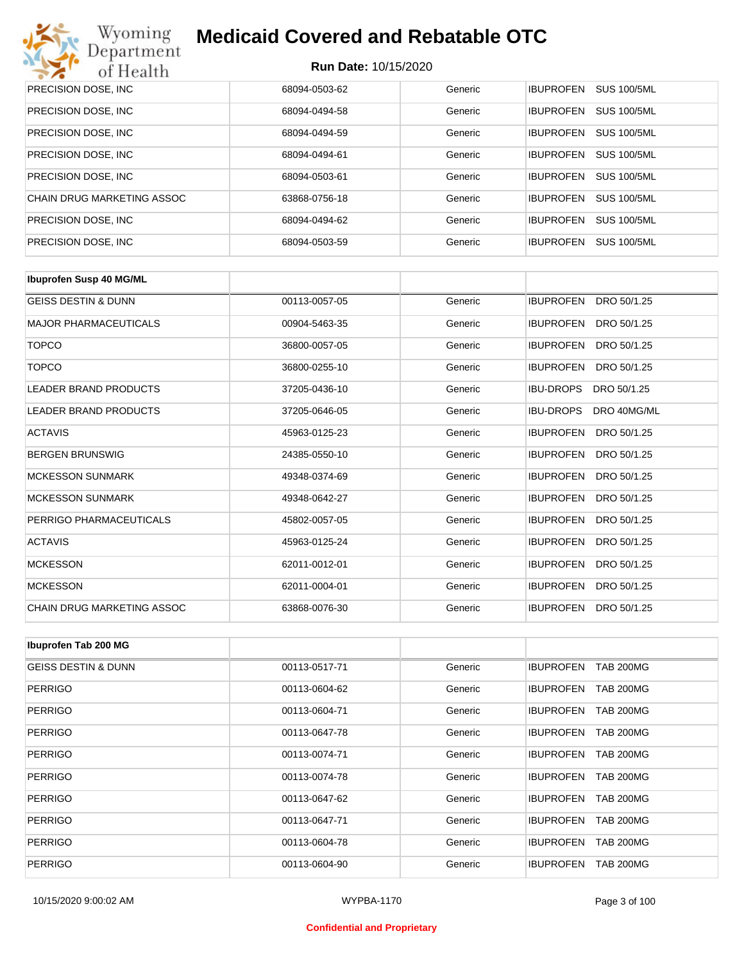

| PRECISION DOSE, INC.        | 68094-0503-62 | Generic | <b>SUS 100/5ML</b><br><b>IBUPROFEN</b> |
|-----------------------------|---------------|---------|----------------------------------------|
| PRECISION DOSE, INC.        | 68094-0494-58 | Generic | <b>SUS 100/5ML</b><br><b>IBUPROFEN</b> |
| PRECISION DOSE, INC.        | 68094-0494-59 | Generic | <b>SUS 100/5ML</b><br><b>IBUPROFEN</b> |
| PRECISION DOSE, INC.        | 68094-0494-61 | Generic | <b>IBUPROFEN</b><br><b>SUS 100/5ML</b> |
| PRECISION DOSE, INC.        | 68094-0503-61 | Generic | <b>SUS 100/5ML</b><br><b>IBUPROFEN</b> |
| CHAIN DRUG MARKETING ASSOC  | 63868-0756-18 | Generic | <b>SUS 100/5ML</b><br><b>IBUPROFFN</b> |
| PRECISION DOSE, INC.        | 68094-0494-62 | Generic | <b>SUS 100/5ML</b><br><b>IBUPROFEN</b> |
| <b>PRECISION DOSE, INC.</b> | 68094-0503-59 | Generic | <b>IBUPROFEN</b><br><b>SUS 100/5ML</b> |

| <b>Ibuprofen Susp 40 MG/ML</b>    |               |         |                                 |
|-----------------------------------|---------------|---------|---------------------------------|
| <b>GEISS DESTIN &amp; DUNN</b>    | 00113-0057-05 | Generic | DRO 50/1.25<br><b>IBUPROFEN</b> |
| <b>MAJOR PHARMACEUTICALS</b>      | 00904-5463-35 | Generic | <b>IBUPROFEN</b><br>DRO 50/1.25 |
| <b>TOPCO</b>                      | 36800-0057-05 | Generic | <b>IBUPROFEN</b><br>DRO 50/1.25 |
| <b>TOPCO</b>                      | 36800-0255-10 | Generic | <b>IBUPROFEN</b><br>DRO 50/1.25 |
| <b>LEADER BRAND PRODUCTS</b>      | 37205-0436-10 | Generic | <b>IBU-DROPS</b><br>DRO 50/1.25 |
| <b>LEADER BRAND PRODUCTS</b>      | 37205-0646-05 | Generic | <b>IBU-DROPS</b><br>DRO 40MG/ML |
| <b>ACTAVIS</b>                    | 45963-0125-23 | Generic | <b>IBUPROFEN</b><br>DRO 50/1.25 |
| <b>BERGEN BRUNSWIG</b>            | 24385-0550-10 | Generic | <b>IBUPROFEN</b><br>DRO 50/1.25 |
| <b>MCKESSON SUNMARK</b>           | 49348-0374-69 | Generic | <b>IBUPROFEN</b><br>DRO 50/1.25 |
| <b>MCKESSON SUNMARK</b>           | 49348-0642-27 | Generic | <b>IBUPROFEN</b><br>DRO 50/1.25 |
| PERRIGO PHARMACEUTICALS           | 45802-0057-05 | Generic | <b>IBUPROFEN</b><br>DRO 50/1.25 |
| <b>ACTAVIS</b>                    | 45963-0125-24 | Generic | <b>IBUPROFEN</b><br>DRO 50/1.25 |
| <b>MCKESSON</b>                   | 62011-0012-01 | Generic | <b>IBUPROFEN</b><br>DRO 50/1.25 |
| <b>MCKESSON</b>                   | 62011-0004-01 | Generic | <b>IBUPROFEN</b><br>DRO 50/1.25 |
| <b>CHAIN DRUG MARKETING ASSOC</b> | 63868-0076-30 | Generic | <b>IBUPROFEN</b><br>DRO 50/1.25 |

| Ibuprofen Tab 200 MG           |               |         |                                      |
|--------------------------------|---------------|---------|--------------------------------------|
| <b>GEISS DESTIN &amp; DUNN</b> | 00113-0517-71 | Generic | <b>IBUPROFEN</b><br><b>TAB 200MG</b> |
| <b>PERRIGO</b>                 | 00113-0604-62 | Generic | <b>TAB 200MG</b><br><b>IBUPROFEN</b> |
| <b>PERRIGO</b>                 | 00113-0604-71 | Generic | <b>TAB 200MG</b><br><b>IBUPROFEN</b> |
| <b>PERRIGO</b>                 | 00113-0647-78 | Generic | <b>TAB 200MG</b><br><b>IBUPROFEN</b> |
| <b>PERRIGO</b>                 | 00113-0074-71 | Generic | <b>IBUPROFEN</b><br><b>TAB 200MG</b> |
| <b>PERRIGO</b>                 | 00113-0074-78 | Generic | <b>IBUPROFEN</b><br><b>TAB 200MG</b> |
| <b>PERRIGO</b>                 | 00113-0647-62 | Generic | <b>TAB 200MG</b><br><b>IBUPROFEN</b> |
| <b>PERRIGO</b>                 | 00113-0647-71 | Generic | <b>TAB 200MG</b><br><b>IBUPROFEN</b> |
| <b>PERRIGO</b>                 | 00113-0604-78 | Generic | <b>IBUPROFEN</b><br><b>TAB 200MG</b> |
| <b>PERRIGO</b>                 | 00113-0604-90 | Generic | <b>IBUPROFEN</b><br><b>TAB 200MG</b> |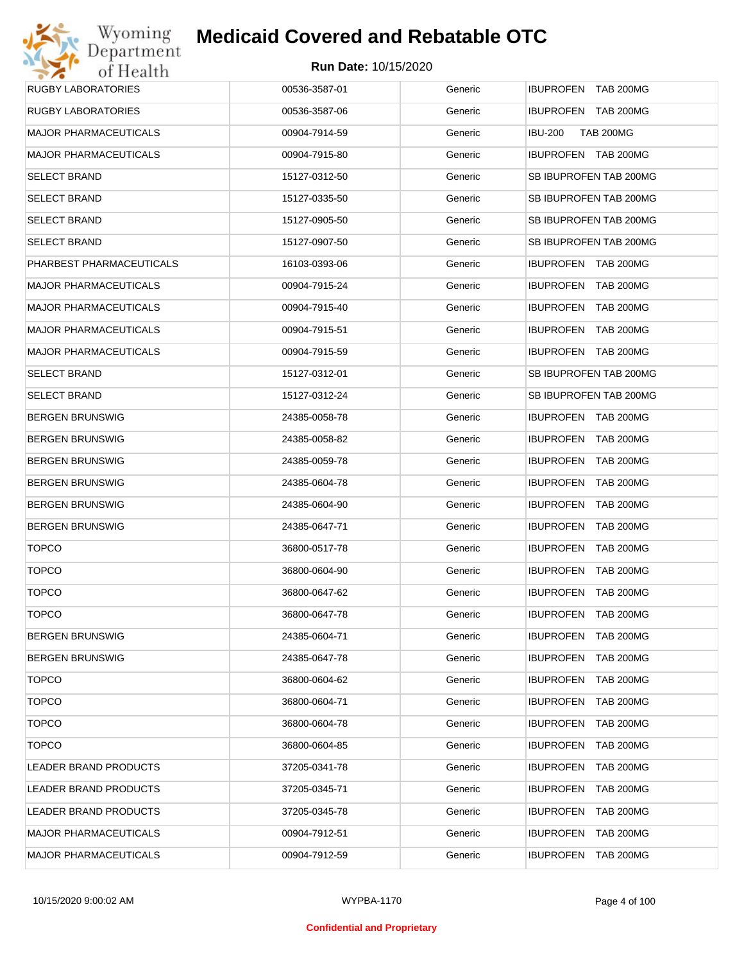| Wyoming                      | <b>Medicaid Covered and Rebatable OTC</b> |         |                                      |
|------------------------------|-------------------------------------------|---------|--------------------------------------|
| Department<br>of Health      | <b>Run Date: 10/15/2020</b>               |         |                                      |
| <b>RUGBY LABORATORIES</b>    | 00536-3587-01                             | Generic | IBUPROFEN TAB 200MG                  |
| <b>RUGBY LABORATORIES</b>    | 00536-3587-06                             | Generic | IBUPROFEN TAB 200MG                  |
| <b>MAJOR PHARMACEUTICALS</b> | 00904-7914-59                             | Generic | <b>IBU-200</b><br><b>TAB 200MG</b>   |
| <b>MAJOR PHARMACEUTICALS</b> | 00904-7915-80                             | Generic | IBUPROFEN TAB 200MG                  |
| <b>SELECT BRAND</b>          | 15127-0312-50                             | Generic | SB IBUPROFEN TAB 200MG               |
| <b>SELECT BRAND</b>          | 15127-0335-50                             | Generic | SB IBUPROFEN TAB 200MG               |
| <b>SELECT BRAND</b>          | 15127-0905-50                             | Generic | SB IBUPROFEN TAB 200MG               |
| <b>SELECT BRAND</b>          | 15127-0907-50                             | Generic | SB IBUPROFEN TAB 200MG               |
| PHARBEST PHARMACEUTICALS     | 16103-0393-06                             | Generic | <b>IBUPROFEN TAB 200MG</b>           |
| <b>MAJOR PHARMACEUTICALS</b> | 00904-7915-24                             | Generic | IBUPROFEN TAB 200MG                  |
| <b>MAJOR PHARMACEUTICALS</b> | 00904-7915-40                             | Generic | IBUPROFEN TAB 200MG                  |
| <b>MAJOR PHARMACEUTICALS</b> | 00904-7915-51                             | Generic | IBUPROFEN TAB 200MG                  |
| <b>MAJOR PHARMACEUTICALS</b> | 00904-7915-59                             | Generic | IBUPROFEN TAB 200MG                  |
| <b>SELECT BRAND</b>          | 15127-0312-01                             | Generic | SB IBUPROFEN TAB 200MG               |
| <b>SELECT BRAND</b>          | 15127-0312-24                             | Generic | SB IBUPROFEN TAB 200MG               |
| <b>BERGEN BRUNSWIG</b>       | 24385-0058-78                             | Generic | IBUPROFEN TAB 200MG                  |
| <b>BERGEN BRUNSWIG</b>       | 24385-0058-82                             | Generic | <b>IBUPROFEN</b><br>TAB 200MG        |
| <b>BERGEN BRUNSWIG</b>       | 24385-0059-78                             | Generic | <b>IBUPROFEN</b><br>TAB 200MG        |
| <b>BERGEN BRUNSWIG</b>       | 24385-0604-78                             | Generic | <b>IBUPROFEN</b><br><b>TAB 200MG</b> |
| <b>BERGEN BRUNSWIG</b>       | 24385-0604-90                             | Generic | <b>IBUPROFEN</b><br><b>TAB 200MG</b> |
| <b>BERGEN BRUNSWIG</b>       | 24385-0647-71                             | Generic | <b>IBUPROFEN</b><br><b>TAB 200MG</b> |
| <b>TOPCO</b>                 | 36800-0517-78                             | Generic | <b>IBUPROFEN TAB 200MG</b>           |
| <b>TOPCO</b>                 | 36800-0604-90                             | Generic | IBUPROFEN TAB 200MG                  |
| <b>TOPCO</b>                 | 36800-0647-62                             | Generic | IBUPROFEN TAB 200MG                  |
| <b>TOPCO</b>                 | 36800-0647-78                             | Generic | <b>IBUPROFEN</b><br><b>TAB 200MG</b> |
| <b>BERGEN BRUNSWIG</b>       | 24385-0604-71                             | Generic | <b>IBUPROFEN</b><br><b>TAB 200MG</b> |
| <b>BERGEN BRUNSWIG</b>       | 24385-0647-78                             | Generic | <b>IBUPROFEN</b><br><b>TAB 200MG</b> |
| <b>TOPCO</b>                 | 36800-0604-62                             | Generic | <b>IBUPROFEN</b><br><b>TAB 200MG</b> |
| <b>TOPCO</b>                 | 36800-0604-71                             | Generic | <b>IBUPROFEN</b><br><b>TAB 200MG</b> |
| <b>TOPCO</b>                 | 36800-0604-78                             | Generic | <b>IBUPROFEN</b><br><b>TAB 200MG</b> |
| <b>TOPCO</b>                 | 36800-0604-85                             | Generic | <b>IBUPROFEN</b><br><b>TAB 200MG</b> |
| LEADER BRAND PRODUCTS        | 37205-0341-78                             | Generic | <b>IBUPROFEN</b><br><b>TAB 200MG</b> |
| LEADER BRAND PRODUCTS        | 37205-0345-71                             | Generic | <b>IBUPROFEN</b><br><b>TAB 200MG</b> |
| LEADER BRAND PRODUCTS        | 37205-0345-78                             | Generic | <b>IBUPROFEN</b><br>TAB 200MG        |
| <b>MAJOR PHARMACEUTICALS</b> | 00904-7912-51                             | Generic | <b>IBUPROFEN</b><br><b>TAB 200MG</b> |
| <b>MAJOR PHARMACEUTICALS</b> | 00904-7912-59                             | Generic | <b>IBUPROFEN</b><br><b>TAB 200MG</b> |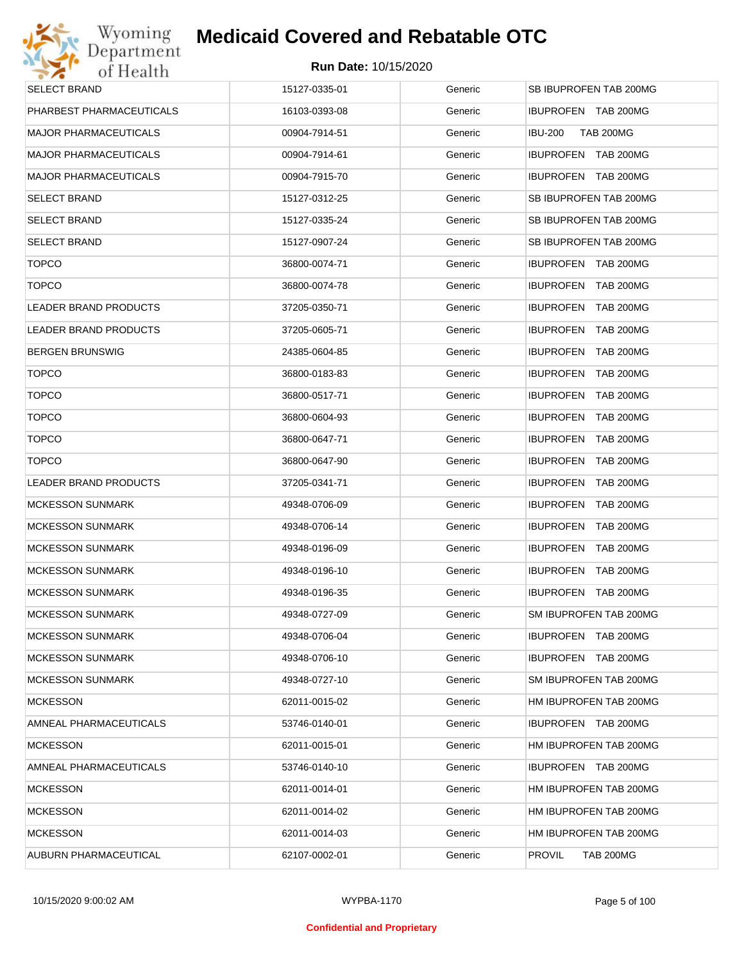| Wyoming                      | <b>Medicaid Covered and Rebatable OTC</b> |         |                                      |
|------------------------------|-------------------------------------------|---------|--------------------------------------|
| Department<br>of Health      | <b>Run Date: 10/15/2020</b>               |         |                                      |
| <b>SELECT BRAND</b>          | 15127-0335-01                             | Generic | SB IBUPROFEN TAB 200MG               |
| PHARBEST PHARMACEUTICALS     | 16103-0393-08                             | Generic | IBUPROFEN TAB 200MG                  |
| <b>MAJOR PHARMACEUTICALS</b> | 00904-7914-51                             | Generic | <b>TAB 200MG</b><br><b>IBU-200</b>   |
| <b>MAJOR PHARMACEUTICALS</b> | 00904-7914-61                             | Generic | IBUPROFEN TAB 200MG                  |
| <b>MAJOR PHARMACEUTICALS</b> | 00904-7915-70                             | Generic | IBUPROFEN TAB 200MG                  |
| <b>SELECT BRAND</b>          | 15127-0312-25                             | Generic | SB IBUPROFEN TAB 200MG               |
| <b>SELECT BRAND</b>          | 15127-0335-24                             | Generic | SB IBUPROFEN TAB 200MG               |
| <b>SELECT BRAND</b>          | 15127-0907-24                             | Generic | SB IBUPROFEN TAB 200MG               |
| <b>TOPCO</b>                 | 36800-0074-71                             | Generic | <b>IBUPROFEN TAB 200MG</b>           |
| <b>TOPCO</b>                 | 36800-0074-78                             | Generic | IBUPROFEN TAB 200MG                  |
| <b>LEADER BRAND PRODUCTS</b> | 37205-0350-71                             | Generic | <b>IBUPROFEN</b><br><b>TAB 200MG</b> |
| LEADER BRAND PRODUCTS        | 37205-0605-71                             | Generic | <b>IBUPROFEN</b><br><b>TAB 200MG</b> |
| <b>BERGEN BRUNSWIG</b>       | 24385-0604-85                             | Generic | <b>IBUPROFEN</b><br><b>TAB 200MG</b> |
| <b>TOPCO</b>                 | 36800-0183-83                             | Generic | <b>IBUPROFEN</b><br><b>TAB 200MG</b> |
| <b>TOPCO</b>                 | 36800-0517-71                             | Generic | <b>IBUPROFEN</b><br><b>TAB 200MG</b> |
| <b>TOPCO</b>                 | 36800-0604-93                             | Generic | <b>IBUPROFEN</b><br><b>TAB 200MG</b> |
| <b>TOPCO</b>                 | 36800-0647-71                             | Generic | <b>IBUPROFEN</b><br><b>TAB 200MG</b> |
| <b>TOPCO</b>                 | 36800-0647-90                             | Generic | <b>IBUPROFEN</b><br><b>TAB 200MG</b> |
| <b>LEADER BRAND PRODUCTS</b> | 37205-0341-71                             | Generic | <b>IBUPROFEN</b><br><b>TAB 200MG</b> |
| <b>MCKESSON SUNMARK</b>      | 49348-0706-09                             | Generic | <b>IBUPROFEN</b><br><b>TAB 200MG</b> |
| <b>MCKESSON SUNMARK</b>      | 49348-0706-14                             | Generic | <b>IBUPROFEN</b><br><b>TAB 200MG</b> |
| <b>MCKESSON SUNMARK</b>      | 49348-0196-09                             | Generic | <b>IBUPROFEN TAB 200MG</b>           |
| <b>MCKESSON SUNMARK</b>      | 49348-0196-10                             | Generic | <b>IBUPROFEN TAB 200MG</b>           |
| <b>MCKESSON SUNMARK</b>      | 49348-0196-35                             | Generic | IBUPROFEN TAB 200MG                  |
| <b>MCKESSON SUNMARK</b>      | 49348-0727-09                             | Generic | SM IBUPROFEN TAB 200MG               |
| <b>MCKESSON SUNMARK</b>      | 49348-0706-04                             | Generic | IBUPROFEN TAB 200MG                  |
| <b>MCKESSON SUNMARK</b>      | 49348-0706-10                             | Generic | IBUPROFEN TAB 200MG                  |
| <b>MCKESSON SUNMARK</b>      | 49348-0727-10                             | Generic | SM IBUPROFEN TAB 200MG               |
| <b>MCKESSON</b>              | 62011-0015-02                             | Generic | HM IBUPROFEN TAB 200MG               |
| AMNEAL PHARMACEUTICALS       | 53746-0140-01                             | Generic | IBUPROFEN TAB 200MG                  |
| <b>MCKESSON</b>              | 62011-0015-01                             | Generic | HM IBUPROFEN TAB 200MG               |
| AMNEAL PHARMACEUTICALS       | 53746-0140-10                             | Generic | IBUPROFEN TAB 200MG                  |
| <b>MCKESSON</b>              | 62011-0014-01                             | Generic | HM IBUPROFEN TAB 200MG               |
| <b>MCKESSON</b>              | 62011-0014-02                             | Generic | HM IBUPROFEN TAB 200MG               |
| <b>MCKESSON</b>              | 62011-0014-03                             | Generic | HM IBUPROFEN TAB 200MG               |
| AUBURN PHARMACEUTICAL        | 62107-0002-01                             | Generic | <b>PROVIL</b><br><b>TAB 200MG</b>    |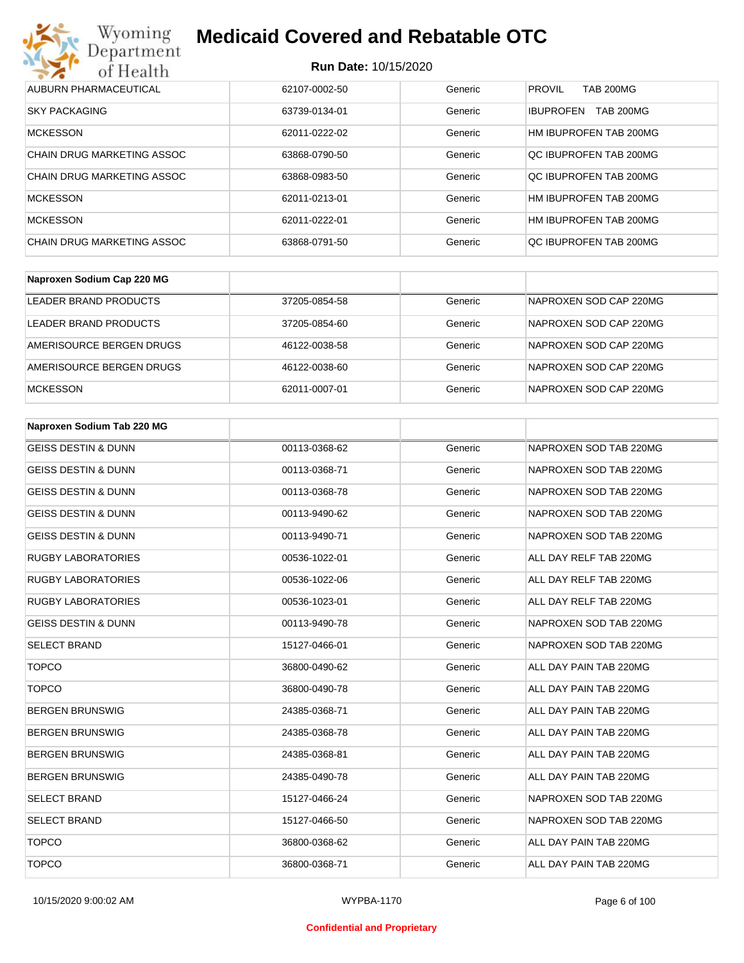

| AUBURN PHARMACEUTICAL             | 62107-0002-50 | Generic | <b>PROVIL</b><br><b>TAB 200MG</b>    |
|-----------------------------------|---------------|---------|--------------------------------------|
| <b>SKY PACKAGING</b>              | 63739-0134-01 | Generic | <b>TAB 200MG</b><br><b>IBUPROFEN</b> |
| <b>MCKESSON</b>                   | 62011-0222-02 | Generic | HM IBUPROFEN TAB 200MG               |
| <b>CHAIN DRUG MARKETING ASSOC</b> | 63868-0790-50 | Generic | OC IBUPROFEN TAB 200MG               |
| CHAIN DRUG MARKETING ASSOC        | 63868-0983-50 | Generic | QC IBUPROFEN TAB 200MG               |
| <b>MCKESSON</b>                   | 62011-0213-01 | Generic | HM IBUPROFEN TAB 200MG               |
| <b>MCKESSON</b>                   | 62011-0222-01 | Generic | HM IBUPROFEN TAB 200MG               |
| CHAIN DRUG MARKETING ASSOC        | 63868-0791-50 | Generic | OC IBUPROFEN TAB 200MG               |

| Naproxen Sodium Cap 220 MG |               |         |                        |
|----------------------------|---------------|---------|------------------------|
| LEADER BRAND PRODUCTS      | 37205-0854-58 | Generic | NAPROXEN SOD CAP 220MG |
| LEADER BRAND PRODUCTS      | 37205-0854-60 | Generic | NAPROXEN SOD CAP 220MG |
| AMERISOURCE BERGEN DRUGS   | 46122-0038-58 | Generic | NAPROXEN SOD CAP 220MG |
| AMERISOURCE BERGEN DRUGS   | 46122-0038-60 | Generic | NAPROXEN SOD CAP 220MG |
| <b>MCKESSON</b>            | 62011-0007-01 | Generic | NAPROXEN SOD CAP 220MG |

| Naproxen Sodium Tab 220 MG     |               |         |                        |
|--------------------------------|---------------|---------|------------------------|
| <b>GEISS DESTIN &amp; DUNN</b> | 00113-0368-62 | Generic | NAPROXEN SOD TAB 220MG |
| <b>GEISS DESTIN &amp; DUNN</b> | 00113-0368-71 | Generic | NAPROXEN SOD TAB 220MG |
| <b>GEISS DESTIN &amp; DUNN</b> | 00113-0368-78 | Generic | NAPROXEN SOD TAB 220MG |
| <b>GEISS DESTIN &amp; DUNN</b> | 00113-9490-62 | Generic | NAPROXEN SOD TAB 220MG |
| <b>GEISS DESTIN &amp; DUNN</b> | 00113-9490-71 | Generic | NAPROXEN SOD TAB 220MG |
| <b>RUGBY LABORATORIES</b>      | 00536-1022-01 | Generic | ALL DAY RELF TAB 220MG |
| <b>RUGBY LABORATORIES</b>      | 00536-1022-06 | Generic | ALL DAY RELF TAB 220MG |
| <b>RUGBY LABORATORIES</b>      | 00536-1023-01 | Generic | ALL DAY RELF TAB 220MG |
| <b>GEISS DESTIN &amp; DUNN</b> | 00113-9490-78 | Generic | NAPROXEN SOD TAB 220MG |
| <b>SELECT BRAND</b>            | 15127-0466-01 | Generic | NAPROXEN SOD TAB 220MG |
| <b>TOPCO</b>                   | 36800-0490-62 | Generic | ALL DAY PAIN TAB 220MG |
| <b>TOPCO</b>                   | 36800-0490-78 | Generic | ALL DAY PAIN TAB 220MG |
| <b>BERGEN BRUNSWIG</b>         | 24385-0368-71 | Generic | ALL DAY PAIN TAB 220MG |
| <b>BERGEN BRUNSWIG</b>         | 24385-0368-78 | Generic | ALL DAY PAIN TAB 220MG |
| <b>BERGEN BRUNSWIG</b>         | 24385-0368-81 | Generic | ALL DAY PAIN TAB 220MG |
| <b>BERGEN BRUNSWIG</b>         | 24385-0490-78 | Generic | ALL DAY PAIN TAB 220MG |
| <b>SELECT BRAND</b>            | 15127-0466-24 | Generic | NAPROXEN SOD TAB 220MG |
| <b>SELECT BRAND</b>            | 15127-0466-50 | Generic | NAPROXEN SOD TAB 220MG |
| <b>TOPCO</b>                   | 36800-0368-62 | Generic | ALL DAY PAIN TAB 220MG |
| <b>TOPCO</b>                   | 36800-0368-71 | Generic | ALL DAY PAIN TAB 220MG |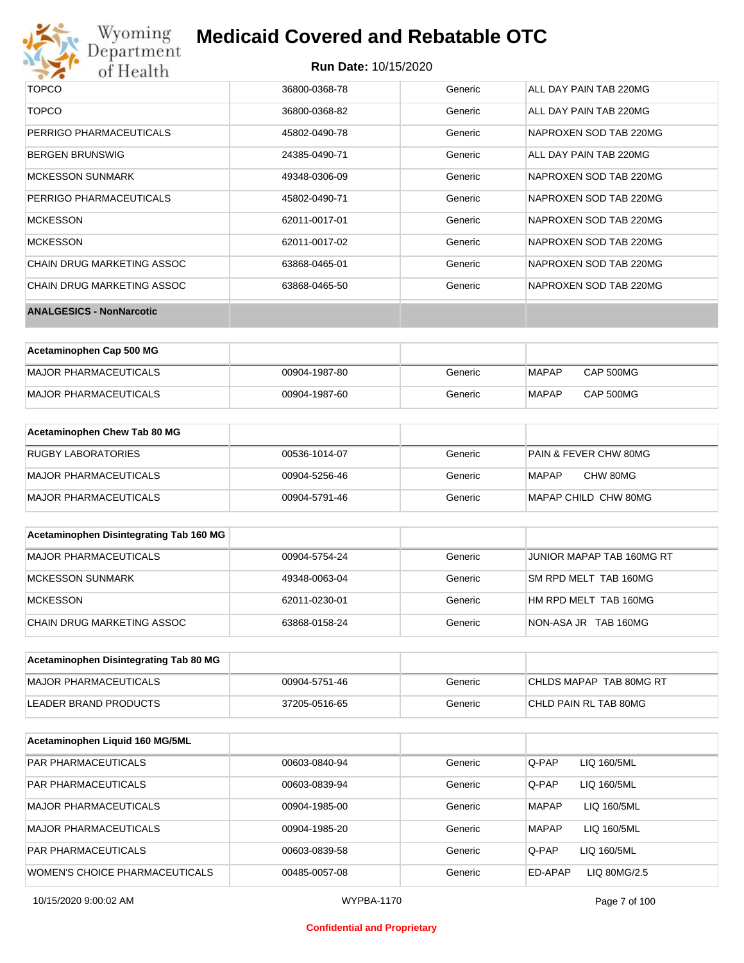# Wyoming<br>Department<br>of Health

# **Medicaid Covered and Rebatable OTC**

### **Run Date:** 10/15/2020

| <b>TOPCO</b>                    | 36800-0368-78 | Generic | ALL DAY PAIN TAB 220MG |
|---------------------------------|---------------|---------|------------------------|
| <b>TOPCO</b>                    | 36800-0368-82 | Generic | ALL DAY PAIN TAB 220MG |
| PERRIGO PHARMACEUTICALS         | 45802-0490-78 | Generic | NAPROXEN SOD TAB 220MG |
| <b>BERGEN BRUNSWIG</b>          | 24385-0490-71 | Generic | ALL DAY PAIN TAB 220MG |
| <b>MCKESSON SUNMARK</b>         | 49348-0306-09 | Generic | NAPROXEN SOD TAB 220MG |
| PERRIGO PHARMACEUTICALS         | 45802-0490-71 | Generic | NAPROXEN SOD TAB 220MG |
| <b>MCKESSON</b>                 | 62011-0017-01 | Generic | NAPROXEN SOD TAB 220MG |
| <b>MCKESSON</b>                 | 62011-0017-02 | Generic | NAPROXEN SOD TAB 220MG |
| CHAIN DRUG MARKETING ASSOC      | 63868-0465-01 | Generic | NAPROXEN SOD TAB 220MG |
| CHAIN DRUG MARKETING ASSOC      | 63868-0465-50 | Generic | NAPROXEN SOD TAB 220MG |
| <b>ANALGESICS - NonNarcotic</b> |               |         |                        |

| Acetaminophen Cap 500 MG |               |         |              |                  |
|--------------------------|---------------|---------|--------------|------------------|
| MAJOR PHARMACEUTICALS    | 00904-1987-80 | Generic | <b>MAPAP</b> | <b>CAP 500MG</b> |
| MAJOR PHARMACEUTICALS    | 00904-1987-60 | Generic | <b>MAPAP</b> | <b>CAP 500MG</b> |

| Acetaminophen Chew Tab 80 MG |               |         |                                  |
|------------------------------|---------------|---------|----------------------------------|
| <b>RUGBY LABORATORIES</b>    | 00536-1014-07 | Generic | <b>PAIN &amp; FEVER CHW 80MG</b> |
| MAJOR PHARMACEUTICALS        | 00904-5256-46 | Generic | CHW 80MG<br>MAPAP                |
| MAJOR PHARMACEUTICALS        | 00904-5791-46 | Generic | MAPAP CHILD CHW 80MG             |

| Acetaminophen Disintegrating Tab 160 MG |               |         |                           |
|-----------------------------------------|---------------|---------|---------------------------|
| MAJOR PHARMACEUTICALS                   | 00904-5754-24 | Generic | JUNIOR MAPAP TAB 160MG RT |
| MCKESSON SUNMARK                        | 49348-0063-04 | Generic | SM RPD MELT TAB 160MG     |
| MCKESSON                                | 62011-0230-01 | Generic | HM RPD MELT TAB 160MG     |
| CHAIN DRUG MARKETING ASSOC              | 63868-0158-24 | Generic | NON-ASA JR TAB 160MG      |

| Acetaminophen Disintegrating Tab 80 MG |               |         |                         |
|----------------------------------------|---------------|---------|-------------------------|
| IMAJOR PHARMACEUTICALS                 | 00904-5751-46 | Generic | CHLDS MAPAP TAB 80MG RT |
| LEADER BRAND PRODUCTS                  | 37205-0516-65 | Generic | CHLD PAIN RL TAB 80MG   |

| Acetaminophen Liquid 160 MG/5ML |               |         |                             |  |
|---------------------------------|---------------|---------|-----------------------------|--|
| <b>PAR PHARMACEUTICALS</b>      | 00603-0840-94 | Generic | Q-PAP<br>LIQ 160/5ML        |  |
| <b>PAR PHARMACEUTICALS</b>      | 00603-0839-94 | Generic | Q-PAP<br>LIQ 160/5ML        |  |
| MAJOR PHARMACEUTICALS           | 00904-1985-00 | Generic | <b>MAPAP</b><br>LIQ 160/5ML |  |
| MAJOR PHARMACEUTICALS           | 00904-1985-20 | Generic | <b>MAPAP</b><br>LIQ 160/5ML |  |
| <b>PAR PHARMACEUTICALS</b>      | 00603-0839-58 | Generic | Q-PAP<br>LIQ 160/5ML        |  |
| WOMEN'S CHOICE PHARMACEUTICALS  | 00485-0057-08 | Generic | LIQ 80MG/2.5<br>ED-APAP     |  |

### **Confidential and Proprietary**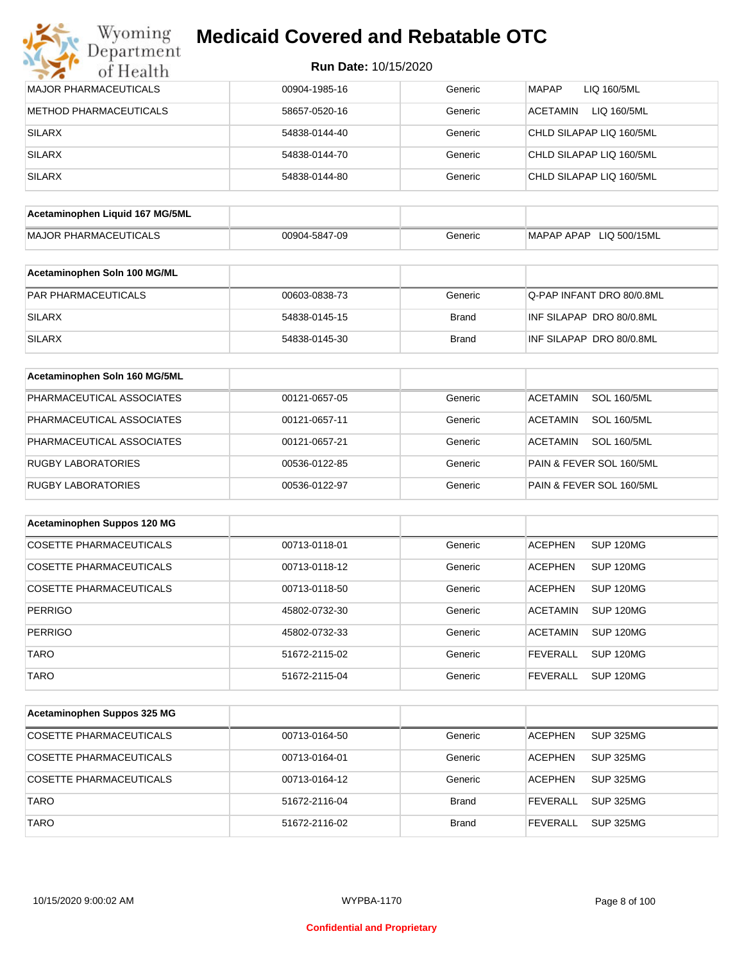|  | Run Date: 10/15/2020 |
|--|----------------------|
|--|----------------------|

| <b>MAJOR PHARMACEUTICALS</b>    | 00904-1985-16 | Generic      | <b>MAPAP</b><br>LIQ 160/5ML           |
|---------------------------------|---------------|--------------|---------------------------------------|
| <b>METHOD PHARMACEUTICALS</b>   | 58657-0520-16 | Generic      | <b>ACETAMIN</b><br>LIQ 160/5ML        |
| <b>SILARX</b>                   | 54838-0144-40 | Generic      | CHLD SILAPAP LIQ 160/5ML              |
| <b>SILARX</b>                   | 54838-0144-70 | Generic      | CHLD SILAPAP LIQ 160/5ML              |
| <b>SILARX</b>                   | 54838-0144-80 | Generic      | CHLD SILAPAP LIQ 160/5ML              |
|                                 |               |              |                                       |
| Acetaminophen Liquid 167 MG/5ML |               |              |                                       |
| <b>MAJOR PHARMACEUTICALS</b>    | 00904-5847-09 | Generic      | MAPAP APAP LIQ 500/15ML               |
| Acetaminophen Soln 100 MG/ML    |               |              |                                       |
| PAR PHARMACEUTICALS             | 00603-0838-73 | Generic      | Q-PAP INFANT DRO 80/0.8ML             |
| <b>SILARX</b>                   | 54838-0145-15 | <b>Brand</b> | INF SILAPAP DRO 80/0.8ML              |
| <b>SILARX</b>                   | 54838-0145-30 | <b>Brand</b> | INF SILAPAP DRO 80/0.8ML              |
| Acetaminophen Soln 160 MG/5ML   |               |              |                                       |
| PHARMACEUTICAL ASSOCIATES       | 00121-0657-05 | Generic      | <b>SOL 160/5ML</b><br><b>ACETAMIN</b> |
| PHARMACEUTICAL ASSOCIATES       | 00121-0657-11 | Generic      | <b>SOL 160/5ML</b><br><b>ACETAMIN</b> |
| PHARMACEUTICAL ASSOCIATES       | 00121-0657-21 | Generic      | <b>ACETAMIN</b><br><b>SOL 160/5ML</b> |
| <b>RUGBY LABORATORIES</b>       | 00536-0122-85 | Generic      | PAIN & FEVER SOL 160/5ML              |
| <b>RUGBY LABORATORIES</b>       | 00536-0122-97 | Generic      | PAIN & FEVER SOL 160/5ML              |
| Acetaminophen Suppos 120 MG     |               |              |                                       |
| <b>COSETTE PHARMACEUTICALS</b>  | 00713-0118-01 | Generic      | SUP 120MG<br><b>ACEPHEN</b>           |
| COSETTE PHARMACEUTICALS         | 00713-0118-12 | Generic      | SUP 120MG<br><b>ACEPHEN</b>           |
| COSETTE PHARMACEUTICALS         | 00713-0118-50 | Generic      | <b>ACEPHEN</b><br>SUP 120MG           |
| <b>PERRIGO</b>                  | 45802-0732-30 | Generic      | <b>ACETAMIN</b><br><b>SUP 120MG</b>   |
| PERRIGO                         | 45802-0732-33 | Generic      | ACETAMIN SUP 120MG                    |
| <b>TARO</b>                     | 51672-2115-02 | Generic      | <b>FEVERALL</b><br><b>SUP 120MG</b>   |
| <b>TARO</b>                     | 51672-2115-04 | Generic      | <b>SUP 120MG</b><br><b>FEVERALL</b>   |
| Acetaminophen Suppos 325 MG     |               |              |                                       |
|                                 |               |              |                                       |
| <b>COSETTE PHARMACEUTICALS</b>  | 00713-0164-50 | Generic      | <b>ACEPHEN</b><br><b>SUP 325MG</b>    |
| COSETTE PHARMACEUTICALS         | 00713-0164-01 | Generic      | <b>ACEPHEN</b><br><b>SUP 325MG</b>    |
| <b>COSETTE PHARMACEUTICALS</b>  | 00713-0164-12 | Generic      | <b>ACEPHEN</b><br><b>SUP 325MG</b>    |
| <b>TARO</b>                     | 51672-2116-04 | <b>Brand</b> | <b>FEVERALL</b><br><b>SUP 325MG</b>   |
| <b>TARO</b>                     | 51672-2116-02 | <b>Brand</b> | <b>FEVERALL</b><br><b>SUP 325MG</b>   |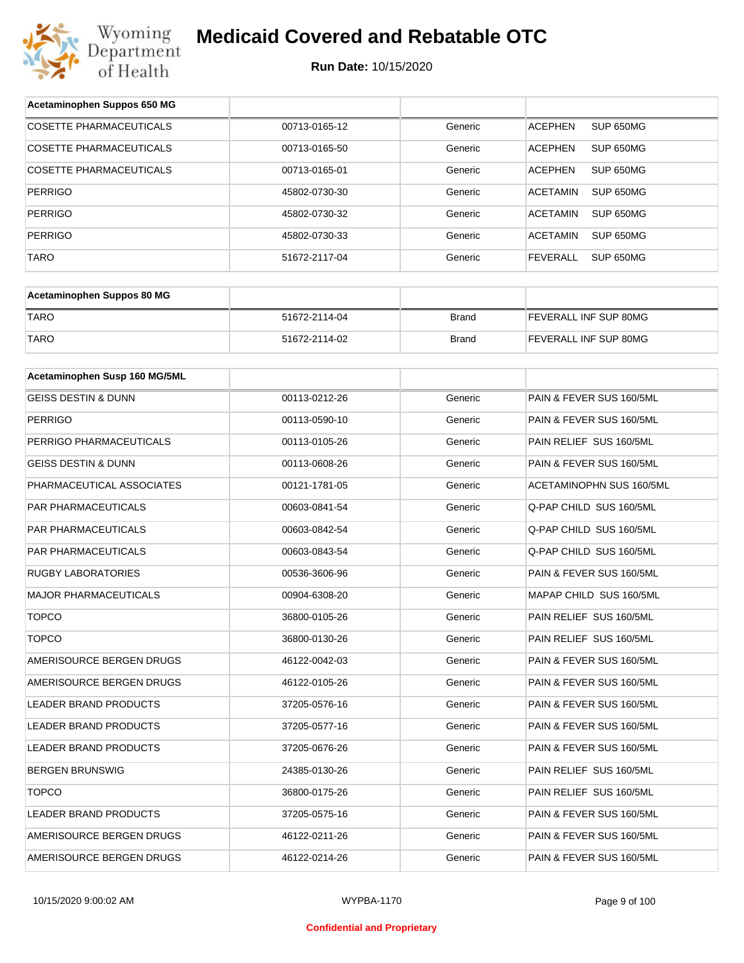

| Acetaminophen Suppos 650 MG    |               |              |                              |
|--------------------------------|---------------|--------------|------------------------------|
| <b>COSETTE PHARMACEUTICALS</b> | 00713-0165-12 | Generic      | SUP 650MG<br><b>ACEPHEN</b>  |
| COSETTE PHARMACEUTICALS        | 00713-0165-50 | Generic      | <b>ACEPHEN</b><br>SUP 650MG  |
| <b>COSETTE PHARMACEUTICALS</b> | 00713-0165-01 | Generic      | <b>ACEPHEN</b><br>SUP 650MG  |
| <b>PERRIGO</b>                 | 45802-0730-30 | Generic      | <b>ACETAMIN</b><br>SUP 650MG |
| <b>PERRIGO</b>                 | 45802-0730-32 | Generic      | <b>ACETAMIN</b><br>SUP 650MG |
| <b>PERRIGO</b>                 | 45802-0730-33 | Generic      | <b>ACETAMIN</b><br>SUP 650MG |
| TARO                           | 51672-2117-04 | Generic      | <b>FEVERALL</b><br>SUP 650MG |
|                                |               |              |                              |
| Acetaminophen Suppos 80 MG     |               |              |                              |
| <b>TARO</b>                    | 51672-2114-04 | <b>Brand</b> | FEVERALL INF SUP 80MG        |
| <b>TARO</b>                    | 51672-2114-02 | <b>Brand</b> | FEVERALL INF SUP 80MG        |
|                                |               |              |                              |
| Acetaminophen Susp 160 MG/5ML  |               |              |                              |
| <b>GEISS DESTIN &amp; DUNN</b> | 00113-0212-26 | Generic      | PAIN & FEVER SUS 160/5ML     |
| <b>PERRIGO</b>                 | 00113-0590-10 | Generic      | PAIN & FEVER SUS 160/5ML     |
| PERRIGO PHARMACEUTICALS        | 00113-0105-26 | Generic      | PAIN RELIEF SUS 160/5ML      |
| GEISS DESTIN & DUNN            | 00113-0608-26 | Generic      | PAIN & FEVER SUS 160/5ML     |
| PHARMACEUTICAL ASSOCIATES      | 00121-1781-05 | Generic      | ACETAMINOPHN SUS 160/5ML     |
| PAR PHARMACEUTICALS            | 00603-0841-54 | Generic      | Q-PAP CHILD SUS 160/5ML      |
| PAR PHARMACEUTICALS            | 00603-0842-54 | Generic      | Q-PAP CHILD SUS 160/5ML      |
| PAR PHARMACEUTICALS            | 00603-0843-54 | Generic      | Q-PAP CHILD SUS 160/5ML      |
| <b>RUGBY LABORATORIES</b>      | 00536-3606-96 | Generic      | PAIN & FEVER SUS 160/5ML     |
| <b>MAJOR PHARMACEUTICALS</b>   | 00904-6308-20 | Generic      | MAPAP CHILD SUS 160/5ML      |
| <b>TOPCO</b>                   | 36800-0105-26 | Generic      | PAIN RELIEF SUS 160/5ML      |
| <b>TOPCO</b>                   | 36800-0130-26 | Generic      | PAIN RELIEF SUS 160/5ML      |
| AMERISOURCE BERGEN DRUGS       | 46122-0042-03 | Generic      | PAIN & FEVER SUS 160/5ML     |
| AMERISOURCE BERGEN DRUGS       | 46122-0105-26 | Generic      | PAIN & FEVER SUS 160/5ML     |
| LEADER BRAND PRODUCTS          | 37205-0576-16 | Generic      | PAIN & FEVER SUS 160/5ML     |
| LEADER BRAND PRODUCTS          | 37205-0577-16 | Generic      | PAIN & FEVER SUS 160/5ML     |
| LEADER BRAND PRODUCTS          | 37205-0676-26 | Generic      | PAIN & FEVER SUS 160/5ML     |
| <b>BERGEN BRUNSWIG</b>         | 24385-0130-26 | Generic      | PAIN RELIEF SUS 160/5ML      |
| <b>TOPCO</b>                   | 36800-0175-26 | Generic      | PAIN RELIEF SUS 160/5ML      |
| LEADER BRAND PRODUCTS          | 37205-0575-16 | Generic      | PAIN & FEVER SUS 160/5ML     |
| AMERISOURCE BERGEN DRUGS       | 46122-0211-26 | Generic      | PAIN & FEVER SUS 160/5ML     |
| AMERISOURCE BERGEN DRUGS       | 46122-0214-26 | Generic      | PAIN & FEVER SUS 160/5ML     |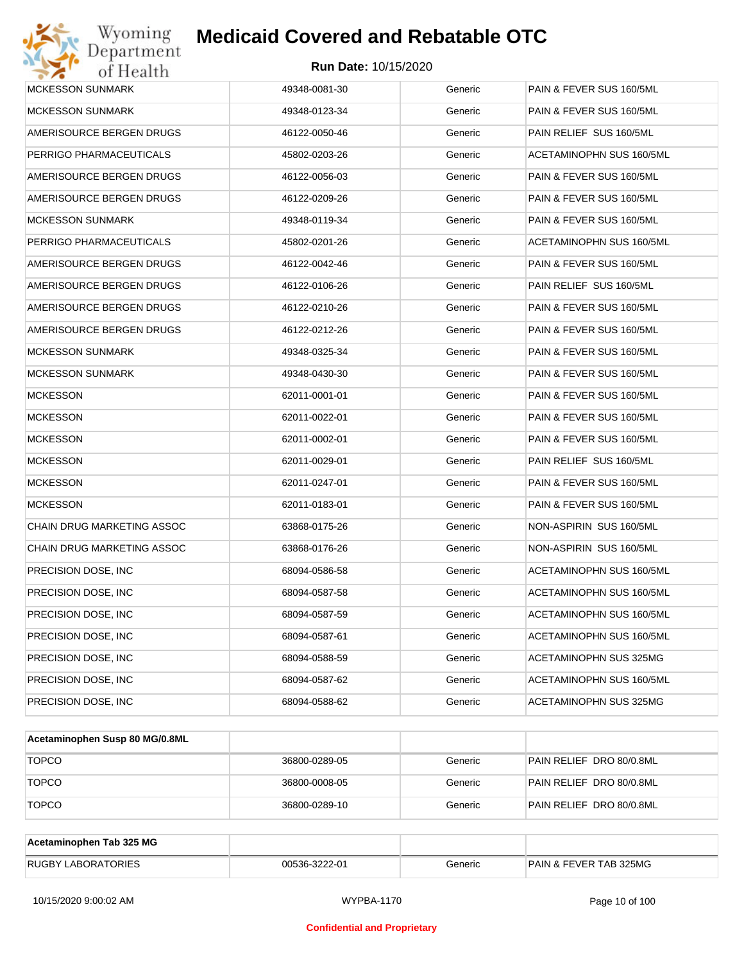| Wyoming<br><b>Medicaid Covered and Rebatable OTC</b><br>Jepartment |                             |         |                          |
|--------------------------------------------------------------------|-----------------------------|---------|--------------------------|
| of Health                                                          | <b>Run Date: 10/15/2020</b> |         |                          |
| <b>MCKESSON SUNMARK</b>                                            | 49348-0081-30               | Generic | PAIN & FEVER SUS 160/5ML |
| <b>MCKESSON SUNMARK</b>                                            | 49348-0123-34               | Generic | PAIN & FEVER SUS 160/5ML |
| AMERISOURCE BERGEN DRUGS                                           | 46122-0050-46               | Generic | PAIN RELIEF SUS 160/5ML  |
| PERRIGO PHARMACEUTICALS                                            | 45802-0203-26               | Generic | ACETAMINOPHN SUS 160/5ML |
| AMERISOURCE BERGEN DRUGS                                           | 46122-0056-03               | Generic | PAIN & FEVER SUS 160/5ML |
| AMERISOURCE BERGEN DRUGS                                           | 46122-0209-26               | Generic | PAIN & FEVER SUS 160/5ML |
| <b>MCKESSON SUNMARK</b>                                            | 49348-0119-34               | Generic | PAIN & FEVER SUS 160/5ML |
| PERRIGO PHARMACEUTICALS                                            | 45802-0201-26               | Generic | ACETAMINOPHN SUS 160/5ML |
| AMERISOURCE BERGEN DRUGS                                           | 46122-0042-46               | Generic | PAIN & FEVER SUS 160/5ML |
| AMERISOURCE BERGEN DRUGS                                           | 46122-0106-26               | Generic | PAIN RELIEF SUS 160/5ML  |
| AMERISOURCE BERGEN DRUGS                                           | 46122-0210-26               | Generic | PAIN & FEVER SUS 160/5ML |
| AMERISOURCE BERGEN DRUGS                                           | 46122-0212-26               | Generic | PAIN & FEVER SUS 160/5ML |
| <b>MCKESSON SUNMARK</b>                                            | 49348-0325-34               | Generic | PAIN & FEVER SUS 160/5ML |
| <b>MCKESSON SUNMARK</b>                                            | 49348-0430-30               | Generic | PAIN & FEVER SUS 160/5ML |
| <b>MCKESSON</b>                                                    | 62011-0001-01               | Generic | PAIN & FEVER SUS 160/5ML |
| <b>MCKESSON</b>                                                    | 62011-0022-01               | Generic | PAIN & FEVER SUS 160/5ML |
| <b>MCKESSON</b>                                                    | 62011-0002-01               | Generic | PAIN & FEVER SUS 160/5ML |
| <b>MCKESSON</b>                                                    | 62011-0029-01               | Generic | PAIN RELIEF SUS 160/5ML  |
| <b>MCKESSON</b>                                                    | 62011-0247-01               | Generic | PAIN & FEVER SUS 160/5ML |
| <b>MCKESSON</b>                                                    | 62011-0183-01               | Generic | PAIN & FEVER SUS 160/5ML |
| <b>CHAIN DRUG MARKETING ASSOC</b>                                  | 63868-0175-26               | Generic | NON-ASPIRIN SUS 160/5ML  |
| CHAIN DRUG MARKETING ASSOC                                         | 63868-0176-26               | Generic | NON-ASPIRIN SUS 160/5ML  |
| PRECISION DOSE, INC                                                | 68094-0586-58               | Generic | ACETAMINOPHN SUS 160/5ML |
| PRECISION DOSE, INC                                                | 68094-0587-58               | Generic | ACETAMINOPHN SUS 160/5ML |
| PRECISION DOSE, INC.                                               | 68094-0587-59               | Generic | ACETAMINOPHN SUS 160/5ML |
| PRECISION DOSE, INC.                                               | 68094-0587-61               | Generic | ACETAMINOPHN SUS 160/5ML |
| PRECISION DOSE, INC.                                               | 68094-0588-59               | Generic | ACETAMINOPHN SUS 325MG   |
| PRECISION DOSE, INC.                                               | 68094-0587-62               | Generic | ACETAMINOPHN SUS 160/5ML |
| PRECISION DOSE, INC                                                | 68094-0588-62               | Generic | ACETAMINOPHN SUS 325MG   |

| Acetaminophen Susp 80 MG/0.8ML |               |         |                          |
|--------------------------------|---------------|---------|--------------------------|
| <b>TOPCO</b>                   | 36800-0289-05 | Generic | PAIN RELIEF DRO 80/0.8ML |
| <b>TOPCO</b>                   | 36800-0008-05 | Generic | PAIN RELIEF DRO 80/0.8ML |
| <b>TOPCO</b>                   | 36800-0289-10 | Generic | PAIN RELIEF DRO 80/0.8ML |

| Acetaminophen Tab 325 MG  |               |         |                                   |
|---------------------------|---------------|---------|-----------------------------------|
| <b>RUGBY LABORATORIES</b> | 00536-3222-01 | Generic | <b>PAIN &amp; FEVER TAB 325MG</b> |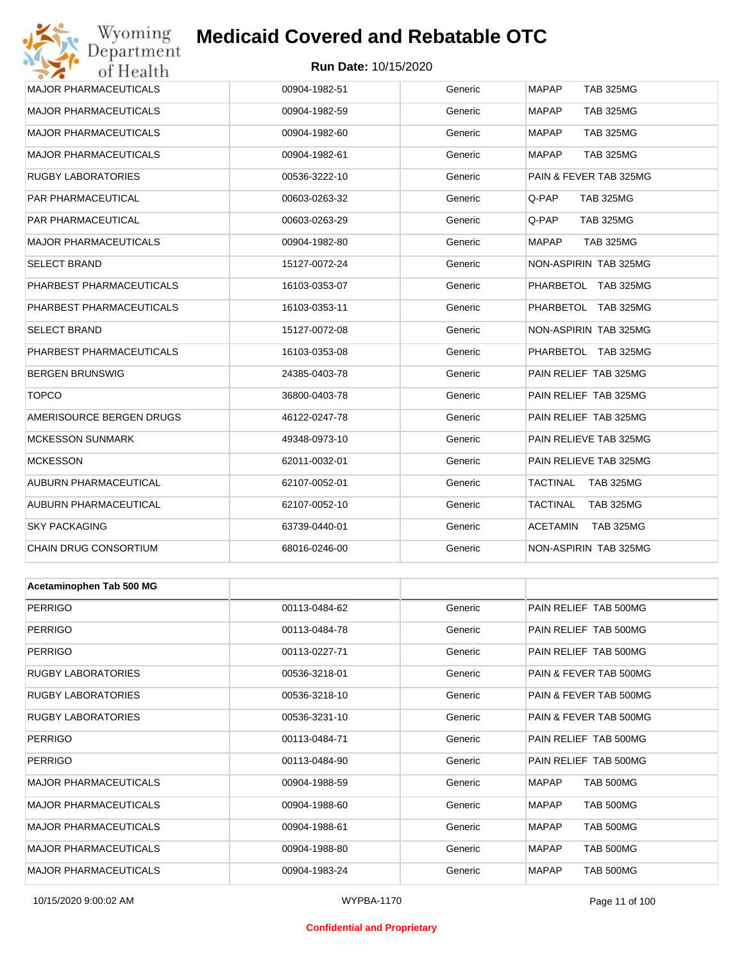# Wyoming<br>Department<br>of Health **Medicaid Covered and Rebatable OTC**

### **Run Date:** 10/15/2020

| MAJOR PHARMACEUTICALS        | 00904-1982-51 | Generic | <b>MAPAP</b><br><b>TAB 325MG</b> |
|------------------------------|---------------|---------|----------------------------------|
| <b>MAJOR PHARMACEUTICALS</b> | 00904-1982-59 | Generic | <b>MAPAP</b><br><b>TAB 325MG</b> |
| <b>MAJOR PHARMACEUTICALS</b> | 00904-1982-60 | Generic | <b>MAPAP</b><br><b>TAB 325MG</b> |
| <b>MAJOR PHARMACEUTICALS</b> | 00904-1982-61 | Generic | <b>TAB 325MG</b><br>MAPAP        |
| RUGBY LABORATORIES           | 00536-3222-10 | Generic | PAIN & FEVER TAB 325MG           |
| PAR PHARMACEUTICAL           | 00603-0263-32 | Generic | Q-PAP<br><b>TAB 325MG</b>        |
| PAR PHARMACEUTICAL           | 00603-0263-29 | Generic | Q-PAP<br><b>TAB 325MG</b>        |
| MAJOR PHARMACEUTICALS        | 00904-1982-80 | Generic | <b>MAPAP</b><br><b>TAB 325MG</b> |
| SELECT BRAND                 | 15127-0072-24 | Generic | NON-ASPIRIN TAB 325MG            |
| PHARBEST PHARMACEUTICALS     | 16103-0353-07 | Generic | PHARBETOL TAB 325MG              |
| PHARBEST PHARMACEUTICALS     | 16103-0353-11 | Generic | PHARBETOL TAB 325MG              |
| SELECT BRAND                 | 15127-0072-08 | Generic | NON-ASPIRIN TAB 325MG            |
| PHARBEST PHARMACEUTICALS     | 16103-0353-08 | Generic | PHARBETOL TAB 325MG              |
| BERGEN BRUNSWIG              | 24385-0403-78 | Generic | PAIN RELIEF TAB 325MG            |
| <b>TOPCO</b>                 | 36800-0403-78 | Generic | PAIN RELIEF TAB 325MG            |
| AMERISOURCE BERGEN DRUGS     | 46122-0247-78 | Generic | PAIN RELIEF TAB 325MG            |
| <b>MCKESSON SUNMARK</b>      | 49348-0973-10 | Generic | PAIN RELIEVE TAB 325MG           |
| <b>MCKESSON</b>              | 62011-0032-01 | Generic | PAIN RELIEVE TAB 325MG           |
| AUBURN PHARMACEUTICAL        | 62107-0052-01 | Generic | TACTINAL<br><b>TAB 325MG</b>     |
| AUBURN PHARMACEUTICAL        | 62107-0052-10 | Generic | TACTINAL<br><b>TAB 325MG</b>     |
| <b>SKY PACKAGING</b>         | 63739-0440-01 | Generic | ACETAMIN<br>TAB 325MG            |
| CHAIN DRUG CONSORTIUM        | 68016-0246-00 | Generic | NON-ASPIRIN TAB 325MG            |
|                              |               |         |                                  |
| Acetaminophen Tab 500 MG     |               |         |                                  |
| PERRIGO                      | 00113-0484-62 | Generic | PAIN RELIEF TAB 500MG            |
| <b>PERRIGO</b>               | 00113-0484-78 | Generic | PAIN RELIEF TAB 500MG            |
| PERRIGO                      | 00113-0227-71 | Generic | PAIN RELIEF TAB 500MG            |
| RUGBY LABORATORIES           | 00536-3218-01 | Generic | PAIN & FEVER TAB 500MG           |
| <b>RUGBY LABORATORIES</b>    | 00536-3218-10 | Generic | PAIN & FEVER TAB 500MG           |
| RUGBY LABORATORIES           | 00536-3231-10 | Generic | PAIN & FEVER TAB 500MG           |
| PERRIGO                      | 00113-0484-71 | Generic | PAIN RELIEF TAB 500MG            |
| <b>PERRIGO</b>               | 00113-0484-90 | Generic | PAIN RELIEF TAB 500MG            |
| MAJOR PHARMACEUTICALS        | 00904-1988-59 | Generic | MAPAP<br>TAB 500MG               |
| <b>MAJOR PHARMACEUTICALS</b> | 00904-1988-60 | Generic | TAB 500MG<br>MAPAP               |
| MAJOR PHARMACEUTICALS        | 00904-1988-61 | Generic | TAB 500MG<br>MAPAP               |
| <b>MAJOR PHARMACEUTICALS</b> | 00904-1988-80 | Generic | TAB 500MG<br>MAPAP               |
| MAJOR PHARMACEUTICALS        | 00904-1983-24 | Generic | <b>MAPAP</b><br>TAB 500MG        |

### **Confidential and Proprietary**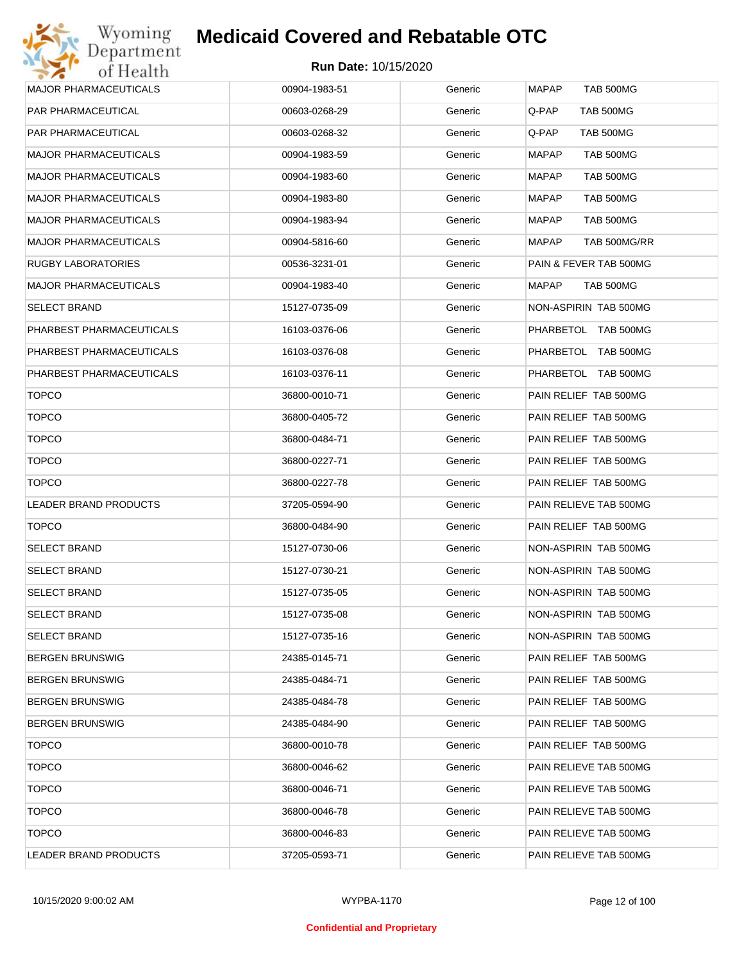

| <b>MAJOR PHARMACEUTICALS</b> | 00904-1983-51 | Generic | <b>MAPAP</b><br><b>TAB 500MG</b> |
|------------------------------|---------------|---------|----------------------------------|
| PAR PHARMACEUTICAL           | 00603-0268-29 | Generic | Q-PAP<br>TAB 500MG               |
| PAR PHARMACEUTICAL           | 00603-0268-32 | Generic | Q-PAP<br>TAB 500MG               |
| <b>MAJOR PHARMACEUTICALS</b> | 00904-1983-59 | Generic | <b>MAPAP</b><br><b>TAB 500MG</b> |
| <b>MAJOR PHARMACEUTICALS</b> | 00904-1983-60 | Generic | TAB 500MG<br>MAPAP               |
| <b>MAJOR PHARMACEUTICALS</b> | 00904-1983-80 | Generic | <b>TAB 500MG</b><br>MAPAP        |
| <b>MAJOR PHARMACEUTICALS</b> | 00904-1983-94 | Generic | <b>TAB 500MG</b><br>MAPAP        |
| <b>MAJOR PHARMACEUTICALS</b> | 00904-5816-60 | Generic | TAB 500MG/RR<br>MAPAP            |
| RUGBY LABORATORIES           | 00536-3231-01 | Generic | PAIN & FEVER TAB 500MG           |
| <b>MAJOR PHARMACEUTICALS</b> | 00904-1983-40 | Generic | <b>MAPAP</b><br>TAB 500MG        |
| SELECT BRAND                 | 15127-0735-09 | Generic | NON-ASPIRIN TAB 500MG            |
| PHARBEST PHARMACEUTICALS     | 16103-0376-06 | Generic | PHARBETOL TAB 500MG              |
| PHARBEST PHARMACEUTICALS     | 16103-0376-08 | Generic | PHARBETOL TAB 500MG              |
| PHARBEST PHARMACEUTICALS     | 16103-0376-11 | Generic | PHARBETOL TAB 500MG              |
| <b>TOPCO</b>                 | 36800-0010-71 | Generic | PAIN RELIEF TAB 500MG            |
| <b>TOPCO</b>                 | 36800-0405-72 | Generic | PAIN RELIEF TAB 500MG            |
| <b>TOPCO</b>                 | 36800-0484-71 | Generic | PAIN RELIEF TAB 500MG            |
| <b>TOPCO</b>                 | 36800-0227-71 | Generic | PAIN RELIEF TAB 500MG            |
| <b>TOPCO</b>                 | 36800-0227-78 | Generic | PAIN RELIEF TAB 500MG            |
| LEADER BRAND PRODUCTS        | 37205-0594-90 | Generic | PAIN RELIEVE TAB 500MG           |
| <b>TOPCO</b>                 | 36800-0484-90 | Generic | PAIN RELIEF TAB 500MG            |
| SELECT BRAND                 | 15127-0730-06 | Generic | NON-ASPIRIN TAB 500MG            |
| SELECT BRAND                 | 15127-0730-21 | Generic | NON-ASPIRIN TAB 500MG            |
| SELECT BRAND                 | 15127-0735-05 | Generic | NON-ASPIRIN TAB 500MG            |
| SELECT BRAND                 | 15127-0735-08 | Generic | NON-ASPIRIN TAB 500MG            |
| SELECT BRAND                 | 15127-0735-16 | Generic | NON-ASPIRIN TAB 500MG            |
| <b>BERGEN BRUNSWIG</b>       | 24385-0145-71 | Generic | PAIN RELIEF TAB 500MG            |
| BERGEN BRUNSWIG              | 24385-0484-71 | Generic | PAIN RELIEF TAB 500MG            |
| BERGEN BRUNSWIG              | 24385-0484-78 | Generic | PAIN RELIEF TAB 500MG            |
| <b>BERGEN BRUNSWIG</b>       | 24385-0484-90 | Generic | PAIN RELIEF TAB 500MG            |
| <b>TOPCO</b>                 | 36800-0010-78 | Generic | PAIN RELIEF TAB 500MG            |
| <b>TOPCO</b>                 | 36800-0046-62 | Generic | PAIN RELIEVE TAB 500MG           |
| <b>TOPCO</b>                 | 36800-0046-71 | Generic | PAIN RELIEVE TAB 500MG           |
| <b>TOPCO</b>                 | 36800-0046-78 | Generic | PAIN RELIEVE TAB 500MG           |
| <b>TOPCO</b>                 | 36800-0046-83 | Generic | PAIN RELIEVE TAB 500MG           |
| LEADER BRAND PRODUCTS        | 37205-0593-71 | Generic | PAIN RELIEVE TAB 500MG           |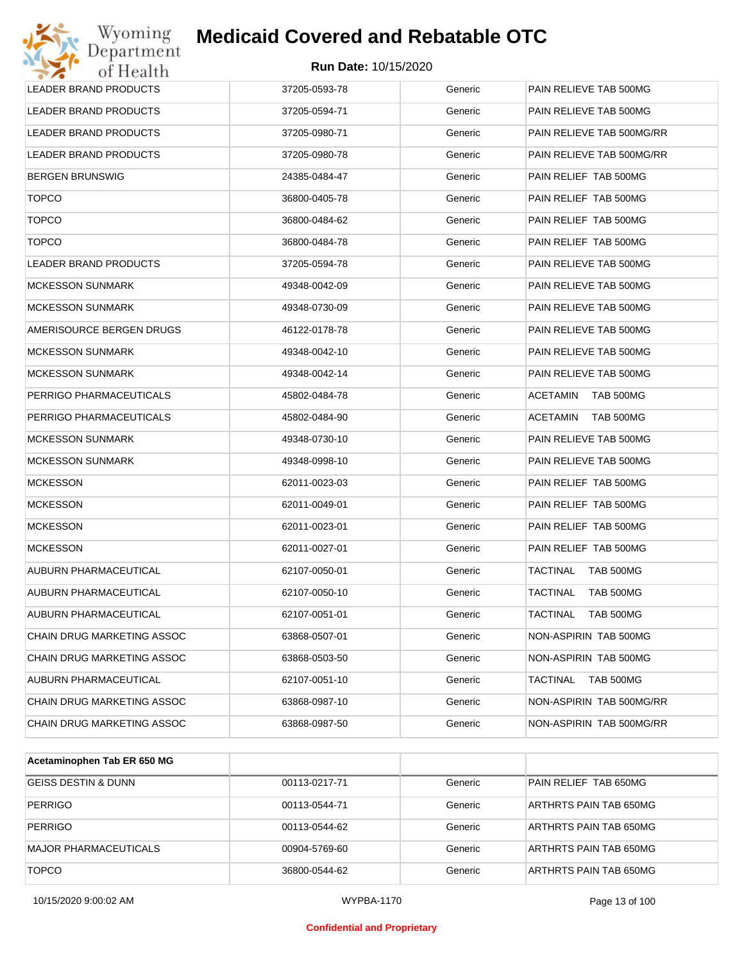### **Run Date:** 10/15/2020

| Wyoming<br>Department        | <b>Medicaid Covered and Rebatable OTC</b> |         |                              |
|------------------------------|-------------------------------------------|---------|------------------------------|
| of Health                    | <b>Run Date: 10/15/2020</b>               |         |                              |
| <b>LEADER BRAND PRODUCTS</b> | 37205-0593-78                             | Generic | PAIN RELIEVE TAB 500MG       |
| LEADER BRAND PRODUCTS        | 37205-0594-71                             | Generic | PAIN RELIEVE TAB 500MG       |
| LEADER BRAND PRODUCTS        | 37205-0980-71                             | Generic | PAIN RELIEVE TAB 500MG/RR    |
| LEADER BRAND PRODUCTS        | 37205-0980-78                             | Generic | PAIN RELIEVE TAB 500MG/RR    |
| <b>BERGEN BRUNSWIG</b>       | 24385-0484-47                             | Generic | PAIN RELIEF TAB 500MG        |
| <b>TOPCO</b>                 | 36800-0405-78                             | Generic | PAIN RELIEF TAB 500MG        |
| <b>TOPCO</b>                 | 36800-0484-62                             | Generic | PAIN RELIEF TAB 500MG        |
| <b>TOPCO</b>                 | 36800-0484-78                             | Generic | PAIN RELIEF TAB 500MG        |
| <b>LEADER BRAND PRODUCTS</b> | 37205-0594-78                             | Generic | PAIN RELIEVE TAB 500MG       |
| <b>MCKESSON SUNMARK</b>      | 49348-0042-09                             | Generic | PAIN RELIEVE TAB 500MG       |
| <b>MCKESSON SUNMARK</b>      | 49348-0730-09                             | Generic | PAIN RELIEVE TAB 500MG       |
| AMERISOURCE BERGEN DRUGS     | 46122-0178-78                             | Generic | PAIN RELIEVE TAB 500MG       |
| <b>MCKESSON SUNMARK</b>      | 49348-0042-10                             | Generic | PAIN RELIEVE TAB 500MG       |
| <b>MCKESSON SUNMARK</b>      | 49348-0042-14                             | Generic | PAIN RELIEVE TAB 500MG       |
| PERRIGO PHARMACEUTICALS      | 45802-0484-78                             | Generic | <b>ACETAMIN</b><br>TAB 500MG |
| PERRIGO PHARMACEUTICALS      | 45802-0484-90                             | Generic | <b>ACETAMIN</b><br>TAB 500MG |
| <b>MCKESSON SUNMARK</b>      | 49348-0730-10                             | Generic | PAIN RELIEVE TAB 500MG       |
| <b>MCKESSON SUNMARK</b>      | 49348-0998-10                             | Generic | PAIN RELIEVE TAB 500MG       |
| <b>MCKESSON</b>              | 62011-0023-03                             | Generic | PAIN RELIEF TAB 500MG        |
| <b>MCKESSON</b>              | 62011-0049-01                             | Generic | PAIN RELIEF TAB 500MG        |
| <b>MCKESSON</b>              | 62011-0023-01                             | Generic | PAIN RELIEF TAB 500MG        |
| <b>MCKESSON</b>              | 62011-0027-01                             | Generic | PAIN RELIEF TAB 500MG        |
| AUBURN PHARMACEUTICAL        | 62107-0050-01                             | Generic | TACTINAL<br>TAB 500MG        |
| AUBURN PHARMACEUTICAL        | 62107-0050-10                             | Generic | TACTINAL<br>TAB 500MG        |
| <b>AUBURN PHARMACEUTICAL</b> | 62107-0051-01                             | Generic | TACTINAL<br>TAB 500MG        |
| CHAIN DRUG MARKETING ASSOC   | 63868-0507-01                             | Generic | NON-ASPIRIN TAB 500MG        |
| CHAIN DRUG MARKETING ASSOC   | 63868-0503-50                             | Generic | NON-ASPIRIN TAB 500MG        |
| <b>AUBURN PHARMACEUTICAL</b> | 62107-0051-10                             | Generic | <b>TAB 500MG</b><br>TACTINAL |
| CHAIN DRUG MARKETING ASSOC   | 63868-0987-10                             | Generic | NON-ASPIRIN TAB 500MG/RR     |
| CHAIN DRUG MARKETING ASSOC   | 63868-0987-50                             | Generic | NON-ASPIRIN TAB 500MG/RR     |

| Acetaminophen Tab ER 650 MG    |               |         |                        |
|--------------------------------|---------------|---------|------------------------|
| <b>GEISS DESTIN &amp; DUNN</b> | 00113-0217-71 | Generic | PAIN RELIEF TAB 650MG  |
| PERRIGO                        | 00113-0544-71 | Generic | ARTHRTS PAIN TAB 650MG |
| <b>PERRIGO</b>                 | 00113-0544-62 | Generic | ARTHRTS PAIN TAB 650MG |
| MAJOR PHARMACEUTICALS          | 00904-5769-60 | Generic | ARTHRTS PAIN TAB 650MG |
| <b>TOPCO</b>                   | 36800-0544-62 | Generic | ARTHRTS PAIN TAB 650MG |

### **Confidential and Proprietary**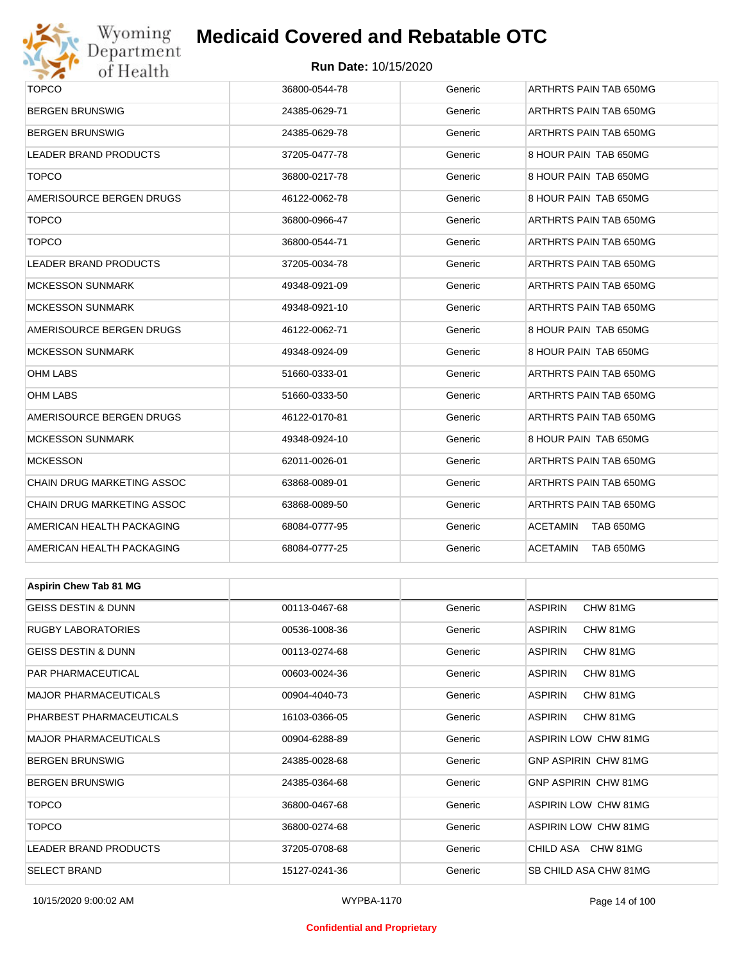

### **Run Date:** 10/15/2020

| $\sim$ 70<br>UI IIU aitii         |               |         |                             |  |  |
|-----------------------------------|---------------|---------|-----------------------------|--|--|
| <b>TOPCO</b>                      | 36800-0544-78 | Generic | ARTHRTS PAIN TAB 650MG      |  |  |
| <b>BERGEN BRUNSWIG</b>            | 24385-0629-71 | Generic | ARTHRTS PAIN TAB 650MG      |  |  |
| <b>BERGEN BRUNSWIG</b>            | 24385-0629-78 | Generic | ARTHRTS PAIN TAB 650MG      |  |  |
| LEADER BRAND PRODUCTS             | 37205-0477-78 | Generic | 8 HOUR PAIN TAB 650MG       |  |  |
| <b>TOPCO</b>                      | 36800-0217-78 | Generic | 8 HOUR PAIN TAB 650MG       |  |  |
| AMERISOURCE BERGEN DRUGS          | 46122-0062-78 | Generic | 8 HOUR PAIN TAB 650MG       |  |  |
| <b>TOPCO</b>                      | 36800-0966-47 | Generic | ARTHRTS PAIN TAB 650MG      |  |  |
| <b>TOPCO</b>                      | 36800-0544-71 | Generic | ARTHRTS PAIN TAB 650MG      |  |  |
| LEADER BRAND PRODUCTS             | 37205-0034-78 | Generic | ARTHRTS PAIN TAB 650MG      |  |  |
| <b>MCKESSON SUNMARK</b>           | 49348-0921-09 | Generic | ARTHRTS PAIN TAB 650MG      |  |  |
| <b>MCKESSON SUNMARK</b>           | 49348-0921-10 | Generic | ARTHRTS PAIN TAB 650MG      |  |  |
| AMERISOURCE BERGEN DRUGS          | 46122-0062-71 | Generic | 8 HOUR PAIN TAB 650MG       |  |  |
| <b>MCKESSON SUNMARK</b>           | 49348-0924-09 | Generic | 8 HOUR PAIN TAB 650MG       |  |  |
| <b>OHM LABS</b>                   | 51660-0333-01 | Generic | ARTHRTS PAIN TAB 650MG      |  |  |
| <b>OHM LABS</b>                   | 51660-0333-50 | Generic | ARTHRTS PAIN TAB 650MG      |  |  |
| AMERISOURCE BERGEN DRUGS          | 46122-0170-81 | Generic | ARTHRTS PAIN TAB 650MG      |  |  |
| <b>MCKESSON SUNMARK</b>           | 49348-0924-10 | Generic | 8 HOUR PAIN TAB 650MG       |  |  |
| <b>MCKESSON</b>                   | 62011-0026-01 | Generic | ARTHRTS PAIN TAB 650MG      |  |  |
| <b>CHAIN DRUG MARKETING ASSOC</b> | 63868-0089-01 | Generic | ARTHRTS PAIN TAB 650MG      |  |  |
| CHAIN DRUG MARKETING ASSOC        | 63868-0089-50 | Generic | ARTHRTS PAIN TAB 650MG      |  |  |
| AMERICAN HEALTH PACKAGING         | 68084-0777-95 | Generic | ACETAMIN<br>TAB 650MG       |  |  |
| AMERICAN HEALTH PACKAGING         | 68084-0777-25 | Generic | ACETAMIN<br>TAB 650MG       |  |  |
|                                   |               |         |                             |  |  |
| <b>Aspirin Chew Tab 81 MG</b>     |               |         |                             |  |  |
| <b>GEISS DESTIN &amp; DUNN</b>    | 00113-0467-68 | Generic | <b>ASPIRIN</b><br>CHW 81MG  |  |  |
| RUGBY LABORATORIES                | 00536-1008-36 | Generic | <b>ASPIRIN</b><br>CHW 81MG  |  |  |
| GEISS DESTIN & DUNN               | 00113-0274-68 | Generic | <b>ASPIRIN</b><br>CHW 81MG  |  |  |
| PAR PHARMACEUTICAL                | 00603-0024-36 | Generic | <b>ASPIRIN</b><br>CHW 81MG  |  |  |
| <b>MAJOR PHARMACEUTICALS</b>      | 00904-4040-73 | Generic | <b>ASPIRIN</b><br>CHW 81MG  |  |  |
| PHARBEST PHARMACEUTICALS          | 16103-0366-05 | Generic | <b>ASPIRIN</b><br>CHW 81MG  |  |  |
| <b>MAJOR PHARMACEUTICALS</b>      | 00904-6288-89 | Generic | ASPIRIN LOW CHW 81MG        |  |  |
| <b>BERGEN BRUNSWIG</b>            | 24385-0028-68 | Generic | GNP ASPIRIN CHW 81MG        |  |  |
| <b>BERGEN BRUNSWIG</b>            | 24385-0364-68 | Generic | <b>GNP ASPIRIN CHW 81MG</b> |  |  |
| <b>TOPCO</b>                      | 36800-0467-68 | Generic | <b>ASPIRIN LOW CHW 81MG</b> |  |  |

TOPCO 36800-0274-68 Generic ASPIRIN LOW CHW 81MG LEADER BRAND PRODUCTS 
and the state of the state of the state of the state of the state of the state of the state of the state of the state of the state of the state of the state of the state of the state of the state of SELECT BRAND 15127-0241-36 Generic SB CHILD ASA CHW 81MG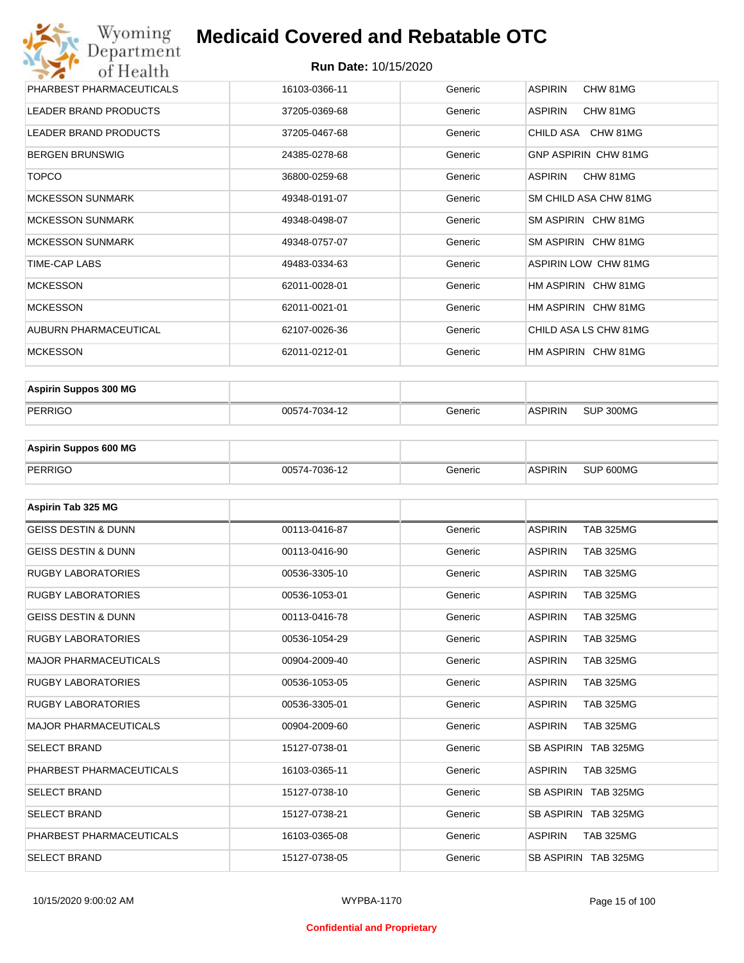### **Run Date:** 10/15/2020

| Wyoming<br>Department                    | <b>Medicaid Covered and Rebatable OTC</b> |         |                             |  |  |  |
|------------------------------------------|-------------------------------------------|---------|-----------------------------|--|--|--|
| <b>Run Date: 10/15/2020</b><br>of Health |                                           |         |                             |  |  |  |
| PHARBEST PHARMACEUTICALS                 | 16103-0366-11                             | Generic | <b>ASPIRIN</b><br>CHW 81MG  |  |  |  |
| <b>LEADER BRAND PRODUCTS</b>             | 37205-0369-68                             | Generic | <b>ASPIRIN</b><br>CHW 81MG  |  |  |  |
| <b>LEADER BRAND PRODUCTS</b>             | 37205-0467-68                             | Generic | CHILD ASA CHW 81MG          |  |  |  |
| <b>BERGEN BRUNSWIG</b>                   | 24385-0278-68                             | Generic | <b>GNP ASPIRIN CHW 81MG</b> |  |  |  |
| <b>TOPCO</b>                             | 36800-0259-68                             | Generic | <b>ASPIRIN</b><br>CHW 81MG  |  |  |  |
| <b>MCKESSON SUNMARK</b>                  | 49348-0191-07                             | Generic | SM CHILD ASA CHW 81MG       |  |  |  |
| <b>MCKESSON SUNMARK</b>                  | 49348-0498-07                             | Generic | SM ASPIRIN CHW 81MG         |  |  |  |
| <b>MCKESSON SUNMARK</b>                  | 49348-0757-07                             | Generic | SM ASPIRIN CHW 81MG         |  |  |  |
| <b>TIME-CAP LABS</b>                     | 49483-0334-63                             | Generic | <b>ASPIRIN LOW CHW 81MG</b> |  |  |  |
| <b>MCKESSON</b>                          | 62011-0028-01                             | Generic | HM ASPIRIN CHW 81MG         |  |  |  |
| <b>MCKESSON</b>                          | 62011-0021-01                             | Generic | HM ASPIRIN CHW 81MG         |  |  |  |
| AUBURN PHARMACEUTICAL                    | 62107-0026-36                             | Generic | CHILD ASA LS CHW 81MG       |  |  |  |
| <b>MCKESSON</b>                          | 62011-0212-01                             | Generic | HM ASPIRIN CHW 81MG         |  |  |  |

| <b>Aspirin Suppos 300 MG</b> |               |         |                |           |
|------------------------------|---------------|---------|----------------|-----------|
| PERRIGO                      | 00574-7034-12 | Generic | <b>ASPIRIN</b> | SUP 300MG |

| <b>Aspirin Suppos 600 MG</b> |               |         |                |           |
|------------------------------|---------------|---------|----------------|-----------|
| PERRIGO                      | 00574-7036-12 | Generic | <b>ASPIRIN</b> | SUP 600MG |

| Aspirin Tab 325 MG             |               |         |                                    |
|--------------------------------|---------------|---------|------------------------------------|
| <b>GEISS DESTIN &amp; DUNN</b> | 00113-0416-87 | Generic | <b>ASPIRIN</b><br><b>TAB 325MG</b> |
| <b>GEISS DESTIN &amp; DUNN</b> | 00113-0416-90 | Generic | <b>ASPIRIN</b><br><b>TAB 325MG</b> |
| <b>RUGBY LABORATORIES</b>      | 00536-3305-10 | Generic | <b>ASPIRIN</b><br><b>TAB 325MG</b> |
| <b>RUGBY LABORATORIES</b>      | 00536-1053-01 | Generic | <b>TAB 325MG</b><br><b>ASPIRIN</b> |
| <b>GEISS DESTIN &amp; DUNN</b> | 00113-0416-78 | Generic | <b>ASPIRIN</b><br><b>TAB 325MG</b> |
| <b>RUGBY LABORATORIES</b>      | 00536-1054-29 | Generic | <b>ASPIRIN</b><br><b>TAB 325MG</b> |
| <b>MAJOR PHARMACEUTICALS</b>   | 00904-2009-40 | Generic | <b>ASPIRIN</b><br><b>TAB 325MG</b> |
| <b>RUGBY LABORATORIES</b>      | 00536-1053-05 | Generic | <b>TAB 325MG</b><br><b>ASPIRIN</b> |
| <b>RUGBY LABORATORIES</b>      | 00536-3305-01 | Generic | <b>TAB 325MG</b><br><b>ASPIRIN</b> |
| <b>MAJOR PHARMACEUTICALS</b>   | 00904-2009-60 | Generic | <b>ASPIRIN</b><br><b>TAB 325MG</b> |
| <b>SELECT BRAND</b>            | 15127-0738-01 | Generic | SB ASPIRIN TAB 325MG               |
| PHARBEST PHARMACEUTICALS       | 16103-0365-11 | Generic | <b>ASPIRIN</b><br><b>TAB 325MG</b> |
| <b>SELECT BRAND</b>            | 15127-0738-10 | Generic | SB ASPIRIN TAB 325MG               |
| <b>SELECT BRAND</b>            | 15127-0738-21 | Generic | SB ASPIRIN TAB 325MG               |
| PHARBEST PHARMACEUTICALS       | 16103-0365-08 | Generic | <b>ASPIRIN</b><br><b>TAB 325MG</b> |
| <b>SELECT BRAND</b>            | 15127-0738-05 | Generic | SB ASPIRIN TAB 325MG               |

### **Confidential and Proprietary**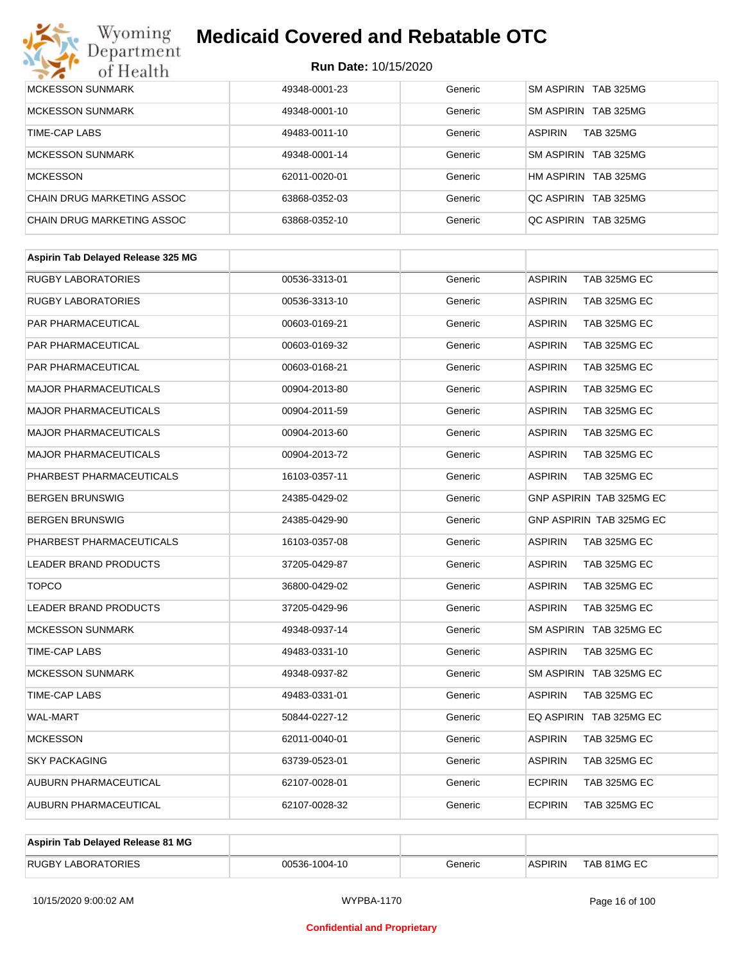# Wyoming<br>Department<br>of Health

# **Medicaid Covered and Rebatable OTC**

| <b>MCKESSON SUNMARK</b>    | 49348-0001-23 | Generic | SM ASPIRIN TAB 325MG               |
|----------------------------|---------------|---------|------------------------------------|
| <b>MCKESSON SUNMARK</b>    | 49348-0001-10 | Generic | SM ASPIRIN TAB 325MG               |
| TIME-CAP LABS              | 49483-0011-10 | Generic | <b>ASPIRIN</b><br><b>TAB 325MG</b> |
| <b>MCKESSON SUNMARK</b>    | 49348-0001-14 | Generic | SM ASPIRIN TAB 325MG               |
| <b>MCKESSON</b>            | 62011-0020-01 | Generic | HM ASPIRIN TAB 325MG               |
| CHAIN DRUG MARKETING ASSOC | 63868-0352-03 | Generic | OC ASPIRIN TAB 325MG               |
| CHAIN DRUG MARKETING ASSOC | 63868-0352-10 | Generic | QC ASPIRIN TAB 325MG               |

| <b>RUGBY LABORATORIES</b><br>00536-3313-01<br><b>RUGBY LABORATORIES</b><br>00536-3313-10 | Generic<br>Generic<br>Generic | <b>ASPIRIN</b><br>TAB 325MG EC<br><b>ASPIRIN</b><br>TAB 325MG EC |
|------------------------------------------------------------------------------------------|-------------------------------|------------------------------------------------------------------|
|                                                                                          |                               |                                                                  |
|                                                                                          |                               |                                                                  |
| PAR PHARMACEUTICAL<br>00603-0169-21                                                      |                               | <b>ASPIRIN</b><br>TAB 325MG EC                                   |
| <b>PAR PHARMACEUTICAL</b><br>00603-0169-32                                               | Generic                       | <b>ASPIRIN</b><br>TAB 325MG EC                                   |
| PAR PHARMACEUTICAL<br>00603-0168-21                                                      | Generic                       | TAB 325MG EC<br><b>ASPIRIN</b>                                   |
| <b>MAJOR PHARMACEUTICALS</b><br>00904-2013-80                                            | Generic                       | TAB 325MG EC<br><b>ASPIRIN</b>                                   |
| <b>MAJOR PHARMACEUTICALS</b><br>00904-2011-59                                            | Generic                       | <b>ASPIRIN</b><br>TAB 325MG EC                                   |
| <b>MAJOR PHARMACEUTICALS</b><br>00904-2013-60                                            | Generic                       | <b>ASPIRIN</b><br>TAB 325MG EC                                   |
| MAJOR PHARMACEUTICALS<br>00904-2013-72                                                   | Generic                       | <b>ASPIRIN</b><br>TAB 325MG EC                                   |
| PHARBEST PHARMACEUTICALS<br>16103-0357-11                                                | Generic                       | TAB 325MG EC<br><b>ASPIRIN</b>                                   |
| <b>BERGEN BRUNSWIG</b><br>24385-0429-02                                                  | Generic                       | GNP ASPIRIN TAB 325MG EC                                         |
| <b>BERGEN BRUNSWIG</b><br>24385-0429-90                                                  | Generic                       | GNP ASPIRIN TAB 325MG EC                                         |
| PHARBEST PHARMACEUTICALS<br>16103-0357-08                                                | Generic                       | TAB 325MG EC<br><b>ASPIRIN</b>                                   |
| <b>LEADER BRAND PRODUCTS</b><br>37205-0429-87                                            | Generic                       | TAB 325MG EC<br><b>ASPIRIN</b>                                   |
| <b>TOPCO</b><br>36800-0429-02                                                            | Generic                       | <b>ASPIRIN</b><br>TAB 325MG EC                                   |
| <b>LEADER BRAND PRODUCTS</b><br>37205-0429-96                                            | Generic                       | <b>ASPIRIN</b><br>TAB 325MG EC                                   |
| <b>MCKESSON SUNMARK</b><br>49348-0937-14                                                 | Generic                       | SM ASPIRIN TAB 325MG EC                                          |
| <b>TIME-CAP LABS</b><br>49483-0331-10                                                    | Generic                       | <b>ASPIRIN</b><br>TAB 325MG EC                                   |
| <b>MCKESSON SUNMARK</b><br>49348-0937-82                                                 | Generic                       | SM ASPIRIN TAB 325MG EC                                          |
| <b>TIME-CAP LABS</b><br>49483-0331-01                                                    | Generic                       | <b>ASPIRIN</b><br>TAB 325MG EC                                   |
| <b>WAL-MART</b><br>50844-0227-12                                                         | Generic                       | EQ ASPIRIN TAB 325MG EC                                          |
| <b>MCKESSON</b><br>62011-0040-01                                                         | Generic                       | <b>ASPIRIN</b><br>TAB 325MG EC                                   |
| <b>SKY PACKAGING</b><br>63739-0523-01                                                    | Generic                       | <b>ASPIRIN</b><br>TAB 325MG EC                                   |
| <b>AUBURN PHARMACEUTICAL</b><br>62107-0028-01                                            | Generic                       | <b>ECPIRIN</b><br>TAB 325MG EC                                   |
| <b>AUBURN PHARMACEUTICAL</b><br>62107-0028-32                                            | Generic                       | <b>ECPIRIN</b><br>TAB 325MG EC                                   |

| Aspirin Tab Delayed Release 81 MG |               |         |                |             |
|-----------------------------------|---------------|---------|----------------|-------------|
| <b>RUGBY LABORATORIES</b>         | 00536-1004-10 | Generic | <b>ASPIRIN</b> | TAB 81MG EC |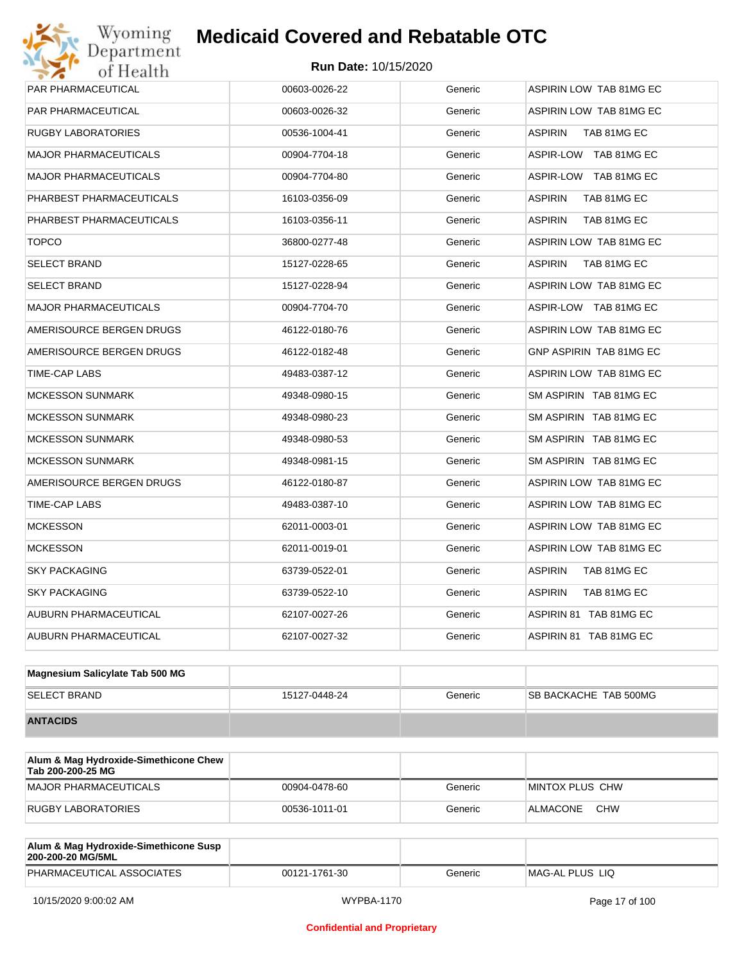# Wyoming<br>Department<br>of Health **Medicaid Covered and Rebatable OTC**

| PAR PHARMACEUTICAL           | 00603-0026-22 | Generic | ASPIRIN LOW TAB 81MG EC       |
|------------------------------|---------------|---------|-------------------------------|
| PAR PHARMACEUTICAL           | 00603-0026-32 | Generic | ASPIRIN LOW TAB 81MG EC       |
| <b>RUGBY LABORATORIES</b>    | 00536-1004-41 | Generic | ASPIRIN<br>TAB 81MG EC        |
| <b>MAJOR PHARMACEUTICALS</b> | 00904-7704-18 | Generic | ASPIR-LOW TAB 81MG EC         |
| <b>MAJOR PHARMACEUTICALS</b> | 00904-7704-80 | Generic | ASPIR-LOW TAB 81MG EC         |
| PHARBEST PHARMACEUTICALS     | 16103-0356-09 | Generic | ASPIRIN<br>TAB 81MG EC        |
| PHARBEST PHARMACEUTICALS     | 16103-0356-11 | Generic | <b>ASPIRIN</b><br>TAB 81MG EC |
| <b>TOPCO</b>                 | 36800-0277-48 | Generic | ASPIRIN LOW TAB 81MG EC       |
| <b>SELECT BRAND</b>          | 15127-0228-65 | Generic | ASPIRIN<br>TAB 81MG EC        |
| <b>SELECT BRAND</b>          | 15127-0228-94 | Generic | ASPIRIN LOW TAB 81MG EC       |
| <b>MAJOR PHARMACEUTICALS</b> | 00904-7704-70 | Generic | ASPIR-LOW TAB 81MG EC         |
| AMERISOURCE BERGEN DRUGS     | 46122-0180-76 | Generic | ASPIRIN LOW TAB 81MG EC       |
| AMERISOURCE BERGEN DRUGS     | 46122-0182-48 | Generic | GNP ASPIRIN TAB 81MG EC       |
| TIME-CAP LABS                | 49483-0387-12 | Generic | ASPIRIN LOW TAB 81MG EC       |
| <b>MCKESSON SUNMARK</b>      | 49348-0980-15 | Generic | SM ASPIRIN TAB 81MG EC        |
| <b>MCKESSON SUNMARK</b>      | 49348-0980-23 | Generic | SM ASPIRIN TAB 81MG EC        |
| <b>MCKESSON SUNMARK</b>      | 49348-0980-53 | Generic | SM ASPIRIN TAB 81MG EC        |
| <b>MCKESSON SUNMARK</b>      | 49348-0981-15 | Generic | SM ASPIRIN TAB 81MG EC        |
| AMERISOURCE BERGEN DRUGS     | 46122-0180-87 | Generic | ASPIRIN LOW TAB 81MG EC       |
| TIME-CAP LABS                | 49483-0387-10 | Generic | ASPIRIN LOW TAB 81MG EC       |
| <b>MCKESSON</b>              | 62011-0003-01 | Generic | ASPIRIN LOW TAB 81MG EC       |
| <b>MCKESSON</b>              | 62011-0019-01 | Generic | ASPIRIN LOW TAB 81MG EC       |
| <b>SKY PACKAGING</b>         | 63739-0522-01 | Generic | ASPIRIN<br>TAB 81MG EC        |
| <b>SKY PACKAGING</b>         | 63739-0522-10 | Generic | ASPIRIN<br>TAB 81MG EC        |
| <b>AUBURN PHARMACEUTICAL</b> | 62107-0027-26 | Generic | ASPIRIN 81 TAB 81MG EC        |
| AUBURN PHARMACEUTICAL        | 62107-0027-32 | Generic | ASPIRIN 81 TAB 81MG EC        |
|                              |               |         |                               |

| Magnesium Salicylate Tab 500 MG |               |         |                               |
|---------------------------------|---------------|---------|-------------------------------|
| <b>SELECT BRAND</b>             | 15127-0448-24 | Generic | <b>ISB BACKACHE TAB 500MG</b> |
| <b>ANTACIDS</b>                 |               |         |                               |

| Alum & Mag Hydroxide-Simethicone Chew<br>Tab 200-200-25 MG |               |         |                        |
|------------------------------------------------------------|---------------|---------|------------------------|
| MAJOR PHARMACEUTICALS                                      | 00904-0478-60 | Generic | MINTOX PLUS CHW        |
| RUGBY LABORATORIES                                         | 00536-1011-01 | Generic | <b>CHW</b><br>ALMACONE |

| Alum & Mag Hydroxide-Simethicone Susp<br>200-200-20 MG/5ML |               |         |                 |
|------------------------------------------------------------|---------------|---------|-----------------|
| PHARMACEUTICAL ASSOCIATES                                  | 00121-1761-30 | Generic | MAG-AL PLUS LIO |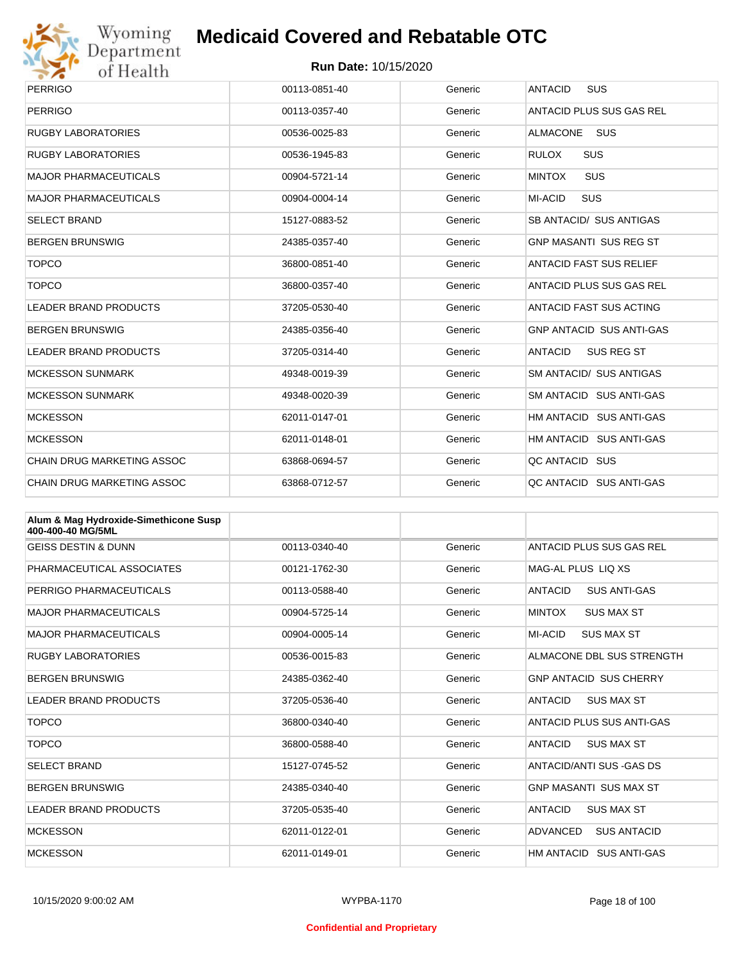

# Wyoming<br>Department<br>of Health

# **Medicaid Covered and Rebatable OTC**

| <b>PERRIGO</b>                    | 00113-0851-40 | Generic | <b>ANTACID</b><br><b>SUS</b>        |
|-----------------------------------|---------------|---------|-------------------------------------|
| <b>PERRIGO</b>                    | 00113-0357-40 | Generic | ANTACID PLUS SUS GAS REL            |
| <b>RUGBY LABORATORIES</b>         | 00536-0025-83 | Generic | <b>ALMACONE</b><br><b>SUS</b>       |
| <b>RUGBY LABORATORIES</b>         | 00536-1945-83 | Generic | <b>RULOX</b><br><b>SUS</b>          |
| <b>MAJOR PHARMACEUTICALS</b>      | 00904-5721-14 | Generic | <b>SUS</b><br><b>MINTOX</b>         |
| <b>MAJOR PHARMACEUTICALS</b>      | 00904-0004-14 | Generic | MI-ACID<br><b>SUS</b>               |
| <b>SELECT BRAND</b>               | 15127-0883-52 | Generic | SB ANTACID/ SUS ANTIGAS             |
| <b>BERGEN BRUNSWIG</b>            | 24385-0357-40 | Generic | <b>GNP MASANTI SUS REG ST</b>       |
| <b>TOPCO</b>                      | 36800-0851-40 | Generic | <b>ANTACID FAST SUS RELIEF</b>      |
| <b>TOPCO</b>                      | 36800-0357-40 | Generic | ANTACID PLUS SUS GAS REL            |
| <b>LEADER BRAND PRODUCTS</b>      | 37205-0530-40 | Generic | <b>ANTACID FAST SUS ACTING</b>      |
| <b>BERGEN BRUNSWIG</b>            | 24385-0356-40 | Generic | <b>GNP ANTACID SUS ANTI-GAS</b>     |
| <b>LEADER BRAND PRODUCTS</b>      | 37205-0314-40 | Generic | <b>ANTACID</b><br><b>SUS REG ST</b> |
| <b>MCKESSON SUNMARK</b>           | 49348-0019-39 | Generic | <b>SM ANTACID/ SUS ANTIGAS</b>      |
| <b>MCKESSON SUNMARK</b>           | 49348-0020-39 | Generic | SM ANTACID SUS ANTI-GAS             |
| <b>MCKESSON</b>                   | 62011-0147-01 | Generic | HM ANTACID SUS ANTI-GAS             |
| <b>MCKESSON</b>                   | 62011-0148-01 | Generic | HM ANTACID SUS ANTI-GAS             |
| <b>CHAIN DRUG MARKETING ASSOC</b> | 63868-0694-57 | Generic | QC ANTACID SUS                      |
| <b>CHAIN DRUG MARKETING ASSOC</b> | 63868-0712-57 | Generic | QC ANTACID SUS ANTI-GAS             |

| Alum & Mag Hydroxide-Simethicone Susp<br>400-400-40 MG/5ML |               |         |                                       |
|------------------------------------------------------------|---------------|---------|---------------------------------------|
| <b>GEISS DESTIN &amp; DUNN</b>                             | 00113-0340-40 | Generic | ANTACID PLUS SUS GAS REL              |
| PHARMACEUTICAL ASSOCIATES                                  | 00121-1762-30 | Generic | MAG-AL PLUS LIQ XS                    |
| PERRIGO PHARMACEUTICALS                                    | 00113-0588-40 | Generic | <b>ANTACID</b><br><b>SUS ANTI-GAS</b> |
| <b>MAJOR PHARMACEUTICALS</b>                               | 00904-5725-14 | Generic | <b>MINTOX</b><br><b>SUS MAX ST</b>    |
| <b>MAJOR PHARMACEUTICALS</b>                               | 00904-0005-14 | Generic | MI-ACID<br><b>SUS MAX ST</b>          |
| <b>RUGBY LABORATORIES</b>                                  | 00536-0015-83 | Generic | ALMACONE DBL SUS STRENGTH             |
| <b>BERGEN BRUNSWIG</b>                                     | 24385-0362-40 | Generic | <b>GNP ANTACID SUS CHERRY</b>         |
| LEADER BRAND PRODUCTS                                      | 37205-0536-40 | Generic | <b>ANTACID</b><br><b>SUS MAX ST</b>   |
| <b>TOPCO</b>                                               | 36800-0340-40 | Generic | ANTACID PLUS SUS ANTI-GAS             |
| <b>TOPCO</b>                                               | 36800-0588-40 | Generic | <b>ANTACID</b><br><b>SUS MAX ST</b>   |
| <b>SELECT BRAND</b>                                        | 15127-0745-52 | Generic | ANTACID/ANTI SUS - GAS DS             |
| <b>BERGEN BRUNSWIG</b>                                     | 24385-0340-40 | Generic | <b>GNP MASANTI SUS MAX ST</b>         |
| LEADER BRAND PRODUCTS                                      | 37205-0535-40 | Generic | <b>ANTACID</b><br><b>SUS MAX ST</b>   |
| <b>MCKESSON</b>                                            | 62011-0122-01 | Generic | ADVANCED<br><b>SUS ANTACID</b>        |
| <b>MCKESSON</b>                                            | 62011-0149-01 | Generic | HM ANTACID SUS ANTI-GAS               |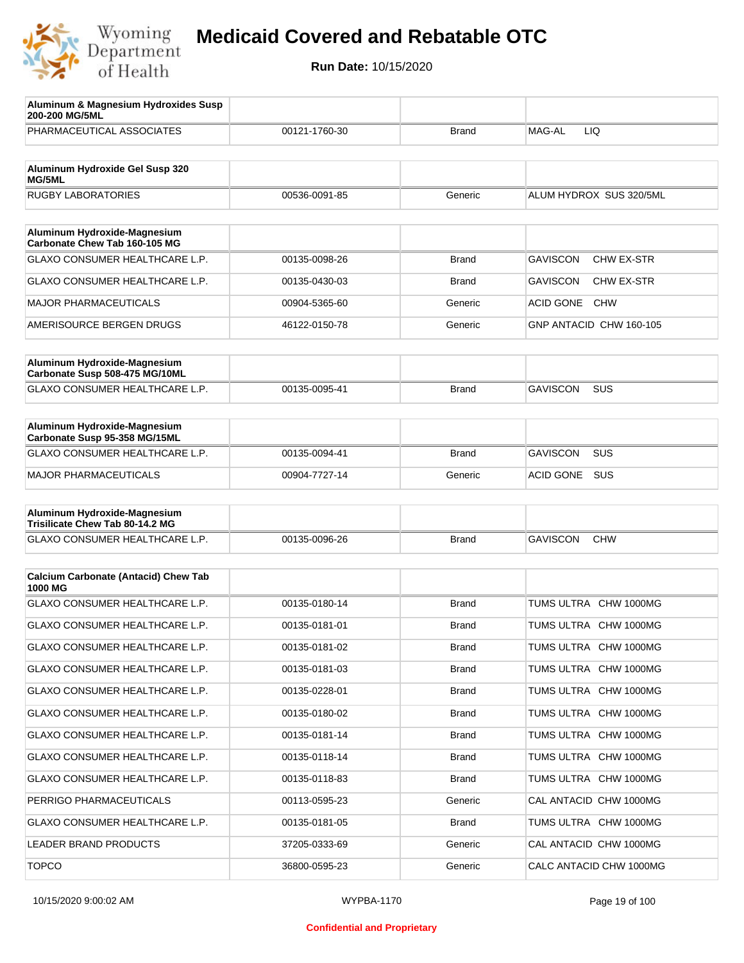

| Aluminum & Magnesium Hydroxides Susp<br>200-200 MG/5ML          |               |              |                                |
|-----------------------------------------------------------------|---------------|--------------|--------------------------------|
| PHARMACEUTICAL ASSOCIATES                                       | 00121-1760-30 | <b>Brand</b> | MAG-AL<br>LIQ                  |
| Aluminum Hydroxide Gel Susp 320                                 |               |              |                                |
| MG/5ML                                                          |               |              |                                |
| <b>RUGBY LABORATORIES</b>                                       | 00536-0091-85 | Generic      | ALUM HYDROX SUS 320/5ML        |
| Aluminum Hydroxide-Magnesium<br>Carbonate Chew Tab 160-105 MG   |               |              |                                |
| GLAXO CONSUMER HEALTHCARE L.P.                                  | 00135-0098-26 | <b>Brand</b> | <b>GAVISCON</b><br>CHW EX-STR  |
| GLAXO CONSUMER HEALTHCARE L.P.                                  | 00135-0430-03 | Brand        | <b>GAVISCON</b><br>CHW EX-STR  |
| <b>MAJOR PHARMACEUTICALS</b>                                    | 00904-5365-60 | Generic      | <b>ACID GONE</b><br><b>CHW</b> |
| AMERISOURCE BERGEN DRUGS                                        | 46122-0150-78 | Generic      | GNP ANTACID CHW 160-105        |
|                                                                 |               |              |                                |
| Aluminum Hydroxide-Magnesium<br>Carbonate Susp 508-475 MG/10ML  |               |              |                                |
| GLAXO CONSUMER HEALTHCARE L.P.                                  | 00135-0095-41 | Brand        | <b>GAVISCON</b><br>SUS         |
|                                                                 |               |              |                                |
| Aluminum Hydroxide-Magnesium<br>Carbonate Susp 95-358 MG/15ML   |               |              |                                |
| GLAXO CONSUMER HEALTHCARE L.P.                                  | 00135-0094-41 | <b>Brand</b> | <b>GAVISCON</b><br>SUS         |
| <b>MAJOR PHARMACEUTICALS</b>                                    | 00904-7727-14 | Generic      | <b>ACID GONE</b><br><b>SUS</b> |
|                                                                 |               |              |                                |
| Aluminum Hydroxide-Magnesium<br>Trisilicate Chew Tab 80-14.2 MG |               |              |                                |
| GLAXO CONSUMER HEALTHCARE L.P.                                  | 00135-0096-26 | <b>Brand</b> | <b>GAVISCON</b><br><b>CHW</b>  |
|                                                                 |               |              |                                |
| <b>Calcium Carbonate (Antacid) Chew Tab</b><br>1000 MG          |               |              |                                |
| <b>GLAXO CONSUMER HEALTHCARE L.P.</b>                           | 00135-0180-14 | <b>Brand</b> | TUMS ULTRA CHW 1000MG          |
| <b>GLAXO CONSUMER HEALTHCARE L.P.</b>                           | 00135-0181-01 | <b>Brand</b> | TUMS ULTRA CHW 1000MG          |
| GLAXO CONSUMER HEALTHCARE L.P.                                  | 00135-0181-02 | <b>Brand</b> | TUMS ULTRA CHW 1000MG          |
| GLAXO CONSUMER HEALTHCARE L.P.                                  | 00135-0181-03 | Brand        | TUMS ULTRA CHW 1000MG          |
| GLAXO CONSUMER HEALTHCARE L.P.                                  | 00135-0228-01 | <b>Brand</b> | TUMS ULTRA CHW 1000MG          |
| GLAXO CONSUMER HEALTHCARE L.P.                                  | 00135-0180-02 | <b>Brand</b> | TUMS ULTRA CHW 1000MG          |
| GLAXO CONSUMER HEALTHCARE L.P.                                  | 00135-0181-14 | Brand        | TUMS ULTRA CHW 1000MG          |
| GLAXO CONSUMER HEALTHCARE L.P.                                  | 00135-0118-14 | Brand        | TUMS ULTRA CHW 1000MG          |
| GLAXO CONSUMER HEALTHCARE L.P.                                  | 00135-0118-83 | <b>Brand</b> | TUMS ULTRA CHW 1000MG          |
| PERRIGO PHARMACEUTICALS                                         | 00113-0595-23 | Generic      | CAL ANTACID CHW 1000MG         |
| GLAXO CONSUMER HEALTHCARE L.P.                                  | 00135-0181-05 | <b>Brand</b> | TUMS ULTRA CHW 1000MG          |
| LEADER BRAND PRODUCTS                                           | 37205-0333-69 | Generic      | CAL ANTACID CHW 1000MG         |
| <b>TOPCO</b>                                                    | 36800-0595-23 | Generic      | CALC ANTACID CHW 1000MG        |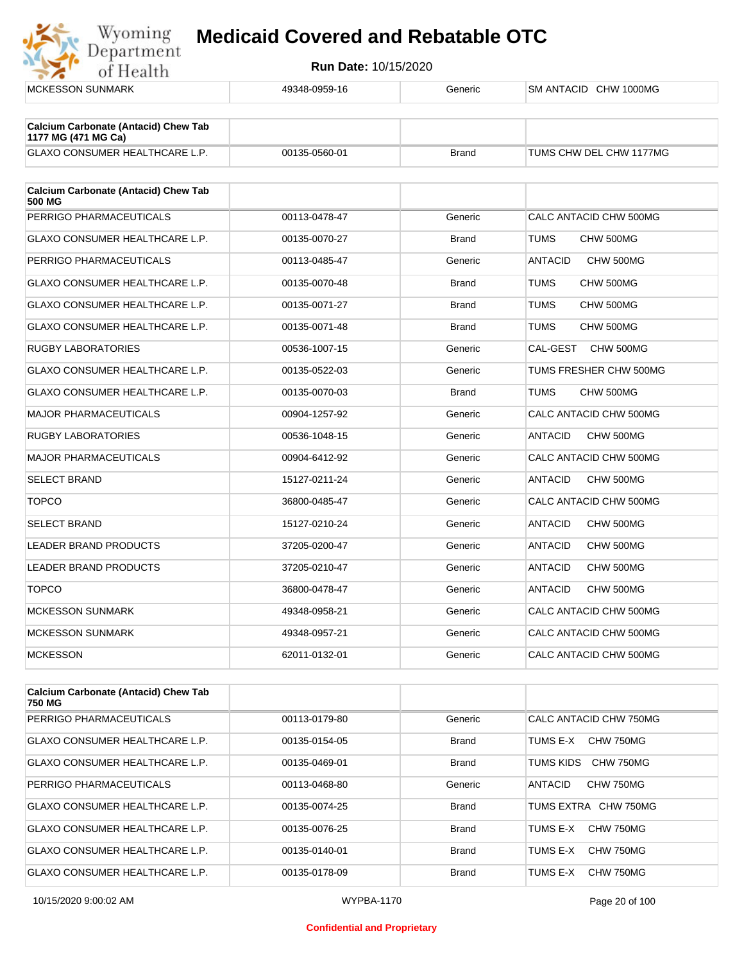

| <b>MCKESSON SUNMARK</b>                                            | 49348-0959-16 | Generic      | SM ANTACID CHW 1000MG       |
|--------------------------------------------------------------------|---------------|--------------|-----------------------------|
|                                                                    |               |              |                             |
| <b>Calcium Carbonate (Antacid) Chew Tab</b><br>1177 MG (471 MG Ca) |               |              |                             |
| <b>GLAXO CONSUMER HEALTHCARE L.P.</b>                              | 00135-0560-01 | <b>Brand</b> | TUMS CHW DEL CHW 1177MG     |
| <b>Calcium Carbonate (Antacid) Chew Tab</b><br>500 MG              |               |              |                             |
| PERRIGO PHARMACEUTICALS                                            | 00113-0478-47 | Generic      | CALC ANTACID CHW 500MG      |
| <b>GLAXO CONSUMER HEALTHCARE L.P.</b>                              | 00135-0070-27 | <b>Brand</b> | <b>TUMS</b><br>CHW 500MG    |
| PERRIGO PHARMACEUTICALS                                            | 00113-0485-47 | Generic      | <b>ANTACID</b><br>CHW 500MG |
| GLAXO CONSUMER HEALTHCARE L.P.                                     | 00135-0070-48 | <b>Brand</b> | TUMS<br>CHW 500MG           |
| GLAXO CONSUMER HEALTHCARE L.P.                                     | 00135-0071-27 | <b>Brand</b> | TUMS<br>CHW 500MG           |
| <b>GLAXO CONSUMER HEALTHCARE L.P.</b>                              | 00135-0071-48 | <b>Brand</b> | TUMS<br>CHW 500MG           |
| <b>RUGBY LABORATORIES</b>                                          | 00536-1007-15 | Generic      | CAL-GEST<br>CHW 500MG       |
| GLAXO CONSUMER HEALTHCARE L.P.                                     | 00135-0522-03 | Generic      | TUMS FRESHER CHW 500MG      |
| <b>GLAXO CONSUMER HEALTHCARE L.P.</b>                              | 00135-0070-03 | <b>Brand</b> | TUMS<br>CHW 500MG           |
| <b>MAJOR PHARMACEUTICALS</b>                                       | 00904-1257-92 | Generic      | CALC ANTACID CHW 500MG      |
| <b>RUGBY LABORATORIES</b>                                          | 00536-1048-15 | Generic      | <b>ANTACID</b><br>CHW 500MG |
| <b>MAJOR PHARMACEUTICALS</b>                                       | 00904-6412-92 | Generic      | CALC ANTACID CHW 500MG      |
| <b>SELECT BRAND</b>                                                | 15127-0211-24 | Generic      | <b>ANTACID</b><br>CHW 500MG |
| <b>TOPCO</b>                                                       | 36800-0485-47 | Generic      | CALC ANTACID CHW 500MG      |
| <b>SELECT BRAND</b>                                                | 15127-0210-24 | Generic      | <b>ANTACID</b><br>CHW 500MG |
| LEADER BRAND PRODUCTS                                              | 37205-0200-47 | Generic      | <b>ANTACID</b><br>CHW 500MG |
| LEADER BRAND PRODUCTS                                              | 37205-0210-47 | Generic      | CHW 500MG<br>ANTACID        |
| <b>TOPCO</b>                                                       | 36800-0478-47 | Generic      | <b>ANTACID</b><br>CHW 500MG |
| <b>MCKESSON SUNMARK</b>                                            | 49348-0958-21 | Generic      | CALC ANTACID CHW 500MG      |
| <b>MCKESSON SUNMARK</b>                                            | 49348-0957-21 | Generic      | CALC ANTACID CHW 500MG      |
| <b>MCKESSON</b>                                                    | 62011-0132-01 | Generic      | CALC ANTACID CHW 500MG      |
|                                                                    |               |              |                             |
|                                                                    |               |              |                             |

| <b>Calcium Carbonate (Antacid) Chew Tab</b><br>750 MG |               |              |                              |
|-------------------------------------------------------|---------------|--------------|------------------------------|
| PERRIGO PHARMACEUTICALS                               | 00113-0179-80 | Generic      | CALC ANTACID CHW 750MG       |
| <b>GLAXO CONSUMER HEALTHCARE L.P.</b>                 | 00135-0154-05 | <b>Brand</b> | CHW 750MG<br>TUMS E-X        |
| GLAXO CONSUMER HEALTHCARE L.P.                        | 00135-0469-01 | <b>Brand</b> | CHW 750MG<br>TUMS KIDS       |
| PERRIGO PHARMACEUTICALS                               | 00113-0468-80 | Generic      | ANTACID<br>CHW 750MG         |
| GLAXO CONSUMER HEALTHCARE L.P.                        | 00135-0074-25 | <b>Brand</b> | TUMS EXTRA CHW 750MG         |
| GLAXO CONSUMER HEALTHCARE L.P.                        | 00135-0076-25 | <b>Brand</b> | CHW 750MG<br>TUMS F-X        |
| <b>GLAXO CONSUMER HEALTHCARE L.P.</b>                 | 00135-0140-01 | <b>Brand</b> | <b>CHW 750MG</b><br>TUMS F-X |
| GLAXO CONSUMER HEALTHCARE L.P.                        | 00135-0178-09 | <b>Brand</b> | TUMS E-X<br>CHW 750MG        |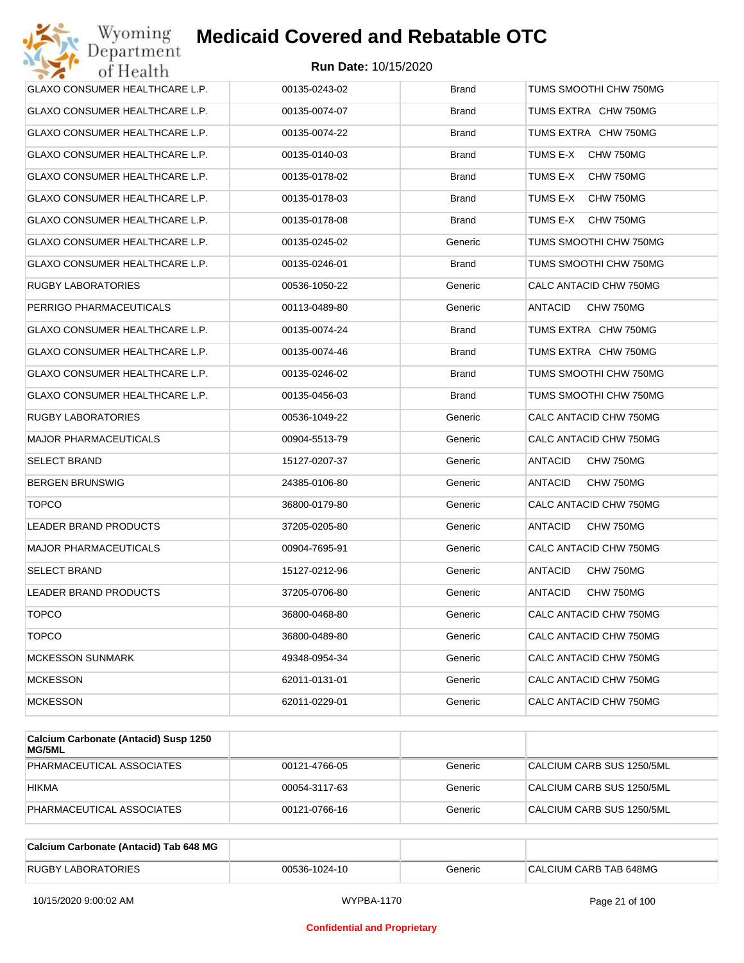

| Wyoming<br>Jepartment                 | <b>Medicaid Covered and Rebatable OTC</b> |              |                             |
|---------------------------------------|-------------------------------------------|--------------|-----------------------------|
| of Health                             | <b>Run Date: 10/15/2020</b>               |              |                             |
| <b>GLAXO CONSUMER HEALTHCARE L.P.</b> | 00135-0243-02                             | <b>Brand</b> | TUMS SMOOTHI CHW 750MG      |
| GLAXO CONSUMER HEALTHCARE L.P.        | 00135-0074-07                             | <b>Brand</b> | TUMS EXTRA CHW 750MG        |
| GLAXO CONSUMER HEALTHCARE L.P.        | 00135-0074-22                             | <b>Brand</b> | TUMS EXTRA CHW 750MG        |
| GLAXO CONSUMER HEALTHCARE L.P.        | 00135-0140-03                             | <b>Brand</b> | TUMS E-X<br>CHW 750MG       |
| GLAXO CONSUMER HEALTHCARE L.P.        | 00135-0178-02                             | <b>Brand</b> | TUMS E-X<br>CHW 750MG       |
| GLAXO CONSUMER HEALTHCARE L.P.        | 00135-0178-03                             | <b>Brand</b> | TUMS E-X<br>CHW 750MG       |
| GLAXO CONSUMER HEALTHCARE L.P.        | 00135-0178-08                             | <b>Brand</b> | TUMS E-X<br>CHW 750MG       |
| GLAXO CONSUMER HEALTHCARE L.P.        | 00135-0245-02                             | Generic      | TUMS SMOOTHI CHW 750MG      |
| GLAXO CONSUMER HEALTHCARE L.P.        | 00135-0246-01                             | <b>Brand</b> | TUMS SMOOTHI CHW 750MG      |
| RUGBY LABORATORIES                    | 00536-1050-22                             | Generic      | CALC ANTACID CHW 750MG      |
| PERRIGO PHARMACEUTICALS               | 00113-0489-80                             | Generic      | ANTACID<br>CHW 750MG        |
| GLAXO CONSUMER HEALTHCARE L.P.        | 00135-0074-24                             | <b>Brand</b> | TUMS EXTRA CHW 750MG        |
| GLAXO CONSUMER HEALTHCARE L.P.        | 00135-0074-46                             | <b>Brand</b> | TUMS EXTRA CHW 750MG        |
| GLAXO CONSUMER HEALTHCARE L.P.        | 00135-0246-02                             | <b>Brand</b> | TUMS SMOOTHI CHW 750MG      |
| GLAXO CONSUMER HEALTHCARE L.P.        | 00135-0456-03                             | <b>Brand</b> | TUMS SMOOTHI CHW 750MG      |
| RUGBY LABORATORIES                    | 00536-1049-22                             | Generic      | CALC ANTACID CHW 750MG      |
| <b>MAJOR PHARMACEUTICALS</b>          | 00904-5513-79                             | Generic      | CALC ANTACID CHW 750MG      |
| SELECT BRAND                          | 15127-0207-37                             | Generic      | ANTACID<br>CHW 750MG        |
| <b>BERGEN BRUNSWIG</b>                | 24385-0106-80                             | Generic      | ANTACID<br>CHW 750MG        |
| <b>TOPCO</b>                          | 36800-0179-80                             | Generic      | CALC ANTACID CHW 750MG      |
| <b>LEADER BRAND PRODUCTS</b>          | 37205-0205-80                             | Generic      | <b>ANTACID</b><br>CHW 750MG |
| <b>MAJOR PHARMACEUTICALS</b>          | 00904-7695-91                             | Generic      | CALC ANTACID CHW 750MG      |
| SELECT BRAND                          | 15127-0212-96                             | Generic      | ANTACID<br>CHW 750MG        |
| LEADER BRAND PRODUCTS                 | 37205-0706-80                             | Generic      | CHW 750MG<br>ANTACID        |
| <b>TOPCO</b>                          | 36800-0468-80                             | Generic      | CALC ANTACID CHW 750MG      |
| <b>TOPCO</b>                          | 36800-0489-80                             | Generic      | CALC ANTACID CHW 750MG      |
| <b>MCKESSON SUNMARK</b>               | 49348-0954-34                             | Generic      | CALC ANTACID CHW 750MG      |
| <b>MCKESSON</b>                       | 62011-0131-01                             | Generic      | CALC ANTACID CHW 750MG      |
| <b>MCKESSON</b>                       | 62011-0229-01                             | Generic      | CALC ANTACID CHW 750MG      |
|                                       |                                           |              |                             |

| Calcium Carbonate (Antacid) Susp 1250<br>MG/5ML |               |         |                           |
|-------------------------------------------------|---------------|---------|---------------------------|
| PHARMACEUTICAL ASSOCIATES                       | 00121-4766-05 | Generic | CALCIUM CARB SUS 1250/5ML |
| <b>HIKMA</b>                                    | 00054-3117-63 | Generic | CALCIUM CARB SUS 1250/5ML |
| PHARMACEUTICAL ASSOCIATES                       | 00121-0766-16 | Generic | CALCIUM CARB SUS 1250/5ML |

| Calcium Carbonate (Antacid) Tab 648 MG |               |         |                        |
|----------------------------------------|---------------|---------|------------------------|
| <b>RUGBY LABORATORIES</b>              | 00536-1024-10 | Generic | CALCIUM CARB TAB 648MG |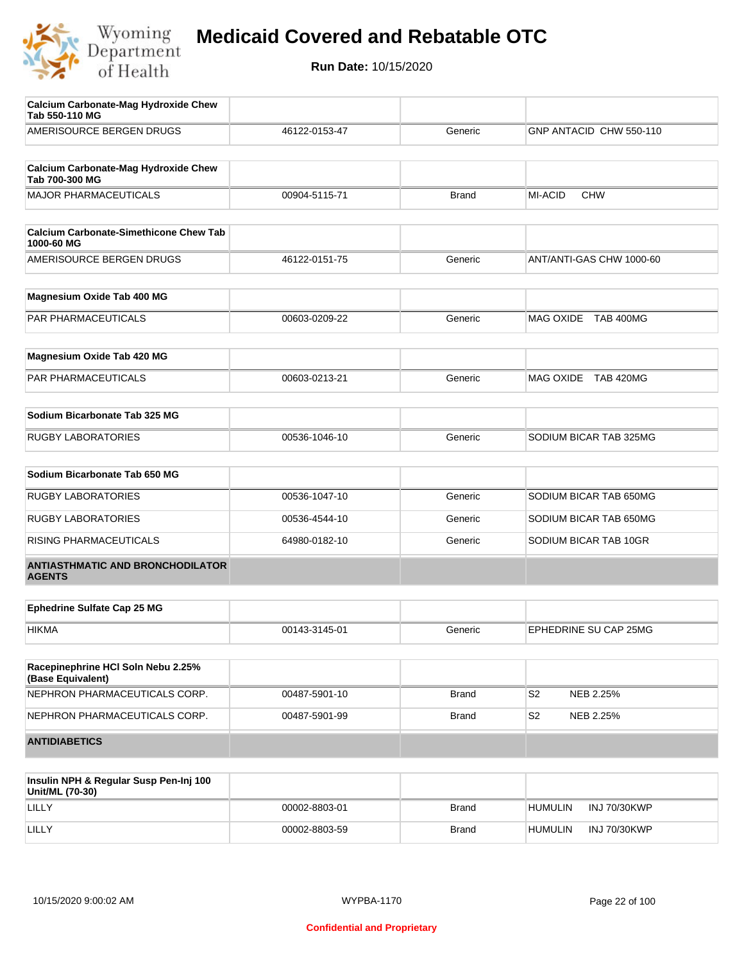

| Calcium Carbonate-Mag Hydroxide Chew<br>Tab 550-110 MG        |               |              |                              |
|---------------------------------------------------------------|---------------|--------------|------------------------------|
| AMERISOURCE BERGEN DRUGS                                      | 46122-0153-47 | Generic      | GNP ANTACID CHW 550-110      |
| <b>Calcium Carbonate-Mag Hydroxide Chew</b><br>Tab 700-300 MG |               |              |                              |
| <b>MAJOR PHARMACEUTICALS</b>                                  | 00904-5115-71 | <b>Brand</b> | <b>MI-ACID</b><br><b>CHW</b> |
| <b>Calcium Carbonate-Simethicone Chew Tab</b><br>1000-60 MG   |               |              |                              |
| AMERISOURCE BERGEN DRUGS                                      | 46122-0151-75 | Generic      | ANT/ANTI-GAS CHW 1000-60     |
| Magnesium Oxide Tab 400 MG                                    |               |              |                              |
| PAR PHARMACEUTICALS                                           | 00603-0209-22 | Generic      | MAG OXIDE TAB 400MG          |
| Magnesium Oxide Tab 420 MG                                    |               |              |                              |
| PAR PHARMACEUTICALS                                           | 00603-0213-21 | Generic      | MAG OXIDE TAB 420MG          |
| Sodium Bicarbonate Tab 325 MG                                 |               |              |                              |
| <b>RUGBY LABORATORIES</b>                                     | 00536-1046-10 | Generic      | SODIUM BICAR TAB 325MG       |
| Sodium Bicarbonate Tab 650 MG                                 |               |              |                              |
| <b>RUGBY LABORATORIES</b>                                     | 00536-1047-10 | Generic      | SODIUM BICAR TAB 650MG       |
| <b>RUGBY LABORATORIES</b>                                     | 00536-4544-10 | Generic      | SODIUM BICAR TAB 650MG       |
| RISING PHARMACEUTICALS                                        | 64980-0182-10 | Generic      | SODIUM BICAR TAB 10GR        |
| <b>ANTIASTHMATIC AND BRONCHODILATOR</b><br><b>AGENTS</b>      |               |              |                              |
| <b>Ephedrine Sulfate Cap 25 MG</b>                            |               |              |                              |
| <b>HIKMA</b>                                                  | 00143-3145-01 | Generic      | EPHEDRINE SU CAP 25MG        |
| Racepinephrine HCI Soln Nebu 2.25%<br>(Base Equivalent)       |               |              |                              |
| NEPHRON PHARMACEUTICALS CORP.                                 | 00487-5901-10 | <b>Brand</b> | S <sub>2</sub><br>NEB 2.25%  |
| NEPHRON PHARMACEUTICALS CORP.                                 | 00487-5901-99 | <b>Brand</b> | S2<br>NEB 2.25%              |
| <b>ANTIDIABETICS</b>                                          |               |              |                              |
|                                                               |               |              |                              |

| Insulin NPH & Regular Susp Pen-Inj 100<br>Unit/ML (70-30) |               |              |                                |
|-----------------------------------------------------------|---------------|--------------|--------------------------------|
| LILLY                                                     | 00002-8803-01 | <b>Brand</b> | INJ 70/30KWP<br><b>HUMULIN</b> |
| LILLY                                                     | 00002-8803-59 | <b>Brand</b> | INJ 70/30KWP<br><b>HUMULIN</b> |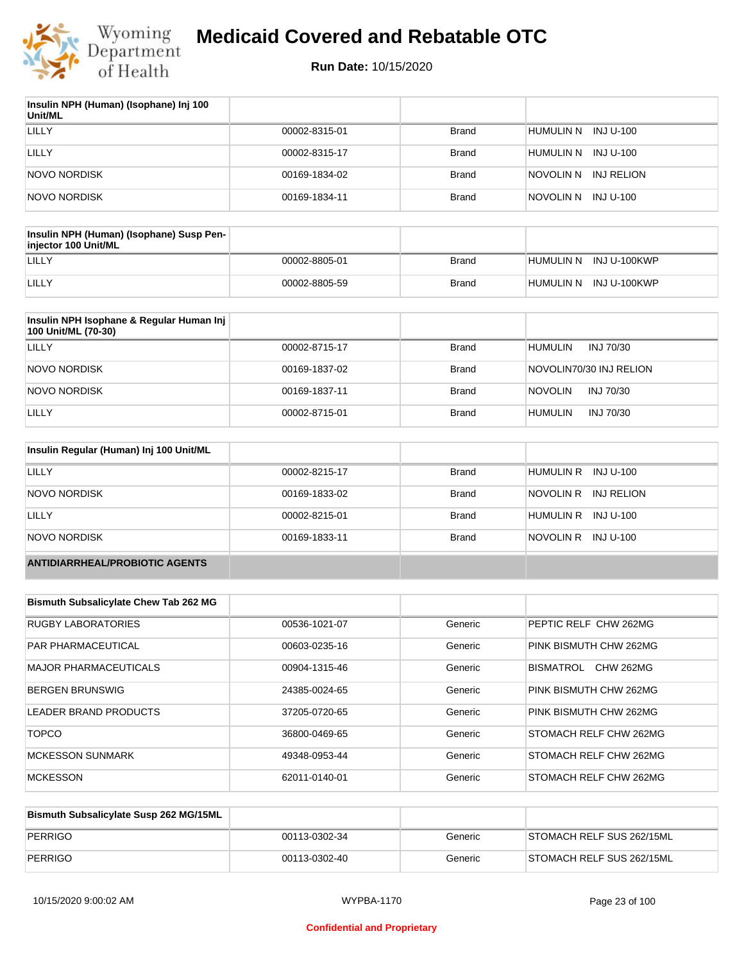

| Insulin NPH (Human) (Isophane) Inj 100<br>Unit/ML |               |              |                         |
|---------------------------------------------------|---------------|--------------|-------------------------|
| LILLY                                             | 00002-8315-01 | <b>Brand</b> | HUMULIN N INJ U-100     |
| LILLY                                             | 00002-8315-17 | Brand        | HUMULIN N INJ U-100     |
| NOVO NORDISK                                      | 00169-1834-02 | Brand        | INJ RELION<br>NOVOLIN N |
| NOVO NORDISK                                      | 00169-1834-11 | <b>Brand</b> | INJ U-100<br>NOVOLIN N  |

| Insulin NPH (Human) (Isophane) Susp Pen-<br>injector 100 Unit/ML |               |       |                        |
|------------------------------------------------------------------|---------------|-------|------------------------|
| LILLY                                                            | 00002-8805-01 | Brand | HUMULIN N INJ U-100KWP |
| LILLY                                                            | 00002-8805-59 | Brand | HUMULIN N INJ U-100KWP |

| Insulin NPH Isophane & Regular Human Inj<br>100 Unit/ML (70-30) |               |              |                             |
|-----------------------------------------------------------------|---------------|--------------|-----------------------------|
| LILLY                                                           | 00002-8715-17 | <b>Brand</b> | <b>HUMULIN</b><br>INJ 70/30 |
| NOVO NORDISK                                                    | 00169-1837-02 | <b>Brand</b> | NOVOLIN70/30 INJ RELION     |
| NOVO NORDISK                                                    | 00169-1837-11 | <b>Brand</b> | <b>NOVOLIN</b><br>INJ 70/30 |
| LILLY                                                           | 00002-8715-01 | <b>Brand</b> | INJ 70/30<br><b>HUMULIN</b> |

| Insulin Regular (Human) Inj 100 Unit/ML |               |              |                         |
|-----------------------------------------|---------------|--------------|-------------------------|
| LILLY                                   | 00002-8215-17 | <b>Brand</b> | HUMULIN R INJ U-100     |
| NOVO NORDISK                            | 00169-1833-02 | <b>Brand</b> | NOVOLIN R<br>INJ RELION |
| LILLY                                   | 00002-8215-01 | <b>Brand</b> | HUMULIN R INJ U-100     |
| NOVO NORDISK                            | 00169-1833-11 | <b>Brand</b> | NOVOLIN R INJ U-100     |
| <b>ANTIDIARRHEAL/PROBIOTIC AGENTS</b>   |               |              |                         |

| <b>Bismuth Subsalicylate Chew Tab 262 MG</b> |               |         |                                      |
|----------------------------------------------|---------------|---------|--------------------------------------|
| <b>RUGBY LABORATORIES</b>                    | 00536-1021-07 | Generic | PEPTIC RELF CHW 262MG                |
| <b>PAR PHARMACEUTICAL</b>                    | 00603-0235-16 | Generic | PINK BISMUTH CHW 262MG               |
| <b>MAJOR PHARMACEUTICALS</b>                 | 00904-1315-46 | Generic | <b>BISMATROL</b><br><b>CHW 262MG</b> |
| <b>BERGEN BRUNSWIG</b>                       | 24385-0024-65 | Generic | PINK BISMUTH CHW 262MG               |
| LEADER BRAND PRODUCTS                        | 37205-0720-65 | Generic | PINK BISMUTH CHW 262MG               |
| <b>TOPCO</b>                                 | 36800-0469-65 | Generic | STOMACH RELF CHW 262MG               |
| <b>MCKESSON SUNMARK</b>                      | 49348-0953-44 | Generic | STOMACH RELF CHW 262MG               |
| <b>MCKESSON</b>                              | 62011-0140-01 | Generic | STOMACH RELF CHW 262MG               |

| Bismuth Subsalicylate Susp 262 MG/15ML |               |         |                           |
|----------------------------------------|---------------|---------|---------------------------|
| PERRIGO                                | 00113-0302-34 | Generic | STOMACH RELF SUS 262/15ML |
| PERRIGO                                | 00113-0302-40 | Generic | STOMACH RELF SUS 262/15ML |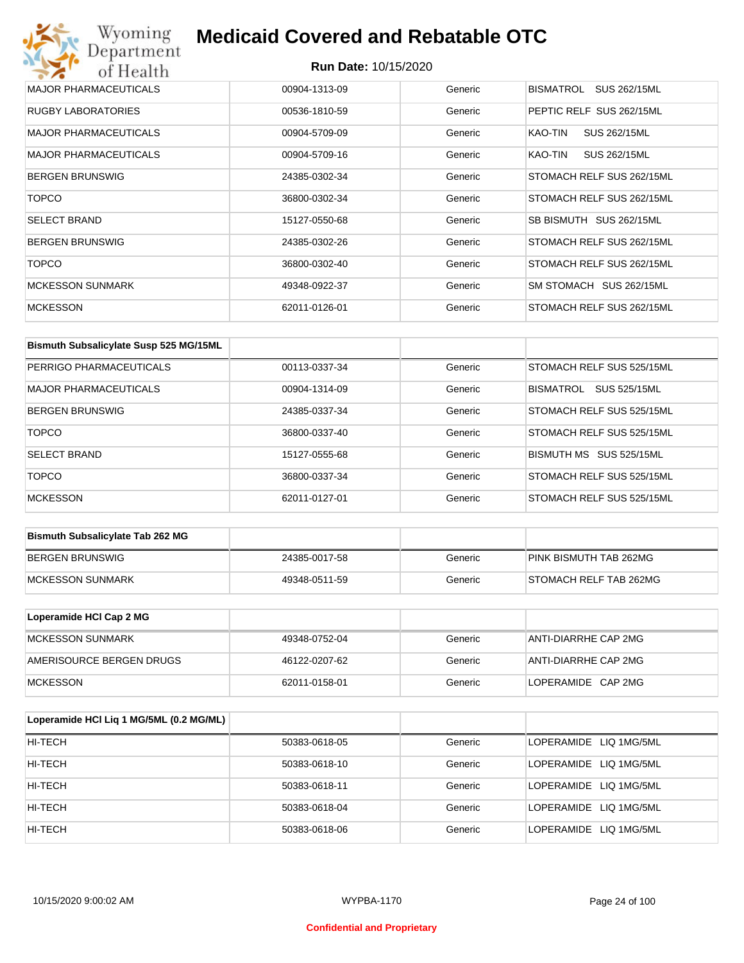| Wyoming<br><b>Medicaid Covered and Rebatable OTC</b><br>Department |                             |         |                           |  |
|--------------------------------------------------------------------|-----------------------------|---------|---------------------------|--|
| of Health                                                          | <b>Run Date: 10/15/2020</b> |         |                           |  |
| <b>MAJOR PHARMACEUTICALS</b>                                       | 00904-1313-09               | Generic | SUS 262/15ML<br>BISMATROL |  |
| <b>RUGBY LABORATORIES</b>                                          | 00536-1810-59               | Generic | PEPTIC RELF SUS 262/15ML  |  |
| MAJOR PHARMACEUTICALS                                              | 00904-5709-09               | Generic | KAO-TIN<br>SUS 262/15ML   |  |
| <b>MAJOR PHARMACEUTICALS</b>                                       | 00904-5709-16               | Generic | KAO-TIN<br>SUS 262/15ML   |  |
| <b>BERGEN BRUNSWIG</b>                                             | 24385-0302-34               | Generic | STOMACH RELF SUS 262/15ML |  |
| <b>TOPCO</b>                                                       | 36800-0302-34               | Generic | STOMACH RELF SUS 262/15ML |  |
| <b>SELECT BRAND</b>                                                | 15127-0550-68               | Generic | SB BISMUTH SUS 262/15ML   |  |
| <b>BERGEN BRUNSWIG</b>                                             | 24385-0302-26               | Generic | STOMACH RELF SUS 262/15ML |  |
| <b>TOPCO</b>                                                       | 36800-0302-40               | Generic | STOMACH RELF SUS 262/15ML |  |
| <b>MCKESSON SUNMARK</b>                                            | 49348-0922-37               | Generic | SM STOMACH SUS 262/15ML   |  |
| <b>MCKESSON</b>                                                    | 62011-0126-01               | Generic | STOMACH RELF SUS 262/15ML |  |

| Bismuth Subsalicylate Susp 525 MG/15ML |               |         |                           |
|----------------------------------------|---------------|---------|---------------------------|
| PERRIGO PHARMACEUTICALS                | 00113-0337-34 | Generic | STOMACH RELF SUS 525/15ML |
| <b>MAJOR PHARMACEUTICALS</b>           | 00904-1314-09 | Generic | SUS 525/15ML<br>BISMATROL |
| <b>BERGEN BRUNSWIG</b>                 | 24385-0337-34 | Generic | STOMACH RELF SUS 525/15ML |
| <b>TOPCO</b>                           | 36800-0337-40 | Generic | STOMACH RELF SUS 525/15ML |
| <b>SELECT BRAND</b>                    | 15127-0555-68 | Generic | BISMUTH MS SUS 525/15ML   |
| <b>TOPCO</b>                           | 36800-0337-34 | Generic | STOMACH RELF SUS 525/15ML |
| <b>MCKESSON</b>                        | 62011-0127-01 | Generic | STOMACH RELF SUS 525/15ML |

| <b>Bismuth Subsalicylate Tab 262 MG</b> |               |         |                        |
|-----------------------------------------|---------------|---------|------------------------|
| BERGEN BRUNSWIG                         | 24385-0017-58 | Generic | PINK BISMUTH TAB 262MG |
| <b>IMCKESSON SUNMARK</b>                | 49348-0511-59 | Generic | STOMACH RELF TAB 262MG |

| Loperamide HCI Cap 2 MG  |               |         |                      |
|--------------------------|---------------|---------|----------------------|
| IMCKESSON SUNMARK        | 49348-0752-04 | Generic | ANTI-DIARRHE CAP 2MG |
| AMERISOURCE BERGEN DRUGS | 46122-0207-62 | Generic | ANTI-DIARRHE CAP 2MG |
| <b>IMCKESSON</b>         | 62011-0158-01 | Generic | LOPERAMIDE CAP 2MG   |

| Loperamide HCI Liq 1 MG/5ML (0.2 MG/ML) |               |         |                        |
|-----------------------------------------|---------------|---------|------------------------|
| HI-TECH                                 | 50383-0618-05 | Generic | LOPERAMIDE LIQ 1MG/5ML |
| HI-TECH                                 | 50383-0618-10 | Generic | LOPERAMIDE LIQ 1MG/5ML |
| HI-TECH                                 | 50383-0618-11 | Generic | LOPERAMIDE LIQ 1MG/5ML |
| HI-TECH                                 | 50383-0618-04 | Generic | LOPERAMIDE LIQ 1MG/5ML |
| HI-TECH                                 | 50383-0618-06 | Generic | LOPERAMIDE LIQ 1MG/5ML |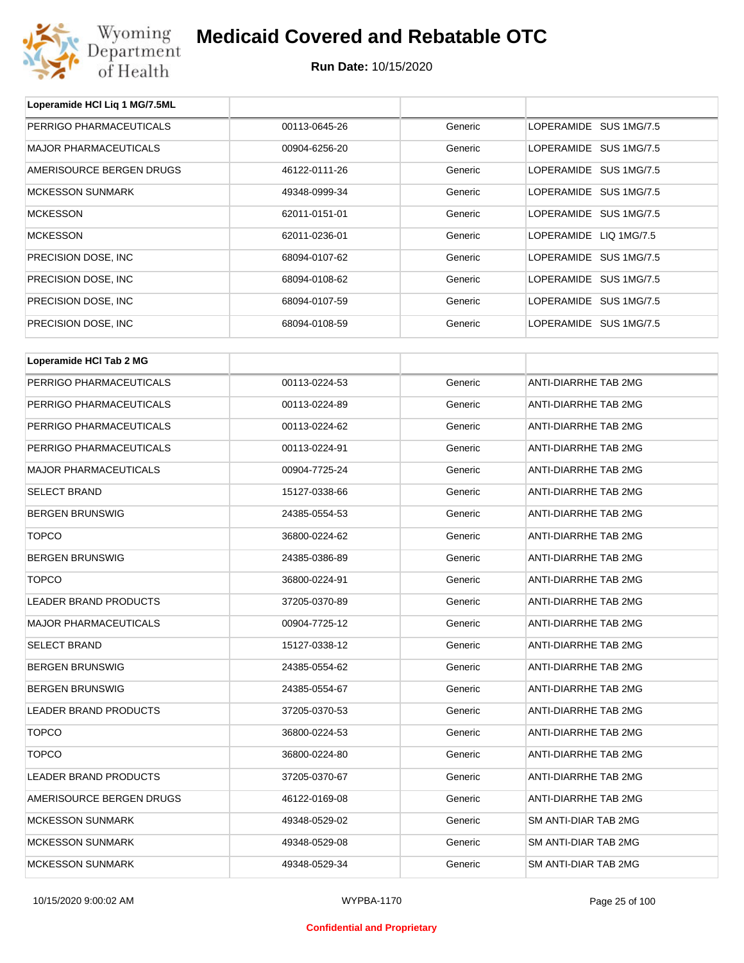

| Loperamide HCI Liq 1 MG/7.5ML |               |         |                             |  |
|-------------------------------|---------------|---------|-----------------------------|--|
| PERRIGO PHARMACEUTICALS       | 00113-0645-26 | Generic | LOPERAMIDE SUS 1MG/7.5      |  |
| <b>MAJOR PHARMACEUTICALS</b>  | 00904-6256-20 | Generic | LOPERAMIDE SUS 1MG/7.5      |  |
| AMERISOURCE BERGEN DRUGS      | 46122-0111-26 | Generic | LOPERAMIDE SUS 1MG/7.5      |  |
| <b>MCKESSON SUNMARK</b>       | 49348-0999-34 | Generic | LOPERAMIDE SUS 1MG/7.5      |  |
| <b>MCKESSON</b>               | 62011-0151-01 | Generic | LOPERAMIDE SUS 1MG/7.5      |  |
| <b>MCKESSON</b>               | 62011-0236-01 | Generic | LOPERAMIDE LIQ 1MG/7.5      |  |
| PRECISION DOSE, INC           | 68094-0107-62 | Generic | LOPERAMIDE SUS 1MG/7.5      |  |
| PRECISION DOSE, INC           | 68094-0108-62 | Generic | LOPERAMIDE SUS 1MG/7.5      |  |
| PRECISION DOSE, INC           | 68094-0107-59 | Generic | LOPERAMIDE SUS 1MG/7.5      |  |
| PRECISION DOSE, INC           | 68094-0108-59 | Generic | LOPERAMIDE SUS 1MG/7.5      |  |
|                               |               |         |                             |  |
| Loperamide HCI Tab 2 MG       |               |         |                             |  |
| PERRIGO PHARMACEUTICALS       | 00113-0224-53 | Generic | <b>ANTI-DIARRHE TAB 2MG</b> |  |
| PERRIGO PHARMACEUTICALS       | 00113-0224-89 | Generic | ANTI-DIARRHE TAB 2MG        |  |
| PERRIGO PHARMACEUTICALS       | 00113-0224-62 | Generic | ANTI-DIARRHE TAB 2MG        |  |
| PERRIGO PHARMACEUTICALS       | 00113-0224-91 | Generic | <b>ANTI-DIARRHE TAB 2MG</b> |  |
| <b>MAJOR PHARMACEUTICALS</b>  | 00904-7725-24 | Generic | ANTI-DIARRHE TAB 2MG        |  |
| <b>SELECT BRAND</b>           | 15127-0338-66 | Generic | ANTI-DIARRHE TAB 2MG        |  |
| <b>BERGEN BRUNSWIG</b>        | 24385-0554-53 | Generic | ANTI-DIARRHE TAB 2MG        |  |
| <b>TOPCO</b>                  | 36800-0224-62 | Generic | ANTI-DIARRHE TAB 2MG        |  |
| <b>BERGEN BRUNSWIG</b>        | 24385-0386-89 | Generic | ANTI-DIARRHE TAB 2MG        |  |
| <b>TOPCO</b>                  | 36800-0224-91 | Generic | ANTI-DIARRHE TAB 2MG        |  |
| LEADER BRAND PRODUCTS         | 37205-0370-89 | Generic | ANTI-DIARRHE TAB 2MG        |  |
| <b>MAJOR PHARMACEUTICALS</b>  | 00904-7725-12 | Generic | ANTI-DIARRHE TAB 2MG        |  |
| <b>SELECT BRAND</b>           | 15127-0338-12 | Generic | ANTI-DIARRHE TAB 2MG        |  |
| <b>BERGEN BRUNSWIG</b>        | 24385-0554-62 | Generic | <b>ANTI-DIARRHE TAB 2MG</b> |  |
| <b>BERGEN BRUNSWIG</b>        | 24385-0554-67 | Generic | ANTI-DIARRHE TAB 2MG        |  |
| LEADER BRAND PRODUCTS         | 37205-0370-53 | Generic | ANTI-DIARRHE TAB 2MG        |  |
| <b>TOPCO</b>                  | 36800-0224-53 | Generic | ANTI-DIARRHE TAB 2MG        |  |
| <b>TOPCO</b>                  | 36800-0224-80 | Generic | ANTI-DIARRHE TAB 2MG        |  |
| LEADER BRAND PRODUCTS         | 37205-0370-67 | Generic | ANTI-DIARRHE TAB 2MG        |  |
| AMERISOURCE BERGEN DRUGS      | 46122-0169-08 | Generic | ANTI-DIARRHE TAB 2MG        |  |
| <b>MCKESSON SUNMARK</b>       | 49348-0529-02 | Generic | SM ANTI-DIAR TAB 2MG        |  |
| <b>MCKESSON SUNMARK</b>       | 49348-0529-08 | Generic | SM ANTI-DIAR TAB 2MG        |  |
| <b>MCKESSON SUNMARK</b>       | 49348-0529-34 | Generic | SM ANTI-DIAR TAB 2MG        |  |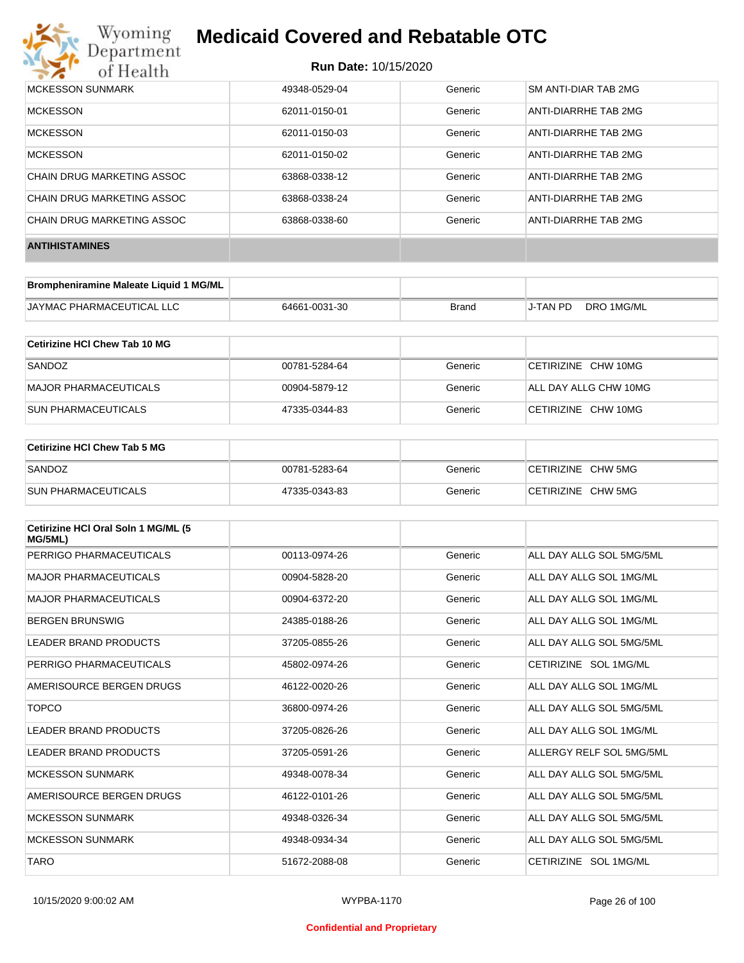

### **Run Date:** 10/15/2020

| MCKESSON SUNMARK           | 49348-0529-04 | Generic | SM ANTI-DIAR TAB 2MG |
|----------------------------|---------------|---------|----------------------|
| <b>MCKESSON</b>            | 62011-0150-01 | Generic | ANTI-DIARRHE TAB 2MG |
| <b>MCKESSON</b>            | 62011-0150-03 | Generic | ANTI-DIARRHE TAB 2MG |
| <b>MCKESSON</b>            | 62011-0150-02 | Generic | ANTI-DIARRHE TAB 2MG |
| CHAIN DRUG MARKETING ASSOC | 63868-0338-12 | Generic | ANTI-DIARRHE TAB 2MG |
| CHAIN DRUG MARKETING ASSOC | 63868-0338-24 | Generic | ANTI-DIARRHE TAB 2MG |
| CHAIN DRUG MARKETING ASSOC | 63868-0338-60 | Generic | ANTI-DIARRHE TAB 2MG |
| <b>ANTIHISTAMINES</b>      |               |         |                      |

| Brompheniramine Maleate Liquid 1 MG/ML |               |       |          |            |
|----------------------------------------|---------------|-------|----------|------------|
| JAYMAC PHARMACEUTICAL LLC              | 64661-0031-30 | Brand | J-TAN PD | DRO 1MG/ML |

| Cetirizine HCI Chew Tab 10 MG |               |         |                       |
|-------------------------------|---------------|---------|-----------------------|
| SANDOZ                        | 00781-5284-64 | Generic | CETIRIZINE CHW 10MG   |
| MAJOR PHARMACEUTICALS         | 00904-5879-12 | Generic | ALL DAY ALLG CHW 10MG |
| <b>SUN PHARMACEUTICALS</b>    | 47335-0344-83 | Generic | CETIRIZINE CHW 10MG   |

| Cetirizine HCI Chew Tab 5 MG |               |         |                    |
|------------------------------|---------------|---------|--------------------|
| SANDOZ                       | 00781-5283-64 | Generic | CETIRIZINE CHW 5MG |
| <b>SUN PHARMACEUTICALS</b>   | 47335-0343-83 | Generic | CETIRIZINE CHW 5MG |

| Cetirizine HCI Oral Soln 1 MG/ML (5<br>MG/5ML) |               |         |                          |
|------------------------------------------------|---------------|---------|--------------------------|
| PERRIGO PHARMACEUTICALS                        | 00113-0974-26 | Generic | ALL DAY ALLG SOL 5MG/5ML |
| <b>MAJOR PHARMACEUTICALS</b>                   | 00904-5828-20 | Generic | ALL DAY ALLG SOL 1MG/ML  |
| <b>MAJOR PHARMACEUTICALS</b>                   | 00904-6372-20 | Generic | ALL DAY ALLG SOL 1MG/ML  |
| <b>BERGEN BRUNSWIG</b>                         | 24385-0188-26 | Generic | ALL DAY ALLG SOL 1MG/ML  |
| <b>LEADER BRAND PRODUCTS</b>                   | 37205-0855-26 | Generic | ALL DAY ALLG SOL 5MG/5ML |
| PERRIGO PHARMACEUTICALS                        | 45802-0974-26 | Generic | CETIRIZINE SOL 1MG/ML    |
| AMERISOURCE BERGEN DRUGS                       | 46122-0020-26 | Generic | ALL DAY ALLG SOL 1MG/ML  |
| <b>TOPCO</b>                                   | 36800-0974-26 | Generic | ALL DAY ALLG SOL 5MG/5ML |
| <b>LEADER BRAND PRODUCTS</b>                   | 37205-0826-26 | Generic | ALL DAY ALLG SOL 1MG/ML  |
| <b>LEADER BRAND PRODUCTS</b>                   | 37205-0591-26 | Generic | ALLERGY RELF SOL 5MG/5ML |
| <b>MCKESSON SUNMARK</b>                        | 49348-0078-34 | Generic | ALL DAY ALLG SOL 5MG/5ML |
| AMERISOURCE BERGEN DRUGS                       | 46122-0101-26 | Generic | ALL DAY ALLG SOL 5MG/5ML |
| <b>MCKESSON SUNMARK</b>                        | 49348-0326-34 | Generic | ALL DAY ALLG SOL 5MG/5ML |
| <b>MCKESSON SUNMARK</b>                        | 49348-0934-34 | Generic | ALL DAY ALLG SOL 5MG/5ML |
| <b>TARO</b>                                    | 51672-2088-08 | Generic | CETIRIZINE SOL 1MG/ML    |

### **Confidential and Proprietary**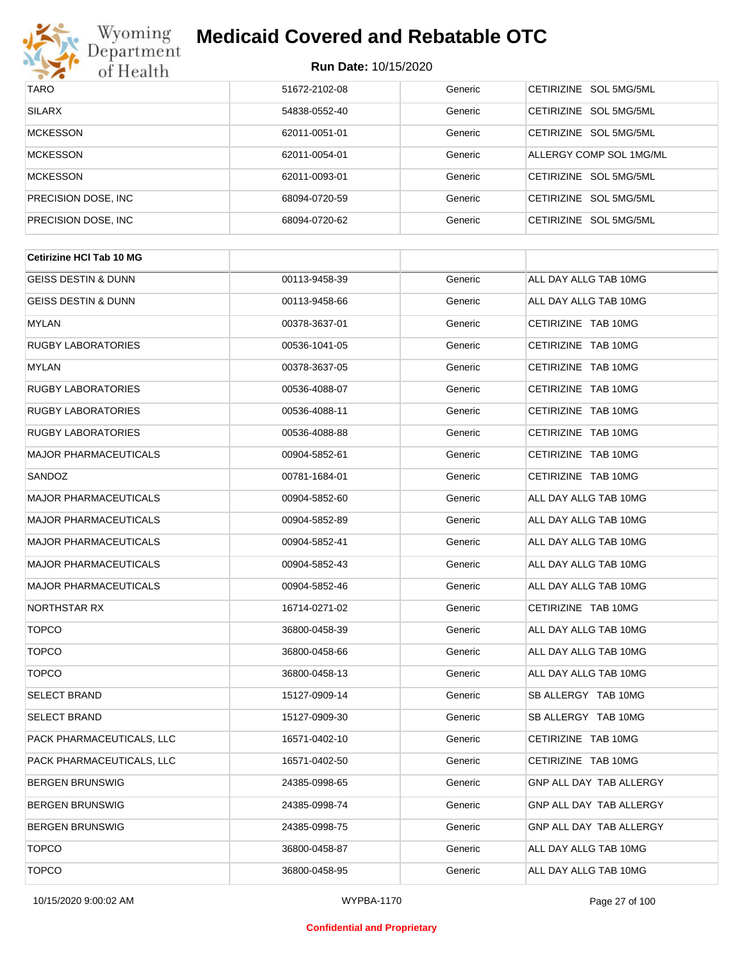

| <b>TARO</b>          | 51672-2102-08 | Generic | CETIRIZINE SOL 5MG/5ML           |
|----------------------|---------------|---------|----------------------------------|
| <b>SILARX</b>        | 54838-0552-40 | Generic | CETIRIZINE SOL 5MG/5ML           |
| <b>MCKESSON</b>      | 62011-0051-01 | Generic | CETIRIZINE SOL 5MG/5ML           |
| <b>MCKESSON</b>      | 62011-0054-01 | Generic | ALLERGY COMP SOL 1MG/ML          |
| <b>MCKESSON</b>      | 62011-0093-01 | Generic | CETIRIZINE SOL 5MG/5ML           |
| PRECISION DOSE, INC. | 68094-0720-59 | Generic | CETIRIZINE SOL 5MG/5ML           |
| PRECISION DOSE, INC. | 68094-0720-62 | Generic | SOL 5MG/5ML<br><b>CETIRIZINE</b> |

| <b>Cetirizine HCI Tab 10 MG</b> |               |         |                         |  |
|---------------------------------|---------------|---------|-------------------------|--|
| <b>GEISS DESTIN &amp; DUNN</b>  | 00113-9458-39 | Generic | ALL DAY ALLG TAB 10MG   |  |
| <b>GEISS DESTIN &amp; DUNN</b>  | 00113-9458-66 | Generic | ALL DAY ALLG TAB 10MG   |  |
| <b>MYLAN</b>                    | 00378-3637-01 | Generic | CETIRIZINE TAB 10MG     |  |
| <b>RUGBY LABORATORIES</b>       | 00536-1041-05 | Generic | CETIRIZINE TAB 10MG     |  |
| <b>MYLAN</b>                    | 00378-3637-05 | Generic | CETIRIZINE TAB 10MG     |  |
| <b>RUGBY LABORATORIES</b>       | 00536-4088-07 | Generic | CETIRIZINE TAB 10MG     |  |
| <b>RUGBY LABORATORIES</b>       | 00536-4088-11 | Generic | CETIRIZINE TAB 10MG     |  |
| <b>RUGBY LABORATORIES</b>       | 00536-4088-88 | Generic | CETIRIZINE TAB 10MG     |  |
| <b>MAJOR PHARMACEUTICALS</b>    | 00904-5852-61 | Generic | CETIRIZINE TAB 10MG     |  |
| SANDOZ                          | 00781-1684-01 | Generic | CETIRIZINE TAB 10MG     |  |
| <b>MAJOR PHARMACEUTICALS</b>    | 00904-5852-60 | Generic | ALL DAY ALLG TAB 10MG   |  |
| <b>MAJOR PHARMACEUTICALS</b>    | 00904-5852-89 | Generic | ALL DAY ALLG TAB 10MG   |  |
| <b>MAJOR PHARMACEUTICALS</b>    | 00904-5852-41 | Generic | ALL DAY ALLG TAB 10MG   |  |
| <b>MAJOR PHARMACEUTICALS</b>    | 00904-5852-43 | Generic | ALL DAY ALLG TAB 10MG   |  |
| <b>MAJOR PHARMACEUTICALS</b>    | 00904-5852-46 | Generic | ALL DAY ALLG TAB 10MG   |  |
| <b>NORTHSTAR RX</b>             | 16714-0271-02 | Generic | CETIRIZINE TAB 10MG     |  |
| <b>TOPCO</b>                    | 36800-0458-39 | Generic | ALL DAY ALLG TAB 10MG   |  |
| <b>TOPCO</b>                    | 36800-0458-66 | Generic | ALL DAY ALLG TAB 10MG   |  |
| <b>TOPCO</b>                    | 36800-0458-13 | Generic | ALL DAY ALLG TAB 10MG   |  |
| <b>SELECT BRAND</b>             | 15127-0909-14 | Generic | SB ALLERGY TAB 10MG     |  |
| <b>SELECT BRAND</b>             | 15127-0909-30 | Generic | SB ALLERGY TAB 10MG     |  |
| PACK PHARMACEUTICALS, LLC       | 16571-0402-10 | Generic | CETIRIZINE TAB 10MG     |  |
| PACK PHARMACEUTICALS, LLC       | 16571-0402-50 | Generic | CETIRIZINE TAB 10MG     |  |
| <b>BERGEN BRUNSWIG</b>          | 24385-0998-65 | Generic | GNP ALL DAY TAB ALLERGY |  |
| <b>BERGEN BRUNSWIG</b>          | 24385-0998-74 | Generic | GNP ALL DAY TAB ALLERGY |  |
| <b>BERGEN BRUNSWIG</b>          | 24385-0998-75 | Generic | GNP ALL DAY TAB ALLERGY |  |
| <b>TOPCO</b>                    | 36800-0458-87 | Generic | ALL DAY ALLG TAB 10MG   |  |
| <b>TOPCO</b>                    | 36800-0458-95 | Generic | ALL DAY ALLG TAB 10MG   |  |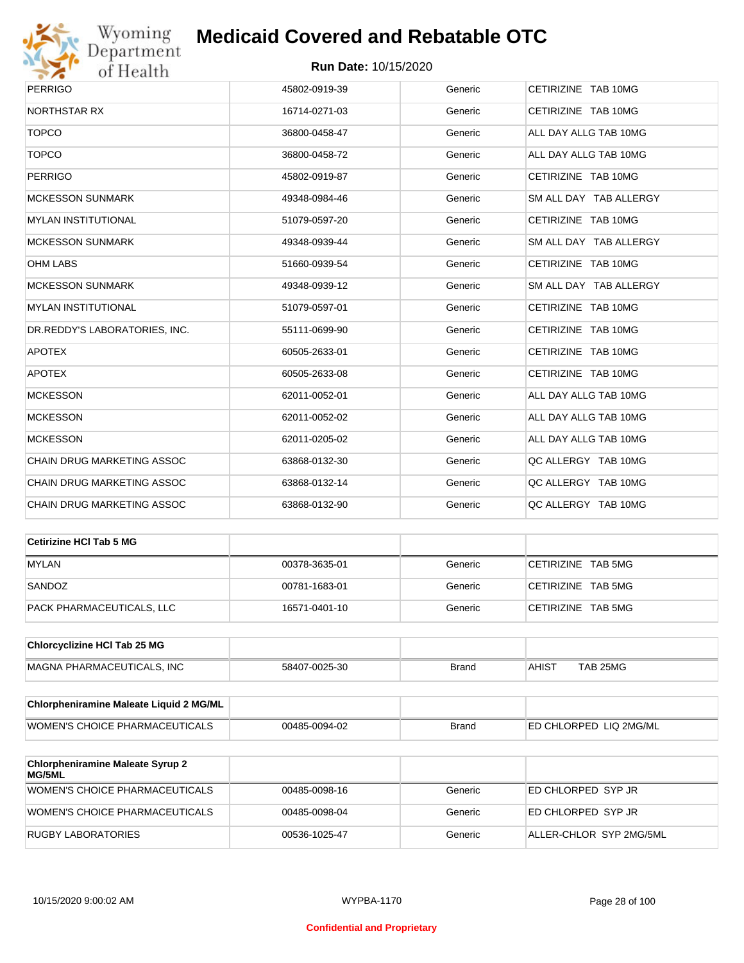

| <b>PERRIGO</b>                    | 45802-0919-39 | Generic | CETIRIZINE TAB 10MG    |
|-----------------------------------|---------------|---------|------------------------|
| <b>NORTHSTAR RX</b>               | 16714-0271-03 | Generic | CETIRIZINE TAB 10MG    |
| <b>TOPCO</b>                      | 36800-0458-47 | Generic | ALL DAY ALLG TAB 10MG  |
| <b>TOPCO</b>                      | 36800-0458-72 | Generic | ALL DAY ALLG TAB 10MG  |
| <b>PERRIGO</b>                    | 45802-0919-87 | Generic | CETIRIZINE TAB 10MG    |
| <b>MCKESSON SUNMARK</b>           | 49348-0984-46 | Generic | SM ALL DAY TAB ALLERGY |
| <b>MYLAN INSTITUTIONAL</b>        | 51079-0597-20 | Generic | CETIRIZINE TAB 10MG    |
| <b>MCKESSON SUNMARK</b>           | 49348-0939-44 | Generic | SM ALL DAY TAB ALLERGY |
| <b>OHM LABS</b>                   | 51660-0939-54 | Generic | CETIRIZINE TAB 10MG    |
| <b>MCKESSON SUNMARK</b>           | 49348-0939-12 | Generic | SM ALL DAY TAB ALLERGY |
| <b>MYLAN INSTITUTIONAL</b>        | 51079-0597-01 | Generic | CETIRIZINE TAB 10MG    |
| DR.REDDY'S LABORATORIES, INC.     | 55111-0699-90 | Generic | CETIRIZINE TAB 10MG    |
| <b>APOTEX</b>                     | 60505-2633-01 | Generic | CETIRIZINE TAB 10MG    |
| <b>APOTEX</b>                     | 60505-2633-08 | Generic | CETIRIZINE TAB 10MG    |
| <b>MCKESSON</b>                   | 62011-0052-01 | Generic | ALL DAY ALLG TAB 10MG  |
| <b>MCKESSON</b>                   | 62011-0052-02 | Generic | ALL DAY ALLG TAB 10MG  |
| <b>MCKESSON</b>                   | 62011-0205-02 | Generic | ALL DAY ALLG TAB 10MG  |
| <b>CHAIN DRUG MARKETING ASSOC</b> | 63868-0132-30 | Generic | QC ALLERGY TAB 10MG    |
| <b>CHAIN DRUG MARKETING ASSOC</b> | 63868-0132-14 | Generic | QC ALLERGY TAB 10MG    |
| <b>CHAIN DRUG MARKETING ASSOC</b> | 63868-0132-90 | Generic | QC ALLERGY TAB 10MG    |

| Cetirizine HCI Tab 5 MG   |               |         |                    |
|---------------------------|---------------|---------|--------------------|
| <b>MYLAN</b>              | 00378-3635-01 | Generic | CETIRIZINE TAB 5MG |
| SANDOZ                    | 00781-1683-01 | Generic | CETIRIZINE TAB 5MG |
| PACK PHARMACEUTICALS, LLC | 16571-0401-10 | Generic | CETIRIZINE TAB 5MG |

| <b>Chlorcyclizine HCI Tab 25 MG</b> |               |       |       |          |
|-------------------------------------|---------------|-------|-------|----------|
| MAGNA PHARMACEUTICALS. INC          | 58407-0025-30 | Brand | AHIST | TAB 25MG |

| Chlorpheniramine Maleate Liquid 2 MG/ML |               |              |                                |
|-----------------------------------------|---------------|--------------|--------------------------------|
| WOMEN'S CHOICE PHARMACEUTICALS          | 00485-0094-02 | <b>Brand</b> | <b>IED CHLORPED LIQ 2MG/ML</b> |

| <b>Chlorpheniramine Maleate Syrup 2</b><br><b>MG/5ML</b> |               |         |                         |
|----------------------------------------------------------|---------------|---------|-------------------------|
| WOMEN'S CHOICE PHARMACEUTICALS                           | 00485-0098-16 | Generic | ED CHLORPED SYP JR      |
| WOMEN'S CHOICE PHARMACEUTICALS                           | 00485-0098-04 | Generic | ED CHLORPED SYP JR      |
| RUGBY LABORATORIES                                       | 00536-1025-47 | Generic | ALLER-CHLOR SYP 2MG/5ML |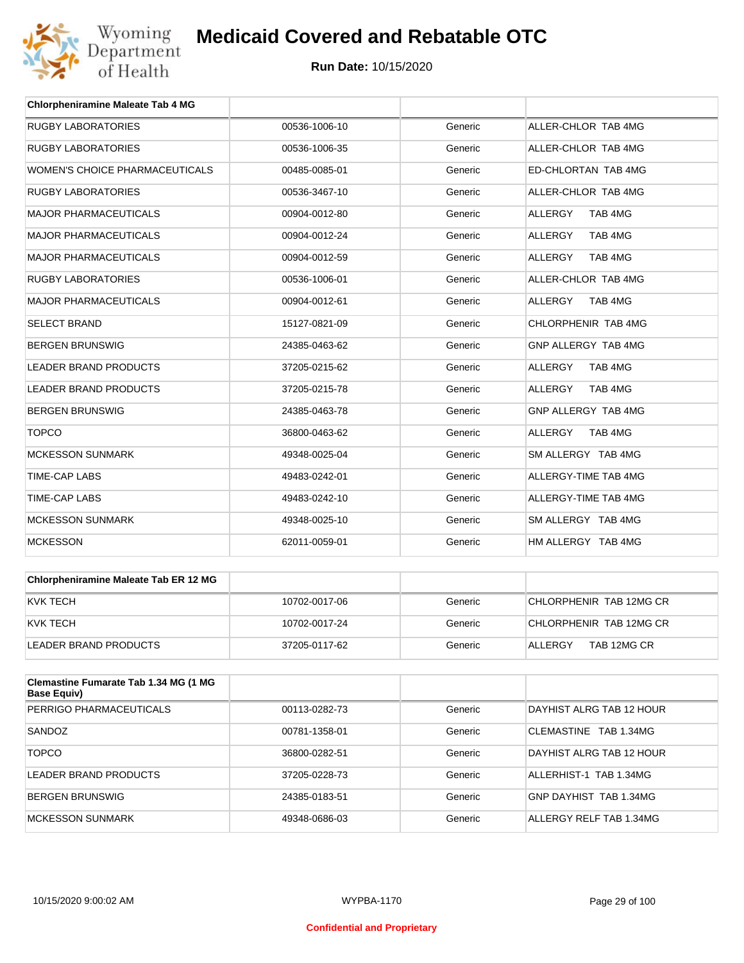

| <b>Chlorpheniramine Maleate Tab 4 MG</b> |               |         |                           |
|------------------------------------------|---------------|---------|---------------------------|
| <b>RUGBY LABORATORIES</b>                | 00536-1006-10 | Generic | ALLER-CHLOR TAB 4MG       |
| <b>RUGBY LABORATORIES</b>                | 00536-1006-35 | Generic | ALLER-CHLOR TAB 4MG       |
| WOMEN'S CHOICE PHARMACEUTICALS           | 00485-0085-01 | Generic | ED-CHLORTAN TAB 4MG       |
| <b>RUGBY LABORATORIES</b>                | 00536-3467-10 | Generic | ALLER-CHLOR TAB 4MG       |
| <b>MAJOR PHARMACEUTICALS</b>             | 00904-0012-80 | Generic | TAB 4MG<br><b>ALLERGY</b> |
| <b>MAJOR PHARMACEUTICALS</b>             | 00904-0012-24 | Generic | <b>ALLERGY</b><br>TAB 4MG |
| <b>MAJOR PHARMACEUTICALS</b>             | 00904-0012-59 | Generic | <b>ALLERGY</b><br>TAB 4MG |
| <b>RUGBY LABORATORIES</b>                | 00536-1006-01 | Generic | ALLER-CHLOR TAB 4MG       |
| <b>MAJOR PHARMACEUTICALS</b>             | 00904-0012-61 | Generic | <b>ALLERGY</b><br>TAB 4MG |
| <b>SELECT BRAND</b>                      | 15127-0821-09 | Generic | CHLORPHENIR TAB 4MG       |
| <b>BERGEN BRUNSWIG</b>                   | 24385-0463-62 | Generic | GNP ALLERGY TAB 4MG       |
| <b>LEADER BRAND PRODUCTS</b>             | 37205-0215-62 | Generic | <b>ALLERGY</b><br>TAB 4MG |
| <b>LEADER BRAND PRODUCTS</b>             | 37205-0215-78 | Generic | <b>ALLERGY</b><br>TAB 4MG |
| <b>BERGEN BRUNSWIG</b>                   | 24385-0463-78 | Generic | GNP ALLERGY TAB 4MG       |
| <b>TOPCO</b>                             | 36800-0463-62 | Generic | <b>ALLERGY</b><br>TAB 4MG |
| <b>MCKESSON SUNMARK</b>                  | 49348-0025-04 | Generic | SM ALLERGY TAB 4MG        |
| <b>TIME-CAP LABS</b>                     | 49483-0242-01 | Generic | ALLERGY-TIME TAB 4MG      |
| <b>TIME-CAP LABS</b>                     | 49483-0242-10 | Generic | ALLERGY-TIME TAB 4MG      |
| <b>MCKESSON SUNMARK</b>                  | 49348-0025-10 | Generic | SM ALLERGY TAB 4MG        |
| <b>MCKESSON</b>                          | 62011-0059-01 | Generic | HM ALLERGY TAB 4MG        |

| <b>Chlorpheniramine Maleate Tab ER 12 MG</b> |               |         |                         |
|----------------------------------------------|---------------|---------|-------------------------|
| KVK TECH                                     | 10702-0017-06 | Generic | CHLORPHENIR TAB 12MG CR |
| KVK TECH                                     | 10702-0017-24 | Generic | CHLORPHENIR TAB 12MG CR |
| LEADER BRAND PRODUCTS                        | 37205-0117-62 | Generic | TAB 12MG CR<br>ALLERGY  |

| Clemastine Fumarate Tab 1.34 MG (1 MG<br>Base Equiv) |               |         |                          |
|------------------------------------------------------|---------------|---------|--------------------------|
| PERRIGO PHARMACEUTICALS                              | 00113-0282-73 | Generic | DAYHIST ALRG TAB 12 HOUR |
| SANDOZ                                               | 00781-1358-01 | Generic | CLEMASTINE TAB 1.34MG    |
| <b>TOPCO</b>                                         | 36800-0282-51 | Generic | DAYHIST ALRG TAB 12 HOUR |
| LEADER BRAND PRODUCTS                                | 37205-0228-73 | Generic | ALLERHIST-1 TAB 1.34MG   |
| <b>BERGEN BRUNSWIG</b>                               | 24385-0183-51 | Generic | GNP DAYHIST TAB 1.34MG   |
| MCKESSON SUNMARK                                     | 49348-0686-03 | Generic | ALLERGY RELF TAB 1.34MG  |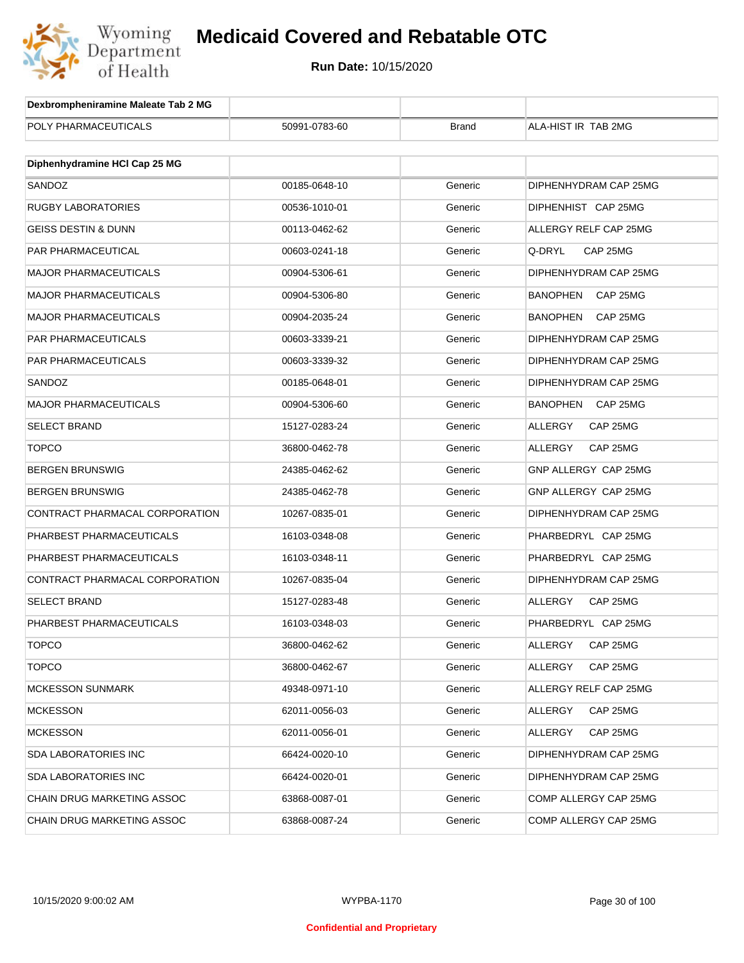

| Dexbrompheniramine Maleate Tab 2 MG |               |              |                             |
|-------------------------------------|---------------|--------------|-----------------------------|
| POLY PHARMACEUTICALS                | 50991-0783-60 | <b>Brand</b> | ALA-HIST IR TAB 2MG         |
|                                     |               |              |                             |
| Diphenhydramine HCI Cap 25 MG       |               |              |                             |
| SANDOZ                              | 00185-0648-10 | Generic      | DIPHENHYDRAM CAP 25MG       |
| RUGBY LABORATORIES                  | 00536-1010-01 | Generic      | DIPHENHIST CAP 25MG         |
| GEISS DESTIN & DUNN                 | 00113-0462-62 | Generic      | ALLERGY RELF CAP 25MG       |
| PAR PHARMACEUTICAL                  | 00603-0241-18 | Generic      | Q-DRYL<br>CAP 25MG          |
| <b>MAJOR PHARMACEUTICALS</b>        | 00904-5306-61 | Generic      | DIPHENHYDRAM CAP 25MG       |
| <b>MAJOR PHARMACEUTICALS</b>        | 00904-5306-80 | Generic      | <b>BANOPHEN</b><br>CAP 25MG |
| MAJOR PHARMACEUTICALS               | 00904-2035-24 | Generic      | <b>BANOPHEN</b><br>CAP 25MG |
| <b>PAR PHARMACEUTICALS</b>          | 00603-3339-21 | Generic      | DIPHENHYDRAM CAP 25MG       |
| PAR PHARMACEUTICALS                 | 00603-3339-32 | Generic      | DIPHENHYDRAM CAP 25MG       |
| SANDOZ                              | 00185-0648-01 | Generic      | DIPHENHYDRAM CAP 25MG       |
| MAJOR PHARMACEUTICALS               | 00904-5306-60 | Generic      | <b>BANOPHEN</b><br>CAP 25MG |
| <b>SELECT BRAND</b>                 | 15127-0283-24 | Generic      | ALLERGY<br>CAP 25MG         |
| <b>TOPCO</b>                        | 36800-0462-78 | Generic      | <b>ALLERGY</b><br>CAP 25MG  |
| BERGEN BRUNSWIG                     | 24385-0462-62 | Generic      | GNP ALLERGY CAP 25MG        |
| BERGEN BRUNSWIG                     | 24385-0462-78 | Generic      | GNP ALLERGY CAP 25MG        |
| CONTRACT PHARMACAL CORPORATION      | 10267-0835-01 | Generic      | DIPHENHYDRAM CAP 25MG       |
| PHARBEST PHARMACEUTICALS            | 16103-0348-08 | Generic      | PHARBEDRYL CAP 25MG         |
| PHARBEST PHARMACEUTICALS            | 16103-0348-11 | Generic      | PHARBEDRYL CAP 25MG         |
| CONTRACT PHARMACAL CORPORATION      | 10267-0835-04 | Generic      | DIPHENHYDRAM CAP 25MG       |
| <b>SELECT BRAND</b>                 | 15127-0283-48 | Generic      | <b>ALLERGY</b><br>CAP 25MG  |
| PHARBEST PHARMACEUTICALS            | 16103-0348-03 | Generic      | PHARBEDRYL CAP 25MG         |
| TOPCO                               | 36800-0462-62 | Generic      | ALLERGY<br>CAP 25MG         |
| <b>TOPCO</b>                        | 36800-0462-67 | Generic      | <b>ALLERGY</b><br>CAP 25MG  |
| <b>MCKESSON SUNMARK</b>             | 49348-0971-10 | Generic      | ALLERGY RELF CAP 25MG       |
| <b>MCKESSON</b>                     | 62011-0056-03 | Generic      | ALLERGY<br>CAP 25MG         |
| <b>MCKESSON</b>                     | 62011-0056-01 | Generic      | ALLERGY<br>CAP 25MG         |
| SDA LABORATORIES INC                | 66424-0020-10 | Generic      | DIPHENHYDRAM CAP 25MG       |
| SDA LABORATORIES INC                | 66424-0020-01 | Generic      | DIPHENHYDRAM CAP 25MG       |
| CHAIN DRUG MARKETING ASSOC          | 63868-0087-01 | Generic      | COMP ALLERGY CAP 25MG       |
| CHAIN DRUG MARKETING ASSOC          | 63868-0087-24 | Generic      | COMP ALLERGY CAP 25MG       |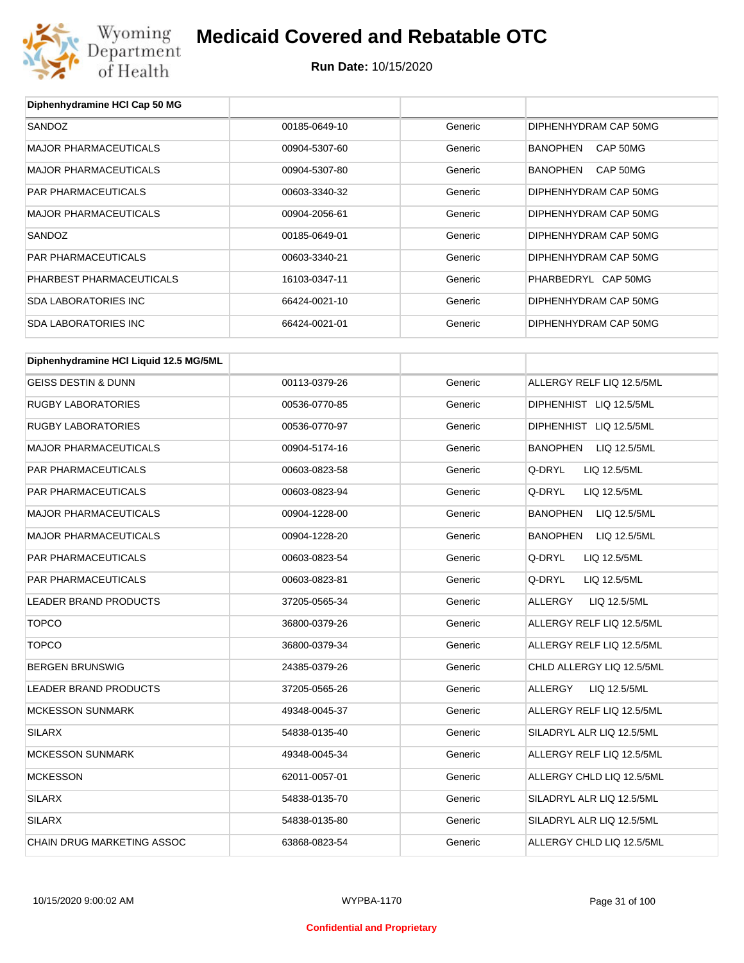

**Diphenhydramine HCl Cap 50 MG**

# **Medicaid Covered and Rebatable OTC**

| SANDOZ                                 | 00185-0649-10 | Generic | DIPHENHYDRAM CAP 50MG           |
|----------------------------------------|---------------|---------|---------------------------------|
| <b>MAJOR PHARMACEUTICALS</b>           | 00904-5307-60 | Generic | BANOPHEN CAP 50MG               |
| <b>MAJOR PHARMACEUTICALS</b>           | 00904-5307-80 | Generic | BANOPHEN<br>CAP 50MG            |
| PAR PHARMACEUTICALS                    | 00603-3340-32 | Generic | DIPHENHYDRAM CAP 50MG           |
| <b>MAJOR PHARMACEUTICALS</b>           | 00904-2056-61 | Generic | DIPHENHYDRAM CAP 50MG           |
| SANDOZ                                 | 00185-0649-01 | Generic | DIPHENHYDRAM CAP 50MG           |
| PAR PHARMACEUTICALS                    | 00603-3340-21 | Generic | DIPHENHYDRAM CAP 50MG           |
| PHARBEST PHARMACEUTICALS               | 16103-0347-11 | Generic | PHARBEDRYL CAP 50MG             |
| <b>SDA LABORATORIES INC</b>            | 66424-0021-10 | Generic | DIPHENHYDRAM CAP 50MG           |
| <b>SDA LABORATORIES INC</b>            | 66424-0021-01 | Generic | DIPHENHYDRAM CAP 50MG           |
|                                        |               |         |                                 |
| Diphenhydramine HCI Liquid 12.5 MG/5ML |               |         |                                 |
| <b>GEISS DESTIN &amp; DUNN</b>         | 00113-0379-26 | Generic | ALLERGY RELF LIQ 12.5/5ML       |
| <b>RUGBY LABORATORIES</b>              | 00536-0770-85 | Generic | DIPHENHIST LIQ 12.5/5ML         |
| <b>RUGBY LABORATORIES</b>              | 00536-0770-97 | Generic | DIPHENHIST LIQ 12.5/5ML         |
| <b>MAJOR PHARMACEUTICALS</b>           | 00904-5174-16 | Generic | BANOPHEN<br>LIQ 12.5/5ML        |
| PAR PHARMACEUTICALS                    | 00603-0823-58 | Generic | Q-DRYL<br>LIQ 12.5/5ML          |
| PAR PHARMACEUTICALS                    | 00603-0823-94 | Generic | Q-DRYL<br>LIQ 12.5/5ML          |
| <b>MAJOR PHARMACEUTICALS</b>           | 00904-1228-00 | Generic | <b>BANOPHEN</b><br>LIQ 12.5/5ML |
| <b>MAJOR PHARMACEUTICALS</b>           | 00904-1228-20 | Generic | BANOPHEN<br>LIQ 12.5/5ML        |
| PAR PHARMACEUTICALS                    | 00603-0823-54 | Generic | Q-DRYL<br>LIQ 12.5/5ML          |
| PAR PHARMACEUTICALS                    | 00603-0823-81 | Generic | Q-DRYL<br>LIQ 12.5/5ML          |
| LEADER BRAND PRODUCTS                  | 37205-0565-34 | Generic | ALLERGY<br>LIQ 12.5/5ML         |
| <b>TOPCO</b>                           | 36800-0379-26 | Generic | ALLERGY RELF LIQ 12.5/5ML       |
| <b>TOPCO</b>                           | 36800-0379-34 | Generic | ALLERGY RELF LIQ 12.5/5ML       |
| <b>BERGEN BRUNSWIG</b>                 | 24385-0379-26 | Generic | CHLD ALLERGY LIQ 12.5/5ML       |
| LEADER BRAND PRODUCTS                  | 37205-0565-26 | Generic | ALLERGY<br>LIQ 12.5/5ML         |
| <b>MCKESSON SUNMARK</b>                | 49348-0045-37 | Generic | ALLERGY RELF LIQ 12.5/5ML       |
| SILARX                                 | 54838-0135-40 | Generic | SILADRYL ALR LIQ 12.5/5ML       |
| <b>MCKESSON SUNMARK</b>                | 49348-0045-34 | Generic | ALLERGY RELF LIQ 12.5/5ML       |
| <b>MCKESSON</b>                        | 62011-0057-01 | Generic | ALLERGY CHLD LIQ 12.5/5ML       |
| <b>SILARX</b>                          | 54838-0135-70 | Generic | SILADRYL ALR LIQ 12.5/5ML       |
| <b>SILARX</b>                          | 54838-0135-80 | Generic | SILADRYL ALR LIQ 12.5/5ML       |
| CHAIN DRUG MARKETING ASSOC             | 63868-0823-54 | Generic | ALLERGY CHLD LIQ 12.5/5ML       |
|                                        |               |         |                                 |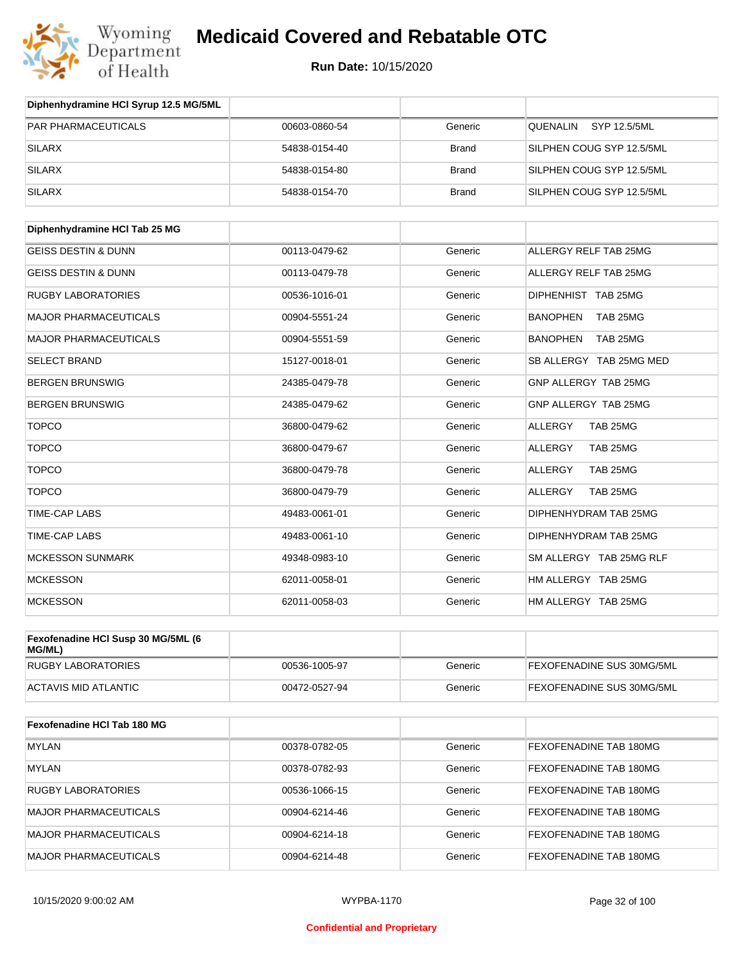

**Run Date:** 10/15/2020

| Diphenhydramine HCI Syrup 12.5 MG/5ML        |               |              |                             |
|----------------------------------------------|---------------|--------------|-----------------------------|
| PAR PHARMACEUTICALS                          | 00603-0860-54 | Generic      | QUENALIN<br>SYP 12.5/5ML    |
| <b>SILARX</b>                                | 54838-0154-40 | <b>Brand</b> | SILPHEN COUG SYP 12.5/5ML   |
| <b>SILARX</b>                                | 54838-0154-80 | <b>Brand</b> | SILPHEN COUG SYP 12.5/5ML   |
| <b>SILARX</b>                                | 54838-0154-70 | <b>Brand</b> | SILPHEN COUG SYP 12.5/5ML   |
| Diphenhydramine HCI Tab 25 MG                |               |              |                             |
| <b>GEISS DESTIN &amp; DUNN</b>               | 00113-0479-62 | Generic      | ALLERGY RELF TAB 25MG       |
| <b>GEISS DESTIN &amp; DUNN</b>               | 00113-0479-78 | Generic      | ALLERGY RELF TAB 25MG       |
| <b>RUGBY LABORATORIES</b>                    | 00536-1016-01 | Generic      | DIPHENHIST TAB 25MG         |
| <b>MAJOR PHARMACEUTICALS</b>                 | 00904-5551-24 | Generic      | <b>BANOPHEN</b><br>TAB 25MG |
| <b>MAJOR PHARMACEUTICALS</b>                 | 00904-5551-59 | Generic      | <b>BANOPHEN</b><br>TAB 25MG |
| <b>SELECT BRAND</b>                          | 15127-0018-01 | Generic      | SB ALLERGY TAB 25MG MED     |
| <b>BERGEN BRUNSWIG</b>                       | 24385-0479-78 | Generic      | GNP ALLERGY TAB 25MG        |
| <b>BERGEN BRUNSWIG</b>                       | 24385-0479-62 | Generic      | GNP ALLERGY TAB 25MG        |
| <b>TOPCO</b>                                 | 36800-0479-62 | Generic      | TAB 25MG<br><b>ALLERGY</b>  |
| <b>TOPCO</b>                                 | 36800-0479-67 | Generic      | TAB 25MG<br>ALLERGY         |
| <b>TOPCO</b>                                 | 36800-0479-78 | Generic      | TAB 25MG<br><b>ALLERGY</b>  |
| <b>TOPCO</b>                                 | 36800-0479-79 | Generic      | <b>ALLERGY</b><br>TAB 25MG  |
| <b>TIME-CAP LABS</b>                         | 49483-0061-01 | Generic      | DIPHENHYDRAM TAB 25MG       |
| <b>TIME-CAP LABS</b>                         | 49483-0061-10 | Generic      | DIPHENHYDRAM TAB 25MG       |
| <b>MCKESSON SUNMARK</b>                      | 49348-0983-10 | Generic      | SM ALLERGY TAB 25MG RLF     |
| <b>MCKESSON</b>                              | 62011-0058-01 | Generic      | HM ALLERGY TAB 25MG         |
| <b>MCKESSON</b>                              | 62011-0058-03 | Generic      | HM ALLERGY TAB 25MG         |
| Fexofenadine HCI Susp 30 MG/5ML (6<br>MG/ML) |               |              |                             |
| <b>RUGBY LABORATORIES</b>                    | 00536-1005-97 | Generic      | FEXOFENADINE SUS 30MG/5ML   |
| <b>ACTAVIS MID ATLANTIC</b>                  | 00472-0527-94 | Generic      | FEXOFENADINE SUS 30MG/5ML   |
| Fexofenadine HCI Tab 180 MG                  |               |              |                             |
| <b>MYLAN</b>                                 | 00378-0782-05 | Generic      | FEXOFENADINE TAB 180MG      |
| <b>MYLAN</b>                                 | 00378-0782-93 | Generic      | FEXOFENADINE TAB 180MG      |
| <b>RUGBY LABORATORIES</b>                    | 00536-1066-15 | Generic      | FEXOFENADINE TAB 180MG      |
|                                              |               |              |                             |

MAJOR PHARMACEUTICALS 
and the option of the company of the company of the company of the company of the company of the company of the company of the company of the company of the company of the company of the company of t MAJOR PHARMACEUTICALS 00904-6214-18 Generic FEXOFENADINE TAB 180MG MAJOR PHARMACEUTICALS 00904-6214-48 Generic FEXOFENADINE TAB 180MG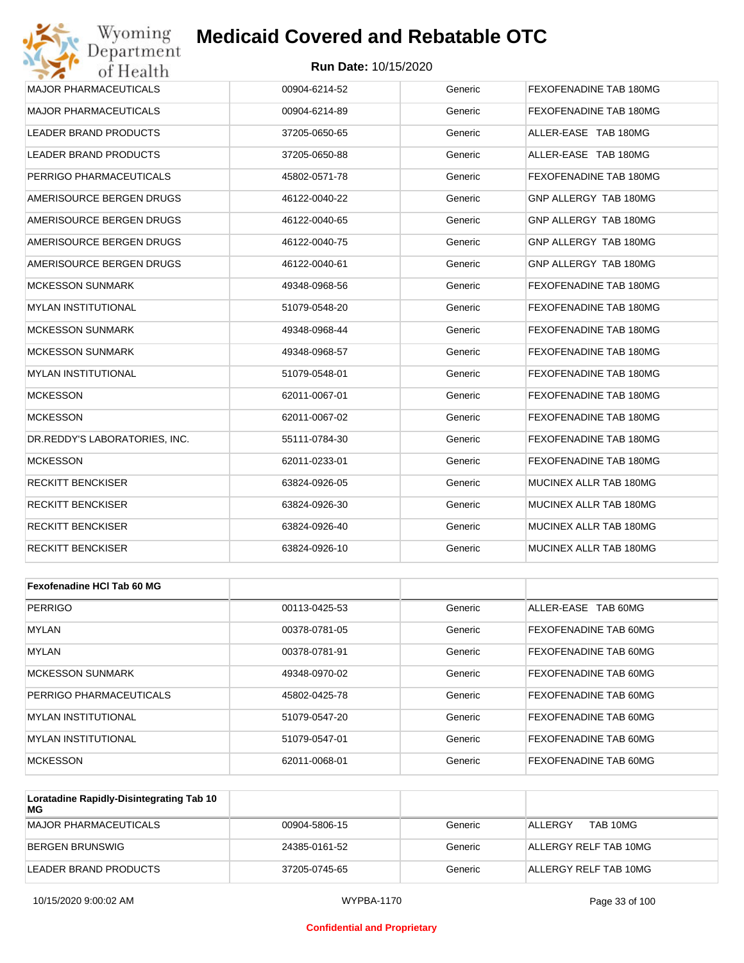

| Wyoming<br>Department         | <b>Medicaid Covered and Rebatable OTC</b> |         |                        |
|-------------------------------|-------------------------------------------|---------|------------------------|
| of Health                     | <b>Run Date: 10/15/2020</b>               |         |                        |
| <b>MAJOR PHARMACEUTICALS</b>  | 00904-6214-52                             | Generic | FEXOFENADINE TAB 180MG |
| <b>MAJOR PHARMACEUTICALS</b>  | 00904-6214-89                             | Generic | FEXOFENADINE TAB 180MG |
| LEADER BRAND PRODUCTS         | 37205-0650-65                             | Generic | ALLER-EASE TAB 180MG   |
| LEADER BRAND PRODUCTS         | 37205-0650-88                             | Generic | ALLER-EASE TAB 180MG   |
| PERRIGO PHARMACEUTICALS       | 45802-0571-78                             | Generic | FEXOFENADINE TAB 180MG |
| AMERISOURCE BERGEN DRUGS      | 46122-0040-22                             | Generic | GNP ALLERGY TAB 180MG  |
| AMERISOURCE BERGEN DRUGS      | 46122-0040-65                             | Generic | GNP ALLERGY TAB 180MG  |
| AMERISOURCE BERGEN DRUGS      | 46122-0040-75                             | Generic | GNP ALLERGY TAB 180MG  |
| AMERISOURCE BERGEN DRUGS      | 46122-0040-61                             | Generic | GNP ALLERGY TAB 180MG  |
| <b>MCKESSON SUNMARK</b>       | 49348-0968-56                             | Generic | FEXOFENADINE TAB 180MG |
| <b>MYLAN INSTITUTIONAL</b>    | 51079-0548-20                             | Generic | FEXOFENADINE TAB 180MG |
| MCKESSON SUNMARK              | 49348-0968-44                             | Generic | FEXOFENADINE TAB 180MG |
| <b>MCKESSON SUNMARK</b>       | 49348-0968-57                             | Generic | FEXOFENADINE TAB 180MG |
| MYLAN INSTITUTIONAL           | 51079-0548-01                             | Generic | FEXOFENADINE TAB 180MG |
| <b>MCKESSON</b>               | 62011-0067-01                             | Generic | FEXOFENADINE TAB 180MG |
| MCKESSON                      | 62011-0067-02                             | Generic | FEXOFENADINE TAB 180MG |
| DR.REDDY'S LABORATORIES, INC. | 55111-0784-30                             | Generic | FEXOFENADINE TAB 180MG |
| <b>MCKESSON</b>               | 62011-0233-01                             | Generic | FEXOFENADINE TAB 180MG |
| RECKITT BENCKISER             | 63824-0926-05                             | Generic | MUCINEX ALLR TAB 180MG |
| RECKITT BENCKISER             | 63824-0926-30                             | Generic | MUCINEX ALLR TAB 180MG |
| RECKITT BENCKISER             | 63824-0926-40                             | Generic | MUCINEX ALLR TAB 180MG |
| RECKITT BENCKISER             | 63824-0926-10                             | Generic | MUCINEX ALLR TAB 180MG |
| Fexofenadine HCI Tab 60 MG    |                                           |         |                        |
| <b>PERRIGO</b>                | 00113-0425-53                             | Generic | ALLER-EASE TAB 60MG    |
| <b>MYLAN</b>                  | 00378-0781-05                             | Generic | FEXOFENADINE TAB 60MG  |
| <b>MYLAN</b>                  | 00378-0781-91                             | Generic | FEXOFENADINE TAB 60MG  |
| <b>MCKESSON SUNMARK</b>       | 49348-0970-02                             | Generic | FEXOFENADINE TAB 60MG  |
|                               |                                           |         |                        |

| MUNESSUN SUNMARN        | 49348-0970-02 | Generic | FEAUFENADINE TAB 60MG.       |
|-------------------------|---------------|---------|------------------------------|
| PERRIGO PHARMACEUTICALS | 45802-0425-78 | Generic | <b>FEXOFENADINE TAB 60MG</b> |
| IMYLAN INSTITUTIONAL    | 51079-0547-20 | Generic | <b>FEXOFENADINE TAB 60MG</b> |
| IMYLAN INSTITUTIONAL    | 51079-0547-01 | Generic | <b>FEXOFENADINE TAB 60MG</b> |
| MCKESSON                | 62011-0068-01 | Generic | <b>FEXOFENADINE TAB 60MG</b> |

| Loratadine Rapidly-Disintegrating Tab 10<br>МG |               |         |                       |
|------------------------------------------------|---------------|---------|-----------------------|
| MAJOR PHARMACEUTICALS                          | 00904-5806-15 | Generic | TAB 10MG<br>ALLERGY   |
| BERGEN BRUNSWIG                                | 24385-0161-52 | Generic | ALLERGY RELF TAB 10MG |
| LEADER BRAND PRODUCTS                          | 37205-0745-65 | Generic | ALLERGY RELF TAB 10MG |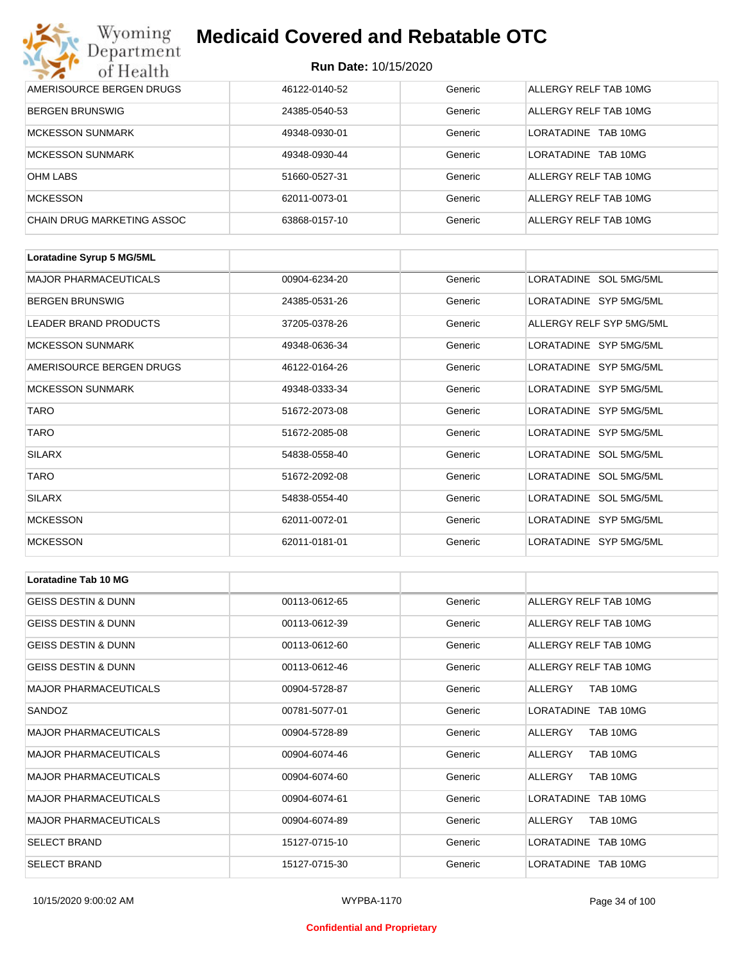

| Wyoming<br><b>Medicaid Covered and Rebatable OTC</b><br>Department |                             |         |                        |  |  |
|--------------------------------------------------------------------|-----------------------------|---------|------------------------|--|--|
| of Health                                                          | <b>Run Date: 10/15/2020</b> |         |                        |  |  |
| AMERISOURCE BERGEN DRUGS                                           | 46122-0140-52               | Generic | ALLERGY RELF TAB 10MG  |  |  |
| <b>BERGEN BRUNSWIG</b>                                             | 24385-0540-53               | Generic | ALLERGY RELF TAB 10MG  |  |  |
| <b>MCKESSON SUNMARK</b>                                            | 49348-0930-01               | Generic | LORATADINE<br>TAB 10MG |  |  |
| <b>MCKESSON SUNMARK</b>                                            | 49348-0930-44               | Generic | LORATADINE<br>TAB 10MG |  |  |
| <b>OHM LABS</b>                                                    | 51660-0527-31               | Generic | ALLERGY RELF TAB 10MG  |  |  |
| <b>MCKESSON</b>                                                    | 62011-0073-01               | Generic | ALLERGY RELF TAB 10MG  |  |  |
| <b>CHAIN DRUG MARKETING ASSOC</b>                                  | 63868-0157-10               | Generic | ALLERGY RELF TAB 10MG  |  |  |

| Loratadine Syrup 5 MG/5ML    |               |         |                          |
|------------------------------|---------------|---------|--------------------------|
| <b>MAJOR PHARMACEUTICALS</b> | 00904-6234-20 | Generic | LORATADINE SOL 5MG/5ML   |
| <b>BERGEN BRUNSWIG</b>       | 24385-0531-26 | Generic | LORATADINE SYP 5MG/5ML   |
| LEADER BRAND PRODUCTS        | 37205-0378-26 | Generic | ALLERGY RELF SYP 5MG/5ML |
| <b>MCKESSON SUNMARK</b>      | 49348-0636-34 | Generic | LORATADINE SYP 5MG/5ML   |
| AMERISOURCE BERGEN DRUGS     | 46122-0164-26 | Generic | LORATADINE SYP 5MG/5ML   |
| <b>MCKESSON SUNMARK</b>      | 49348-0333-34 | Generic | LORATADINE SYP 5MG/5ML   |
| <b>TARO</b>                  | 51672-2073-08 | Generic | LORATADINE SYP 5MG/5ML   |
| <b>TARO</b>                  | 51672-2085-08 | Generic | LORATADINE SYP 5MG/5ML   |
| <b>SILARX</b>                | 54838-0558-40 | Generic | LORATADINE SOL 5MG/5ML   |
| <b>TARO</b>                  | 51672-2092-08 | Generic | LORATADINE SOL 5MG/5ML   |
| <b>SILARX</b>                | 54838-0554-40 | Generic | LORATADINE SOL 5MG/5ML   |
| <b>MCKESSON</b>              | 62011-0072-01 | Generic | LORATADINE SYP 5MG/5ML   |
| <b>MCKESSON</b>              | 62011-0181-01 | Generic | LORATADINE SYP 5MG/5ML   |

| <b>Loratadine Tab 10 MG</b>    |               |         |                       |  |
|--------------------------------|---------------|---------|-----------------------|--|
| <b>GEISS DESTIN &amp; DUNN</b> | 00113-0612-65 | Generic | ALLERGY RELF TAB 10MG |  |
| <b>GEISS DESTIN &amp; DUNN</b> | 00113-0612-39 | Generic | ALLERGY RELF TAB 10MG |  |
| <b>GEISS DESTIN &amp; DUNN</b> | 00113-0612-60 | Generic | ALLERGY RELF TAB 10MG |  |
| <b>GEISS DESTIN &amp; DUNN</b> | 00113-0612-46 | Generic | ALLERGY RELF TAB 10MG |  |
| <b>MAJOR PHARMACEUTICALS</b>   | 00904-5728-87 | Generic | TAB 10MG<br>ALLERGY   |  |
| SANDOZ                         | 00781-5077-01 | Generic | LORATADINE TAB 10MG   |  |
| <b>MAJOR PHARMACEUTICALS</b>   | 00904-5728-89 | Generic | ALLERGY<br>TAB 10MG   |  |
| <b>MAJOR PHARMACEUTICALS</b>   | 00904-6074-46 | Generic | TAB 10MG<br>ALLERGY   |  |
| <b>MAJOR PHARMACEUTICALS</b>   | 00904-6074-60 | Generic | TAB 10MG<br>ALLERGY   |  |
| <b>MAJOR PHARMACEUTICALS</b>   | 00904-6074-61 | Generic | LORATADINE TAB 10MG   |  |
| <b>MAJOR PHARMACEUTICALS</b>   | 00904-6074-89 | Generic | TAB 10MG<br>ALLERGY   |  |
| <b>SELECT BRAND</b>            | 15127-0715-10 | Generic | LORATADINE TAB 10MG   |  |
| <b>SELECT BRAND</b>            | 15127-0715-30 | Generic | LORATADINE TAB 10MG   |  |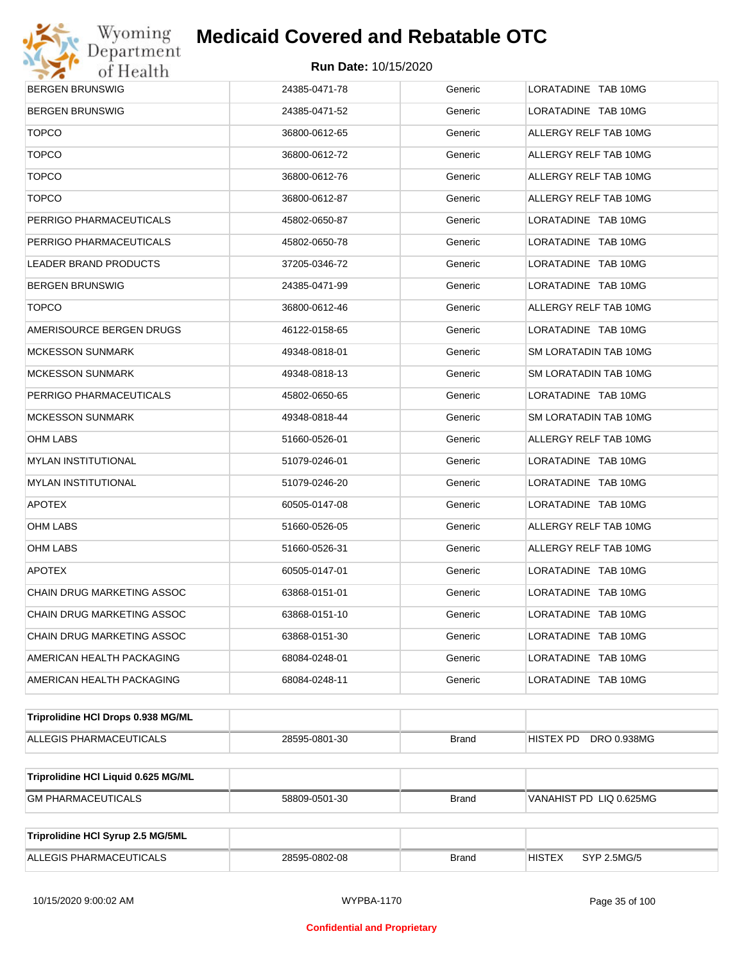

| <b>BERGEN BRUNSWIG</b><br>LORATADINE TAB 10MG<br>24385-0471-78<br>Generic<br>LORATADINE TAB 10MG<br>BERGEN BRUNSWIG<br>24385-0471-52<br>Generic<br><b>TOPCO</b><br>36800-0612-65<br>Generic<br>ALLERGY RELF TAB 10MG<br><b>TOPCO</b><br>36800-0612-72<br>Generic<br>ALLERGY RELF TAB 10MG<br><b>TOPCO</b><br>36800-0612-76<br>Generic<br>ALLERGY RELF TAB 10MG<br><b>TOPCO</b><br>36800-0612-87<br>Generic<br>ALLERGY RELF TAB 10MG<br>PERRIGO PHARMACEUTICALS<br>45802-0650-87<br>Generic<br>LORATADINE TAB 10MG<br>PERRIGO PHARMACEUTICALS<br>45802-0650-78<br>Generic<br>LORATADINE TAB 10MG<br>LORATADINE TAB 10MG<br>LEADER BRAND PRODUCTS<br>37205-0346-72<br>Generic<br>BERGEN BRUNSWIG<br>24385-0471-99<br>Generic<br>LORATADINE TAB 10MG<br><b>TOPCO</b><br>ALLERGY RELF TAB 10MG<br>36800-0612-46<br>Generic<br>AMERISOURCE BERGEN DRUGS<br>LORATADINE TAB 10MG<br>46122-0158-65<br>Generic<br>MCKESSON SUNMARK<br>49348-0818-01<br>Generic<br>SM LORATADIN TAB 10MG<br>MCKESSON SUNMARK<br>49348-0818-13<br>Generic<br>SM LORATADIN TAB 10MG<br>PERRIGO PHARMACEUTICALS<br>45802-0650-65<br>Generic<br>LORATADINE TAB 10MG<br>MCKESSON SUNMARK<br>49348-0818-44<br>Generic<br>SM LORATADIN TAB 10MG<br>OHM LABS<br>ALLERGY RELF TAB 10MG<br>51660-0526-01<br>Generic<br>MYLAN INSTITUTIONAL<br>51079-0246-01<br>Generic<br>LORATADINE TAB 10MG<br>LORATADINE TAB 10MG<br>MYLAN INSTITUTIONAL<br>51079-0246-20<br>Generic<br><b>APOTEX</b><br>60505-0147-08<br>Generic<br>LORATADINE TAB 10MG<br>OHM LABS<br>51660-0526-05<br>Generic<br>ALLERGY RELF TAB 10MG<br>OHM LABS<br>51660-0526-31<br>Generic<br>ALLERGY RELF TAB 10MG<br><b>APOTEX</b><br>LORATADINE TAB 10MG<br>60505-0147-01<br>Generic<br>CHAIN DRUG MARKETING ASSOC<br>63868-0151-01<br>Generic<br>LORATADINE TAB 10MG<br>LORATADINE TAB 10MG<br>CHAIN DRUG MARKETING ASSOC<br>63868-0151-10<br>Generic<br>LORATADINE TAB 10MG<br>CHAIN DRUG MARKETING ASSOC<br>63868-0151-30<br>Generic<br>AMERICAN HEALTH PACKAGING<br>68084-0248-01<br>Generic<br>LORATADINE TAB 10MG<br>LORATADINE TAB 10MG<br>AMERICAN HEALTH PACKAGING<br>68084-0248-11<br>Generic<br>Triprolidine HCI Drops 0.938 MG/ML<br>ALLEGIS PHARMACEUTICALS<br>28595-0801-30<br><b>Brand</b><br>HISTEX PD<br>DRO 0.938MG<br>Triprolidine HCI Liquid 0.625 MG/ML<br><b>GM PHARMACEUTICALS</b><br><b>Brand</b><br>VANAHIST PD LIQ 0.625MG<br>58809-0501-30<br>Triprolidine HCI Syrup 2.5 MG/5ML |                         |               |              |                              |  |  |
|-------------------------------------------------------------------------------------------------------------------------------------------------------------------------------------------------------------------------------------------------------------------------------------------------------------------------------------------------------------------------------------------------------------------------------------------------------------------------------------------------------------------------------------------------------------------------------------------------------------------------------------------------------------------------------------------------------------------------------------------------------------------------------------------------------------------------------------------------------------------------------------------------------------------------------------------------------------------------------------------------------------------------------------------------------------------------------------------------------------------------------------------------------------------------------------------------------------------------------------------------------------------------------------------------------------------------------------------------------------------------------------------------------------------------------------------------------------------------------------------------------------------------------------------------------------------------------------------------------------------------------------------------------------------------------------------------------------------------------------------------------------------------------------------------------------------------------------------------------------------------------------------------------------------------------------------------------------------------------------------------------------------------------------------------------------------------------------------------------------------------------------------------------------------------------------------------------------------------------------------------------------------------------------------------------------------------------------------------------------------------------------------------------------------------------------|-------------------------|---------------|--------------|------------------------------|--|--|
|                                                                                                                                                                                                                                                                                                                                                                                                                                                                                                                                                                                                                                                                                                                                                                                                                                                                                                                                                                                                                                                                                                                                                                                                                                                                                                                                                                                                                                                                                                                                                                                                                                                                                                                                                                                                                                                                                                                                                                                                                                                                                                                                                                                                                                                                                                                                                                                                                                     |                         |               |              |                              |  |  |
|                                                                                                                                                                                                                                                                                                                                                                                                                                                                                                                                                                                                                                                                                                                                                                                                                                                                                                                                                                                                                                                                                                                                                                                                                                                                                                                                                                                                                                                                                                                                                                                                                                                                                                                                                                                                                                                                                                                                                                                                                                                                                                                                                                                                                                                                                                                                                                                                                                     |                         |               |              |                              |  |  |
|                                                                                                                                                                                                                                                                                                                                                                                                                                                                                                                                                                                                                                                                                                                                                                                                                                                                                                                                                                                                                                                                                                                                                                                                                                                                                                                                                                                                                                                                                                                                                                                                                                                                                                                                                                                                                                                                                                                                                                                                                                                                                                                                                                                                                                                                                                                                                                                                                                     |                         |               |              |                              |  |  |
|                                                                                                                                                                                                                                                                                                                                                                                                                                                                                                                                                                                                                                                                                                                                                                                                                                                                                                                                                                                                                                                                                                                                                                                                                                                                                                                                                                                                                                                                                                                                                                                                                                                                                                                                                                                                                                                                                                                                                                                                                                                                                                                                                                                                                                                                                                                                                                                                                                     |                         |               |              |                              |  |  |
|                                                                                                                                                                                                                                                                                                                                                                                                                                                                                                                                                                                                                                                                                                                                                                                                                                                                                                                                                                                                                                                                                                                                                                                                                                                                                                                                                                                                                                                                                                                                                                                                                                                                                                                                                                                                                                                                                                                                                                                                                                                                                                                                                                                                                                                                                                                                                                                                                                     |                         |               |              |                              |  |  |
|                                                                                                                                                                                                                                                                                                                                                                                                                                                                                                                                                                                                                                                                                                                                                                                                                                                                                                                                                                                                                                                                                                                                                                                                                                                                                                                                                                                                                                                                                                                                                                                                                                                                                                                                                                                                                                                                                                                                                                                                                                                                                                                                                                                                                                                                                                                                                                                                                                     |                         |               |              |                              |  |  |
|                                                                                                                                                                                                                                                                                                                                                                                                                                                                                                                                                                                                                                                                                                                                                                                                                                                                                                                                                                                                                                                                                                                                                                                                                                                                                                                                                                                                                                                                                                                                                                                                                                                                                                                                                                                                                                                                                                                                                                                                                                                                                                                                                                                                                                                                                                                                                                                                                                     |                         |               |              |                              |  |  |
|                                                                                                                                                                                                                                                                                                                                                                                                                                                                                                                                                                                                                                                                                                                                                                                                                                                                                                                                                                                                                                                                                                                                                                                                                                                                                                                                                                                                                                                                                                                                                                                                                                                                                                                                                                                                                                                                                                                                                                                                                                                                                                                                                                                                                                                                                                                                                                                                                                     |                         |               |              |                              |  |  |
|                                                                                                                                                                                                                                                                                                                                                                                                                                                                                                                                                                                                                                                                                                                                                                                                                                                                                                                                                                                                                                                                                                                                                                                                                                                                                                                                                                                                                                                                                                                                                                                                                                                                                                                                                                                                                                                                                                                                                                                                                                                                                                                                                                                                                                                                                                                                                                                                                                     |                         |               |              |                              |  |  |
|                                                                                                                                                                                                                                                                                                                                                                                                                                                                                                                                                                                                                                                                                                                                                                                                                                                                                                                                                                                                                                                                                                                                                                                                                                                                                                                                                                                                                                                                                                                                                                                                                                                                                                                                                                                                                                                                                                                                                                                                                                                                                                                                                                                                                                                                                                                                                                                                                                     |                         |               |              |                              |  |  |
|                                                                                                                                                                                                                                                                                                                                                                                                                                                                                                                                                                                                                                                                                                                                                                                                                                                                                                                                                                                                                                                                                                                                                                                                                                                                                                                                                                                                                                                                                                                                                                                                                                                                                                                                                                                                                                                                                                                                                                                                                                                                                                                                                                                                                                                                                                                                                                                                                                     |                         |               |              |                              |  |  |
|                                                                                                                                                                                                                                                                                                                                                                                                                                                                                                                                                                                                                                                                                                                                                                                                                                                                                                                                                                                                                                                                                                                                                                                                                                                                                                                                                                                                                                                                                                                                                                                                                                                                                                                                                                                                                                                                                                                                                                                                                                                                                                                                                                                                                                                                                                                                                                                                                                     |                         |               |              |                              |  |  |
|                                                                                                                                                                                                                                                                                                                                                                                                                                                                                                                                                                                                                                                                                                                                                                                                                                                                                                                                                                                                                                                                                                                                                                                                                                                                                                                                                                                                                                                                                                                                                                                                                                                                                                                                                                                                                                                                                                                                                                                                                                                                                                                                                                                                                                                                                                                                                                                                                                     |                         |               |              |                              |  |  |
|                                                                                                                                                                                                                                                                                                                                                                                                                                                                                                                                                                                                                                                                                                                                                                                                                                                                                                                                                                                                                                                                                                                                                                                                                                                                                                                                                                                                                                                                                                                                                                                                                                                                                                                                                                                                                                                                                                                                                                                                                                                                                                                                                                                                                                                                                                                                                                                                                                     |                         |               |              |                              |  |  |
|                                                                                                                                                                                                                                                                                                                                                                                                                                                                                                                                                                                                                                                                                                                                                                                                                                                                                                                                                                                                                                                                                                                                                                                                                                                                                                                                                                                                                                                                                                                                                                                                                                                                                                                                                                                                                                                                                                                                                                                                                                                                                                                                                                                                                                                                                                                                                                                                                                     |                         |               |              |                              |  |  |
|                                                                                                                                                                                                                                                                                                                                                                                                                                                                                                                                                                                                                                                                                                                                                                                                                                                                                                                                                                                                                                                                                                                                                                                                                                                                                                                                                                                                                                                                                                                                                                                                                                                                                                                                                                                                                                                                                                                                                                                                                                                                                                                                                                                                                                                                                                                                                                                                                                     |                         |               |              |                              |  |  |
|                                                                                                                                                                                                                                                                                                                                                                                                                                                                                                                                                                                                                                                                                                                                                                                                                                                                                                                                                                                                                                                                                                                                                                                                                                                                                                                                                                                                                                                                                                                                                                                                                                                                                                                                                                                                                                                                                                                                                                                                                                                                                                                                                                                                                                                                                                                                                                                                                                     |                         |               |              |                              |  |  |
|                                                                                                                                                                                                                                                                                                                                                                                                                                                                                                                                                                                                                                                                                                                                                                                                                                                                                                                                                                                                                                                                                                                                                                                                                                                                                                                                                                                                                                                                                                                                                                                                                                                                                                                                                                                                                                                                                                                                                                                                                                                                                                                                                                                                                                                                                                                                                                                                                                     |                         |               |              |                              |  |  |
|                                                                                                                                                                                                                                                                                                                                                                                                                                                                                                                                                                                                                                                                                                                                                                                                                                                                                                                                                                                                                                                                                                                                                                                                                                                                                                                                                                                                                                                                                                                                                                                                                                                                                                                                                                                                                                                                                                                                                                                                                                                                                                                                                                                                                                                                                                                                                                                                                                     |                         |               |              |                              |  |  |
|                                                                                                                                                                                                                                                                                                                                                                                                                                                                                                                                                                                                                                                                                                                                                                                                                                                                                                                                                                                                                                                                                                                                                                                                                                                                                                                                                                                                                                                                                                                                                                                                                                                                                                                                                                                                                                                                                                                                                                                                                                                                                                                                                                                                                                                                                                                                                                                                                                     |                         |               |              |                              |  |  |
|                                                                                                                                                                                                                                                                                                                                                                                                                                                                                                                                                                                                                                                                                                                                                                                                                                                                                                                                                                                                                                                                                                                                                                                                                                                                                                                                                                                                                                                                                                                                                                                                                                                                                                                                                                                                                                                                                                                                                                                                                                                                                                                                                                                                                                                                                                                                                                                                                                     |                         |               |              |                              |  |  |
|                                                                                                                                                                                                                                                                                                                                                                                                                                                                                                                                                                                                                                                                                                                                                                                                                                                                                                                                                                                                                                                                                                                                                                                                                                                                                                                                                                                                                                                                                                                                                                                                                                                                                                                                                                                                                                                                                                                                                                                                                                                                                                                                                                                                                                                                                                                                                                                                                                     |                         |               |              |                              |  |  |
|                                                                                                                                                                                                                                                                                                                                                                                                                                                                                                                                                                                                                                                                                                                                                                                                                                                                                                                                                                                                                                                                                                                                                                                                                                                                                                                                                                                                                                                                                                                                                                                                                                                                                                                                                                                                                                                                                                                                                                                                                                                                                                                                                                                                                                                                                                                                                                                                                                     |                         |               |              |                              |  |  |
|                                                                                                                                                                                                                                                                                                                                                                                                                                                                                                                                                                                                                                                                                                                                                                                                                                                                                                                                                                                                                                                                                                                                                                                                                                                                                                                                                                                                                                                                                                                                                                                                                                                                                                                                                                                                                                                                                                                                                                                                                                                                                                                                                                                                                                                                                                                                                                                                                                     |                         |               |              |                              |  |  |
|                                                                                                                                                                                                                                                                                                                                                                                                                                                                                                                                                                                                                                                                                                                                                                                                                                                                                                                                                                                                                                                                                                                                                                                                                                                                                                                                                                                                                                                                                                                                                                                                                                                                                                                                                                                                                                                                                                                                                                                                                                                                                                                                                                                                                                                                                                                                                                                                                                     |                         |               |              |                              |  |  |
|                                                                                                                                                                                                                                                                                                                                                                                                                                                                                                                                                                                                                                                                                                                                                                                                                                                                                                                                                                                                                                                                                                                                                                                                                                                                                                                                                                                                                                                                                                                                                                                                                                                                                                                                                                                                                                                                                                                                                                                                                                                                                                                                                                                                                                                                                                                                                                                                                                     |                         |               |              |                              |  |  |
|                                                                                                                                                                                                                                                                                                                                                                                                                                                                                                                                                                                                                                                                                                                                                                                                                                                                                                                                                                                                                                                                                                                                                                                                                                                                                                                                                                                                                                                                                                                                                                                                                                                                                                                                                                                                                                                                                                                                                                                                                                                                                                                                                                                                                                                                                                                                                                                                                                     |                         |               |              |                              |  |  |
|                                                                                                                                                                                                                                                                                                                                                                                                                                                                                                                                                                                                                                                                                                                                                                                                                                                                                                                                                                                                                                                                                                                                                                                                                                                                                                                                                                                                                                                                                                                                                                                                                                                                                                                                                                                                                                                                                                                                                                                                                                                                                                                                                                                                                                                                                                                                                                                                                                     |                         |               |              |                              |  |  |
|                                                                                                                                                                                                                                                                                                                                                                                                                                                                                                                                                                                                                                                                                                                                                                                                                                                                                                                                                                                                                                                                                                                                                                                                                                                                                                                                                                                                                                                                                                                                                                                                                                                                                                                                                                                                                                                                                                                                                                                                                                                                                                                                                                                                                                                                                                                                                                                                                                     |                         |               |              |                              |  |  |
|                                                                                                                                                                                                                                                                                                                                                                                                                                                                                                                                                                                                                                                                                                                                                                                                                                                                                                                                                                                                                                                                                                                                                                                                                                                                                                                                                                                                                                                                                                                                                                                                                                                                                                                                                                                                                                                                                                                                                                                                                                                                                                                                                                                                                                                                                                                                                                                                                                     |                         |               |              |                              |  |  |
|                                                                                                                                                                                                                                                                                                                                                                                                                                                                                                                                                                                                                                                                                                                                                                                                                                                                                                                                                                                                                                                                                                                                                                                                                                                                                                                                                                                                                                                                                                                                                                                                                                                                                                                                                                                                                                                                                                                                                                                                                                                                                                                                                                                                                                                                                                                                                                                                                                     |                         |               |              |                              |  |  |
|                                                                                                                                                                                                                                                                                                                                                                                                                                                                                                                                                                                                                                                                                                                                                                                                                                                                                                                                                                                                                                                                                                                                                                                                                                                                                                                                                                                                                                                                                                                                                                                                                                                                                                                                                                                                                                                                                                                                                                                                                                                                                                                                                                                                                                                                                                                                                                                                                                     |                         |               |              |                              |  |  |
|                                                                                                                                                                                                                                                                                                                                                                                                                                                                                                                                                                                                                                                                                                                                                                                                                                                                                                                                                                                                                                                                                                                                                                                                                                                                                                                                                                                                                                                                                                                                                                                                                                                                                                                                                                                                                                                                                                                                                                                                                                                                                                                                                                                                                                                                                                                                                                                                                                     |                         |               |              |                              |  |  |
|                                                                                                                                                                                                                                                                                                                                                                                                                                                                                                                                                                                                                                                                                                                                                                                                                                                                                                                                                                                                                                                                                                                                                                                                                                                                                                                                                                                                                                                                                                                                                                                                                                                                                                                                                                                                                                                                                                                                                                                                                                                                                                                                                                                                                                                                                                                                                                                                                                     |                         |               |              |                              |  |  |
|                                                                                                                                                                                                                                                                                                                                                                                                                                                                                                                                                                                                                                                                                                                                                                                                                                                                                                                                                                                                                                                                                                                                                                                                                                                                                                                                                                                                                                                                                                                                                                                                                                                                                                                                                                                                                                                                                                                                                                                                                                                                                                                                                                                                                                                                                                                                                                                                                                     | ALLEGIS PHARMACEUTICALS | 28595-0802-08 | <b>Brand</b> | <b>HISTEX</b><br>SYP 2.5MG/5 |  |  |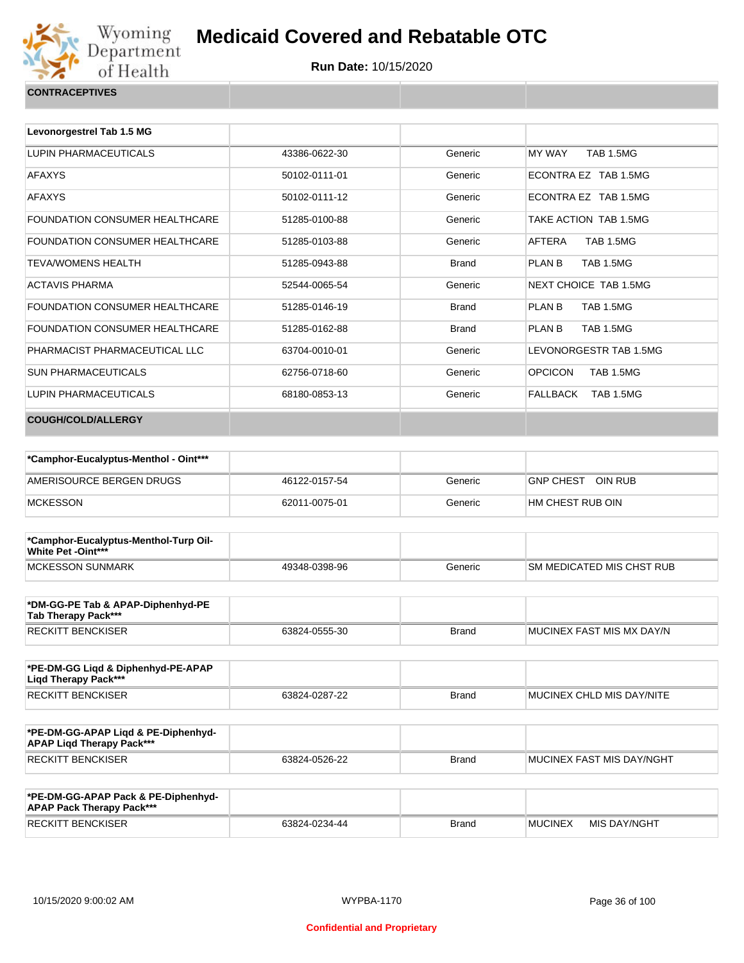

| Levonorgestrel Tab 1.5 MG             |               |              |                                       |
|---------------------------------------|---------------|--------------|---------------------------------------|
| LUPIN PHARMACEUTICALS                 | 43386-0622-30 | Generic      | <b>TAB 1.5MG</b><br>MY WAY            |
| <b>AFAXYS</b>                         | 50102-0111-01 | Generic      | ECONTRA EZ TAB 1.5MG                  |
| <b>AFAXYS</b>                         | 50102-0111-12 | Generic      | ECONTRA EZ TAB 1.5MG                  |
| FOUNDATION CONSUMER HEALTHCARE        | 51285-0100-88 | Generic      | TAKE ACTION TAB 1.5MG                 |
| FOUNDATION CONSUMER HEALTHCARE        | 51285-0103-88 | Generic      | AFTERA<br><b>TAB 1.5MG</b>            |
| <b>TEVA/WOMENS HEALTH</b>             | 51285-0943-88 | <b>Brand</b> | PLAN B<br><b>TAB 1.5MG</b>            |
| <b>ACTAVIS PHARMA</b>                 | 52544-0065-54 | Generic      | NEXT CHOICE TAB 1.5MG                 |
| <b>FOUNDATION CONSUMER HEALTHCARE</b> | 51285-0146-19 | <b>Brand</b> | PLAN <sub>B</sub><br><b>TAB 1.5MG</b> |
| <b>FOUNDATION CONSUMER HEALTHCARE</b> | 51285-0162-88 | <b>Brand</b> | PLAN B<br><b>TAB 1.5MG</b>            |
| PHARMACIST PHARMACEUTICAL LLC         | 63704-0010-01 | Generic      | LEVONORGESTR TAB 1.5MG                |
| <b>SUN PHARMACEUTICALS</b>            | 62756-0718-60 | Generic      | <b>OPCICON</b><br><b>TAB 1.5MG</b>    |
| LUPIN PHARMACEUTICALS                 | 68180-0853-13 | Generic      | FALLBACK<br><b>TAB 1.5MG</b>          |
| <b>COUGH/COLD/ALLERGY</b>             |               |              |                                       |

| *Camphor-Eucalyptus-Menthol - Oint*** |               |         |                             |
|---------------------------------------|---------------|---------|-----------------------------|
| AMERISOURCE BERGEN DRUGS              | 46122-0157-54 | Generic | OIN RUB<br><b>GNP CHEST</b> |
| <b>MCKESSON</b>                       | 62011-0075-01 | Generic | HM CHEST RUB OIN            |

| *Camphor-Eucalyptus-Menthol-Turp Oil-<br>White Pet -Oint*** |               |         |                           |
|-------------------------------------------------------------|---------------|---------|---------------------------|
| <b>IMCKESSON SUNMARK</b>                                    | 49348-0398-96 | Generic | SM MEDICATED MIS CHST RUB |

| *DM-GG-PE Tab & APAP-Diphenhyd-PE<br>Tab Therapy Pack*** |               |       |                            |
|----------------------------------------------------------|---------------|-------|----------------------------|
| <b>RECKITT BENCKISER</b>                                 | 63824-0555-30 | Brand | IMUCINEX FAST MIS MX DAY/N |

| *PE-DM-GG Ligd & Diphenhyd-PE-APAP<br>Ligd Therapy Pack*** |               |       |                                   |
|------------------------------------------------------------|---------------|-------|-----------------------------------|
| <b>RECKITT BENCKISER</b>                                   | 63824-0287-22 | Brand | <b>IMUCINEX CHLD MIS DAY/NITE</b> |

| *PE-DM-GG-APAP Ligd & PE-Diphenhyd-<br><b>APAP Ligd Therapy Pack***</b> |               |       |                                   |
|-------------------------------------------------------------------------|---------------|-------|-----------------------------------|
| <b>RECKITT BENCKISER</b>                                                | 63824-0526-22 | Brand | <b>IMUCINEX FAST MIS DAY/NGHT</b> |

| *PE-DM-GG-APAP Pack & PE-Diphenhyd-<br><b>APAP Pack Therapy Pack***</b> |               |       |                |              |
|-------------------------------------------------------------------------|---------------|-------|----------------|--------------|
| <b>RECKITT BENCKISER</b>                                                | 63824-0234-44 | Brand | <b>MUCINEX</b> | MIS DAY/NGHT |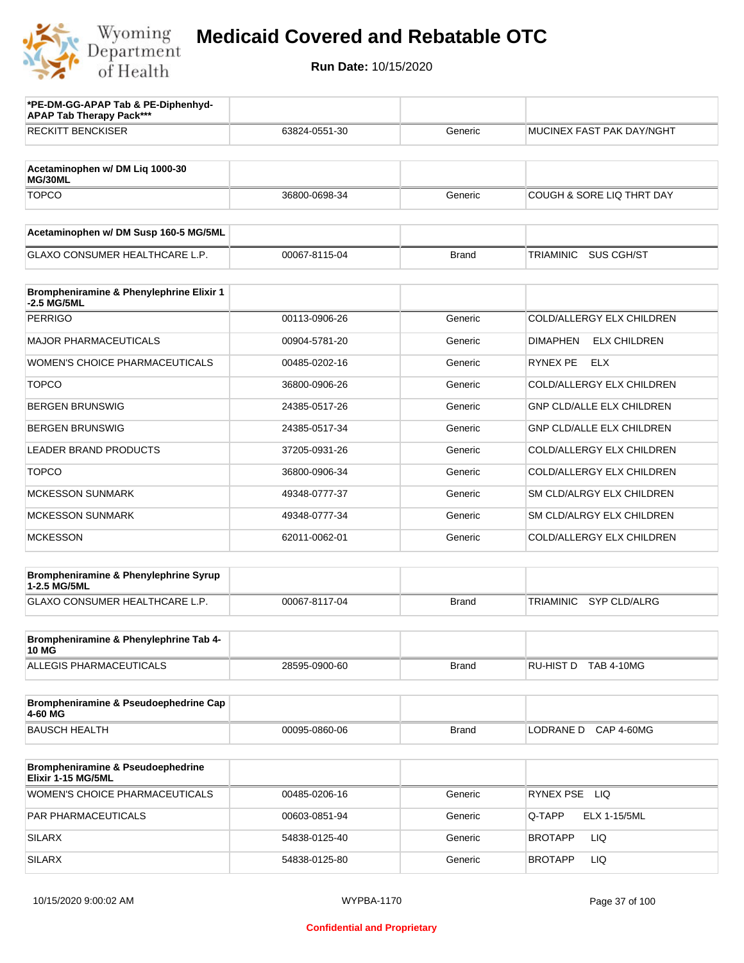

| *PE-DM-GG-APAP Tab & PE-Diphenhyd-<br><b>APAP Tab Therapy Pack***</b> |               |              |                                         |
|-----------------------------------------------------------------------|---------------|--------------|-----------------------------------------|
| <b>RECKITT BENCKISER</b>                                              | 63824-0551-30 | Generic      | MUCINEX FAST PAK DAY/NGHT               |
| Acetaminophen w/ DM Liq 1000-30<br>MG/30ML                            |               |              |                                         |
| <b>TOPCO</b>                                                          | 36800-0698-34 | Generic      | COUGH & SORE LIQ THRT DAY               |
|                                                                       |               |              |                                         |
| Acetaminophen w/ DM Susp 160-5 MG/5ML                                 |               |              |                                         |
| <b>GLAXO CONSUMER HEALTHCARE L.P.</b>                                 | 00067-8115-04 | <b>Brand</b> | TRIAMINIC<br>SUS CGH/ST                 |
| Brompheniramine & Phenylephrine Elixir 1<br>-2.5 MG/5ML               |               |              |                                         |
| <b>PERRIGO</b>                                                        | 00113-0906-26 | Generic      | COLD/ALLERGY ELX CHILDREN               |
| <b>MAJOR PHARMACEUTICALS</b>                                          | 00904-5781-20 | Generic      | <b>DIMAPHEN</b><br><b>ELX CHILDREN</b>  |
| <b>WOMEN'S CHOICE PHARMACEUTICALS</b>                                 | 00485-0202-16 | Generic      | RYNEX PE<br><b>ELX</b>                  |
| <b>TOPCO</b>                                                          | 36800-0906-26 | Generic      | COLD/ALLERGY ELX CHILDREN               |
| <b>BERGEN BRUNSWIG</b>                                                | 24385-0517-26 | Generic      | <b>GNP CLD/ALLE ELX CHILDREN</b>        |
| <b>BERGEN BRUNSWIG</b>                                                | 24385-0517-34 | Generic      | GNP CLD/ALLE ELX CHILDREN               |
| <b>LEADER BRAND PRODUCTS</b>                                          | 37205-0931-26 | Generic      | COLD/ALLERGY ELX CHILDREN               |
| <b>TOPCO</b>                                                          | 36800-0906-34 | Generic      | COLD/ALLERGY ELX CHILDREN               |
| <b>MCKESSON SUNMARK</b>                                               | 49348-0777-37 | Generic      | SM CLD/ALRGY ELX CHILDREN               |
| <b>MCKESSON SUNMARK</b>                                               | 49348-0777-34 | Generic      | SM CLD/ALRGY ELX CHILDREN               |
| <b>MCKESSON</b>                                                       | 62011-0062-01 | Generic      | COLD/ALLERGY ELX CHILDREN               |
| Brompheniramine & Phenylephrine Syrup                                 |               |              |                                         |
| 1-2.5 MG/5ML<br><b>GLAXO CONSUMER HEALTHCARE L.P.</b>                 | 00067-8117-04 | <b>Brand</b> | <b>SYP CLD/ALRG</b><br><b>TRIAMINIC</b> |
|                                                                       |               |              |                                         |
| Brompheniramine & Phenylephrine Tab 4-<br><b>10 MG</b>                |               |              |                                         |
| ALLEGIS PHARMACEUTICALS                                               | 28595-0900-60 | <b>Brand</b> | RU-HIST D TAB 4-10MG                    |
| Brompheniramine & Pseudoephedrine Cap<br>4-60 MG                      |               |              |                                         |
| <b>BAUSCH HEALTH</b>                                                  | 00095-0860-06 | <b>Brand</b> | LODRANE D CAP 4-60MG                    |
| <b>Brompheniramine &amp; Pseudoephedrine</b>                          |               |              |                                         |
| Elixir 1-15 MG/5ML                                                    |               |              |                                         |
| WOMEN'S CHOICE PHARMACEUTICALS                                        | 00485-0206-16 | Generic      | RYNEX PSE LIQ                           |
| PAR PHARMACEUTICALS                                                   | 00603-0851-94 | Generic      | Q-TAPP<br>ELX 1-15/5ML                  |
| <b>SILARX</b>                                                         | 54838-0125-40 | Generic      | LIQ<br>BROTAPP                          |
| <b>SILARX</b>                                                         | 54838-0125-80 | Generic      | LIQ<br><b>BROTAPP</b>                   |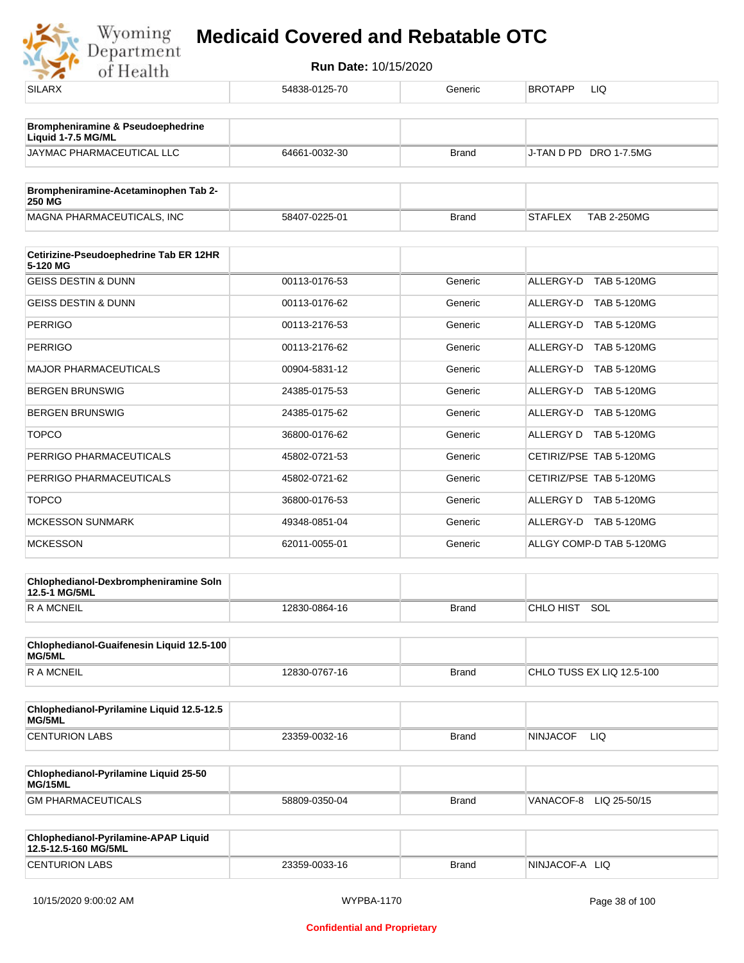

| <b>SILARX</b>                                                | 54838-0125-70 | Generic      | LIQ<br><b>BROTAPP</b>                |
|--------------------------------------------------------------|---------------|--------------|--------------------------------------|
| Brompheniramine & Pseudoephedrine<br>Liquid 1-7.5 MG/ML      |               |              |                                      |
| JAYMAC PHARMACEUTICAL LLC                                    | 64661-0032-30 | <b>Brand</b> | J-TAN D PD DRO 1-7.5MG               |
| Brompheniramine-Acetaminophen Tab 2-<br><b>250 MG</b>        |               |              |                                      |
| MAGNA PHARMACEUTICALS, INC                                   | 58407-0225-01 | <b>Brand</b> | <b>STAFLEX</b><br><b>TAB 2-250MG</b> |
| Cetirizine-Pseudoephedrine Tab ER 12HR<br>5-120 MG           |               |              |                                      |
| <b>GEISS DESTIN &amp; DUNN</b>                               | 00113-0176-53 | Generic      | ALLERGY-D TAB 5-120MG                |
| <b>GEISS DESTIN &amp; DUNN</b>                               | 00113-0176-62 | Generic      | ALLERGY-D TAB 5-120MG                |
| <b>PERRIGO</b>                                               | 00113-2176-53 | Generic      | ALLERGY-D TAB 5-120MG                |
| <b>PERRIGO</b>                                               | 00113-2176-62 | Generic      | ALLERGY-D TAB 5-120MG                |
| <b>MAJOR PHARMACEUTICALS</b>                                 | 00904-5831-12 | Generic      | ALLERGY-D TAB 5-120MG                |
| <b>BERGEN BRUNSWIG</b>                                       | 24385-0175-53 | Generic      | ALLERGY-D TAB 5-120MG                |
| <b>BERGEN BRUNSWIG</b>                                       | 24385-0175-62 | Generic      | ALLERGY-D TAB 5-120MG                |
| <b>TOPCO</b>                                                 | 36800-0176-62 | Generic      | ALLERGY D TAB 5-120MG                |
| PERRIGO PHARMACEUTICALS                                      | 45802-0721-53 | Generic      | CETIRIZ/PSE TAB 5-120MG              |
| PERRIGO PHARMACEUTICALS                                      | 45802-0721-62 | Generic      | CETIRIZ/PSE TAB 5-120MG              |
| <b>TOPCO</b>                                                 | 36800-0176-53 | Generic      | ALLERGY D TAB 5-120MG                |
| <b>MCKESSON SUNMARK</b>                                      | 49348-0851-04 | Generic      | ALLERGY-D TAB 5-120MG                |
| <b>MCKESSON</b>                                              | 62011-0055-01 | Generic      | ALLGY COMP-D TAB 5-120MG             |
| Chlophedianol-Dexbrompheniramine Soln<br>12.5-1 MG/5ML       |               |              |                                      |
| <b>RAMCNEIL</b>                                              | 12830-0864-16 | <b>Brand</b> | CHLO HIST SOL                        |
| Chlophedianol-Guaifenesin Liquid 12.5-100<br>MG/5ML          |               |              |                                      |
| <b>RAMCNEIL</b>                                              | 12830-0767-16 | <b>Brand</b> | CHLO TUSS EX LIQ 12.5-100            |
| Chlophedianol-Pyrilamine Liquid 12.5-12.5<br>MG/5ML          |               |              |                                      |
| <b>CENTURION LABS</b>                                        | 23359-0032-16 | <b>Brand</b> | <b>NINJACOF</b><br>LIQ.              |
| Chlophedianol-Pyrilamine Liquid 25-50<br>MG/15ML             |               |              |                                      |
| <b>GM PHARMACEUTICALS</b>                                    | 58809-0350-04 | <b>Brand</b> | VANACOF-8<br>LIQ 25-50/15            |
| Chlophedianol-Pyrilamine-APAP Liquid<br>12.5-12.5-160 MG/5ML |               |              |                                      |
| <b>CENTURION LABS</b>                                        | 23359-0033-16 | <b>Brand</b> | NINJACOF-A LIQ                       |
|                                                              |               |              |                                      |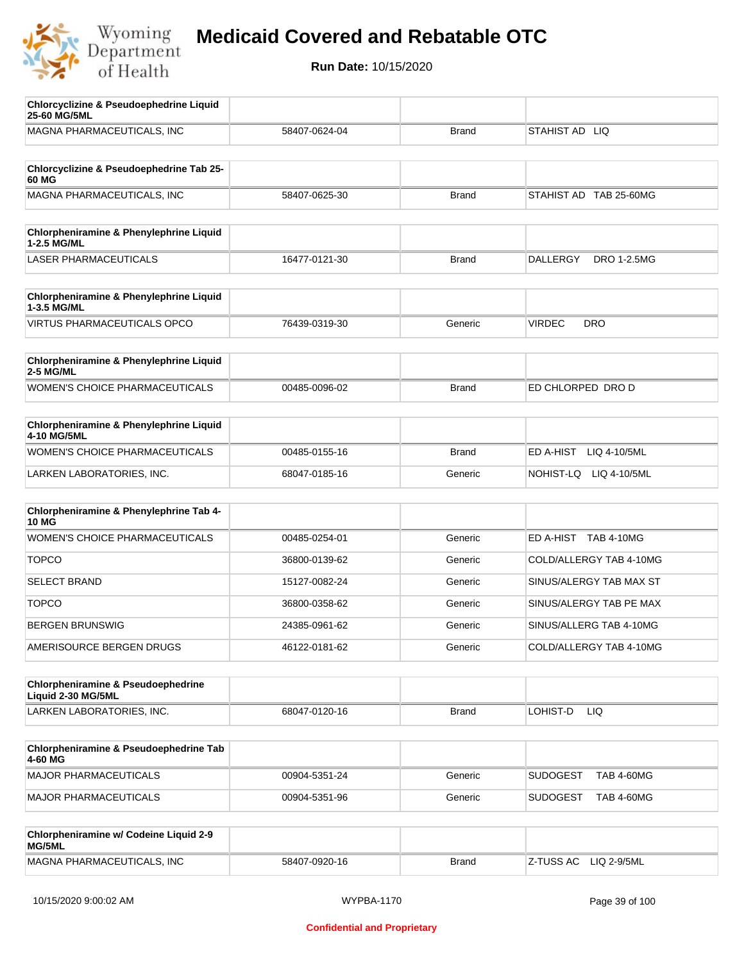

| <b>Chlorcyclizine &amp; Pseudoephedrine Liquid</b><br>25-60 MG/5ML |               |              |                                       |
|--------------------------------------------------------------------|---------------|--------------|---------------------------------------|
| MAGNA PHARMACEUTICALS, INC                                         | 58407-0624-04 | <b>Brand</b> | STAHIST AD LIQ                        |
| Chlorcyclizine & Pseudoephedrine Tab 25-                           |               |              |                                       |
| 60 MG                                                              |               |              |                                       |
| MAGNA PHARMACEUTICALS, INC                                         | 58407-0625-30 | <b>Brand</b> | STAHIST AD TAB 25-60MG                |
| Chlorpheniramine & Phenylephrine Liquid<br>1-2.5 MG/ML             |               |              |                                       |
| <b>LASER PHARMACEUTICALS</b>                                       | 16477-0121-30 | <b>Brand</b> | <b>DALLERGY</b><br><b>DRO 1-2.5MG</b> |
| Chlorpheniramine & Phenylephrine Liquid<br>1-3.5 MG/ML             |               |              |                                       |
| <b>VIRTUS PHARMACEUTICALS OPCO</b>                                 | 76439-0319-30 | Generic      | <b>VIRDEC</b><br><b>DRO</b>           |
| Chlorpheniramine & Phenylephrine Liquid<br>2-5 MG/ML               |               |              |                                       |
| <b>WOMEN'S CHOICE PHARMACEUTICALS</b>                              | 00485-0096-02 | <b>Brand</b> | ED CHLORPED DRO D                     |
| <b>Chlorpheniramine &amp; Phenylephrine Liquid</b><br>4-10 MG/5ML  |               |              |                                       |
| WOMEN'S CHOICE PHARMACEUTICALS                                     | 00485-0155-16 | <b>Brand</b> | ED A-HIST<br>LIQ 4-10/5ML             |
| LARKEN LABORATORIES, INC.                                          | 68047-0185-16 | Generic      | NOHIST-LQ LIQ 4-10/5ML                |
| Chlorpheniramine & Phenylephrine Tab 4-<br><b>10 MG</b>            |               |              |                                       |
| WOMEN'S CHOICE PHARMACEUTICALS                                     | 00485-0254-01 | Generic      | ED A-HIST TAB 4-10MG                  |
| <b>TOPCO</b>                                                       | 36800-0139-62 | Generic      | COLD/ALLERGY TAB 4-10MG               |
| <b>SELECT BRAND</b>                                                | 15127-0082-24 | Generic      | SINUS/ALERGY TAB MAX ST               |
| <b>TOPCO</b>                                                       | 36800-0358-62 | Generic      | SINUS/ALERGY TAB PE MAX               |
| <b>BERGEN BRUNSWIG</b>                                             | 24385-0961-62 | Generic      | SINUS/ALLERG TAB 4-10MG               |
| AMERISOURCE BERGEN DRUGS                                           | 46122-0181-62 | Generic      | COLD/ALLERGY TAB 4-10MG               |
| Chlorpheniramine & Pseudoephedrine                                 |               |              |                                       |
| Liquid 2-30 MG/5ML<br>LARKEN LABORATORIES, INC.                    | 68047-0120-16 | <b>Brand</b> | LOHIST-D<br>LIQ                       |
|                                                                    |               |              |                                       |
| Chlorpheniramine & Pseudoephedrine Tab<br>4-60 MG                  |               |              |                                       |
| <b>MAJOR PHARMACEUTICALS</b>                                       | 00904-5351-24 | Generic      | <b>SUDOGEST</b><br><b>TAB 4-60MG</b>  |
| <b>MAJOR PHARMACEUTICALS</b>                                       | 00904-5351-96 | Generic      | SUDOGEST<br><b>TAB 4-60MG</b>         |
| Chlorpheniramine w/ Codeine Liquid 2-9<br>MG/5ML                   |               |              |                                       |
| MAGNA PHARMACEUTICALS, INC                                         | 58407-0920-16 | <b>Brand</b> | LIQ 2-9/5ML<br>Z-TUSS AC              |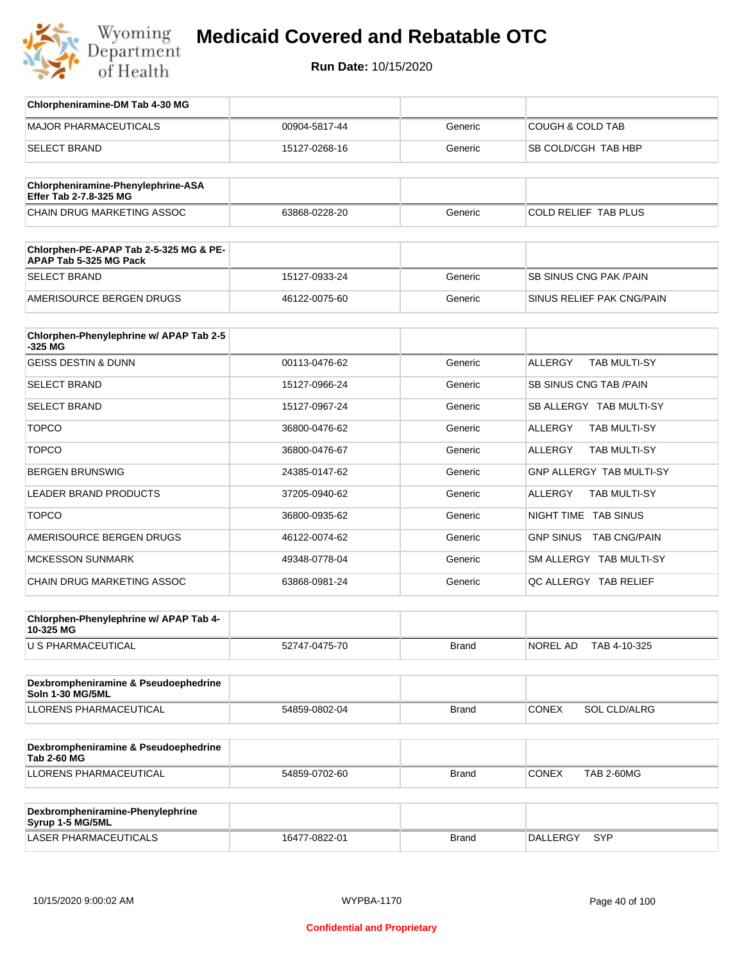

| Chlorpheniramine-DM Tab 4-30 MG                                  |               |              |                                       |
|------------------------------------------------------------------|---------------|--------------|---------------------------------------|
| <b>MAJOR PHARMACEUTICALS</b>                                     | 00904-5817-44 | Generic      | COUGH & COLD TAB                      |
| <b>SELECT BRAND</b>                                              | 15127-0268-16 | Generic      | SB COLD/CGH TAB HBP                   |
|                                                                  |               |              |                                       |
| Chlorpheniramine-Phenylephrine-ASA<br>Effer Tab 2-7.8-325 MG     |               |              |                                       |
| <b>CHAIN DRUG MARKETING ASSOC</b>                                | 63868-0228-20 | Generic      | COLD RELIEF TAB PLUS                  |
| Chlorphen-PE-APAP Tab 2-5-325 MG & PE-<br>APAP Tab 5-325 MG Pack |               |              |                                       |
| <b>SELECT BRAND</b>                                              | 15127-0933-24 | Generic      | <b>SB SINUS CNG PAK/PAIN</b>          |
| AMERISOURCE BERGEN DRUGS                                         | 46122-0075-60 | Generic      | SINUS RELIEF PAK CNG/PAIN             |
| Chlorphen-Phenylephrine w/ APAP Tab 2-5                          |               |              |                                       |
| -325 MG<br><b>GEISS DESTIN &amp; DUNN</b>                        | 00113-0476-62 | Generic      | <b>ALLERGY</b><br><b>TAB MULTI-SY</b> |
|                                                                  |               |              |                                       |
| <b>SELECT BRAND</b>                                              | 15127-0966-24 | Generic      | SB SINUS CNG TAB / PAIN               |
| <b>SELECT BRAND</b>                                              | 15127-0967-24 | Generic      | SB ALLERGY TAB MULTI-SY               |
| <b>TOPCO</b>                                                     | 36800-0476-62 | Generic      | <b>ALLERGY</b><br>TAB MULTI-SY        |
| <b>TOPCO</b>                                                     | 36800-0476-67 | Generic      | TAB MULTI-SY<br>ALLERGY               |
| <b>BERGEN BRUNSWIG</b>                                           | 24385-0147-62 | Generic      | GNP ALLERGY TAB MULTI-SY              |
| LEADER BRAND PRODUCTS                                            | 37205-0940-62 | Generic      | <b>TAB MULTI-SY</b><br>ALLERGY        |
| <b>TOPCO</b>                                                     | 36800-0935-62 | Generic      | NIGHT TIME TAB SINUS                  |
| AMERISOURCE BERGEN DRUGS                                         | 46122-0074-62 | Generic      | <b>GNP SINUS</b><br>TAB CNG/PAIN      |
| <b>MCKESSON SUNMARK</b>                                          | 49348-0778-04 | Generic      | SM ALLERGY TAB MULTI-SY               |
| CHAIN DRUG MARKETING ASSOC                                       | 63868-0981-24 | Generic      | QC ALLERGY TAB RELIEF                 |
| Chlorphen-Phenylephrine w/ APAP Tab 4-                           |               |              |                                       |
| 10-325 MG                                                        |               |              | NOREL AD                              |
| U S PHARMACEUTICAL                                               | 52747-0475-70 | <b>Brand</b> | TAB 4-10-325                          |
| Dexbrompheniramine & Pseudoephedrine<br><b>Soln 1-30 MG/5ML</b>  |               |              |                                       |
| LLORENS PHARMACEUTICAL                                           | 54859-0802-04 | <b>Brand</b> | <b>CONEX</b><br><b>SOL CLD/ALRG</b>   |
| Dexbrompheniramine & Pseudoephedrine<br><b>Tab 2-60 MG</b>       |               |              |                                       |
| LLORENS PHARMACEUTICAL                                           | 54859-0702-60 | Brand        | <b>CONEX</b><br><b>TAB 2-60MG</b>     |
|                                                                  |               |              |                                       |
| Dexbrompheniramine-Phenylephrine<br>Syrup 1-5 MG/5ML             |               |              |                                       |
| LASER PHARMACEUTICALS                                            | 16477-0822-01 | <b>Brand</b> | DALLERGY SYP                          |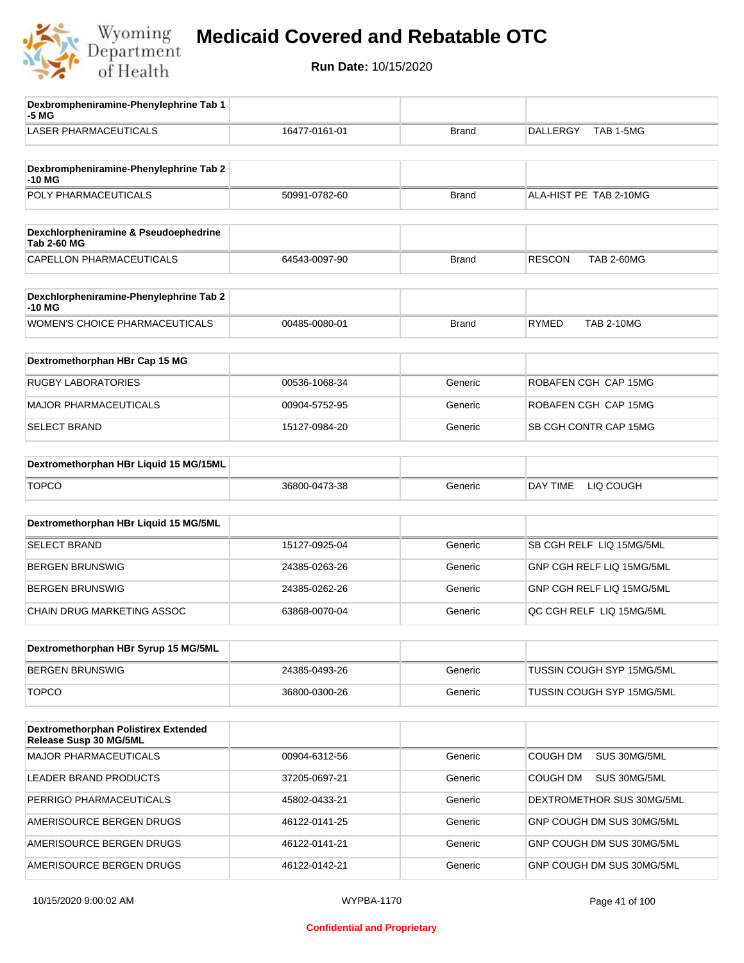

| Dexbrompheniramine-Phenylephrine Tab 1<br>-5 MG                       |               |              |                                    |
|-----------------------------------------------------------------------|---------------|--------------|------------------------------------|
| <b>LASER PHARMACEUTICALS</b>                                          | 16477-0161-01 | <b>Brand</b> | <b>DALLERGY</b><br>TAB 1-5MG       |
| Dexbrompheniramine-Phenylephrine Tab 2<br>-10 MG                      |               |              |                                    |
| POLY PHARMACEUTICALS                                                  | 50991-0782-60 | <b>Brand</b> | ALA-HIST PE TAB 2-10MG             |
|                                                                       |               |              |                                    |
| Dexchlorpheniramine & Pseudoephedrine<br><b>Tab 2-60 MG</b>           |               |              |                                    |
| CAPELLON PHARMACEUTICALS                                              | 64543-0097-90 | <b>Brand</b> | <b>TAB 2-60MG</b><br><b>RESCON</b> |
| Dexchlorpheniramine-Phenylephrine Tab 2<br>-10 MG                     |               |              |                                    |
| WOMEN'S CHOICE PHARMACEUTICALS                                        | 00485-0080-01 | <b>Brand</b> | <b>TAB 2-10MG</b><br><b>RYMED</b>  |
| Dextromethorphan HBr Cap 15 MG                                        |               |              |                                    |
| <b>RUGBY LABORATORIES</b>                                             | 00536-1068-34 | Generic      | ROBAFEN CGH CAP 15MG               |
| <b>MAJOR PHARMACEUTICALS</b>                                          | 00904-5752-95 | Generic      | ROBAFEN CGH CAP 15MG               |
| <b>SELECT BRAND</b>                                                   | 15127-0984-20 | Generic      | SB CGH CONTR CAP 15MG              |
| Dextromethorphan HBr Liquid 15 MG/15ML                                |               |              |                                    |
| <b>TOPCO</b>                                                          | 36800-0473-38 | Generic      | DAY TIME<br>LIQ COUGH              |
| Dextromethorphan HBr Liquid 15 MG/5ML                                 |               |              |                                    |
| <b>SELECT BRAND</b>                                                   | 15127-0925-04 | Generic      | SB CGH RELF LIQ 15MG/5ML           |
| <b>BERGEN BRUNSWIG</b>                                                | 24385-0263-26 | Generic      | GNP CGH RELF LIQ 15MG/5ML          |
| <b>BERGEN BRUNSWIG</b>                                                | 24385-0262-26 | Generic      | GNP CGH RELF LIQ 15MG/5ML          |
| CHAIN DRUG MARKETING ASSOC                                            | 63868-0070-04 | Generic      | QC CGH RELF LIQ 15MG/5ML           |
| Dextromethorphan HBr Syrup 15 MG/5ML                                  |               |              |                                    |
| <b>BERGEN BRUNSWIG</b>                                                | 24385-0493-26 | Generic      | <b>TUSSIN COUGH SYP 15MG/5ML</b>   |
| <b>TOPCO</b>                                                          | 36800-0300-26 | Generic      | TUSSIN COUGH SYP 15MG/5ML          |
|                                                                       |               |              |                                    |
| <b>Dextromethorphan Polistirex Extended</b><br>Release Susp 30 MG/5ML |               |              |                                    |
| MAJOR PHARMACEUTICALS                                                 | 00904-6312-56 | Generic      | COUGH DM<br>SUS 30MG/5ML           |
| <b>LEADER BRAND PRODUCTS</b>                                          | 37205-0697-21 | Generic      | COUGH DM<br>SUS 30MG/5ML           |
| PERRIGO PHARMACEUTICALS                                               | 45802-0433-21 | Generic      | DEXTROMETHOR SUS 30MG/5ML          |
| AMERISOURCE BERGEN DRUGS                                              | 46122-0141-25 | Generic      | GNP COUGH DM SUS 30MG/5ML          |
| AMERISOURCE BERGEN DRUGS                                              | 46122-0141-21 | Generic      | GNP COUGH DM SUS 30MG/5ML          |
| AMERISOURCE BERGEN DRUGS                                              | 46122-0142-21 | Generic      | GNP COUGH DM SUS 30MG/5ML          |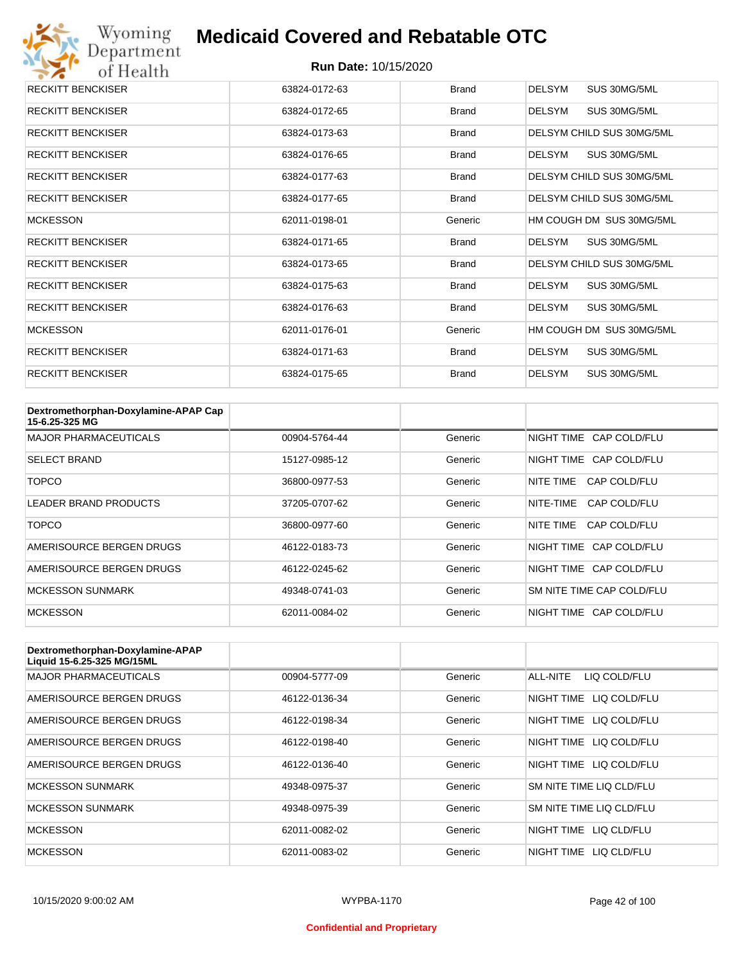

| <b>RECKITT BENCKISER</b> | 63824-0172-63 | <b>Brand</b> | <b>DELSYM</b><br>SUS 30MG/5ML |
|--------------------------|---------------|--------------|-------------------------------|
| <b>RECKITT BENCKISER</b> | 63824-0172-65 | <b>Brand</b> | SUS 30MG/5ML<br><b>DELSYM</b> |
| <b>RECKITT BENCKISER</b> | 63824-0173-63 | <b>Brand</b> | DELSYM CHILD SUS 30MG/5ML     |
| <b>RECKITT BENCKISER</b> | 63824-0176-65 | <b>Brand</b> | SUS 30MG/5ML<br>DELSYM        |
| <b>RECKITT BENCKISER</b> | 63824-0177-63 | <b>Brand</b> | DELSYM CHILD SUS 30MG/5ML     |
| <b>RECKITT BENCKISER</b> | 63824-0177-65 | Brand        | DELSYM CHILD SUS 30MG/5ML     |
| <b>MCKESSON</b>          | 62011-0198-01 | Generic      | HM COUGH DM SUS 30MG/5ML      |
| <b>RECKITT BENCKISER</b> | 63824-0171-65 | <b>Brand</b> | SUS 30MG/5ML<br>DELSYM        |
| <b>RECKITT BENCKISER</b> | 63824-0173-65 | <b>Brand</b> | DELSYM CHILD SUS 30MG/5ML     |
| <b>RECKITT BENCKISER</b> | 63824-0175-63 | <b>Brand</b> | <b>DELSYM</b><br>SUS 30MG/5ML |
| <b>RECKITT BENCKISER</b> | 63824-0176-63 | <b>Brand</b> | SUS 30MG/5ML<br><b>DELSYM</b> |
| <b>MCKESSON</b>          | 62011-0176-01 | Generic      | HM COUGH DM SUS 30MG/5ML      |
| <b>RECKITT BENCKISER</b> | 63824-0171-63 | <b>Brand</b> | <b>DELSYM</b><br>SUS 30MG/5ML |
| <b>RECKITT BENCKISER</b> | 63824-0175-65 | <b>Brand</b> | <b>DELSYM</b><br>SUS 30MG/5ML |

| Dextromethorphan-Doxylamine-APAP Cap<br>15-6.25-325 MG |               |         |                           |
|--------------------------------------------------------|---------------|---------|---------------------------|
| <b>MAJOR PHARMACEUTICALS</b>                           | 00904-5764-44 | Generic | NIGHT TIME CAP COLD/FLU   |
| <b>SELECT BRAND</b>                                    | 15127-0985-12 | Generic | NIGHT TIME CAP COLD/FLU   |
| TOPCO                                                  | 36800-0977-53 | Generic | NITE TIME<br>CAP COLD/FLU |
| LEADER BRAND PRODUCTS                                  | 37205-0707-62 | Generic | NITE-TIME<br>CAP COLD/FLU |
| <b>TOPCO</b>                                           | 36800-0977-60 | Generic | NITE TIME<br>CAP COLD/FLU |
| AMERISOURCE BERGEN DRUGS                               | 46122-0183-73 | Generic | NIGHT TIME CAP COLD/FLU   |
| AMERISOURCE BERGEN DRUGS                               | 46122-0245-62 | Generic | NIGHT TIME CAP COLD/FLU   |
| <b>MCKESSON SUNMARK</b>                                | 49348-0741-03 | Generic | SM NITE TIME CAP COLD/FLU |
| <b>MCKESSON</b>                                        | 62011-0084-02 | Generic | NIGHT TIME CAP COLD/FLU   |

| Dextromethorphan-Doxylamine-APAP<br>Liquid 15-6.25-325 MG/15ML |               |         |                            |
|----------------------------------------------------------------|---------------|---------|----------------------------|
| <b>MAJOR PHARMACEUTICALS</b>                                   | 00904-5777-09 | Generic | ALL-NITE<br>LIQ COLD/FLU   |
| AMERISOURCE BERGEN DRUGS                                       | 46122-0136-34 | Generic | LIQ COLD/FLU<br>NIGHT TIME |
| AMERISOURCE BERGEN DRUGS                                       | 46122-0198-34 | Generic | NIGHT TIME<br>LIQ COLD/FLU |
| AMERISOURCE BERGEN DRUGS                                       | 46122-0198-40 | Generic | NIGHT TIME<br>LIQ COLD/FLU |
| AMERISOURCE BERGEN DRUGS                                       | 46122-0136-40 | Generic | NIGHT TIME LIQ COLD/FLU    |
| <b>MCKESSON SUNMARK</b>                                        | 49348-0975-37 | Generic | SM NITE TIME LIQ CLD/FLU   |
| <b>MCKESSON SUNMARK</b>                                        | 49348-0975-39 | Generic | SM NITE TIME LIQ CLD/FLU   |
| <b>MCKESSON</b>                                                | 62011-0082-02 | Generic | NIGHT TIME LIQ CLD/FLU     |
| <b>MCKESSON</b>                                                | 62011-0083-02 | Generic | NIGHT TIME<br>LIO CLD/FLU  |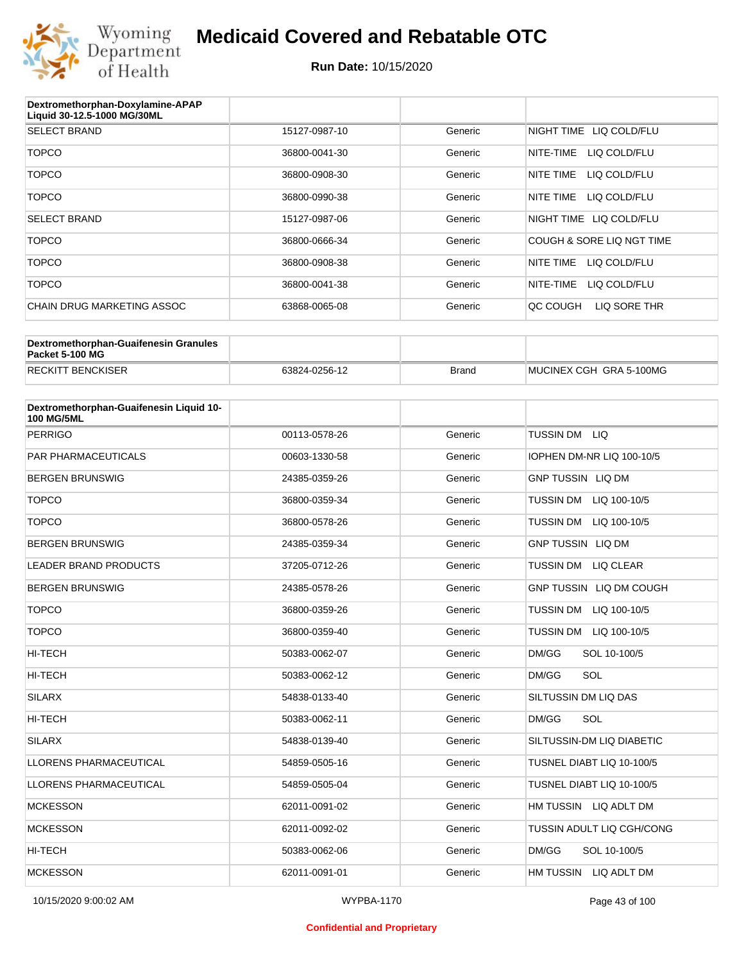

| Dextromethorphan-Doxylamine-APAP<br>Liquid 30-12.5-1000 MG/30ML |               |         |                            |
|-----------------------------------------------------------------|---------------|---------|----------------------------|
| <b>SELECT BRAND</b>                                             | 15127-0987-10 | Generic | NIGHT TIME<br>LIQ COLD/FLU |
| <b>TOPCO</b>                                                    | 36800-0041-30 | Generic | LIQ COLD/FLU<br>NITE-TIME  |
| <b>TOPCO</b>                                                    | 36800-0908-30 | Generic | LIQ COLD/FLU<br>NITE TIME  |
| <b>TOPCO</b>                                                    | 36800-0990-38 | Generic | NITE TIME<br>LIQ COLD/FLU  |
| <b>SELECT BRAND</b>                                             | 15127-0987-06 | Generic | NIGHT TIME LIQ COLD/FLU    |
| <b>TOPCO</b>                                                    | 36800-0666-34 | Generic | COUGH & SORE LIQ NGT TIME  |
| <b>TOPCO</b>                                                    | 36800-0908-38 | Generic | NITE TIME<br>LIQ COLD/FLU  |
| <b>TOPCO</b>                                                    | 36800-0041-38 | Generic | NITE-TIME<br>LIQ COLD/FLU  |
| <b>CHAIN DRUG MARKETING ASSOC</b>                               | 63868-0065-08 | Generic | QC COUGH<br>LIQ SORE THR   |
|                                                                 |               |         |                            |

| Dextromethorphan-Guaifenesin Granules<br>Packet 5-100 MG |               |       |                         |
|----------------------------------------------------------|---------------|-------|-------------------------|
| <b>RECKITT BENCKISER</b>                                 | 63824-0256-12 | Brand | MUCINEX CGH GRA 5-100MG |

| Dextromethorphan-Guaifenesin Liquid 10-<br><b>100 MG/5ML</b> |               |         |                                  |
|--------------------------------------------------------------|---------------|---------|----------------------------------|
| <b>PERRIGO</b>                                               | 00113-0578-26 | Generic | <b>TUSSIN DM</b><br><b>LIQ</b>   |
| <b>PAR PHARMACEUTICALS</b>                                   | 00603-1330-58 | Generic | IOPHEN DM-NR LIQ 100-10/5        |
| <b>BERGEN BRUNSWIG</b>                                       | 24385-0359-26 | Generic | <b>GNP TUSSIN LIQ DM</b>         |
| <b>TOPCO</b>                                                 | 36800-0359-34 | Generic | <b>TUSSIN DM</b><br>LIQ 100-10/5 |
| <b>TOPCO</b>                                                 | 36800-0578-26 | Generic | <b>TUSSIN DM</b><br>LIQ 100-10/5 |
| <b>BERGEN BRUNSWIG</b>                                       | 24385-0359-34 | Generic | <b>GNP TUSSIN LIQ DM</b>         |
| <b>LEADER BRAND PRODUCTS</b>                                 | 37205-0712-26 | Generic | <b>TUSSIN DM</b><br>LIQ CLEAR    |
| <b>BERGEN BRUNSWIG</b>                                       | 24385-0578-26 | Generic | GNP TUSSIN LIQ DM COUGH          |
| <b>TOPCO</b>                                                 | 36800-0359-26 | Generic | <b>TUSSIN DM</b><br>LIQ 100-10/5 |
| <b>TOPCO</b>                                                 | 36800-0359-40 | Generic | <b>TUSSIN DM</b><br>LIQ 100-10/5 |
| <b>HI-TECH</b>                                               | 50383-0062-07 | Generic | DM/GG<br>SOL 10-100/5            |
| <b>HI-TECH</b>                                               | 50383-0062-12 | Generic | SOL<br>DM/GG                     |
| <b>SILARX</b>                                                | 54838-0133-40 | Generic | SILTUSSIN DM LIQ DAS             |
| <b>HI-TECH</b>                                               | 50383-0062-11 | Generic | DM/GG<br>SOL                     |
| <b>SILARX</b>                                                | 54838-0139-40 | Generic | SILTUSSIN-DM LIQ DIABETIC        |
| <b>LLORENS PHARMACEUTICAL</b>                                | 54859-0505-16 | Generic | TUSNEL DIABT LIQ 10-100/5        |
| <b>LLORENS PHARMACEUTICAL</b>                                | 54859-0505-04 | Generic | TUSNEL DIABT LIQ 10-100/5        |
| <b>MCKESSON</b>                                              | 62011-0091-02 | Generic | HM TUSSIN LIQ ADLT DM            |
| <b>MCKESSON</b>                                              | 62011-0092-02 | Generic | TUSSIN ADULT LIQ CGH/CONG        |
| HI-TECH                                                      | 50383-0062-06 | Generic | DM/GG<br>SOL 10-100/5            |
| <b>MCKESSON</b>                                              | 62011-0091-01 | Generic | HM TUSSIN<br>LIQ ADLT DM         |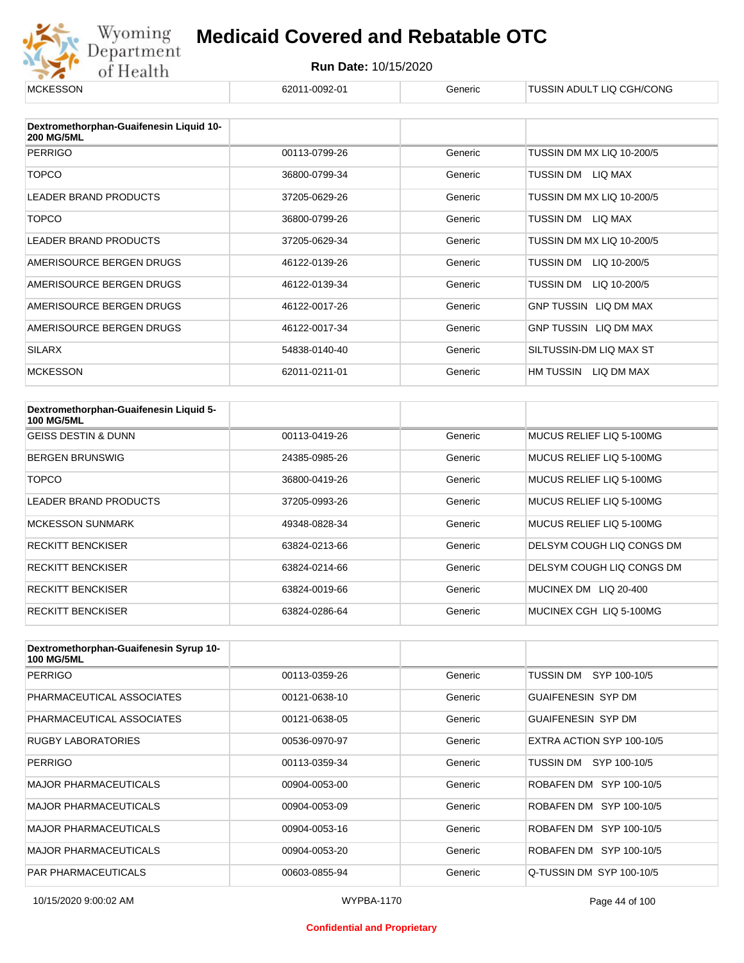

| <b>MCKESSON</b>                                              | 62011-0092-01 | Generic | TUSSIN ADULT LIQ CGH/CONG    |
|--------------------------------------------------------------|---------------|---------|------------------------------|
|                                                              |               |         |                              |
| Dextromethorphan-Guaifenesin Liquid 10-<br><b>200 MG/5ML</b> |               |         |                              |
| <b>PERRIGO</b>                                               | 00113-0799-26 | Generic | TUSSIN DM MX LIQ 10-200/5    |
| <b>TOPCO</b>                                                 | 36800-0799-34 | Generic | TUSSIN DM LIQ MAX            |
| <b>LEADER BRAND PRODUCTS</b>                                 | 37205-0629-26 | Generic | TUSSIN DM MX LIQ 10-200/5    |
| <b>TOPCO</b>                                                 | 36800-0799-26 | Generic | TUSSIN DM LIQ MAX            |
| <b>LEADER BRAND PRODUCTS</b>                                 | 37205-0629-34 | Generic | TUSSIN DM MX LIQ 10-200/5    |
| AMERISOURCE BERGEN DRUGS                                     | 46122-0139-26 | Generic | TUSSIN DM<br>LIQ 10-200/5    |
| AMERISOURCE BERGEN DRUGS                                     | 46122-0139-34 | Generic | TUSSIN DM<br>LIQ 10-200/5    |
| AMERISOURCE BERGEN DRUGS                                     | 46122-0017-26 | Generic | <b>GNP TUSSIN LIQ DM MAX</b> |
| AMERISOURCE BERGEN DRUGS                                     | 46122-0017-34 | Generic | GNP TUSSIN LIQ DM MAX        |
| <b>SILARX</b>                                                | 54838-0140-40 | Generic | SILTUSSIN-DM LIQ MAX ST      |
| <b>MCKESSON</b>                                              | 62011-0211-01 | Generic | HM TUSSIN LIQ DM MAX         |

| Dextromethorphan-Guaifenesin Liquid 5-<br><b>100 MG/5ML</b> |               |         |                                 |
|-------------------------------------------------------------|---------------|---------|---------------------------------|
| <b>GEISS DESTIN &amp; DUNN</b>                              | 00113-0419-26 | Generic | MUCUS RELIEF LIO 5-100MG        |
| <b>BERGEN BRUNSWIG</b>                                      | 24385-0985-26 | Generic | MUCUS RELIEF LIO 5-100MG        |
| TOPCO                                                       | 36800-0419-26 | Generic | MUCUS RELIEF LIO 5-100MG        |
| LEADER BRAND PRODUCTS                                       | 37205-0993-26 | Generic | MUCUS RELIEF LIO 5-100MG        |
| <b>MCKESSON SUNMARK</b>                                     | 49348-0828-34 | Generic | MUCUS RELIEF LIO 5-100MG        |
| <b>RECKITT BENCKISER</b>                                    | 63824-0213-66 | Generic | DELSYM COUGH LIQ CONGS DM       |
| <b>RECKITT BENCKISER</b>                                    | 63824-0214-66 | Generic | DELSYM COUGH LIQ CONGS DM       |
| <b>RECKITT BENCKISER</b>                                    | 63824-0019-66 | Generic | <b>MUCINEX DM</b><br>LIQ 20-400 |
| <b>RECKITT BENCKISER</b>                                    | 63824-0286-64 | Generic | MUCINEX CGH LIQ 5-100MG         |

| Dextromethorphan-Guaifenesin Syrup 10-<br><b>100 MG/5ML</b> |               |         |                           |
|-------------------------------------------------------------|---------------|---------|---------------------------|
| <b>PERRIGO</b>                                              | 00113-0359-26 | Generic | TUSSIN DM<br>SYP 100-10/5 |
| PHARMACEUTICAL ASSOCIATES                                   | 00121-0638-10 | Generic | <b>GUAIFENESIN SYP DM</b> |
| PHARMACEUTICAL ASSOCIATES                                   | 00121-0638-05 | Generic | <b>GUAIFENESIN SYP DM</b> |
| <b>RUGBY LABORATORIES</b>                                   | 00536-0970-97 | Generic | EXTRA ACTION SYP 100-10/5 |
| PERRIGO                                                     | 00113-0359-34 | Generic | TUSSIN DM SYP 100-10/5    |
| <b>MAJOR PHARMACEUTICALS</b>                                | 00904-0053-00 | Generic | ROBAFEN DM SYP 100-10/5   |
| <b>MAJOR PHARMACEUTICALS</b>                                | 00904-0053-09 | Generic | ROBAFEN DM SYP 100-10/5   |
| <b>MAJOR PHARMACEUTICALS</b>                                | 00904-0053-16 | Generic | ROBAFEN DM SYP 100-10/5   |
| <b>MAJOR PHARMACEUTICALS</b>                                | 00904-0053-20 | Generic | ROBAFEN DM SYP 100-10/5   |
| <b>PAR PHARMACEUTICALS</b>                                  | 00603-0855-94 | Generic | Q-TUSSIN DM SYP 100-10/5  |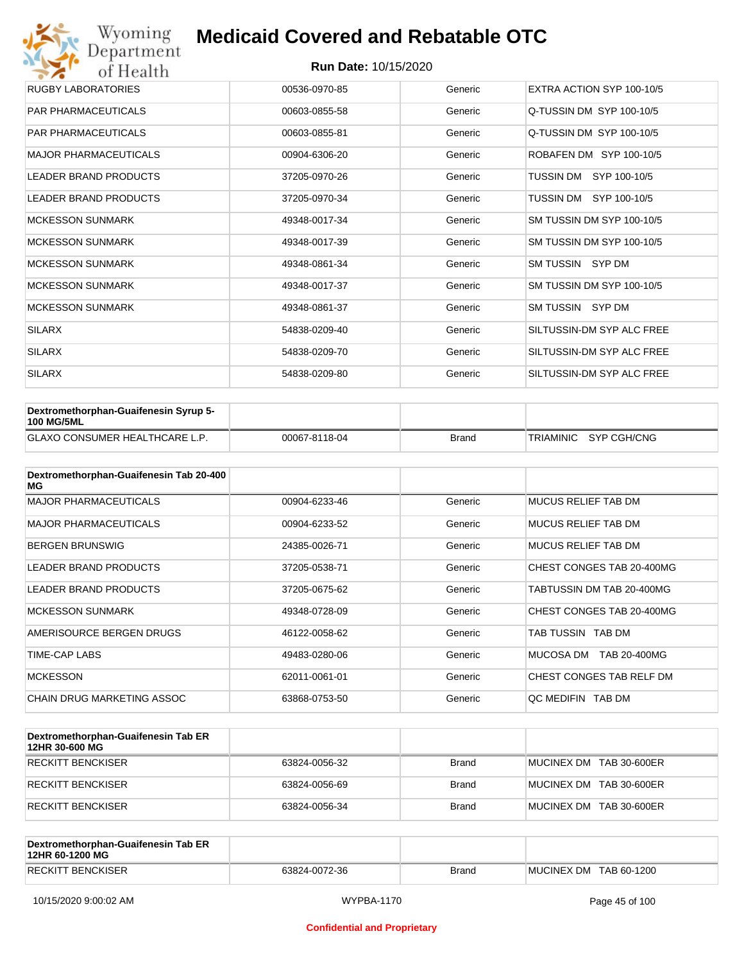| Wyoming<br>Department        | <b>Medicaid Covered and Rebatable OTC</b> |         |                           |  |  |  |
|------------------------------|-------------------------------------------|---------|---------------------------|--|--|--|
| of Health                    | <b>Run Date: 10/15/2020</b>               |         |                           |  |  |  |
| <b>RUGBY LABORATORIES</b>    | 00536-0970-85                             | Generic | EXTRA ACTION SYP 100-10/5 |  |  |  |
| <b>PAR PHARMACEUTICALS</b>   | 00603-0855-58                             | Generic | Q-TUSSIN DM SYP 100-10/5  |  |  |  |
| <b>PAR PHARMACEUTICALS</b>   | 00603-0855-81                             | Generic | Q-TUSSIN DM SYP 100-10/5  |  |  |  |
| <b>MAJOR PHARMACEUTICALS</b> | 00904-6306-20                             | Generic | ROBAFEN DM SYP 100-10/5   |  |  |  |
| <b>LEADER BRAND PRODUCTS</b> | 37205-0970-26                             | Generic | SYP 100-10/5<br>TUSSIN DM |  |  |  |
| <b>LEADER BRAND PRODUCTS</b> | 37205-0970-34                             | Generic | TUSSIN DM SYP 100-10/5    |  |  |  |
| <b>MCKESSON SUNMARK</b>      | 49348-0017-34                             | Generic | SM TUSSIN DM SYP 100-10/5 |  |  |  |
| <b>MCKESSON SUNMARK</b>      | 49348-0017-39                             | Generic | SM TUSSIN DM SYP 100-10/5 |  |  |  |
| <b>MCKESSON SUNMARK</b>      | 49348-0861-34                             | Generic | SM TUSSIN SYP DM          |  |  |  |
| <b>MCKESSON SUNMARK</b>      | 49348-0017-37                             | Generic | SM TUSSIN DM SYP 100-10/5 |  |  |  |
| <b>MCKESSON SUNMARK</b>      | 49348-0861-37                             | Generic | SM TUSSIN SYP DM          |  |  |  |
| <b>SILARX</b>                | 54838-0209-40                             | Generic | SILTUSSIN-DM SYP ALC FREE |  |  |  |
| <b>SILARX</b>                | 54838-0209-70                             | Generic | SILTUSSIN-DM SYP ALC FREE |  |  |  |
| <b>SILARX</b>                | 54838-0209-80                             | Generic | SILTUSSIN-DM SYP ALC FREE |  |  |  |

| Dextromethorphan-Guaifenesin Syrup 5-<br><b>100 MG/5ML</b> |               |       |                       |
|------------------------------------------------------------|---------------|-------|-----------------------|
| <b>GLAXO CONSUMER HEALTHCARE L.P.</b>                      | 00067-8118-04 | Brand | TRIAMINIC SYP CGH/CNG |

| Dextromethorphan-Guaifenesin Tab 20-400<br>MG |               |         |                            |
|-----------------------------------------------|---------------|---------|----------------------------|
| <b>MAJOR PHARMACEUTICALS</b>                  | 00904-6233-46 | Generic | <b>MUCUS RELIEF TAB DM</b> |
| <b>MAJOR PHARMACEUTICALS</b>                  | 00904-6233-52 | Generic | MUCUS RELIEF TAB DM        |
| <b>BERGEN BRUNSWIG</b>                        | 24385-0026-71 | Generic | <b>MUCUS RELIEF TAB DM</b> |
| LEADER BRAND PRODUCTS                         | 37205-0538-71 | Generic | CHEST CONGES TAB 20-400MG  |
| LEADER BRAND PRODUCTS                         | 37205-0675-62 | Generic | TABTUSSIN DM TAB 20-400MG  |
| <b>MCKESSON SUNMARK</b>                       | 49348-0728-09 | Generic | CHEST CONGES TAB 20-400MG  |
| AMERISOURCE BERGEN DRUGS                      | 46122-0058-62 | Generic | TAB TUSSIN TAB DM          |
| TIME-CAP LABS                                 | 49483-0280-06 | Generic | MUCOSA DM<br>TAB 20-400MG  |
| <b>MCKESSON</b>                               | 62011-0061-01 | Generic | CHEST CONGES TAB RELF DM   |
| CHAIN DRUG MARKETING ASSOC                    | 63868-0753-50 | Generic | OC MEDIFIN TAB DM          |

| Dextromethorphan-Guaifenesin Tab ER<br>12HR 30-600 MG |               |       |                         |
|-------------------------------------------------------|---------------|-------|-------------------------|
| RECKITT BENCKISER                                     | 63824-0056-32 | Brand | MUCINEX DM TAB 30-600ER |
| RECKITT BENCKISER                                     | 63824-0056-69 | Brand | MUCINEX DM TAB 30-600ER |
| RECKITT BENCKISER                                     | 63824-0056-34 | Brand | MUCINEX DM TAB 30-600ER |

| Dextromethorphan-Guaifenesin Tab ER<br>12HR 60-1200 MG |               |              |                        |
|--------------------------------------------------------|---------------|--------------|------------------------|
| <b>RECKITT BENCKISER</b>                               | 63824-0072-36 | <b>Brand</b> | MUCINEX DM TAB 60-1200 |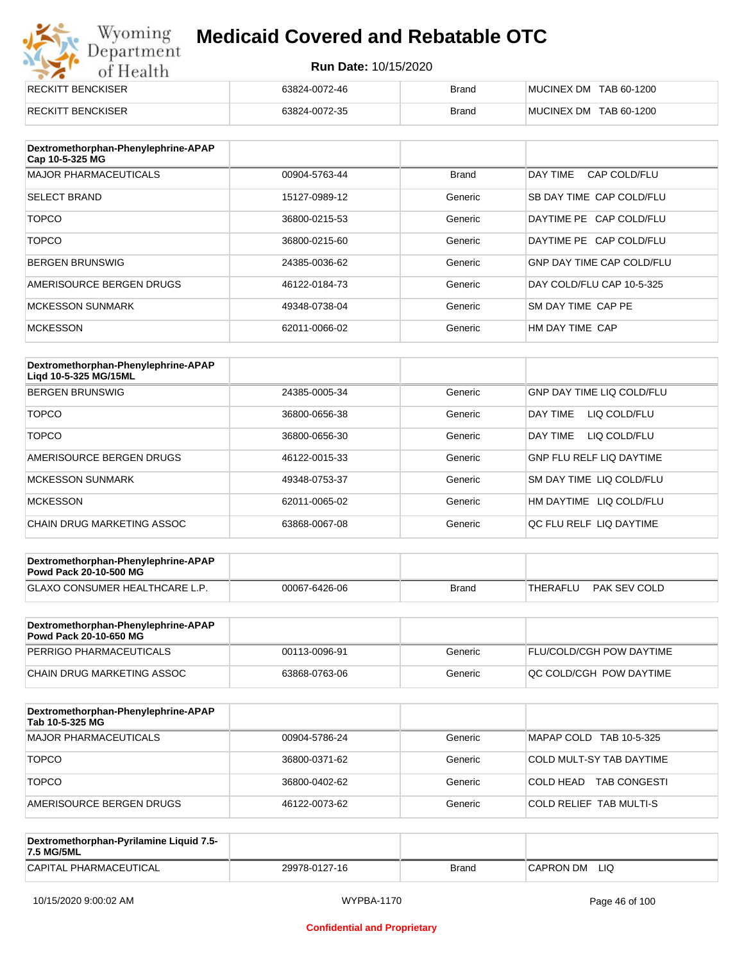| Wyoming<br><b>Medicaid Covered and Rebatable OTC</b><br>Department |                             |              |                        |  |
|--------------------------------------------------------------------|-----------------------------|--------------|------------------------|--|
| of Health                                                          | <b>Run Date: 10/15/2020</b> |              |                        |  |
| <b>RECKITT BENCKISER</b>                                           | 63824-0072-46               | Brand        | MUCINEX DM TAB 60-1200 |  |
| <b>RECKITT BENCKISER</b>                                           | 63824-0072-35               | <b>Brand</b> | MUCINEX DM TAB 60-1200 |  |

| Dextromethorphan-Phenylephrine-APAP<br>Cap 10-5-325 MG |               |              |                                  |
|--------------------------------------------------------|---------------|--------------|----------------------------------|
| <b>MAJOR PHARMACEUTICALS</b>                           | 00904-5763-44 | <b>Brand</b> | DAY TIME<br>CAP COLD/FLU         |
| <b>SELECT BRAND</b>                                    | 15127-0989-12 | Generic      | SB DAY TIME CAP COLD/FLU         |
| <b>TOPCO</b>                                           | 36800-0215-53 | Generic      | DAYTIME PE CAP COLD/FLU          |
| <b>TOPCO</b>                                           | 36800-0215-60 | Generic      | DAYTIME PE CAP COLD/FLU          |
| <b>BERGEN BRUNSWIG</b>                                 | 24385-0036-62 | Generic      | <b>GNP DAY TIME CAP COLD/FLU</b> |
| AMERISOURCE BERGEN DRUGS                               | 46122-0184-73 | Generic      | DAY COLD/FLU CAP 10-5-325        |
| <b>MCKESSON SUNMARK</b>                                | 49348-0738-04 | Generic      | SM DAY TIME CAP PE               |
| <b>MCKESSON</b>                                        | 62011-0066-02 | Generic      | HM DAY TIME CAP                  |

| Dextromethorphan-Phenylephrine-APAP<br>Ligd 10-5-325 MG/15ML |               |         |                                  |
|--------------------------------------------------------------|---------------|---------|----------------------------------|
| <b>BERGEN BRUNSWIG</b>                                       | 24385-0005-34 | Generic | <b>GNP DAY TIME LIQ COLD/FLU</b> |
| <b>TOPCO</b>                                                 | 36800-0656-38 | Generic | LIQ COLD/FLU<br>DAY TIMF         |
| <b>TOPCO</b>                                                 | 36800-0656-30 | Generic | DAY TIME<br>LIQ COLD/FLU         |
| AMERISOURCE BERGEN DRUGS                                     | 46122-0015-33 | Generic | <b>GNP FLU RELF LIQ DAYTIME</b>  |
| <b>MCKESSON SUNMARK</b>                                      | 49348-0753-37 | Generic | SM DAY TIME LIQ COLD/FLU         |
| <b>MCKESSON</b>                                              | 62011-0065-02 | Generic | LIQ COLD/FLU<br>HM DAYTIME       |
| CHAIN DRUG MARKETING ASSOC                                   | 63868-0067-08 | Generic | OC FLU RELF LIO DAYTIME          |

| Dextromethorphan-Phenylephrine-APAP<br><b>Powd Pack 20-10-500 MG</b> |               |              |          |              |
|----------------------------------------------------------------------|---------------|--------------|----------|--------------|
| <b>GLAXO CONSUMER HEALTHCARE L.P.</b>                                | 00067-6426-06 | <b>Brand</b> | THERAFLU | PAK SEV COLD |
|                                                                      |               |              |          |              |

| Dextromethorphan-Phenylephrine-APAP<br><b>Powd Pack 20-10-650 MG</b> |               |         |                                 |
|----------------------------------------------------------------------|---------------|---------|---------------------------------|
| PERRIGO PHARMACEUTICALS                                              | 00113-0096-91 | Generic | <b>FLU/COLD/CGH POW DAYTIME</b> |
| CHAIN DRUG MARKETING ASSOC                                           | 63868-0763-06 | Generic | <b>OC COLD/CGH POW DAYTIME</b>  |

| Dextromethorphan-Phenylephrine-APAP<br>Tab 10-5-325 MG |               |         |                                  |
|--------------------------------------------------------|---------------|---------|----------------------------------|
| MAJOR PHARMACEUTICALS                                  | 00904-5786-24 | Generic | MAPAP COLD TAB 10-5-325          |
| <b>TOPCO</b>                                           | 36800-0371-62 | Generic | COLD MULT-SY TAB DAYTIME         |
| <b>TOPCO</b>                                           | 36800-0402-62 | Generic | <b>TAB CONGESTI</b><br>COLD HEAD |
| AMERISOURCE BERGEN DRUGS                               | 46122-0073-62 | Generic | COLD RELIEF TAB MULTI-S          |

| Dextromethorphan-Pyrilamine Liquid 7.5-<br>7.5 MG/5ML |               |       |                   |
|-------------------------------------------------------|---------------|-------|-------------------|
| CAPITAL PHARMACEUTICAL                                | 29978-0127-16 | Brand | LIQ<br>'CAPRON DM |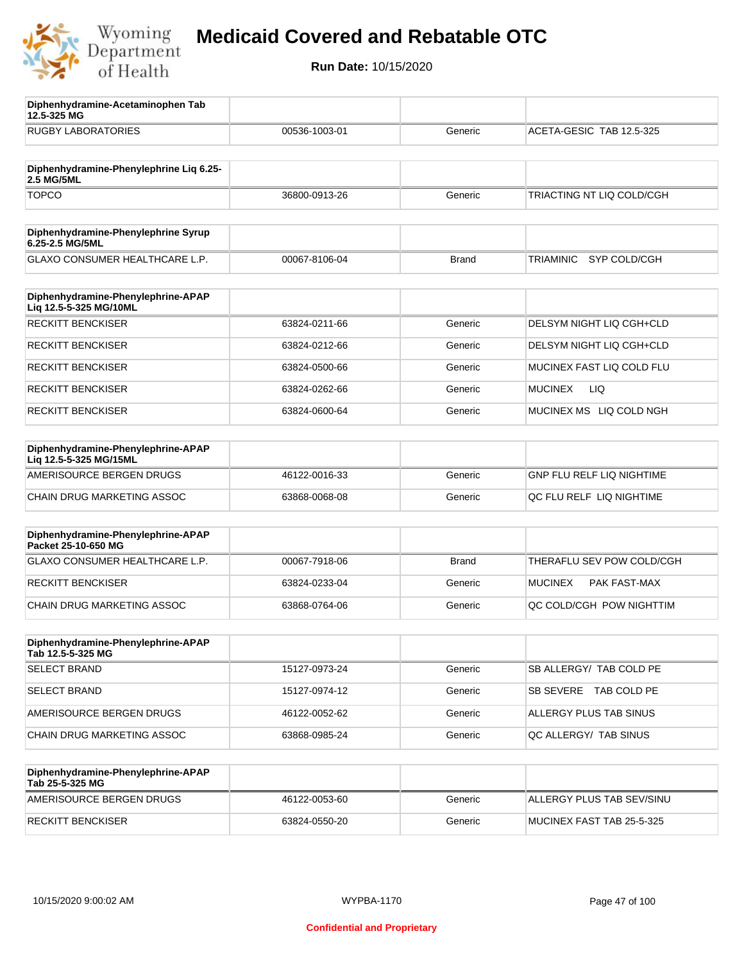

**12.5-325 MG**

**Diphenhydramine-Acetaminophen Tab** 

## **Medicaid Covered and Rebatable OTC**

| <b>RUGBY LABORATORIES</b>                                    | 00536-1003-01 | Generic      | ACETA-GESIC TAB 12.5-325         |
|--------------------------------------------------------------|---------------|--------------|----------------------------------|
| Diphenhydramine-Phenylephrine Liq 6.25-<br>2.5 MG/5ML        |               |              |                                  |
| <b>TOPCO</b>                                                 | 36800-0913-26 | Generic      | TRIACTING NT LIQ COLD/CGH        |
| Diphenhydramine-Phenylephrine Syrup<br>6.25-2.5 MG/5ML       |               |              |                                  |
| GLAXO CONSUMER HEALTHCARE L.P.                               | 00067-8106-04 | <b>Brand</b> | <b>TRIAMINIC</b><br>SYP COLD/CGH |
| Diphenhydramine-Phenylephrine-APAP<br>Liq 12.5-5-325 MG/10ML |               |              |                                  |
| <b>RECKITT BENCKISER</b>                                     | 63824-0211-66 | Generic      | DELSYM NIGHT LIQ CGH+CLD         |
| <b>RECKITT BENCKISER</b>                                     | 63824-0212-66 | Generic      | DELSYM NIGHT LIQ CGH+CLD         |
| <b>RECKITT BENCKISER</b>                                     | 63824-0500-66 | Generic      | MUCINEX FAST LIQ COLD FLU        |
| <b>RECKITT BENCKISER</b>                                     | 63824-0262-66 | Generic      | <b>LIQ</b><br><b>MUCINEX</b>     |
| <b>RECKITT BENCKISER</b>                                     | 63824-0600-64 | Generic      | MUCINEX MS LIQ COLD NGH          |
| Diphenhydramine-Phenylephrine-APAP<br>Liq 12.5-5-325 MG/15ML |               |              |                                  |
| AMERISOURCE BERGEN DRUGS                                     | 46122-0016-33 | Generic      | <b>GNP FLU RELF LIQ NIGHTIME</b> |
| CHAIN DRUG MARKETING ASSOC                                   | 63868-0068-08 | Generic      | QC FLU RELF LIQ NIGHTIME         |
| Diphenhydramine-Phenylephrine-APAP<br>Packet 25-10-650 MG    |               |              |                                  |
| GLAXO CONSUMER HEALTHCARE L.P.                               | 00067-7918-06 | <b>Brand</b> | THERAFLU SEV POW COLD/CGH        |
| <b>RECKITT BENCKISER</b>                                     | 63824-0233-04 | Generic      | <b>MUCINEX</b><br>PAK FAST-MAX   |
| CHAIN DRUG MARKETING ASSOC                                   | 63868-0764-06 | Generic      | QC COLD/CGH POW NIGHTTIM         |
| Diphenhydramine-Phenylephrine-APAP<br>Tab 12.5-5-325 MG      |               |              |                                  |
| <b>SELECT BRAND</b>                                          | 15127-0973-24 | Generic      | SB ALLERGY/ TAB COLD PE          |
| <b>SELECT BRAND</b>                                          | 15127-0974-12 | Generic      | SB SEVERE TAB COLD PE            |
| AMERISOURCE BERGEN DRUGS                                     | 46122-0052-62 | Generic      | ALLERGY PLUS TAB SINUS           |
| CHAIN DRUG MARKETING ASSOC                                   | 63868-0985-24 | Generic      | QC ALLERGY/ TAB SINUS            |
| Diphenhydramine-Phenylephrine-APAP<br>Tab 25-5-325 MG        |               |              |                                  |
| AMERISOURCE BERGEN DRUGS                                     | 46122-0053-60 | Generic      | ALLERGY PLUS TAB SEV/SINU        |
| <b>RECKITT BENCKISER</b>                                     | 63824-0550-20 | Generic      | MUCINEX FAST TAB 25-5-325        |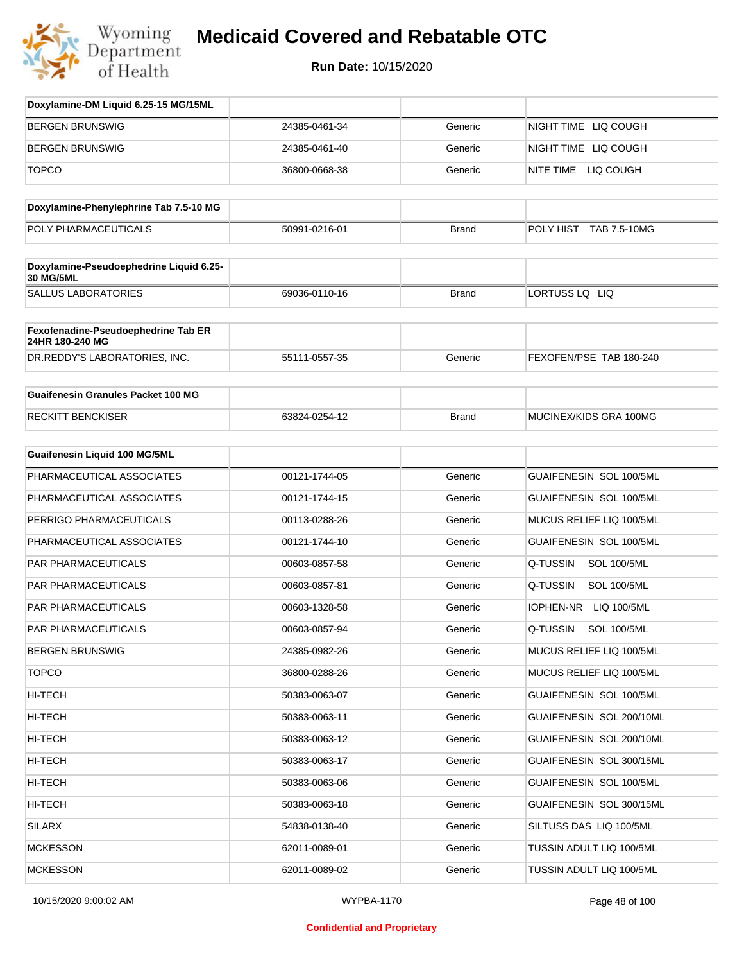

| Doxylamine-DM Liquid 6.25-15 MG/15ML                   |               |              |                                |
|--------------------------------------------------------|---------------|--------------|--------------------------------|
| <b>BERGEN BRUNSWIG</b>                                 | 24385-0461-34 | Generic      | NIGHT TIME LIQ COUGH           |
| BERGEN BRUNSWIG                                        | 24385-0461-40 | Generic      | NIGHT TIME LIQ COUGH           |
| <b>TOPCO</b>                                           | 36800-0668-38 | Generic      | NITE TIME LIQ COUGH            |
| Doxylamine-Phenylephrine Tab 7.5-10 MG                 |               |              |                                |
| POLY PHARMACEUTICALS                                   | 50991-0216-01 | <b>Brand</b> | POLY HIST TAB 7.5-10MG         |
| Doxylamine-Pseudoephedrine Liquid 6.25-<br>30 MG/5ML   |               |              |                                |
| <b>SALLUS LABORATORIES</b>                             | 69036-0110-16 | <b>Brand</b> | LORTUSS LQ LIQ                 |
| Fexofenadine-Pseudoephedrine Tab ER<br>24HR 180-240 MG |               |              |                                |
| DR.REDDY'S LABORATORIES, INC.                          | 55111-0557-35 | Generic      | FEXOFEN/PSE TAB 180-240        |
| <b>Guaifenesin Granules Packet 100 MG</b>              |               |              |                                |
| <b>RECKITT BENCKISER</b>                               | 63824-0254-12 | <b>Brand</b> | MUCINEX/KIDS GRA 100MG         |
| Guaifenesin Liquid 100 MG/5ML                          |               |              |                                |
| PHARMACEUTICAL ASSOCIATES                              | 00121-1744-05 | Generic      | GUAIFENESIN SOL 100/5ML        |
| PHARMACEUTICAL ASSOCIATES                              | 00121-1744-15 | Generic      | GUAIFENESIN SOL 100/5ML        |
| PERRIGO PHARMACEUTICALS                                | 00113-0288-26 | Generic      | MUCUS RELIEF LIQ 100/5ML       |
| PHARMACEUTICAL ASSOCIATES                              | 00121-1744-10 | Generic      | GUAIFENESIN SOL 100/5ML        |
| PAR PHARMACEUTICALS                                    | 00603-0857-58 | Generic      | Q-TUSSIN<br><b>SOL 100/5ML</b> |
| PAR PHARMACEUTICALS                                    | 00603-0857-81 | Generic      | Q-TUSSIN<br><b>SOL 100/5ML</b> |
| PAR PHARMACEUTICALS                                    | 00603-1328-58 | Generic      | IOPHEN-NR<br>LIQ 100/5ML       |
| PAR PHARMACEUTICALS                                    | 00603-0857-94 | Generic      | Q-TUSSIN<br><b>SOL 100/5ML</b> |
| BERGEN BRUNSWIG                                        | 24385-0982-26 | Generic      | MUCUS RELIEF LIQ 100/5ML       |
| <b>TOPCO</b>                                           | 36800-0288-26 | Generic      | MUCUS RELIEF LIQ 100/5ML       |
| HI-TECH                                                | 50383-0063-07 | Generic      | GUAIFENESIN SOL 100/5ML        |
| HI-TECH                                                | 50383-0063-11 | Generic      | GUAIFENESIN SOL 200/10ML       |
| HI-TECH                                                | 50383-0063-12 | Generic      | GUAIFENESIN SOL 200/10ML       |
| HI-TECH                                                | 50383-0063-17 | Generic      | GUAIFENESIN SOL 300/15ML       |
| HI-TECH                                                | 50383-0063-06 | Generic      | GUAIFENESIN SOL 100/5ML        |
| HI-TECH                                                | 50383-0063-18 | Generic      | GUAIFENESIN SOL 300/15ML       |
| <b>SILARX</b>                                          | 54838-0138-40 | Generic      | SILTUSS DAS LIQ 100/5ML        |
| <b>MCKESSON</b>                                        | 62011-0089-01 | Generic      | TUSSIN ADULT LIQ 100/5ML       |
| <b>MCKESSON</b>                                        | 62011-0089-02 | Generic      | TUSSIN ADULT LIQ 100/5ML       |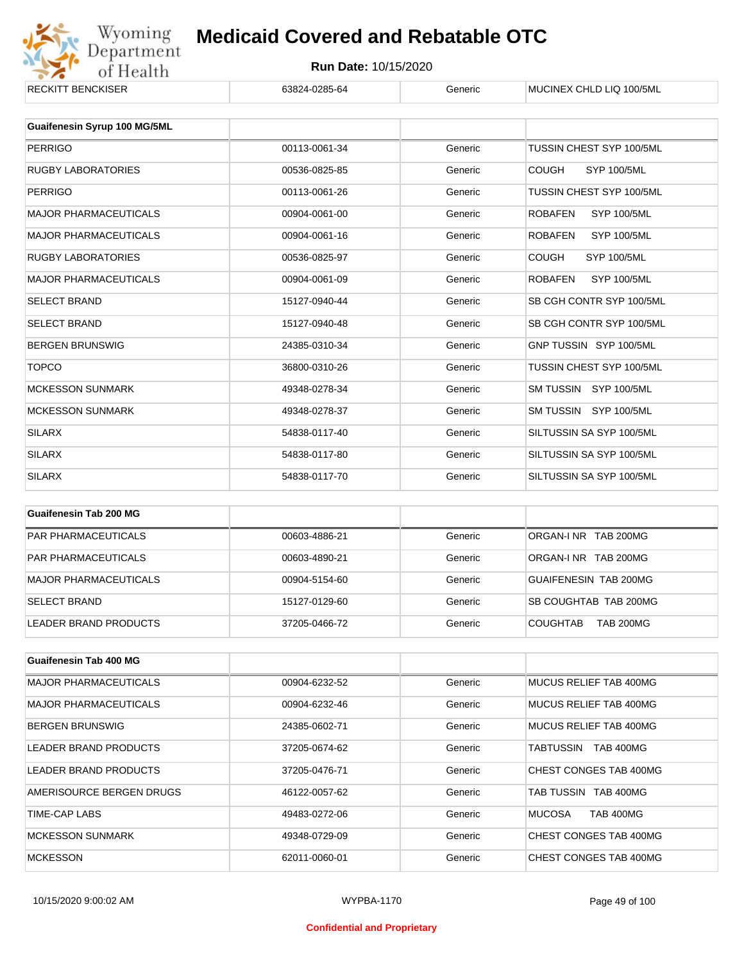

| <b>Guaifenesin Syrup 100 MG/5ML</b> |               |         |                                      |
|-------------------------------------|---------------|---------|--------------------------------------|
| <b>PERRIGO</b>                      | 00113-0061-34 | Generic | TUSSIN CHEST SYP 100/5ML             |
| <b>RUGBY LABORATORIES</b>           | 00536-0825-85 | Generic | <b>COUGH</b><br><b>SYP 100/5ML</b>   |
| <b>PERRIGO</b>                      | 00113-0061-26 | Generic | TUSSIN CHEST SYP 100/5ML             |
| <b>MAJOR PHARMACEUTICALS</b>        | 00904-0061-00 | Generic | <b>ROBAFEN</b><br>SYP 100/5ML        |
| <b>MAJOR PHARMACEUTICALS</b>        | 00904-0061-16 | Generic | <b>SYP 100/5ML</b><br><b>ROBAFEN</b> |
| <b>RUGBY LABORATORIES</b>           | 00536-0825-97 | Generic | <b>COUGH</b><br><b>SYP 100/5ML</b>   |
| <b>MAJOR PHARMACEUTICALS</b>        | 00904-0061-09 | Generic | <b>ROBAFEN</b><br><b>SYP 100/5ML</b> |
| <b>SELECT BRAND</b>                 | 15127-0940-44 | Generic | SB CGH CONTR SYP 100/5ML             |
| <b>SELECT BRAND</b>                 | 15127-0940-48 | Generic | SB CGH CONTR SYP 100/5ML             |
| <b>BERGEN BRUNSWIG</b>              | 24385-0310-34 | Generic | GNP TUSSIN SYP 100/5ML               |
| <b>TOPCO</b>                        | 36800-0310-26 | Generic | TUSSIN CHEST SYP 100/5ML             |
| <b>MCKESSON SUNMARK</b>             | 49348-0278-34 | Generic | SM TUSSIN SYP 100/5ML                |
| <b>MCKESSON SUNMARK</b>             | 49348-0278-37 | Generic | SM TUSSIN SYP 100/5ML                |
| <b>SILARX</b>                       | 54838-0117-40 | Generic | SILTUSSIN SA SYP 100/5ML             |
| <b>SILARX</b>                       | 54838-0117-80 | Generic | SILTUSSIN SA SYP 100/5ML             |
| <b>SILARX</b>                       | 54838-0117-70 | Generic | SILTUSSIN SA SYP 100/5ML             |
|                                     |               |         |                                      |

| Guaifenesin Tab 200 MG     |               |         |                                     |
|----------------------------|---------------|---------|-------------------------------------|
| <b>PAR PHARMACEUTICALS</b> | 00603-4886-21 | Generic | ORGAN-INR TAB 200MG                 |
| <b>PAR PHARMACEUTICALS</b> | 00603-4890-21 | Generic | ORGAN-LNR TAB 200MG                 |
| MAJOR PHARMACEUTICALS      | 00904-5154-60 | Generic | GUAIFENESIN TAB 200MG               |
| <b>SELECT BRAND</b>        | 15127-0129-60 | Generic | SB COUGHTAB TAB 200MG               |
| LEADER BRAND PRODUCTS      | 37205-0466-72 | Generic | <b>COUGHTAB</b><br><b>TAB 200MG</b> |

| Guaifenesin Tab 400 MG       |               |         |                                   |
|------------------------------|---------------|---------|-----------------------------------|
| <b>MAJOR PHARMACEUTICALS</b> | 00904-6232-52 | Generic | MUCUS RELIEF TAB 400MG            |
| <b>MAJOR PHARMACEUTICALS</b> | 00904-6232-46 | Generic | MUCUS RELIEF TAB 400MG            |
| <b>BERGEN BRUNSWIG</b>       | 24385-0602-71 | Generic | MUCUS RELIEF TAB 400MG            |
| LEADER BRAND PRODUCTS        | 37205-0674-62 | Generic | <b>TAB 400MG</b><br>TABTUSSIN     |
| LEADER BRAND PRODUCTS        | 37205-0476-71 | Generic | CHEST CONGES TAB 400MG            |
| AMERISOURCE BERGEN DRUGS     | 46122-0057-62 | Generic | TAB TUSSIN TAB 400MG              |
| TIME-CAP LABS                | 49483-0272-06 | Generic | <b>MUCOSA</b><br><b>TAB 400MG</b> |
| <b>MCKESSON SUNMARK</b>      | 49348-0729-09 | Generic | CHEST CONGES TAB 400MG            |
| <b>MCKESSON</b>              | 62011-0060-01 | Generic | CHEST CONGES TAB 400MG            |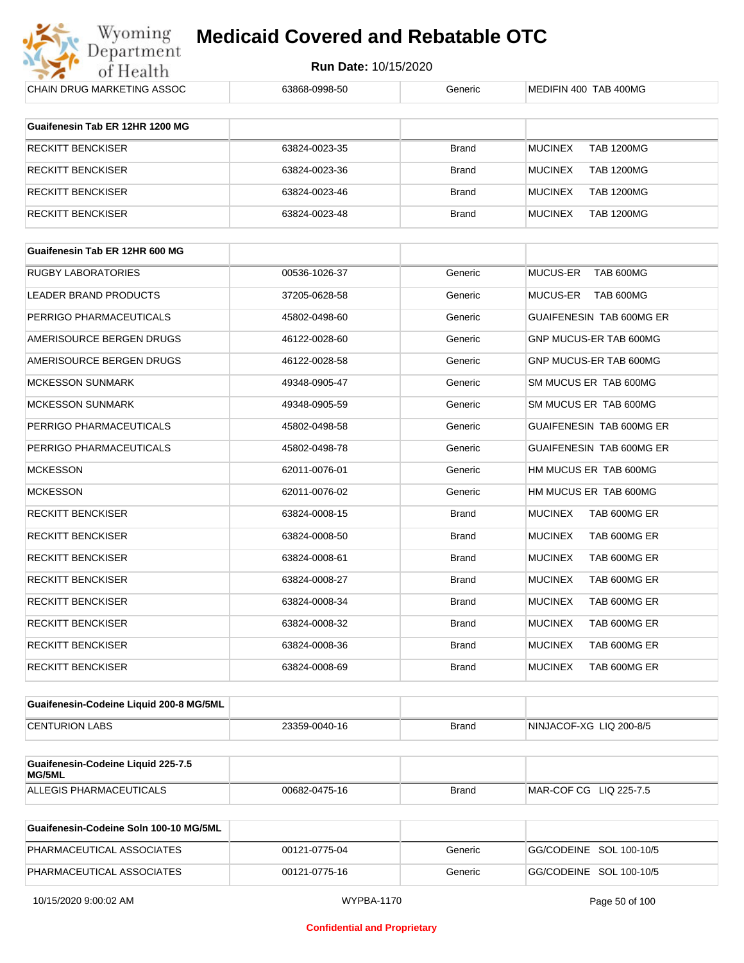

| CHAIN DRUG MARKETING ASSOC              | 63868-0998-50 | Generic      | MEDIFIN 400 TAB 400MG               |
|-----------------------------------------|---------------|--------------|-------------------------------------|
| Guaifenesin Tab ER 12HR 1200 MG         |               |              |                                     |
|                                         |               |              |                                     |
| <b>RECKITT BENCKISER</b>                | 63824-0023-35 | <b>Brand</b> | <b>MUCINEX</b><br><b>TAB 1200MG</b> |
| <b>RECKITT BENCKISER</b>                | 63824-0023-36 | <b>Brand</b> | <b>MUCINEX</b><br><b>TAB 1200MG</b> |
| <b>RECKITT BENCKISER</b>                | 63824-0023-46 | Brand        | <b>MUCINEX</b><br><b>TAB 1200MG</b> |
| <b>RECKITT BENCKISER</b>                | 63824-0023-48 | <b>Brand</b> | <b>TAB 1200MG</b><br><b>MUCINEX</b> |
| Guaifenesin Tab ER 12HR 600 MG          |               |              |                                     |
| <b>RUGBY LABORATORIES</b>               | 00536-1026-37 | Generic      | MUCUS-ER<br>TAB 600MG               |
| LEADER BRAND PRODUCTS                   | 37205-0628-58 | Generic      | MUCUS-ER<br>TAB 600MG               |
| PERRIGO PHARMACEUTICALS                 | 45802-0498-60 | Generic      | GUAIFENESIN TAB 600MG ER            |
| AMERISOURCE BERGEN DRUGS                | 46122-0028-60 | Generic      | GNP MUCUS-ER TAB 600MG              |
| AMERISOURCE BERGEN DRUGS                |               |              |                                     |
|                                         | 46122-0028-58 | Generic      | GNP MUCUS-ER TAB 600MG              |
| <b>MCKESSON SUNMARK</b>                 | 49348-0905-47 | Generic      | SM MUCUS ER TAB 600MG               |
| <b>MCKESSON SUNMARK</b>                 | 49348-0905-59 | Generic      | SM MUCUS ER TAB 600MG               |
| PERRIGO PHARMACEUTICALS                 | 45802-0498-58 | Generic      | GUAIFENESIN TAB 600MG ER            |
| PERRIGO PHARMACEUTICALS                 | 45802-0498-78 | Generic      | GUAIFENESIN TAB 600MG ER            |
| <b>MCKESSON</b>                         | 62011-0076-01 | Generic      | HM MUCUS ER TAB 600MG               |
| <b>MCKESSON</b>                         | 62011-0076-02 | Generic      | HM MUCUS ER TAB 600MG               |
| <b>RECKITT BENCKISER</b>                | 63824-0008-15 | <b>Brand</b> | <b>MUCINEX</b><br>TAB 600MG ER      |
| RECKITT BENCKISER                       | 63824-0008-50 | <b>Brand</b> | <b>MUCINEX</b><br>TAB 600MG ER      |
| <b>RECKITT BENCKISER</b>                | 63824-0008-61 | <b>Brand</b> | <b>MUCINEX</b><br>TAB 600MG ER      |
| RECKITT BENCKISER                       | 63824-0008-27 | <b>Brand</b> | <b>MUCINEX</b><br>TAB 600MG ER      |
| RECKITT BENCKISER                       | 63824-0008-34 | <b>Brand</b> | <b>MUCINEX</b><br>TAB 600MG ER      |
| RECKITT BENCKISER                       | 63824-0008-32 | Brand        | <b>MUCINEX</b><br>TAB 600MG ER      |
| RECKITT BENCKISER                       | 63824-0008-36 | Brand        | <b>MUCINEX</b><br>TAB 600MG ER      |
| <b>RECKITT BENCKISER</b>                | 63824-0008-69 | <b>Brand</b> | <b>MUCINEX</b><br>TAB 600MG ER      |
| Guaifenesin-Codeine Liquid 200-8 MG/5ML |               |              |                                     |
| <b>CENTURION LABS</b>                   | 23359-0040-16 | Brand        | NINJACOF-XG LIQ 200-8/5             |
| Guaifenesin-Codeine Liquid 225-7.5      |               |              |                                     |
| MG/5ML                                  |               |              |                                     |
| ALLEGIS PHARMACEUTICALS                 | 00682-0475-16 | Brand        | MAR-COF CG LIQ 225-7.5              |
| Guaifenesin-Codeine Soln 100-10 MG/5ML  |               |              |                                     |

| Guaifenesin-Codeine Soln 100-10 MG/5ML |               |         |                         |
|----------------------------------------|---------------|---------|-------------------------|
| PHARMACEUTICAL ASSOCIATES              | 00121-0775-04 | Generic | GG/CODEINE SOL 100-10/5 |
| PHARMACEUTICAL ASSOCIATES              | 00121-0775-16 | Generic | GG/CODEINE SOL 100-10/5 |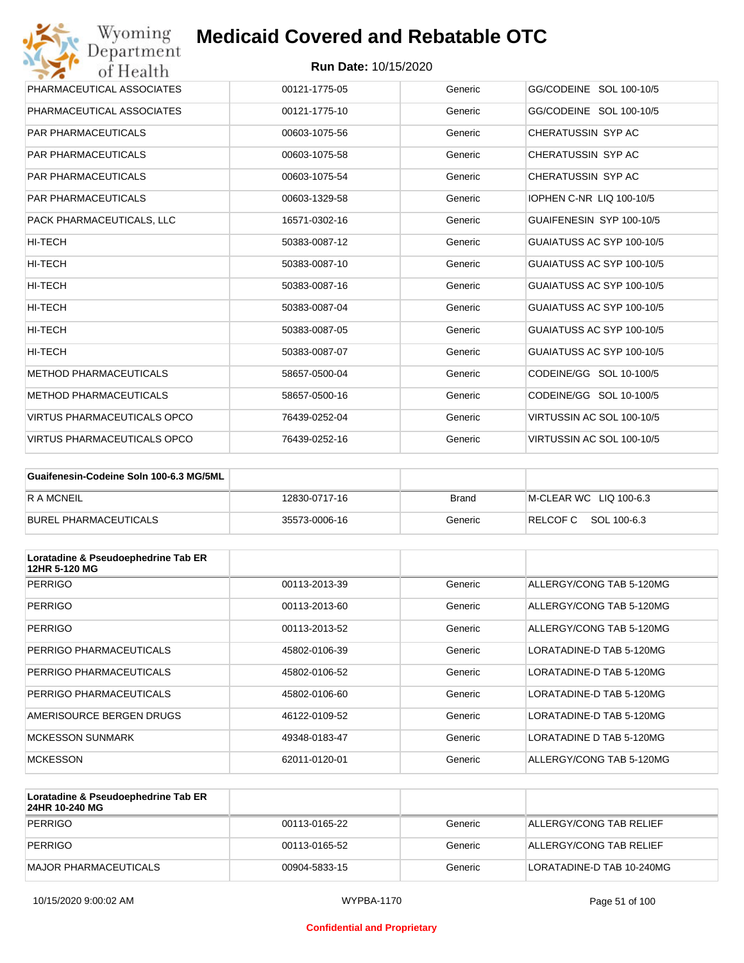

| Wyoming<br><b>Medicaid Covered and Rebatable OTC</b><br>Department |                             |         |                                 |  |
|--------------------------------------------------------------------|-----------------------------|---------|---------------------------------|--|
| of Health                                                          | <b>Run Date: 10/15/2020</b> |         |                                 |  |
| PHARMACEUTICAL ASSOCIATES                                          | 00121-1775-05               | Generic | GG/CODEINE SOL 100-10/5         |  |
| PHARMACEUTICAL ASSOCIATES                                          | 00121-1775-10               | Generic | GG/CODEINE SOL 100-10/5         |  |
| <b>PAR PHARMACEUTICALS</b>                                         | 00603-1075-56               | Generic | CHERATUSSIN SYP AC              |  |
| <b>PAR PHARMACEUTICALS</b>                                         | 00603-1075-58               | Generic | CHERATUSSIN SYP AC              |  |
| <b>PAR PHARMACEUTICALS</b>                                         | 00603-1075-54               | Generic | CHERATUSSIN SYP AC              |  |
| <b>PAR PHARMACEUTICALS</b>                                         | 00603-1329-58               | Generic | <b>IOPHEN C-NR LIQ 100-10/5</b> |  |
| PACK PHARMACEUTICALS, LLC                                          | 16571-0302-16               | Generic | GUAIFENESIN SYP 100-10/5        |  |
| <b>HI-TECH</b>                                                     | 50383-0087-12               | Generic | GUAIATUSS AC SYP 100-10/5       |  |
| HI-TECH                                                            | 50383-0087-10               | Generic | GUAIATUSS AC SYP 100-10/5       |  |
| HI-TECH                                                            | 50383-0087-16               | Generic | GUAIATUSS AC SYP 100-10/5       |  |
| HI-TECH                                                            | 50383-0087-04               | Generic | GUAIATUSS AC SYP 100-10/5       |  |
| <b>HI-TECH</b>                                                     | 50383-0087-05               | Generic | GUAIATUSS AC SYP 100-10/5       |  |
| HI-TECH                                                            | 50383-0087-07               | Generic | GUAIATUSS AC SYP 100-10/5       |  |
| <b>METHOD PHARMACEUTICALS</b>                                      | 58657-0500-04               | Generic | CODEINE/GG SOL 10-100/5         |  |
| <b>METHOD PHARMACEUTICALS</b>                                      | 58657-0500-16               | Generic | CODEINE/GG SOL 10-100/5         |  |
| <b>VIRTUS PHARMACEUTICALS OPCO</b>                                 | 76439-0252-04               | Generic | VIRTUSSIN AC SOL 100-10/5       |  |
| <b>VIRTUS PHARMACEUTICALS OPCO</b>                                 | 76439-0252-16               | Generic | VIRTUSSIN AC SOL 100-10/5       |  |

| Guaifenesin-Codeine Soln 100-6.3 MG/5ML |               |         |                        |
|-----------------------------------------|---------------|---------|------------------------|
| <b>RAMCNEIL</b>                         | 12830-0717-16 | Brand   | M-CLEAR WC LIQ 100-6.3 |
| BUREL PHARMACEUTICALS                   | 35573-0006-16 | Generic | RELCOFC SOL 100-6.3    |

| Loratadine & Pseudoephedrine Tab ER<br>12HR 5-120 MG |               |         |                          |
|------------------------------------------------------|---------------|---------|--------------------------|
| <b>PERRIGO</b>                                       | 00113-2013-39 | Generic | ALLERGY/CONG TAB 5-120MG |
| <b>PERRIGO</b>                                       | 00113-2013-60 | Generic | ALLERGY/CONG TAB 5-120MG |
| <b>PERRIGO</b>                                       | 00113-2013-52 | Generic | ALLERGY/CONG TAB 5-120MG |
| PERRIGO PHARMACEUTICALS                              | 45802-0106-39 | Generic | LORATADINE-D TAB 5-120MG |
| PERRIGO PHARMACEUTICALS                              | 45802-0106-52 | Generic | LORATADINE-D TAB 5-120MG |
| PERRIGO PHARMACEUTICALS                              | 45802-0106-60 | Generic | LORATADINE-D TAB 5-120MG |
| AMERISOURCE BERGEN DRUGS                             | 46122-0109-52 | Generic | LORATADINE-D TAB 5-120MG |
| <b>MCKESSON SUNMARK</b>                              | 49348-0183-47 | Generic | LORATADINE D TAB 5-120MG |
| <b>MCKESSON</b>                                      | 62011-0120-01 | Generic | ALLERGY/CONG TAB 5-120MG |

| Loratadine & Pseudoephedrine Tab ER<br>24HR 10-240 MG |               |         |                           |
|-------------------------------------------------------|---------------|---------|---------------------------|
| PERRIGO                                               | 00113-0165-22 | Generic | ALLERGY/CONG TAB RELIEF   |
| PERRIGO                                               | 00113-0165-52 | Generic | ALLERGY/CONG TAB RELIEF   |
| MAJOR PHARMACEUTICALS                                 | 00904-5833-15 | Generic | LORATADINE-D TAB 10-240MG |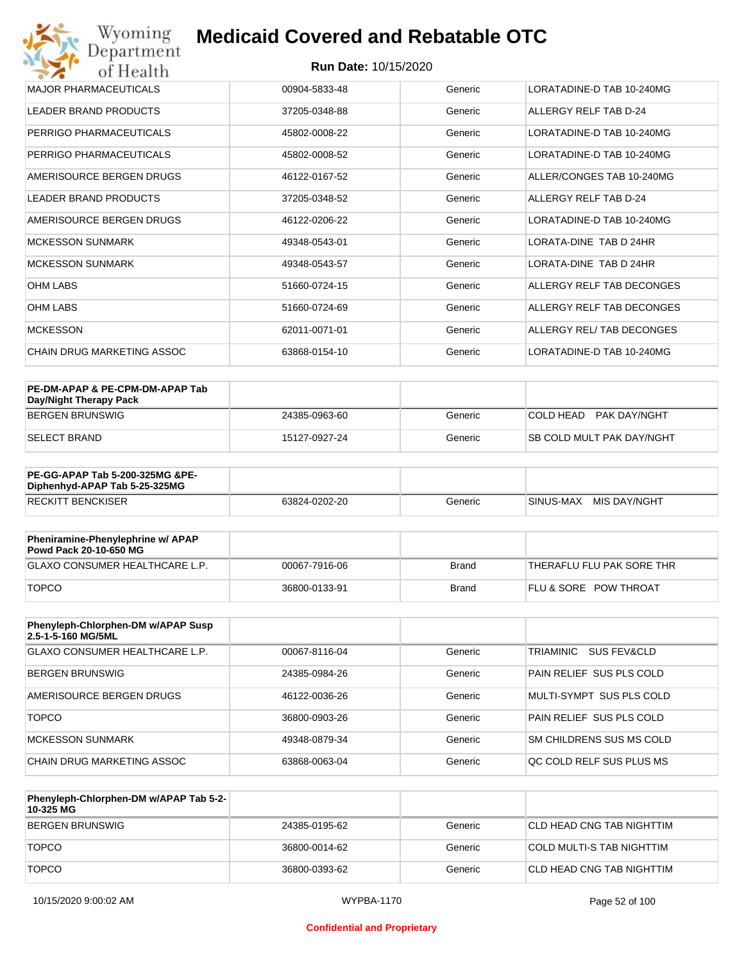| Wyoming<br>Department             | <b>Medicaid Covered and Rebatable OTC</b> |         |                           |
|-----------------------------------|-------------------------------------------|---------|---------------------------|
| of Health                         | <b>Run Date: 10/15/2020</b>               |         |                           |
| <b>MAJOR PHARMACEUTICALS</b>      | 00904-5833-48                             | Generic | LORATADINE-D TAB 10-240MG |
| <b>LEADER BRAND PRODUCTS</b>      | 37205-0348-88                             | Generic | ALLERGY RELF TAB D-24     |
| PERRIGO PHARMACEUTICALS           | 45802-0008-22                             | Generic | LORATADINE-D TAB 10-240MG |
| PERRIGO PHARMACEUTICALS           | 45802-0008-52                             | Generic | LORATADINE-D TAB 10-240MG |
| AMERISOURCE BERGEN DRUGS          | 46122-0167-52                             | Generic | ALLER/CONGES TAB 10-240MG |
| <b>LEADER BRAND PRODUCTS</b>      | 37205-0348-52                             | Generic | ALLERGY RELF TAB D-24     |
| AMERISOURCE BERGEN DRUGS          | 46122-0206-22                             | Generic | LORATADINE-D TAB 10-240MG |
| <b>MCKESSON SUNMARK</b>           | 49348-0543-01                             | Generic | LORATA-DINE TAB D 24HR    |
| <b>MCKESSON SUNMARK</b>           | 49348-0543-57                             | Generic | LORATA-DINE TAB D 24HR    |
| <b>OHM LABS</b>                   | 51660-0724-15                             | Generic | ALLERGY RELF TAB DECONGES |
| <b>OHM LABS</b>                   | 51660-0724-69                             | Generic | ALLERGY RELF TAB DECONGES |
| <b>MCKESSON</b>                   | 62011-0071-01                             | Generic | ALLERGY REL/ TAB DECONGES |
| <b>CHAIN DRUG MARKETING ASSOC</b> | 63868-0154-10                             | Generic | LORATADINE-D TAB 10-240MG |

| PE-DM-APAP & PE-CPM-DM-APAP Tab<br>Day/Night Therapy Pack |               |         |                                  |
|-----------------------------------------------------------|---------------|---------|----------------------------------|
| BERGEN BRUNSWIG                                           | 24385-0963-60 | Generic | COLD HEAD PAK DAY/NGHT           |
| ISELECT BRAND                                             | 15127-0927-24 | Generic | <b>SB COLD MULT PAK DAY/NGHT</b> |

| <b>PE-GG-APAP Tab 5-200-325MG &amp;PE-</b><br>Diphenhyd-APAP Tab 5-25-325MG |               |         |                           |
|-----------------------------------------------------------------------------|---------------|---------|---------------------------|
| <b>RECKITT BENCKISER</b>                                                    | 63824-0202-20 | Generic | MIS DAY/NGHT<br>SINUS-MAX |

| Pheniramine-Phenylephrine w/ APAP<br>Powd Pack 20-10-650 MG |               |       |                                  |
|-------------------------------------------------------------|---------------|-------|----------------------------------|
| GLAXO CONSUMER HEALTHCARE L.P.                              | 00067-7916-06 | Brand | 'THERAFLU FLU PAK SORE THR       |
| <b>TOPCO</b>                                                | 36800-0133-91 | Brand | <b>FLU &amp; SORE POW THROAT</b> |

| Phenyleph-Chlorphen-DM w/APAP Susp<br>2.5-1-5-160 MG/5ML |               |         |                                 |
|----------------------------------------------------------|---------------|---------|---------------------------------|
| GLAXO CONSUMER HEALTHCARE L.P.                           | 00067-8116-04 | Generic | TRIAMINIC<br>SUS FEV&CLD        |
| BERGEN BRUNSWIG                                          | 24385-0984-26 | Generic | PAIN RELIEF SUS PLS COLD        |
| AMERISOURCE BERGEN DRUGS                                 | 46122-0036-26 | Generic | MULTI-SYMPT SUS PLS COLD        |
| <b>TOPCO</b>                                             | 36800-0903-26 | Generic | PAIN RELIEF SUS PLS COLD        |
| <b>MCKESSON SUNMARK</b>                                  | 49348-0879-34 | Generic | SM CHILDRENS SUS MS COLD        |
| CHAIN DRUG MARKETING ASSOC                               | 63868-0063-04 | Generic | <b>OC COLD RELF SUS PLUS MS</b> |

| Phenyleph-Chlorphen-DM w/APAP Tab 5-2-<br>10-325 MG |               |         |                           |
|-----------------------------------------------------|---------------|---------|---------------------------|
| BERGEN BRUNSWIG                                     | 24385-0195-62 | Generic | CLD HEAD CNG TAB NIGHTTIM |
| <b>TOPCO</b>                                        | 36800-0014-62 | Generic | COLD MULTI-S TAB NIGHTTIM |
| <b>TOPCO</b>                                        | 36800-0393-62 | Generic | CLD HEAD CNG TAB NIGHTTIM |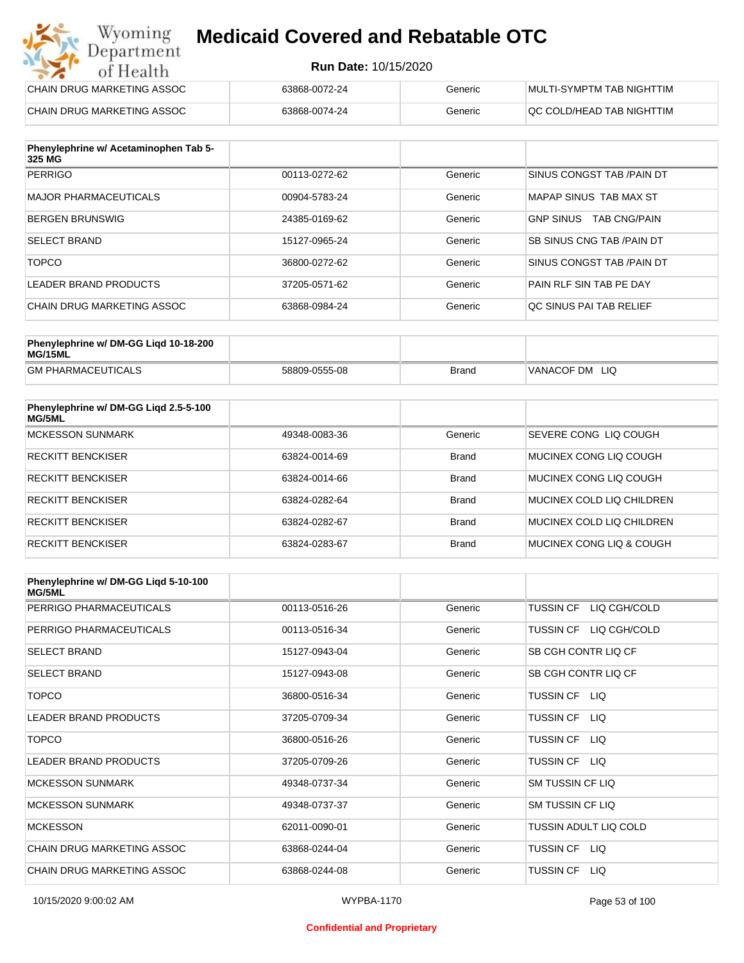#### **Run Date:** 10/15/2020

| Wyoming<br><b>Medicaid Covered and Rebatable OTC</b><br>Department |                             |         |                           |
|--------------------------------------------------------------------|-----------------------------|---------|---------------------------|
| of Health                                                          | <b>Run Date: 10/15/2020</b> |         |                           |
| CHAIN DRUG MARKETING ASSOC                                         | 63868-0072-24               | Generic | MULTI-SYMPTM TAB NIGHTTIM |
| CHAIN DRUG MARKETING ASSOC                                         | 63868-0074-24               | Generic | OC COLD/HEAD TAB NIGHTTIM |

| Phenylephrine w/ Acetaminophen Tab 5-<br>325 MG |               |         |                                         |
|-------------------------------------------------|---------------|---------|-----------------------------------------|
| <b>PERRIGO</b>                                  | 00113-0272-62 | Generic | SINUS CONGST TAB /PAIN DT               |
| <b>MAJOR PHARMACEUTICALS</b>                    | 00904-5783-24 | Generic | MAPAP SINUS TAB MAX ST                  |
| <b>BERGEN BRUNSWIG</b>                          | 24385-0169-62 | Generic | <b>GNP SINUS</b><br><b>TAB CNG/PAIN</b> |
| <b>SELECT BRAND</b>                             | 15127-0965-24 | Generic | <b>SB SINUS CNG TAB /PAIN DT</b>        |
| <b>TOPCO</b>                                    | 36800-0272-62 | Generic | SINUS CONGST TAB /PAIN DT               |
| LEADER BRAND PRODUCTS                           | 37205-0571-62 | Generic | PAIN RLF SIN TAB PE DAY                 |
| CHAIN DRUG MARKETING ASSOC                      | 63868-0984-24 | Generic | OC SINUS PAI TAB RELIEF                 |

| Phenylephrine w/ DM-GG Ligd 10-18-200<br>MG/15ML |               |              |                |
|--------------------------------------------------|---------------|--------------|----------------|
| <b>GM PHARMACEUTICALS</b>                        | 58809-0555-08 | <b>Brand</b> | VANACOF DM LIQ |

| Phenylephrine w/ DM-GG Liqd 2.5-5-100<br>MG/5ML |               |              |                           |
|-------------------------------------------------|---------------|--------------|---------------------------|
| <b>MCKESSON SUNMARK</b>                         | 49348-0083-36 | Generic      | SEVERE CONG LIO COUGH     |
| <b>RECKITT BENCKISER</b>                        | 63824-0014-69 | Brand        | MUCINEX CONG LIQ COUGH    |
| <b>RECKITT BENCKISER</b>                        | 63824-0014-66 | <b>Brand</b> | MUCINEX CONG LIO COUGH    |
| <b>RECKITT BENCKISER</b>                        | 63824-0282-64 | Brand        | MUCINEX COLD LIQ CHILDREN |
| <b>RECKITT BENCKISER</b>                        | 63824-0282-67 | <b>Brand</b> | MUCINEX COLD LIQ CHILDREN |
| <b>RECKITT BENCKISER</b>                        | 63824-0283-67 | <b>Brand</b> | MUCINEX CONG LIQ & COUGH  |

| Phenylephrine w/ DM-GG Ligd 5-10-100<br><b>MG/5ML</b> |               |         |                                  |
|-------------------------------------------------------|---------------|---------|----------------------------------|
| PERRIGO PHARMACEUTICALS                               | 00113-0516-26 | Generic | LIQ CGH/COLD<br><b>TUSSIN CF</b> |
| PERRIGO PHARMACEUTICALS                               | 00113-0516-34 | Generic | LIQ CGH/COLD<br><b>TUSSIN CF</b> |
| <b>SELECT BRAND</b>                                   | 15127-0943-04 | Generic | SB CGH CONTR LIQ CF              |
| <b>SELECT BRAND</b>                                   | 15127-0943-08 | Generic | SB CGH CONTR LIQ CF              |
| <b>TOPCO</b>                                          | 36800-0516-34 | Generic | TUSSIN CF<br>LIQ.                |
| <b>LEADER BRAND PRODUCTS</b>                          | 37205-0709-34 | Generic | <b>TUSSIN CF</b><br>LIQ.         |
| <b>TOPCO</b>                                          | 36800-0516-26 | Generic | TUSSIN CF<br>LIQ.                |
| <b>LEADER BRAND PRODUCTS</b>                          | 37205-0709-26 | Generic | <b>TUSSIN CF</b><br>LIQ.         |
| <b>MCKESSON SUNMARK</b>                               | 49348-0737-34 | Generic | <b>SM TUSSIN CF LIQ</b>          |
| <b>MCKESSON SUNMARK</b>                               | 49348-0737-37 | Generic | SM TUSSIN CF LIQ                 |
| <b>MCKESSON</b>                                       | 62011-0090-01 | Generic | TUSSIN ADULT LIQ COLD            |
| CHAIN DRUG MARKETING ASSOC                            | 63868-0244-04 | Generic | LIQ.<br>TUSSIN CF                |
| CHAIN DRUG MARKETING ASSOC                            | 63868-0244-08 | Generic | <b>TUSSIN CF</b><br>LIQ.         |

#### **Confidential and Proprietary**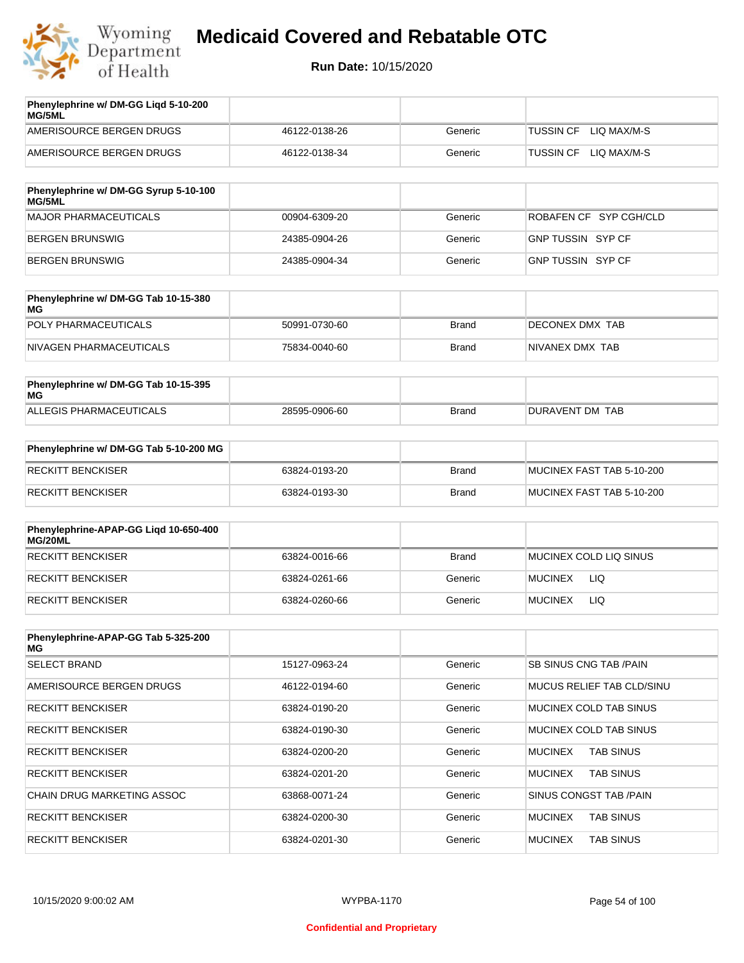

| Phenylephrine w/ DM-GG Ligd 5-10-200<br><b>MG/5ML</b> |               |         |                                 |
|-------------------------------------------------------|---------------|---------|---------------------------------|
| AMERISOURCE BERGEN DRUGS                              | 46122-0138-26 | Generic | LIO MAX/M-S<br><b>TUSSIN CF</b> |
| AMERISOURCE BERGEN DRUGS                              | 46122-0138-34 | Generic | LIO MAX/M-S<br><b>TUSSIN CF</b> |
|                                                       |               |         |                                 |

| Phenylephrine w/ DM-GG Syrup 5-10-100<br>MG/5ML |               |         |                          |
|-------------------------------------------------|---------------|---------|--------------------------|
| MAJOR PHARMACEUTICALS                           | 00904-6309-20 | Generic | ROBAFEN CF SYP CGH/CLD   |
| BERGEN BRUNSWIG                                 | 24385-0904-26 | Generic | <b>GNP TUSSIN SYP CF</b> |
| BERGEN BRUNSWIG                                 | 24385-0904-34 | Generic | GNP TUSSIN SYP CF        |

| Phenylephrine w/ DM-GG Tab 10-15-380<br>MG |               |       |                 |
|--------------------------------------------|---------------|-------|-----------------|
| POLY PHARMACEUTICALS                       | 50991-0730-60 | Brand | DECONEX DMX TAB |
| NIVAGEN PHARMACEUTICALS                    | 75834-0040-60 | Brand | NIVANEX DMX TAB |

| Phenylephrine w/ DM-GG Tab 10-15-395<br>MG |               |       |                 |
|--------------------------------------------|---------------|-------|-----------------|
| ALLEGIS PHARMACEUTICALS                    | 28595-0906-60 | Brand | DURAVENT DM TAB |

| Phenylephrine w/ DM-GG Tab 5-10-200 MG |               |       |                           |
|----------------------------------------|---------------|-------|---------------------------|
| RECKITT BENCKISER                      | 63824-0193-20 | Brand | MUCINEX FAST TAB 5-10-200 |
| RECKITT BENCKISER                      | 63824-0193-30 | Brand | MUCINEX FAST TAB 5-10-200 |

| Phenylephrine-APAP-GG Ligd 10-650-400<br>MG/20ML |               |              |                        |
|--------------------------------------------------|---------------|--------------|------------------------|
| RECKITT BENCKISER                                | 63824-0016-66 | <b>Brand</b> | MUCINEX COLD LIQ SINUS |
| RECKITT BENCKISER                                | 63824-0261-66 | Generic      | <b>MUCINEX</b><br>LIQ  |
| RECKITT BENCKISER                                | 63824-0260-66 | Generic      | LIQ<br><b>MUCINEX</b>  |

| Phenylephrine-APAP-GG Tab 5-325-200<br>MG |               |         |                                    |
|-------------------------------------------|---------------|---------|------------------------------------|
| <b>SELECT BRAND</b>                       | 15127-0963-24 | Generic | SB SINUS CNG TAB /PAIN             |
| AMERISOURCE BERGEN DRUGS                  | 46122-0194-60 | Generic | MUCUS RELIEF TAB CLD/SINU          |
| <b>RECKITT BENCKISER</b>                  | 63824-0190-20 | Generic | MUCINEX COLD TAB SINUS             |
| <b>RECKITT BENCKISER</b>                  | 63824-0190-30 | Generic | MUCINEX COLD TAB SINUS             |
| <b>RECKITT BENCKISER</b>                  | 63824-0200-20 | Generic | <b>TAB SINUS</b><br><b>MUCINEX</b> |
| <b>RECKITT BENCKISER</b>                  | 63824-0201-20 | Generic | <b>TAB SINUS</b><br><b>MUCINEX</b> |
| <b>CHAIN DRUG MARKETING ASSOC</b>         | 63868-0071-24 | Generic | SINUS CONGST TAB /PAIN             |
| <b>RECKITT BENCKISER</b>                  | 63824-0200-30 | Generic | <b>MUCINEX</b><br><b>TAB SINUS</b> |
| <b>RECKITT BENCKISER</b>                  | 63824-0201-30 | Generic | <b>MUCINEX</b><br><b>TAB SINUS</b> |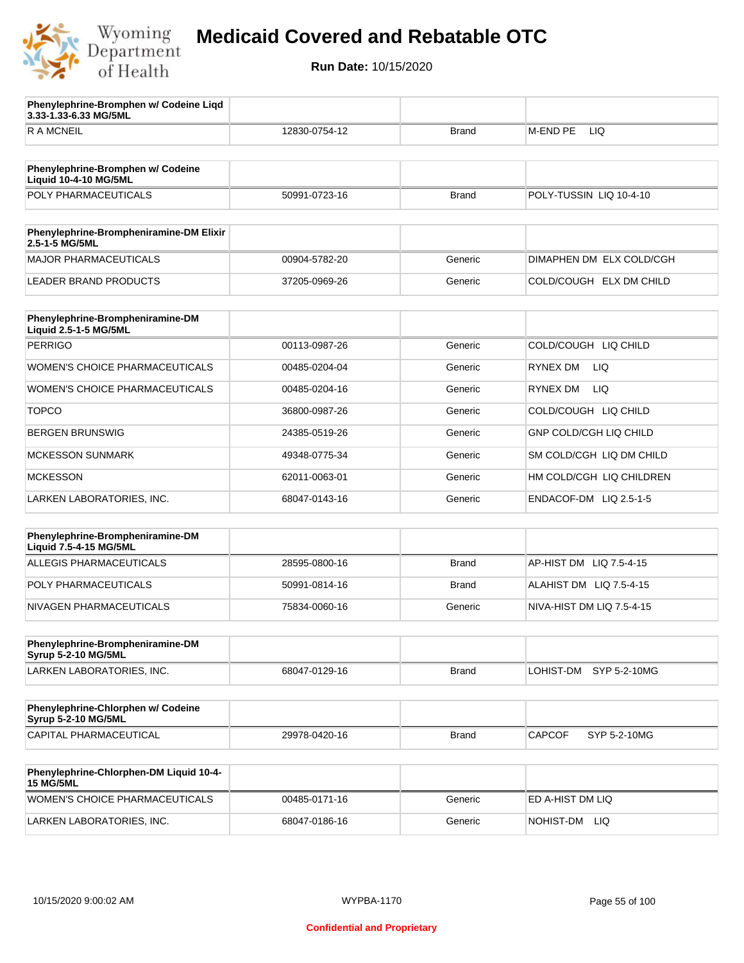

**3.33-1.33-6.33 MG/5ML**

**Phenylephrine-Bromphen w/ Codeine Liqd** 

## **Medicaid Covered and Rebatable OTC**

| <b>RAMCNEIL</b>                                                   | 12830-0754-12 | Brand        | M-END PE<br>LIQ               |  |
|-------------------------------------------------------------------|---------------|--------------|-------------------------------|--|
|                                                                   |               |              |                               |  |
| Phenylephrine-Bromphen w/ Codeine<br><b>Liquid 10-4-10 MG/5ML</b> |               |              |                               |  |
| POLY PHARMACEUTICALS                                              | 50991-0723-16 | <b>Brand</b> | POLY-TUSSIN LIQ 10-4-10       |  |
|                                                                   |               |              |                               |  |
| Phenylephrine-Brompheniramine-DM Elixir<br>2.5-1-5 MG/5ML         |               |              |                               |  |
| <b>MAJOR PHARMACEUTICALS</b>                                      | 00904-5782-20 | Generic      | DIMAPHEN DM ELX COLD/CGH      |  |
| <b>LEADER BRAND PRODUCTS</b>                                      | 37205-0969-26 | Generic      | COLD/COUGH ELX DM CHILD       |  |
|                                                                   |               |              |                               |  |
| Phenylephrine-Brompheniramine-DM<br>Liquid 2.5-1-5 MG/5ML         |               |              |                               |  |
| <b>PERRIGO</b>                                                    | 00113-0987-26 | Generic      | COLD/COUGH LIQ CHILD          |  |
| <b>WOMEN'S CHOICE PHARMACEUTICALS</b>                             | 00485-0204-04 | Generic      | RYNEX DM<br>LIQ               |  |
| <b>WOMEN'S CHOICE PHARMACEUTICALS</b>                             | 00485-0204-16 | Generic      | RYNEX DM<br>LIQ               |  |
| <b>TOPCO</b>                                                      | 36800-0987-26 | Generic      | COLD/COUGH LIQ CHILD          |  |
| <b>BERGEN BRUNSWIG</b>                                            | 24385-0519-26 | Generic      | <b>GNP COLD/CGH LIQ CHILD</b> |  |
| <b>MCKESSON SUNMARK</b>                                           | 49348-0775-34 | Generic      | SM COLD/CGH LIQ DM CHILD      |  |
| <b>MCKESSON</b>                                                   | 62011-0063-01 | Generic      | HM COLD/CGH LIQ CHILDREN      |  |
| LARKEN LABORATORIES, INC.                                         | 68047-0143-16 | Generic      | ENDACOF-DM LIQ 2.5-1-5        |  |
|                                                                   |               |              |                               |  |
| Phenylephrine-Brompheniramine-DM<br>Liquid 7.5-4-15 MG/5ML        |               |              |                               |  |
| ALLEGIS PHARMACEUTICALS                                           | 28595-0800-16 | <b>Brand</b> | AP-HIST DM<br>LIQ 7.5-4-15    |  |
| POLY PHARMACEUTICALS                                              | 50991-0814-16 | <b>Brand</b> | ALAHIST DM LIQ 7.5-4-15       |  |
| NIVAGEN PHARMACEUTICALS                                           | 75834-0060-16 | Generic      | NIVA-HIST DM LIQ 7.5-4-15     |  |
|                                                                   |               |              |                               |  |
| Phenylephrine-Brompheniramine-DM<br><b>Syrup 5-2-10 MG/5ML</b>    |               |              |                               |  |
| LARKEN LABORATORIES, INC.                                         | 68047-0129-16 | <b>Brand</b> | LOHIST-DM SYP 5-2-10MG        |  |
|                                                                   |               |              |                               |  |
| Phenylephrine-Chlorphen w/ Codeine<br><b>Syrup 5-2-10 MG/5ML</b>  |               |              |                               |  |
| CAPITAL PHARMACEUTICAL                                            | 29978-0420-16 | <b>Brand</b> | CAPCOF<br>SYP 5-2-10MG        |  |
|                                                                   |               |              |                               |  |
| Phenylephrine-Chlorphen-DM Liquid 10-4-<br><b>15 MG/5ML</b>       |               |              |                               |  |
| <b>WOMEN'S CHOICE PHARMACEUTICALS</b>                             | 00485-0171-16 | Generic      | ED A-HIST DM LIQ              |  |
| LARKEN LABORATORIES, INC.                                         | 68047-0186-16 | Generic      | NOHIST-DM LIQ                 |  |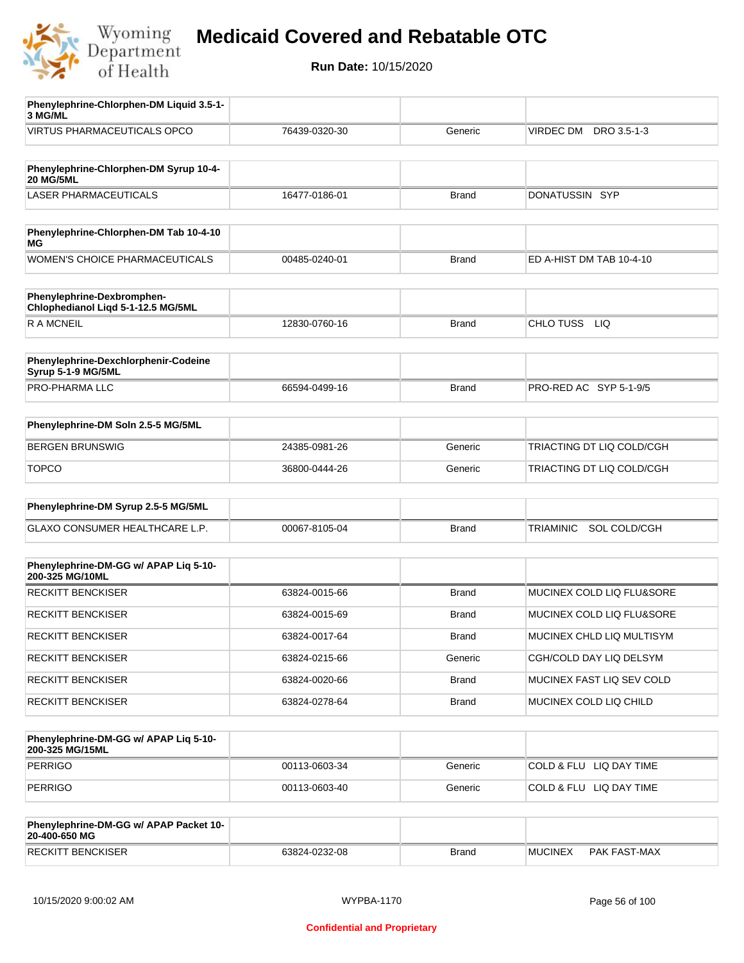

| Phenylephrine-Chlorphen-DM Liquid 3.5-1-                         |               |              |                                  |
|------------------------------------------------------------------|---------------|--------------|----------------------------------|
| 3 MG/ML<br>VIRTUS PHARMACEUTICALS OPCO                           |               |              | VIRDEC DM DRO 3.5-1-3            |
|                                                                  | 76439-0320-30 | Generic      |                                  |
| Phenylephrine-Chlorphen-DM Syrup 10-4-<br><b>20 MG/5ML</b>       |               |              |                                  |
| <b>LASER PHARMACEUTICALS</b>                                     | 16477-0186-01 | <b>Brand</b> | DONATUSSIN SYP                   |
|                                                                  |               |              |                                  |
| Phenylephrine-Chlorphen-DM Tab 10-4-10<br>МG                     |               |              |                                  |
| <b>WOMEN'S CHOICE PHARMACEUTICALS</b>                            | 00485-0240-01 | Brand        | ED A-HIST DM TAB 10-4-10         |
| Phenylephrine-Dexbromphen-<br>Chlophedianol Liqd 5-1-12.5 MG/5ML |               |              |                                  |
| R A MCNEIL                                                       | 12830-0760-16 | <b>Brand</b> | CHLO TUSS<br><b>LIQ</b>          |
| Phenylephrine-Dexchlorphenir-Codeine                             |               |              |                                  |
| Syrup 5-1-9 MG/5ML<br>PRO-PHARMA LLC                             | 66594-0499-16 | <b>Brand</b> | PRO-RED AC SYP 5-1-9/5           |
|                                                                  |               |              |                                  |
| Phenylephrine-DM Soln 2.5-5 MG/5ML                               |               |              |                                  |
| <b>BERGEN BRUNSWIG</b>                                           | 24385-0981-26 | Generic      | TRIACTING DT LIQ COLD/CGH        |
| <b>TOPCO</b>                                                     | 36800-0444-26 | Generic      | TRIACTING DT LIQ COLD/CGH        |
| Phenylephrine-DM Syrup 2.5-5 MG/5ML                              |               |              |                                  |
| GLAXO CONSUMER HEALTHCARE L.P.                                   | 00067-8105-04 | <b>Brand</b> | SOL COLD/CGH<br><b>TRIAMINIC</b> |
|                                                                  |               |              |                                  |
| Phenylephrine-DM-GG w/ APAP Lig 5-10-<br>200-325 MG/10ML         |               |              |                                  |
| <b>RECKITT BENCKISER</b>                                         | 63824-0015-66 | <b>Brand</b> | MUCINEX COLD LIQ FLU&SORE        |
| <b>RECKITT BENCKISER</b>                                         | 63824-0015-69 | <b>Brand</b> | MUCINEX COLD LIQ FLU&SORE        |
| RECKITT BENCKISER                                                | 63824-0017-64 | <b>Brand</b> | MUCINEX CHLD LIQ MULTISYM        |
| <b>RECKITT BENCKISER</b>                                         | 63824-0215-66 | Generic      | CGH/COLD DAY LIQ DELSYM          |
| RECKITT BENCKISER                                                | 63824-0020-66 | <b>Brand</b> | MUCINEX FAST LIQ SEV COLD        |
| <b>RECKITT BENCKISER</b>                                         | 63824-0278-64 | <b>Brand</b> | MUCINEX COLD LIQ CHILD           |
|                                                                  |               |              |                                  |
| Phenylephrine-DM-GG w/ APAP Liq 5-10-<br>200-325 MG/15ML         |               |              |                                  |
| <b>PERRIGO</b>                                                   | 00113-0603-34 | Generic      | COLD & FLU LIQ DAY TIME          |
| <b>PERRIGO</b>                                                   | 00113-0603-40 | Generic      | COLD & FLU LIQ DAY TIME          |
| Phenylephrine-DM-GG w/ APAP Packet 10-<br>20-400-650 MG          |               |              |                                  |

| 20-400-650 MG    |            |       |                |                 |
|------------------|------------|-------|----------------|-----------------|
| <b>BENCKISER</b> | $-0232-08$ | Brand | <b>MUCINEX</b> | <b>FAST-MAX</b> |
| <b>RECKIT</b>    | 53824-0    |       |                | PAK             |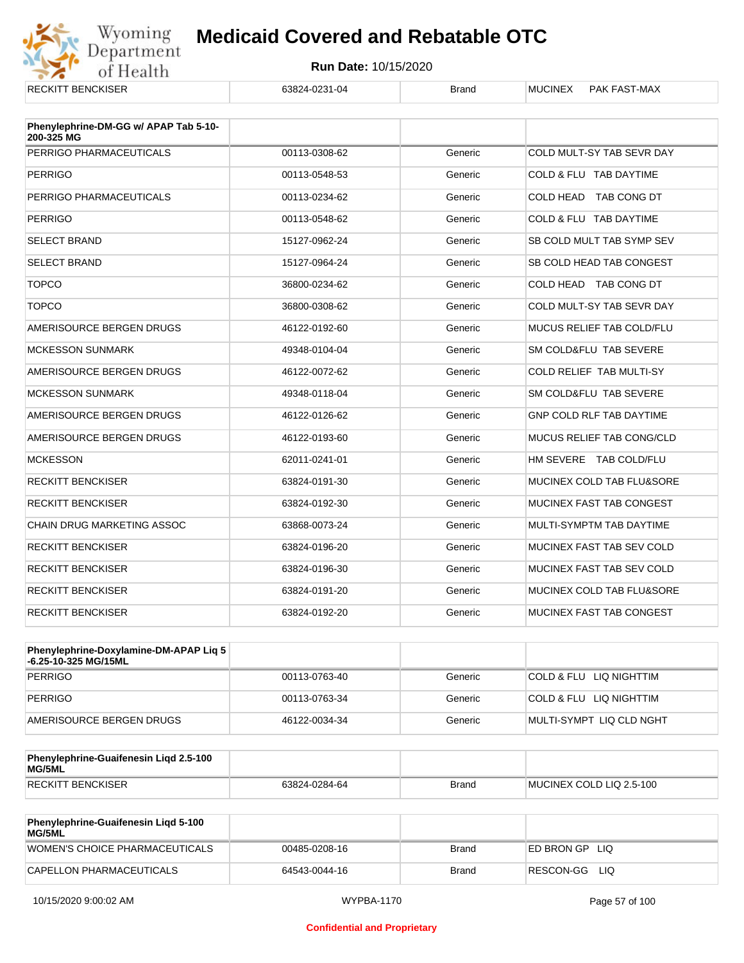

| ILLUNI I DENUNJEN                                   | UJUZT-UZJ I-UT | Pianu   |                                      |
|-----------------------------------------------------|----------------|---------|--------------------------------------|
| Phenylephrine-DM-GG w/ APAP Tab 5-10-<br>200-325 MG |                |         |                                      |
| PERRIGO PHARMACEUTICALS                             | 00113-0308-62  | Generic | COLD MULT-SY TAB SEVR DAY            |
| <b>PERRIGO</b>                                      | 00113-0548-53  | Generic | COLD & FLU TAB DAYTIME               |
| PERRIGO PHARMACEUTICALS                             | 00113-0234-62  | Generic | COLD HEAD TAB CONG DT                |
| <b>PERRIGO</b>                                      | 00113-0548-62  | Generic | COLD & FLU TAB DAYTIME               |
| <b>SELECT BRAND</b>                                 | 15127-0962-24  | Generic | SB COLD MULT TAB SYMP SEV            |
| <b>SELECT BRAND</b>                                 | 15127-0964-24  | Generic | SB COLD HEAD TAB CONGEST             |
| <b>TOPCO</b>                                        | 36800-0234-62  | Generic | COLD HEAD TAB CONG DT                |
| <b>TOPCO</b>                                        | 36800-0308-62  | Generic | COLD MULT-SY TAB SEVR DAY            |
| AMERISOURCE BERGEN DRUGS                            | 46122-0192-60  | Generic | MUCUS RELIEF TAB COLD/FLU            |
| <b>MCKESSON SUNMARK</b>                             | 49348-0104-04  | Generic | SM COLD&FLU TAB SEVERE               |
| AMERISOURCE BERGEN DRUGS                            | 46122-0072-62  | Generic | COLD RELIEF TAB MULTI-SY             |
| <b>MCKESSON SUNMARK</b>                             | 49348-0118-04  | Generic | SM COLD&FLU TAB SEVERE               |
| AMERISOURCE BERGEN DRUGS                            | 46122-0126-62  | Generic | <b>GNP COLD RLF TAB DAYTIME</b>      |
| AMERISOURCE BERGEN DRUGS                            | 46122-0193-60  | Generic | <b>MUCUS RELIEF TAB CONG/CLD</b>     |
| <b>MCKESSON</b>                                     | 62011-0241-01  | Generic | HM SEVERE TAB COLD/FLU               |
| <b>RECKITT BENCKISER</b>                            | 63824-0191-30  | Generic | MUCINEX COLD TAB FLU&SORE            |
| <b>RECKITT BENCKISER</b>                            | 63824-0192-30  | Generic | MUCINEX FAST TAB CONGEST             |
| CHAIN DRUG MARKETING ASSOC                          | 63868-0073-24  | Generic | MULTI-SYMPTM TAB DAYTIME             |
| <b>RECKITT BENCKISER</b>                            | 63824-0196-20  | Generic | MUCINEX FAST TAB SEV COLD            |
| <b>RECKITT BENCKISER</b>                            | 63824-0196-30  | Generic | MUCINEX FAST TAB SEV COLD            |
| <b>RECKITT BENCKISER</b>                            | 63824-0191-20  | Generic | <b>MUCINEX COLD TAB FLU&amp;SORE</b> |
| <b>RECKITT BENCKISER</b>                            | 63824-0192-20  | Generic | MUCINEX FAST TAB CONGEST             |

| Phenylephrine-Doxylamine-DM-APAP Liq 5<br>-6.25-10-325 MG/15ML |               |         |                          |
|----------------------------------------------------------------|---------------|---------|--------------------------|
| PERRIGO                                                        | 00113-0763-40 | Generic | COLD & FLU LIQ NIGHTTIM  |
| PERRIGO                                                        | 00113-0763-34 | Generic | COLD & FLU LIQ NIGHTTIM  |
| AMERISOURCE BERGEN DRUGS                                       | 46122-0034-34 | Generic | MULTI-SYMPT LIQ CLD NGHT |

| Phenylephrine-Guaifenesin Ligd 2.5-100<br>MG/5ML |               |              |                          |
|--------------------------------------------------|---------------|--------------|--------------------------|
| <b>RECKITT BENCKISER</b>                         | 63824-0284-64 | <b>Brand</b> | MUCINEX COLD LIQ 2.5-100 |

| <b>Phenylephrine-Guaifenesin Ligd 5-100</b><br><b>MG/5ML</b> |               |       |                    |
|--------------------------------------------------------------|---------------|-------|--------------------|
| WOMEN'S CHOICE PHARMACEUTICALS                               | 00485-0208-16 | Brand | ED BRON GP<br>-LIQ |
| CAPELLON PHARMACEUTICALS                                     | 64543-0044-16 | Brand | RESCON-GG<br>LIQ   |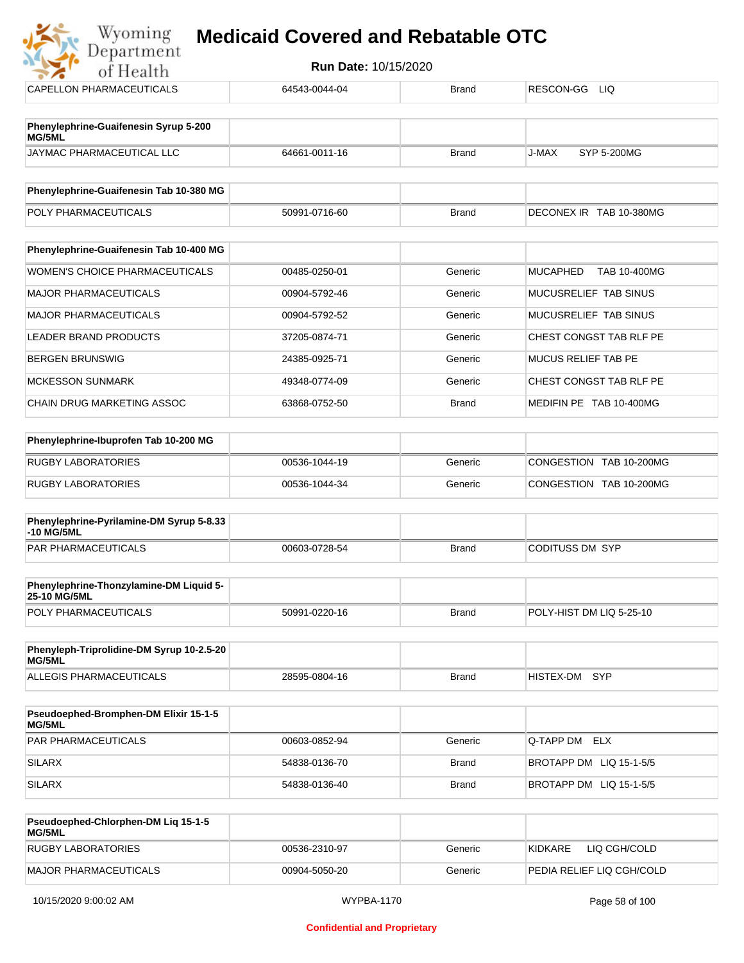| <b>Run Date: 10/15/2020</b><br>of Health        |               |              |                                        |  |  |
|-------------------------------------------------|---------------|--------------|----------------------------------------|--|--|
| <b>CAPELLON PHARMACEUTICALS</b>                 | 64543-0044-04 | <b>Brand</b> | RESCON-GG<br>LIQ.                      |  |  |
|                                                 |               |              |                                        |  |  |
| Phenylephrine-Guaifenesin Syrup 5-200<br>MG/5ML |               |              |                                        |  |  |
| JAYMAC PHARMACEUTICAL LLC                       | 64661-0011-16 | <b>Brand</b> | J-MAX<br>SYP 5-200MG                   |  |  |
| Phenylephrine-Guaifenesin Tab 10-380 MG         |               |              |                                        |  |  |
| POLY PHARMACEUTICALS                            | 50991-0716-60 | <b>Brand</b> | DECONEX IR TAB 10-380MG                |  |  |
| Phenylephrine-Guaifenesin Tab 10-400 MG         |               |              |                                        |  |  |
| <b>WOMEN'S CHOICE PHARMACEUTICALS</b>           | 00485-0250-01 | Generic      | <b>MUCAPHED</b><br><b>TAB 10-400MG</b> |  |  |
| <b>MAJOR PHARMACEUTICALS</b>                    | 00904-5792-46 | Generic      | MUCUSRELIEF TAB SINUS                  |  |  |
| <b>MAJOR PHARMACEUTICALS</b>                    | 00904-5792-52 | Generic      | MUCUSRELIEF TAB SINUS                  |  |  |
| <b>LEADER BRAND PRODUCTS</b>                    | 37205-0874-71 | Generic      | CHEST CONGST TAB RLF PE                |  |  |
| <b>BERGEN BRUNSWIG</b>                          | 24385-0925-71 | Generic      | <b>MUCUS RELIEF TAB PE</b>             |  |  |
| <b>MCKESSON SUNMARK</b>                         | 49348-0774-09 | Generic      | CHEST CONGST TAB RLF PE                |  |  |
| <b>CHAIN DRUG MARKETING ASSOC</b>               | 63868-0752-50 | <b>Brand</b> | MEDIFIN PE TAB 10-400MG                |  |  |
|                                                 |               |              |                                        |  |  |

| Phenylephrine-Ibuprofen Tab 10-200 MG |               |         |                         |
|---------------------------------------|---------------|---------|-------------------------|
| RUGBY LABORATORIES                    | 00536-1044-19 | Generic | CONGESTION TAB 10-200MG |
| <b>RUGBY LABORATORIES</b>             | 00536-1044-34 | Generic | CONGESTION TAB 10-200MG |

| Phenylephrine-Pyrilamine-DM Syrup 5-8.33<br>-10 MG/5ML |               |       |                 |
|--------------------------------------------------------|---------------|-------|-----------------|
| <b>PAR PHARMACEUTICALS</b>                             | 00603-0728-54 | Brand | CODITUSS DM SYP |

| <b>Phenylephrine-Thonzylamine-DM Liquid 5-</b><br><b>25-10 MG/5ML</b> |               |       |                          |
|-----------------------------------------------------------------------|---------------|-------|--------------------------|
| <b>POLY PHARMACEUTICALS</b>                                           | 50991-0220-16 | Brand | POLY-HIST DM LIQ 5-25-10 |

| Phenyleph-Triprolidine-DM Syrup 10-2.5-20<br>MG/5ML |               |       |               |  |
|-----------------------------------------------------|---------------|-------|---------------|--|
| ALLEGIS PHARMACEUTICALS                             | 28595-0804-16 | Brand | HISTEX-DM SYP |  |

| <b>Pseudoephed-Bromphen-DM Elixir 15-1-5</b><br><b>MG/5ML</b> |               |         |                         |
|---------------------------------------------------------------|---------------|---------|-------------------------|
| <b>PAR PHARMACEUTICALS</b>                                    | 00603-0852-94 | Generic | Q-TAPP DM ELX           |
| <b>SILARX</b>                                                 | 54838-0136-70 | Brand   | BROTAPP DM LIQ 15-1-5/5 |
| <b>SILARX</b>                                                 | 54838-0136-40 | Brand   | BROTAPP DM LIQ 15-1-5/5 |

| Pseudoephed-Chlorphen-DM Lig 15-1-5<br><b>MG/5ML</b> |               |         |                            |
|------------------------------------------------------|---------------|---------|----------------------------|
| RUGBY LABORATORIES                                   | 00536-2310-97 | Generic | LIQ CGH/COLD<br>KIDKARF    |
| MAJOR PHARMACEUTICALS                                | 00904-5050-20 | Generic | IPEDIA RELIEF LIQ CGH/COLD |

 $\frac{1}{2}$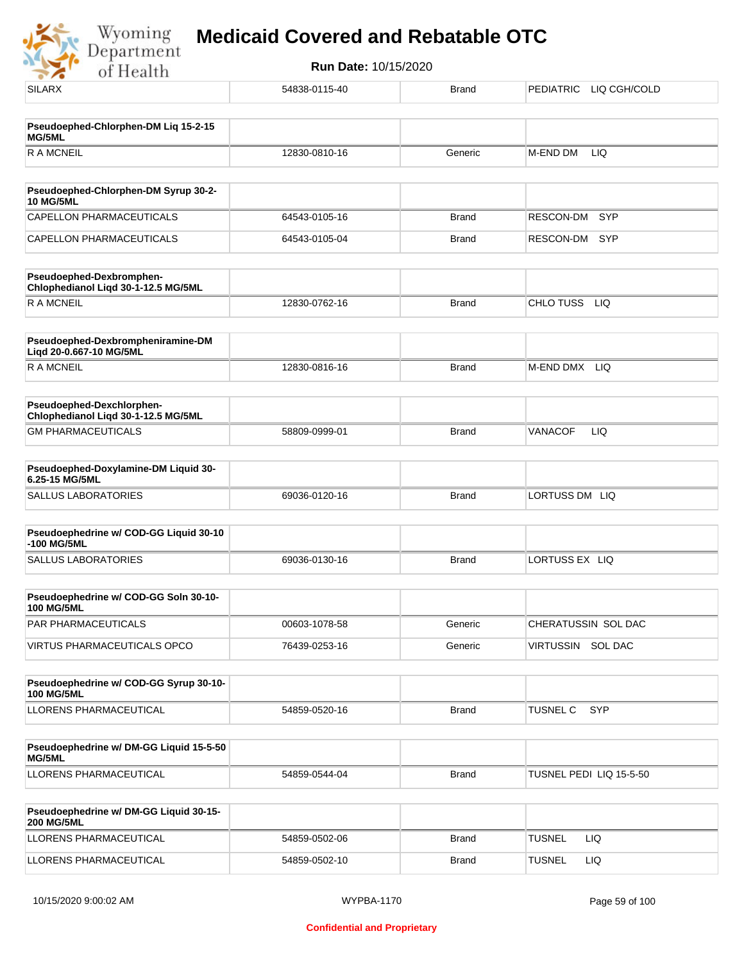

| <b>SILARX</b>                                                    | 54838-0115-40 | <b>Brand</b> | PEDIATRIC LIQ CGH/COLD  |
|------------------------------------------------------------------|---------------|--------------|-------------------------|
| Pseudoephed-Chlorphen-DM Liq 15-2-15                             |               |              |                         |
| MG/5ML                                                           |               |              |                         |
| <b>RAMCNEIL</b>                                                  | 12830-0810-16 | Generic      | M-END DM<br>LIQ.        |
| Pseudoephed-Chlorphen-DM Syrup 30-2-                             |               |              |                         |
| <b>10 MG/5ML</b>                                                 |               |              |                         |
| CAPELLON PHARMACEUTICALS                                         | 64543-0105-16 | <b>Brand</b> | <b>SYP</b><br>RESCON-DM |
| CAPELLON PHARMACEUTICALS                                         | 64543-0105-04 | <b>Brand</b> | RESCON-DM<br>SYP        |
| Pseudoephed-Dexbromphen-<br>Chlophedianol Liqd 30-1-12.5 MG/5ML  |               |              |                         |
| <b>RAMCNEIL</b>                                                  | 12830-0762-16 | <b>Brand</b> | CHLO TUSS<br><b>LIQ</b> |
| Pseudoephed-Dexbrompheniramine-DM<br>Liqd 20-0.667-10 MG/5ML     |               |              |                         |
| <b>RAMCNEIL</b>                                                  | 12830-0816-16 | <b>Brand</b> | M-END DMX LIQ           |
| Pseudoephed-Dexchlorphen-<br>Chlophedianol Liqd 30-1-12.5 MG/5ML |               |              |                         |
| <b>GM PHARMACEUTICALS</b>                                        | 58809-0999-01 | <b>Brand</b> | <b>VANACOF</b><br>LIQ   |
| Pseudoephed-Doxylamine-DM Liquid 30-                             |               |              |                         |
| 6.25-15 MG/5ML                                                   |               |              |                         |
| <b>SALLUS LABORATORIES</b>                                       | 69036-0120-16 | <b>Brand</b> | LORTUSS DM LIQ          |
| Pseudoephedrine w/ COD-GG Liquid 30-10<br>-100 MG/5ML            |               |              |                         |
| <b>SALLUS LABORATORIES</b>                                       | 69036-0130-16 | <b>Brand</b> | LORTUSS EX LIQ          |
| Pseudoephedrine w/ COD-GG Soln 30-10-<br><b>100 MG/5ML</b>       |               |              |                         |
| PAR PHARMACEUTICALS                                              | 00603-1078-58 | Generic      | CHERATUSSIN SOL DAC     |
| VIRTUS PHARMACEUTICALS OPCO                                      | 76439-0253-16 | Generic      | VIRTUSSIN SOL DAC       |
| Pseudoephedrine w/ COD-GG Syrup 30-10-<br><b>100 MG/5ML</b>      |               |              |                         |
| <b>LLORENS PHARMACEUTICAL</b>                                    | 54859-0520-16 | Brand        | SYP<br><b>TUSNEL C</b>  |
|                                                                  |               |              |                         |
| Pseudoephedrine w/ DM-GG Liquid 15-5-50<br>MG/5ML                |               |              |                         |
| LLORENS PHARMACEUTICAL                                           | 54859-0544-04 | <b>Brand</b> | TUSNEL PEDI LIQ 15-5-50 |
| Pseudoephedrine w/ DM-GG Liquid 30-15-<br><b>200 MG/5ML</b>      |               |              |                         |
| LLORENS PHARMACEUTICAL                                           | 54859-0502-06 | Brand        | <b>TUSNEL</b><br>LIQ    |
| LLORENS PHARMACEUTICAL                                           | 54859-0502-10 | <b>Brand</b> | <b>TUSNEL</b><br>LIQ    |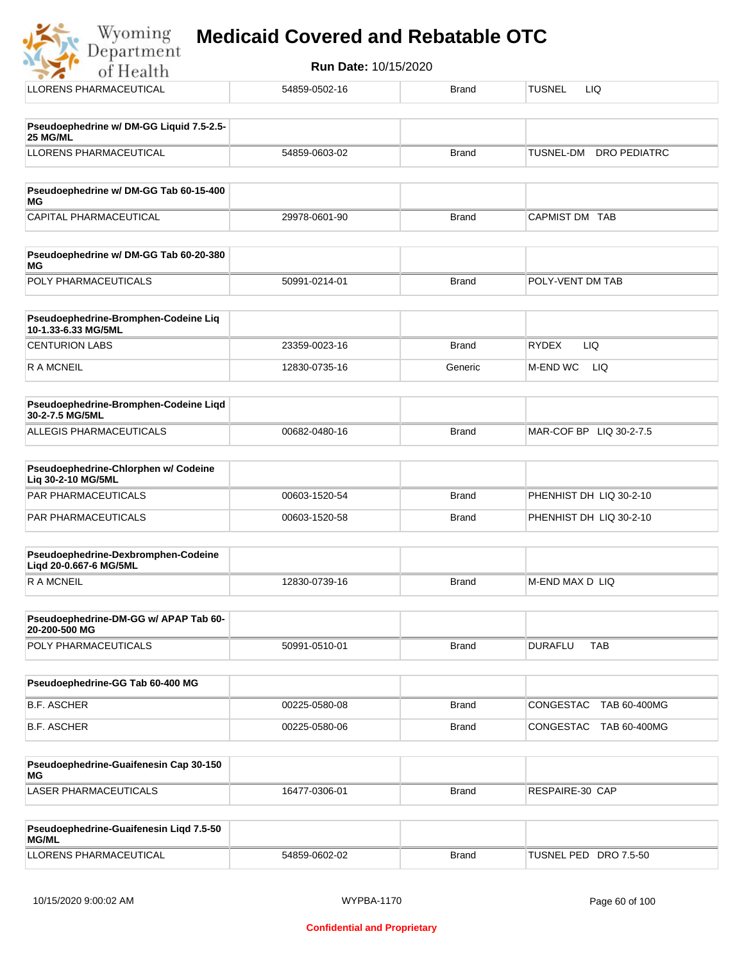| <b>Run Date: 10/15/2020</b><br>of Health                      |               |              |                                         |
|---------------------------------------------------------------|---------------|--------------|-----------------------------------------|
| LLORENS PHARMACEUTICAL                                        | 54859-0502-16 | <b>Brand</b> | <b>TUSNEL</b><br>LIQ.                   |
| Pseudoephedrine w/ DM-GG Liquid 7.5-2.5-<br>25 MG/ML          |               |              |                                         |
| <b>LLORENS PHARMACEUTICAL</b>                                 | 54859-0603-02 | <b>Brand</b> | <b>TUSNEL-DM</b><br><b>DRO PEDIATRC</b> |
| Pseudoephedrine w/ DM-GG Tab 60-15-400<br>ΜG                  |               |              |                                         |
| CAPITAL PHARMACEUTICAL                                        | 29978-0601-90 | <b>Brand</b> | CAPMIST DM TAB                          |
| Pseudoephedrine w/ DM-GG Tab 60-20-380<br>ΜG                  |               |              |                                         |
| POLY PHARMACEUTICALS                                          | 50991-0214-01 | <b>Brand</b> | POLY-VENT DM TAB                        |
| Pseudoephedrine-Bromphen-Codeine Liq<br>10-1.33-6.33 MG/5ML   |               |              |                                         |
| <b>CENTURION LABS</b>                                         | 23359-0023-16 | <b>Brand</b> | <b>RYDEX</b><br>LIQ                     |
| R A MCNEIL                                                    | 12830-0735-16 | Generic      | M-END WC<br>LIQ                         |
| Pseudoephedrine-Bromphen-Codeine Liqd<br>30-2-7.5 MG/5ML      |               |              |                                         |
| <b>ALLEGIS PHARMACEUTICALS</b>                                | 00682-0480-16 | <b>Brand</b> | MAR-COF BP LIQ 30-2-7.5                 |
| Pseudoephedrine-Chlorphen w/ Codeine<br>Liq 30-2-10 MG/5ML    |               |              |                                         |
| <b>PAR PHARMACEUTICALS</b>                                    | 00603-1520-54 | <b>Brand</b> | PHENHIST DH LIQ 30-2-10                 |
| <b>PAR PHARMACEUTICALS</b>                                    | 00603-1520-58 | <b>Brand</b> | PHENHIST DH LIQ 30-2-10                 |
| Pseudoephedrine-Dexbromphen-Codeine<br>Ligd 20-0.667-6 MG/5ML |               |              |                                         |
| <b>RAMCNEIL</b>                                               | 12830-0739-16 | <b>Brand</b> | M-END MAX D LIQ                         |
| Pseudoephedrine-DM-GG w/ APAP Tab 60-<br>20-200-500 MG        |               |              |                                         |
| POLY PHARMACEUTICALS                                          | 50991-0510-01 | <b>Brand</b> | <b>DURAFLU</b><br><b>TAB</b>            |
| Pseudoephedrine-GG Tab 60-400 MG                              |               |              |                                         |
|                                                               |               |              |                                         |

B.F. ASCHER 00225-0580-08 Brand CONGESTAC TAB 60-400MG B.F. ASCHER 00225-0580-06 Brand CONGESTAC TAB 60-400MG

| <b>Pseudoephedrine-Guaifenesin Cap 30-150</b><br>MG |               |       |                 |
|-----------------------------------------------------|---------------|-------|-----------------|
| 'LASER PHARMACEUTICALS                              | 16477-0306-01 | Brand | RESPAIRE-30 CAP |

| <b>Pseudoephedrine-Guaifenesin Ligd 7.5-50</b><br><b>MG/ML</b> |               |       |                       |
|----------------------------------------------------------------|---------------|-------|-----------------------|
| LLORENS PHARMACEUTICAL                                         | 54859-0602-02 | Brand | TUSNEL PED DRO 7.5-50 |

 $\frac{1}{2}$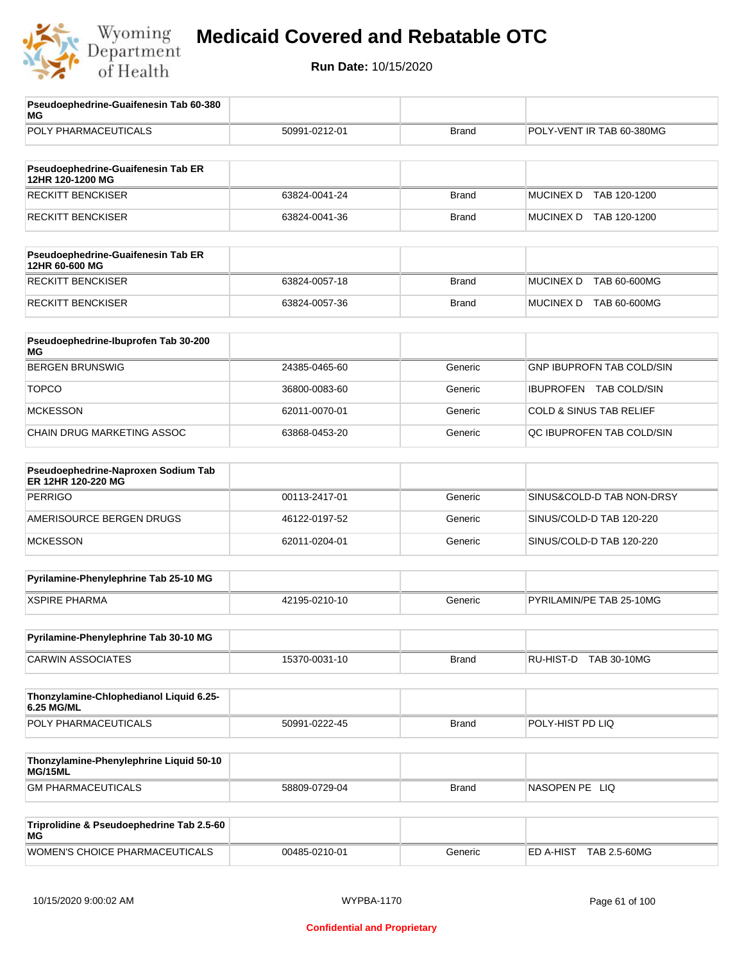

| Pseudoephedrine-Guaifenesin Tab 60-380<br>МG              |               |              |                                    |
|-----------------------------------------------------------|---------------|--------------|------------------------------------|
| POLY PHARMACEUTICALS                                      | 50991-0212-01 | <b>Brand</b> | POLY-VENT IR TAB 60-380MG          |
|                                                           |               |              |                                    |
| Pseudoephedrine-Guaifenesin Tab ER<br>12HR 120-1200 MG    |               |              |                                    |
| <b>RECKITT BENCKISER</b>                                  | 63824-0041-24 | <b>Brand</b> | <b>MUCINEX D</b><br>TAB 120-1200   |
| <b>RECKITT BENCKISER</b>                                  | 63824-0041-36 | <b>Brand</b> | MUCINEX D TAB 120-1200             |
| Pseudoephedrine-Guaifenesin Tab ER<br>12HR 60-600 MG      |               |              |                                    |
| <b>RECKITT BENCKISER</b>                                  | 63824-0057-18 | <b>Brand</b> | <b>MUCINEX D</b><br>TAB 60-600MG   |
| <b>RECKITT BENCKISER</b>                                  | 63824-0057-36 | <b>Brand</b> | MUCINEX D TAB 60-600MG             |
| Pseudoephedrine-Ibuprofen Tab 30-200<br>МG                |               |              |                                    |
| <b>BERGEN BRUNSWIG</b>                                    | 24385-0465-60 | Generic      | GNP IBUPROFN TAB COLD/SIN          |
| <b>TOPCO</b>                                              | 36800-0083-60 | Generic      | IBUPROFEN TAB COLD/SIN             |
| <b>MCKESSON</b>                                           | 62011-0070-01 | Generic      | <b>COLD &amp; SINUS TAB RELIEF</b> |
| CHAIN DRUG MARKETING ASSOC                                | 63868-0453-20 | Generic      | QC IBUPROFEN TAB COLD/SIN          |
|                                                           |               |              |                                    |
| Pseudoephedrine-Naproxen Sodium Tab<br>ER 12HR 120-220 MG |               |              |                                    |
| <b>PERRIGO</b>                                            | 00113-2417-01 | Generic      | SINUS&COLD-D TAB NON-DRSY          |
| AMERISOURCE BERGEN DRUGS                                  | 46122-0197-52 | Generic      | SINUS/COLD-D TAB 120-220           |
| <b>MCKESSON</b>                                           | 62011-0204-01 | Generic      | SINUS/COLD-D TAB 120-220           |
| Pyrilamine-Phenylephrine Tab 25-10 MG                     |               |              |                                    |
| <b>XSPIRE PHARMA</b>                                      | 42195-0210-10 | Generic      | PYRILAMIN/PE TAB 25-10MG           |
| Pyrilamine-Phenylephrine Tab 30-10 MG                     |               |              |                                    |
| <b>CARWIN ASSOCIATES</b>                                  | 15370-0031-10 | Brand        | RU-HIST-D TAB 30-10MG              |
|                                                           |               |              |                                    |
| Thonzylamine-Chlophedianol Liquid 6.25-<br>6.25 MG/ML     |               |              |                                    |
| POLY PHARMACEUTICALS                                      | 50991-0222-45 | <b>Brand</b> | POLY-HIST PD LIQ                   |
|                                                           |               |              |                                    |
| Thonzylamine-Phenylephrine Liquid 50-10<br>MG/15ML        |               |              |                                    |
| <b>GM PHARMACEUTICALS</b>                                 | 58809-0729-04 | <b>Brand</b> | NASOPEN PE LIQ                     |
| Triprolidine & Pseudoephedrine Tab 2.5-60<br>МG           |               |              |                                    |
| WOMEN'S CHOICE PHARMACEUTICALS                            | 00485-0210-01 | Generic      | ED A-HIST TAB 2.5-60MG             |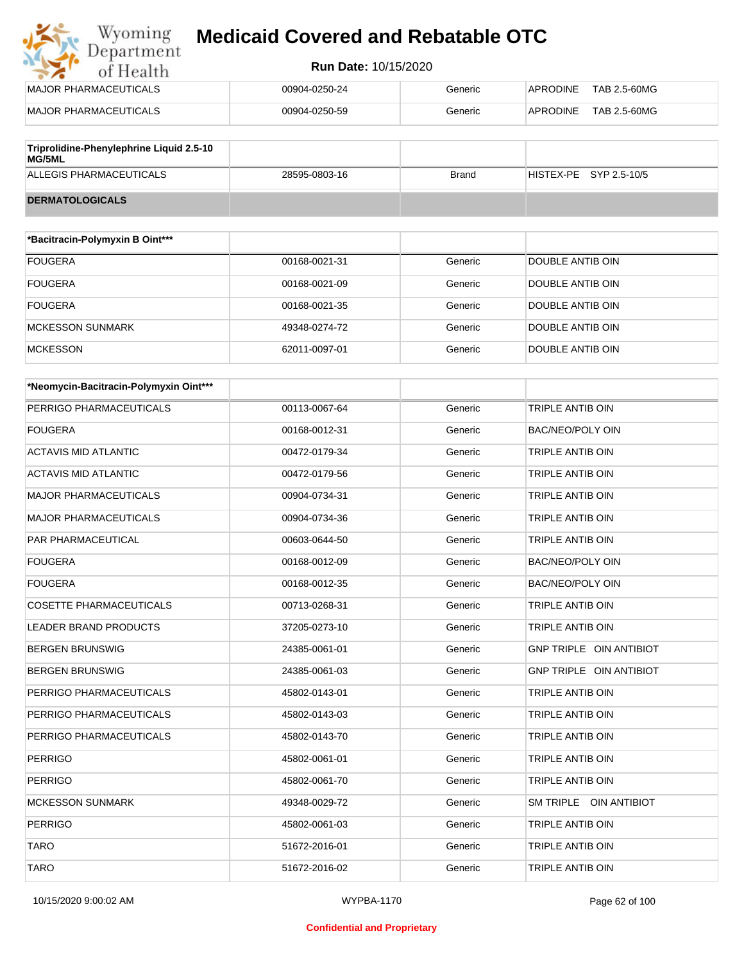## Wyoming<br>Department<br>of Health **Medicaid Covered and Rebatable OTC**

| MAJOR PHARMACEUTICALS                    | 00904-0250-24 | Generic | TAB 2.5-60MG<br><b>APRODINE</b> |
|------------------------------------------|---------------|---------|---------------------------------|
| MAJOR PHARMACEUTICALS                    | 00904-0250-59 | Generic | TAB 2.5-60MG<br><b>APRODINE</b> |
| Trinrolidino-Phonylophrino Liquid 2 5-10 |               |         |                                 |

| Triprolidine-Phenylephrine Liquid 2.5-10<br>MG/5ML |               |              |                        |
|----------------------------------------------------|---------------|--------------|------------------------|
| ALLEGIS PHARMACEUTICALS                            | 28595-0803-16 | <b>Brand</b> | HISTEX-PE SYP 2.5-10/5 |
| <b>DERMATOLOGICALS</b>                             |               |              |                        |

| *Bacitracin-Polymyxin B Oint*** |               |         |                  |
|---------------------------------|---------------|---------|------------------|
| <b>FOUGERA</b>                  | 00168-0021-31 | Generic | DOUBLE ANTIB OIN |
| <b>FOUGERA</b>                  | 00168-0021-09 | Generic | DOUBLE ANTIB OIN |
| <b>FOUGERA</b>                  | 00168-0021-35 | Generic | DOUBLE ANTIB OIN |
| <b>MCKESSON SUNMARK</b>         | 49348-0274-72 | Generic | DOUBLE ANTIB OIN |
| <b>MCKESSON</b>                 | 62011-0097-01 | Generic | DOUBLE ANTIB OIN |

| *Neomycin-Bacitracin-Polymyxin Oint*** |               |         |                         |
|----------------------------------------|---------------|---------|-------------------------|
| PERRIGO PHARMACEUTICALS                | 00113-0067-64 | Generic | <b>TRIPLE ANTIB OIN</b> |
| <b>FOUGERA</b>                         | 00168-0012-31 | Generic | <b>BAC/NEO/POLY OIN</b> |
| <b>ACTAVIS MID ATLANTIC</b>            | 00472-0179-34 | Generic | <b>TRIPLE ANTIB OIN</b> |
| <b>ACTAVIS MID ATLANTIC</b>            | 00472-0179-56 | Generic | <b>TRIPLE ANTIB OIN</b> |
| <b>MAJOR PHARMACEUTICALS</b>           | 00904-0734-31 | Generic | <b>TRIPLE ANTIB OIN</b> |
| <b>MAJOR PHARMACEUTICALS</b>           | 00904-0734-36 | Generic | <b>TRIPLE ANTIB OIN</b> |
| PAR PHARMACEUTICAL                     | 00603-0644-50 | Generic | TRIPLE ANTIB OIN        |
| <b>FOUGERA</b>                         | 00168-0012-09 | Generic | <b>BAC/NEO/POLY OIN</b> |
| <b>FOUGERA</b>                         | 00168-0012-35 | Generic | BAC/NEO/POLY OIN        |
| <b>COSETTE PHARMACEUTICALS</b>         | 00713-0268-31 | Generic | <b>TRIPLE ANTIB OIN</b> |
| <b>LEADER BRAND PRODUCTS</b>           | 37205-0273-10 | Generic | <b>TRIPLE ANTIB OIN</b> |
| <b>BERGEN BRUNSWIG</b>                 | 24385-0061-01 | Generic | GNP TRIPLE OIN ANTIBIOT |
| <b>BERGEN BRUNSWIG</b>                 | 24385-0061-03 | Generic | GNP TRIPLE OIN ANTIBIOT |
| PERRIGO PHARMACEUTICALS                | 45802-0143-01 | Generic | <b>TRIPLE ANTIB OIN</b> |
| PERRIGO PHARMACEUTICALS                | 45802-0143-03 | Generic | <b>TRIPLE ANTIB OIN</b> |
| PERRIGO PHARMACEUTICALS                | 45802-0143-70 | Generic | TRIPLE ANTIB OIN        |
| <b>PERRIGO</b>                         | 45802-0061-01 | Generic | TRIPLE ANTIB OIN        |
| <b>PERRIGO</b>                         | 45802-0061-70 | Generic | TRIPLE ANTIB OIN        |
| <b>MCKESSON SUNMARK</b>                | 49348-0029-72 | Generic | SM TRIPLE OIN ANTIBIOT  |
| <b>PERRIGO</b>                         | 45802-0061-03 | Generic | TRIPLE ANTIB OIN        |
| <b>TARO</b>                            | 51672-2016-01 | Generic | <b>TRIPLE ANTIB OIN</b> |
| <b>TARO</b>                            | 51672-2016-02 | Generic | <b>TRIPLE ANTIB OIN</b> |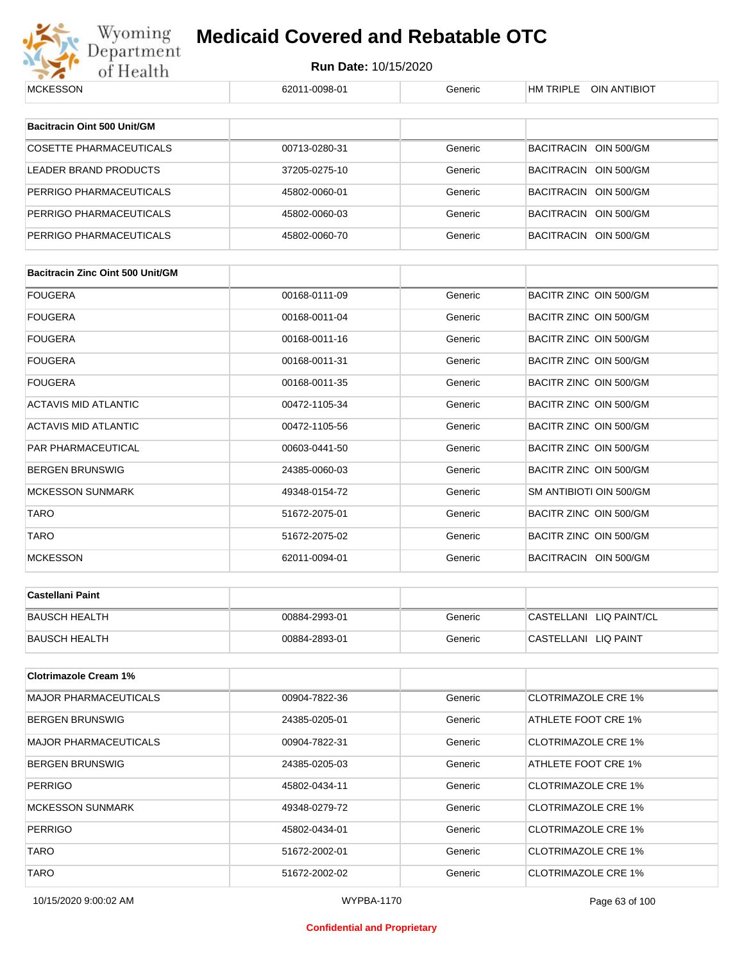

| <b>MCKESSON</b>                         | 62011-0098-01 | Generic | HM TRIPLE OIN ANTIBIOT     |
|-----------------------------------------|---------------|---------|----------------------------|
|                                         |               |         |                            |
| Bacitracin Oint 500 Unit/GM             |               |         |                            |
| <b>COSETTE PHARMACEUTICALS</b>          | 00713-0280-31 | Generic | BACITRACIN OIN 500/GM      |
| LEADER BRAND PRODUCTS                   | 37205-0275-10 | Generic | BACITRACIN OIN 500/GM      |
| PERRIGO PHARMACEUTICALS                 | 45802-0060-01 | Generic | BACITRACIN OIN 500/GM      |
| PERRIGO PHARMACEUTICALS                 | 45802-0060-03 | Generic | BACITRACIN OIN 500/GM      |
| PERRIGO PHARMACEUTICALS                 | 45802-0060-70 | Generic | BACITRACIN OIN 500/GM      |
|                                         |               |         |                            |
| <b>Bacitracin Zinc Oint 500 Unit/GM</b> |               |         |                            |
| FOUGERA                                 | 00168-0111-09 | Generic | BACITR ZINC OIN 500/GM     |
| FOUGERA                                 | 00168-0011-04 | Generic | BACITR ZINC OIN 500/GM     |
| FOUGERA                                 | 00168-0011-16 | Generic | BACITR ZINC OIN 500/GM     |
| FOUGERA                                 | 00168-0011-31 | Generic | BACITR ZINC OIN 500/GM     |
| <b>FOUGERA</b>                          | 00168-0011-35 | Generic | BACITR ZINC OIN 500/GM     |
| ACTAVIS MID ATLANTIC                    | 00472-1105-34 | Generic | BACITR ZINC OIN 500/GM     |
| ACTAVIS MID ATLANTIC                    | 00472-1105-56 | Generic | BACITR ZINC OIN 500/GM     |
| PAR PHARMACEUTICAL                      | 00603-0441-50 | Generic | BACITR ZINC OIN 500/GM     |
| BERGEN BRUNSWIG                         | 24385-0060-03 | Generic | BACITR ZINC OIN 500/GM     |
| <b>MCKESSON SUNMARK</b>                 | 49348-0154-72 | Generic | SM ANTIBIOTI OIN 500/GM    |
| <b>TARO</b>                             | 51672-2075-01 | Generic | BACITR ZINC OIN 500/GM     |
| TARO                                    | 51672-2075-02 | Generic | BACITR ZINC OIN 500/GM     |
| <b>MCKESSON</b>                         | 62011-0094-01 | Generic | BACITRACIN OIN 500/GM      |
|                                         |               |         |                            |
| Castellani Paint                        |               |         |                            |
| <b>BAUSCH HEALTH</b>                    | 00884-2993-01 | Generic | CASTELLANI LIQ PAINT/CL    |
| <b>BAUSCH HEALTH</b>                    | 00884-2893-01 | Generic | CASTELLANI LIQ PAINT       |
| <b>Clotrimazole Cream 1%</b>            |               |         |                            |
| <b>MAJOR PHARMACEUTICALS</b>            | 00904-7822-36 | Generic | <b>CLOTRIMAZOLE CRE 1%</b> |
| BERGEN BRUNSWIG                         | 24385-0205-01 | Generic | ATHLETE FOOT CRE 1%        |
| <b>MAJOR PHARMACEUTICALS</b>            | 00904-7822-31 | Generic | <b>CLOTRIMAZOLE CRE 1%</b> |
| BERGEN BRUNSWIG                         | 24385-0205-03 | Generic | ATHLETE FOOT CRE 1%        |
| PERRIGO                                 | 45802-0434-11 | Generic | <b>CLOTRIMAZOLE CRE 1%</b> |
|                                         |               |         |                            |
| <b>MCKESSON SUNMARK</b>                 | 49348-0279-72 | Generic | <b>CLOTRIMAZOLE CRE 1%</b> |
| PERRIGO                                 | 45802-0434-01 | Generic | <b>CLOTRIMAZOLE CRE 1%</b> |
| TARO                                    | 51672-2002-01 | Generic | <b>CLOTRIMAZOLE CRE 1%</b> |
| <b>TARO</b>                             | 51672-2002-02 | Generic | <b>CLOTRIMAZOLE CRE 1%</b> |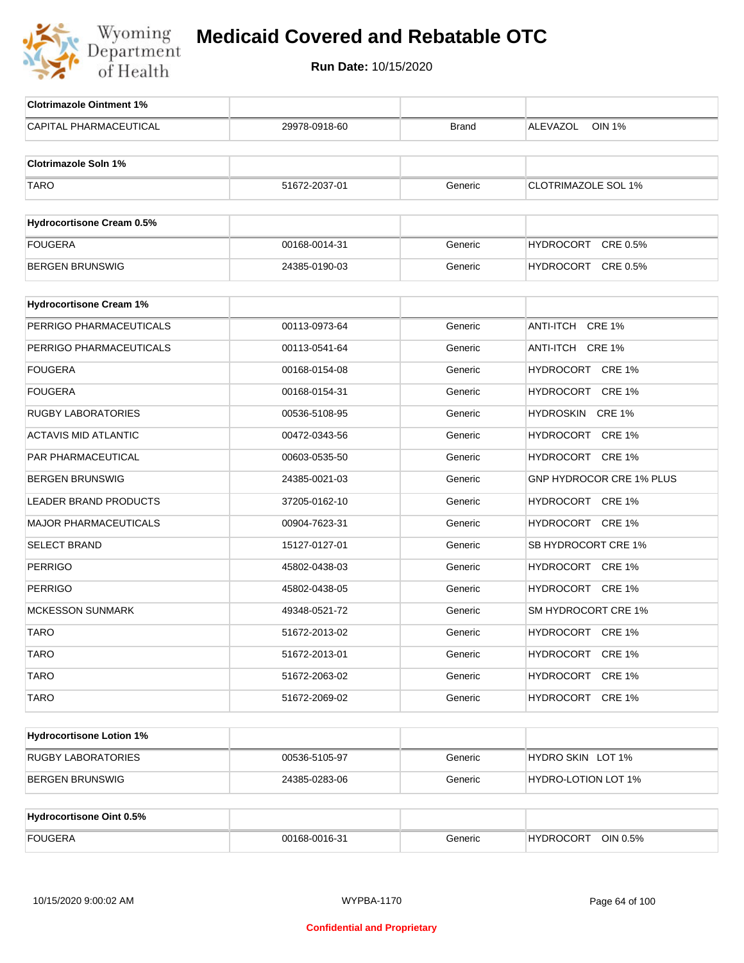

| <b>Clotrimazole Ointment 1%</b>  |               |              |                                  |
|----------------------------------|---------------|--------------|----------------------------------|
| CAPITAL PHARMACEUTICAL           | 29978-0918-60 | <b>Brand</b> | <b>ALEVAZOL</b><br><b>OIN 1%</b> |
| <b>Clotrimazole Soln 1%</b>      |               |              |                                  |
|                                  |               |              |                                  |
| <b>TARO</b>                      | 51672-2037-01 | Generic      | <b>CLOTRIMAZOLE SOL 1%</b>       |
| <b>Hydrocortisone Cream 0.5%</b> |               |              |                                  |
| <b>FOUGERA</b>                   | 00168-0014-31 | Generic      | HYDROCORT CRE 0.5%               |
| <b>BERGEN BRUNSWIG</b>           | 24385-0190-03 | Generic      | HYDROCORT CRE 0.5%               |
|                                  |               |              |                                  |
| <b>Hydrocortisone Cream 1%</b>   |               |              |                                  |
| PERRIGO PHARMACEUTICALS          | 00113-0973-64 | Generic      | ANTI-ITCH CRE 1%                 |
| PERRIGO PHARMACEUTICALS          | 00113-0541-64 | Generic      | ANTI-ITCH CRE 1%                 |
| <b>FOUGERA</b>                   | 00168-0154-08 | Generic      | HYDROCORT CRE 1%                 |
| <b>FOUGERA</b>                   | 00168-0154-31 | Generic      | HYDROCORT CRE 1%                 |
| <b>RUGBY LABORATORIES</b>        | 00536-5108-95 | Generic      | HYDROSKIN CRE 1%                 |
| <b>ACTAVIS MID ATLANTIC</b>      | 00472-0343-56 | Generic      | HYDROCORT CRE 1%                 |
| PAR PHARMACEUTICAL               | 00603-0535-50 | Generic      | HYDROCORT CRE 1%                 |
| <b>BERGEN BRUNSWIG</b>           | 24385-0021-03 | Generic      | GNP HYDROCOR CRE 1% PLUS         |
| <b>LEADER BRAND PRODUCTS</b>     | 37205-0162-10 | Generic      | HYDROCORT CRE 1%                 |
| <b>MAJOR PHARMACEUTICALS</b>     | 00904-7623-31 | Generic      | HYDROCORT CRE 1%                 |
| <b>SELECT BRAND</b>              | 15127-0127-01 | Generic      | SB HYDROCORT CRE 1%              |
| <b>PERRIGO</b>                   | 45802-0438-03 | Generic      | HYDROCORT CRE 1%                 |
| <b>PERRIGO</b>                   | 45802-0438-05 | Generic      | HYDROCORT CRE 1%                 |
| <b>MCKESSON SUNMARK</b>          | 49348-0521-72 | Generic      | SM HYDROCORT CRE 1%              |
| <b>TARO</b>                      | 51672-2013-02 | Generic      | HYDROCORT CRE 1%                 |
| <b>TARO</b>                      | 51672-2013-01 | Generic      | HYDROCORT CRE 1%                 |
| <b>TARO</b>                      | 51672-2063-02 | Generic      | HYDROCORT CRE 1%                 |
| <b>TARO</b>                      | 51672-2069-02 | Generic      | HYDROCORT CRE 1%                 |
|                                  |               |              |                                  |
| <b>Hydrocortisone Lotion 1%</b>  |               |              |                                  |
| <b>RUGBY LABORATORIES</b>        | 00536-5105-97 | Generic      | HYDRO SKIN LOT 1%                |
| <b>BERGEN BRUNSWIG</b>           | 24385-0283-06 | Generic      | HYDRO-LOTION LOT 1%              |
| <b>Hydrocortisone Oint 0.5%</b>  |               |              |                                  |
|                                  | 00168-0016-31 | Generic      | HYDROCORT OIN 0.5%               |
| <b>FOUGERA</b>                   |               |              |                                  |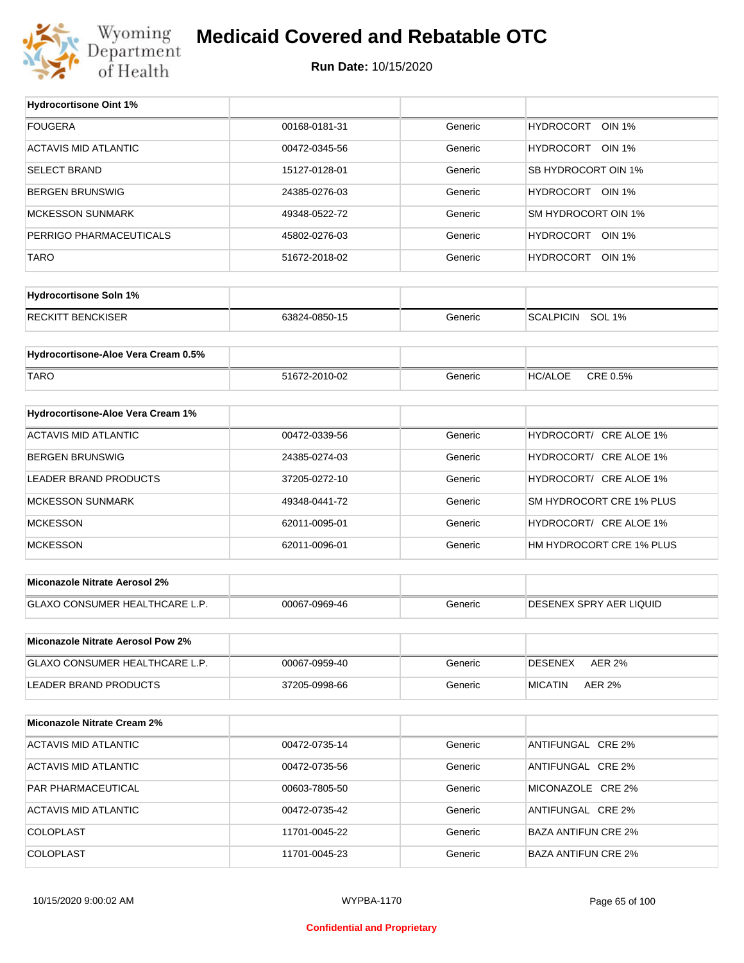

#### **Medicaid Covered and Rebatable OTC**

**Run Date:** 10/15/2020

 $\top$ 

| <b>Hydrocortisone Oint 1%</b>        |               |         |                                   |
|--------------------------------------|---------------|---------|-----------------------------------|
| <b>FOUGERA</b>                       | 00168-0181-31 | Generic | <b>HYDROCORT</b><br><b>OIN 1%</b> |
| <b>ACTAVIS MID ATLANTIC</b>          | 00472-0345-56 | Generic | HYDROCORT OIN 1%                  |
| <b>SELECT BRAND</b>                  | 15127-0128-01 | Generic | SB HYDROCORT OIN 1%               |
| <b>BERGEN BRUNSWIG</b>               | 24385-0276-03 | Generic | HYDROCORT OIN 1%                  |
| <b>MCKESSON SUNMARK</b>              | 49348-0522-72 | Generic | SM HYDROCORT OIN 1%               |
| PERRIGO PHARMACEUTICALS              | 45802-0276-03 | Generic | HYDROCORT OIN 1%                  |
| <b>TARO</b>                          | 51672-2018-02 | Generic | HYDROCORT OIN 1%                  |
|                                      |               |         |                                   |
| <b>Hydrocortisone Soln 1%</b>        |               |         |                                   |
| <b>RECKITT BENCKISER</b>             | 63824-0850-15 | Generic | SCALPICIN SOL 1%                  |
| Hydrocortisone-Aloe Vera Cream 0.5%  |               |         |                                   |
| <b>TARO</b>                          | 51672-2010-02 | Generic | CRE 0.5%<br><b>HC/ALOE</b>        |
|                                      |               |         |                                   |
| Hydrocortisone-Aloe Vera Cream 1%    |               |         |                                   |
| <b>ACTAVIS MID ATLANTIC</b>          | 00472-0339-56 | Generic | HYDROCORT/ CRE ALOE 1%            |
| <b>BERGEN BRUNSWIG</b>               | 24385-0274-03 | Generic | HYDROCORT/ CRE ALOE 1%            |
| LEADER BRAND PRODUCTS                | 37205-0272-10 | Generic | HYDROCORT/ CRE ALOE 1%            |
| <b>MCKESSON SUNMARK</b>              | 49348-0441-72 | Generic | SM HYDROCORT CRE 1% PLUS          |
| <b>MCKESSON</b>                      | 62011-0095-01 | Generic | HYDROCORT/ CRE ALOE 1%            |
| <b>MCKESSON</b>                      | 62011-0096-01 | Generic | HM HYDROCORT CRE 1% PLUS          |
| <b>Miconazole Nitrate Aerosol 2%</b> |               |         |                                   |
| GLAXO CONSUMER HEALTHCARE L.P.       | 00067-0969-46 | Generic | <b>DESENEX SPRY AER LIQUID</b>    |
|                                      |               |         |                                   |
| Miconazole Nitrate Aerosol Pow 2%    |               |         |                                   |
| GLAXO CONSUMER HEALTHCARE L.P.       | 00067-0959-40 | Generic | <b>AER 2%</b><br>DESENEX          |
| <b>LEADER BRAND PRODUCTS</b>         | 37205-0998-66 | Generic | <b>MICATIN</b><br><b>AER 2%</b>   |
| <b>Miconazole Nitrate Cream 2%</b>   |               |         |                                   |
| <b>ACTAVIS MID ATLANTIC</b>          | 00472-0735-14 | Generic | ANTIFUNGAL CRE 2%                 |
|                                      |               |         |                                   |
| ACTAVIS MID ATLANTIC                 | 00472-0735-56 | Generic | ANTIFUNGAL CRE 2%                 |
| PAR PHARMACEUTICAL                   | 00603-7805-50 | Generic | MICONAZOLE CRE 2%                 |
| ACTAVIS MID ATLANTIC                 | 00472-0735-42 | Generic | ANTIFUNGAL CRE 2%                 |
| COLOPLAST                            | 11701-0045-22 | Generic | <b>BAZA ANTIFUN CRE 2%</b>        |
| COLOPLAST                            | 11701-0045-23 | Generic | <b>BAZA ANTIFUN CRE 2%</b>        |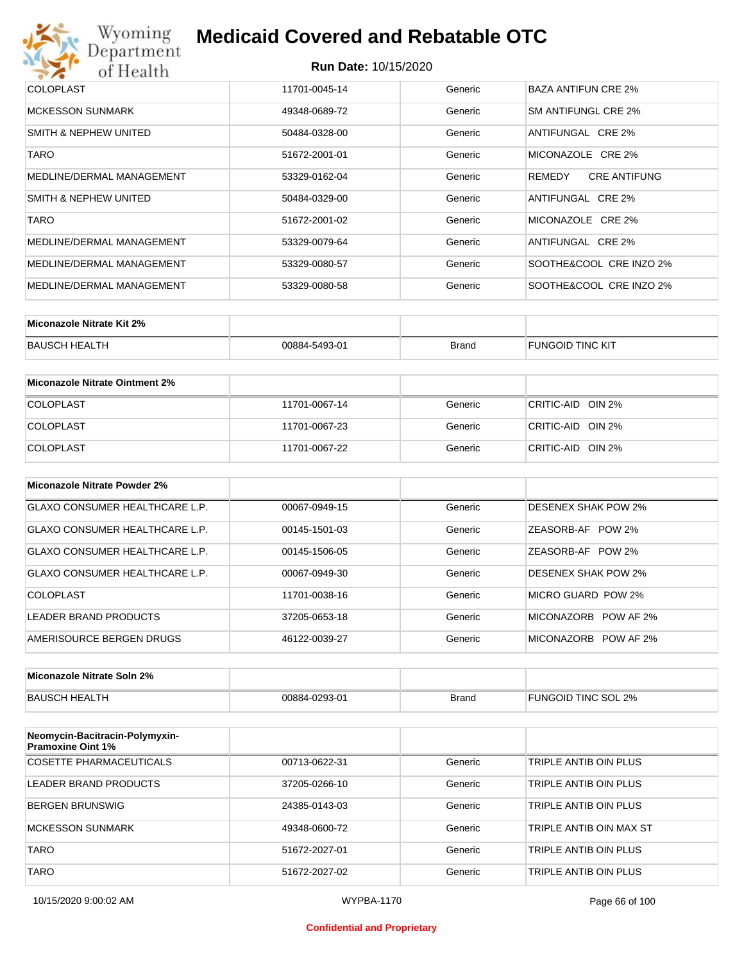| Wyoming<br>Department     | <b>Medicaid Covered and Rebatable OTC</b> |         |                               |  |  |  |
|---------------------------|-------------------------------------------|---------|-------------------------------|--|--|--|
| of Health                 | <b>Run Date: 10/15/2020</b>               |         |                               |  |  |  |
| <b>COLOPLAST</b>          | 11701-0045-14                             | Generic | <b>BAZA ANTIFUN CRE 2%</b>    |  |  |  |
| <b>MCKESSON SUNMARK</b>   | 49348-0689-72                             | Generic | SM ANTIFUNGL CRF 2%           |  |  |  |
| SMITH & NEPHEW UNITED     | 50484-0328-00                             | Generic | ANTIFUNGAL CRE 2%             |  |  |  |
| <b>TARO</b>               | 51672-2001-01                             | Generic | MICONAZOLE CRE 2%             |  |  |  |
| MEDLINE/DERMAL MANAGEMENT | 53329-0162-04                             | Generic | <b>CRE ANTIFUNG</b><br>REMEDY |  |  |  |
| SMITH & NEPHEW UNITED     | 50484-0329-00                             | Generic | ANTIFUNGAL CRE 2%             |  |  |  |
| <b>TARO</b>               | 51672-2001-02                             | Generic | MICONAZOLE CRE 2%             |  |  |  |
| MEDLINE/DERMAL MANAGEMENT | 53329-0079-64                             | Generic | ANTIFUNGAL CRE 2%             |  |  |  |
| MEDLINE/DERMAL MANAGEMENT | 53329-0080-57                             | Generic | SOOTHE&COOL CRE INZO 2%       |  |  |  |
| MEDLINE/DERMAL MANAGEMENT | 53329-0080-58                             | Generic | SOOTHE&COOL CRE INZO 2%       |  |  |  |

| Miconazole Nitrate Kit 2% |               |              |                         |
|---------------------------|---------------|--------------|-------------------------|
| BAUSCH HEALTH             | 00884-5493-01 | <b>Brand</b> | <b>FUNGOID TINC KIT</b> |

| Miconazole Nitrate Ointment 2% |               |         |                   |
|--------------------------------|---------------|---------|-------------------|
| <b>COLOPLAST</b>               | 11701-0067-14 | Generic | CRITIC-AID OIN 2% |
| <b>COLOPLAST</b>               | 11701-0067-23 | Generic | CRITIC-AID OIN 2% |
| <b>COLOPLAST</b>               | 11701-0067-22 | Generic | CRITIC-AID OIN 2% |

| Miconazole Nitrate Powder 2%   |               |         |                         |
|--------------------------------|---------------|---------|-------------------------|
| GLAXO CONSUMER HEALTHCARE L.P. | 00067-0949-15 | Generic | DESENEX SHAK POW 2%     |
| GLAXO CONSUMER HEALTHCARE L.P. | 00145-1501-03 | Generic | ZEASORB-AF POW 2%       |
| GLAXO CONSUMER HEALTHCARE L.P. | 00145-1506-05 | Generic | ZEASORB-AF POW 2%       |
| GLAXO CONSUMER HEALTHCARE L.P. | 00067-0949-30 | Generic | DESENEX SHAK POW 2%     |
| COLOPLAST                      | 11701-0038-16 | Generic | MICRO GUARD POW 2%      |
| LEADER BRAND PRODUCTS          | 37205-0653-18 | Generic | MICONAZORB<br>POW AF 2% |
| AMERISOURCE BERGEN DRUGS       | 46122-0039-27 | Generic | MICONAZORB POW AF 2%    |

| Miconazole Nitrate Soln 2% |                             |       |                           |
|----------------------------|-----------------------------|-------|---------------------------|
| <b>BAUSC</b><br>.TH        | $-0293-01$<br>$\bigcap$ RRA | Brand | TINC SOL<br>2%<br>FUNGOID |

| Neomycin-Bacitracin-Polymyxin-<br><b>Pramoxine Oint 1%</b> |               |         |                         |
|------------------------------------------------------------|---------------|---------|-------------------------|
| COSETTE PHARMACEUTICALS                                    | 00713-0622-31 | Generic | TRIPLE ANTIB OIN PLUS   |
| LEADER BRAND PRODUCTS                                      | 37205-0266-10 | Generic | TRIPLE ANTIB OIN PLUS   |
| <b>BERGEN BRUNSWIG</b>                                     | 24385-0143-03 | Generic | TRIPLE ANTIB OIN PLUS   |
| <b>MCKESSON SUNMARK</b>                                    | 49348-0600-72 | Generic | TRIPLE ANTIB OIN MAX ST |
| <b>TARO</b>                                                | 51672-2027-01 | Generic | TRIPLE ANTIB OIN PLUS   |
| <b>TARO</b>                                                | 51672-2027-02 | Generic | TRIPLE ANTIB OIN PLUS   |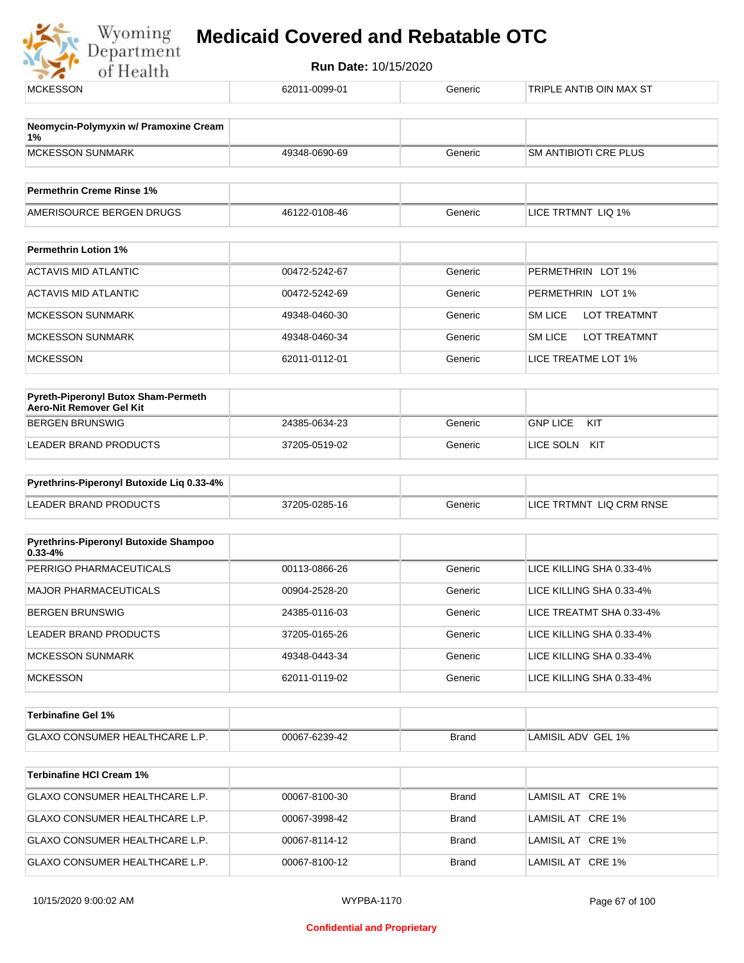

| <b>MCKESSON</b>                                                 | 62011-0099-01 | Generic      | TRIPLE ANTIB OIN MAX ST               |  |
|-----------------------------------------------------------------|---------------|--------------|---------------------------------------|--|
| Neomycin-Polymyxin w/ Pramoxine Cream                           |               |              |                                       |  |
| 1%                                                              |               |              |                                       |  |
| <b>MCKESSON SUNMARK</b>                                         | 49348-0690-69 | Generic      | <b>SM ANTIBIOTI CRE PLUS</b>          |  |
| <b>Permethrin Creme Rinse 1%</b>                                |               |              |                                       |  |
| AMERISOURCE BERGEN DRUGS                                        | 46122-0108-46 | Generic      | LICE TRTMNT LIQ 1%                    |  |
| <b>Permethrin Lotion 1%</b>                                     |               |              |                                       |  |
| <b>ACTAVIS MID ATLANTIC</b>                                     | 00472-5242-67 | Generic      | PERMETHRIN LOT 1%                     |  |
| <b>ACTAVIS MID ATLANTIC</b>                                     | 00472-5242-69 | Generic      | PERMETHRIN LOT 1%                     |  |
| <b>MCKESSON SUNMARK</b>                                         | 49348-0460-30 | Generic      | <b>LOT TREATMNT</b><br>SM LICE        |  |
| <b>MCKESSON SUNMARK</b>                                         | 49348-0460-34 | Generic      | <b>SM LICE</b><br><b>LOT TREATMNT</b> |  |
| <b>MCKESSON</b>                                                 | 62011-0112-01 | Generic      | LICE TREATME LOT 1%                   |  |
| Pyreth-Piperonyl Butox Sham-Permeth<br>Aero-Nit Remover Gel Kit |               |              |                                       |  |
| <b>BERGEN BRUNSWIG</b>                                          | 24385-0634-23 | Generic      | <b>GNP LICE</b><br>KIT                |  |
| LEADER BRAND PRODUCTS                                           | 37205-0519-02 | Generic      | LICE SOLN KIT                         |  |
| Pyrethrins-Piperonyl Butoxide Liq 0.33-4%                       |               |              |                                       |  |
| <b>LEADER BRAND PRODUCTS</b>                                    | 37205-0285-16 | Generic      | LICE TRTMNT LIQ CRM RNSE              |  |
| Pyrethrins-Piperonyl Butoxide Shampoo                           |               |              |                                       |  |
| $0.33 - 4%$<br>PERRIGO PHARMACEUTICALS                          |               |              | LICE KILLING SHA 0.33-4%              |  |
|                                                                 | 00113-0866-26 | Generic      |                                       |  |
| <b>MAJOR PHARMACEUTICALS</b>                                    | 00904-2528-20 | Generic      | LICE KILLING SHA 0.33-4%              |  |
| <b>BERGEN BRUNSWIG</b>                                          | 24385-0116-03 | Generic      | LICE TREATMT SHA 0.33-4%              |  |
| LEADER BRAND PRODUCTS                                           | 37205-0165-26 | Generic      | LICE KILLING SHA 0.33-4%              |  |
| <b>MCKESSON SUNMARK</b>                                         | 49348-0443-34 | Generic      | LICE KILLING SHA 0.33-4%              |  |
| <b>MCKESSON</b>                                                 | 62011-0119-02 | Generic      | LICE KILLING SHA 0.33-4%              |  |
| <b>Terbinafine Gel 1%</b>                                       |               |              |                                       |  |
| <b>GLAXO CONSUMER HEALTHCARE L.P.</b>                           | 00067-6239-42 | <b>Brand</b> | LAMISIL ADV GEL 1%                    |  |
| <b>Terbinafine HCI Cream 1%</b>                                 |               |              |                                       |  |
| GLAXO CONSUMER HEALTHCARE L.P.                                  | 00067-8100-30 | <b>Brand</b> | LAMISIL AT CRE 1%                     |  |
| GLAXO CONSUMER HEALTHCARE L.P.                                  | 00067-3998-42 | <b>Brand</b> | LAMISIL AT CRE 1%                     |  |
| GLAXO CONSUMER HEALTHCARE L.P.                                  | 00067-8114-12 | <b>Brand</b> | LAMISIL AT CRE 1%                     |  |
| GLAXO CONSUMER HEALTHCARE L.P.                                  | 00067-8100-12 | <b>Brand</b> | LAMISIL AT CRE 1%                     |  |
|                                                                 |               |              |                                       |  |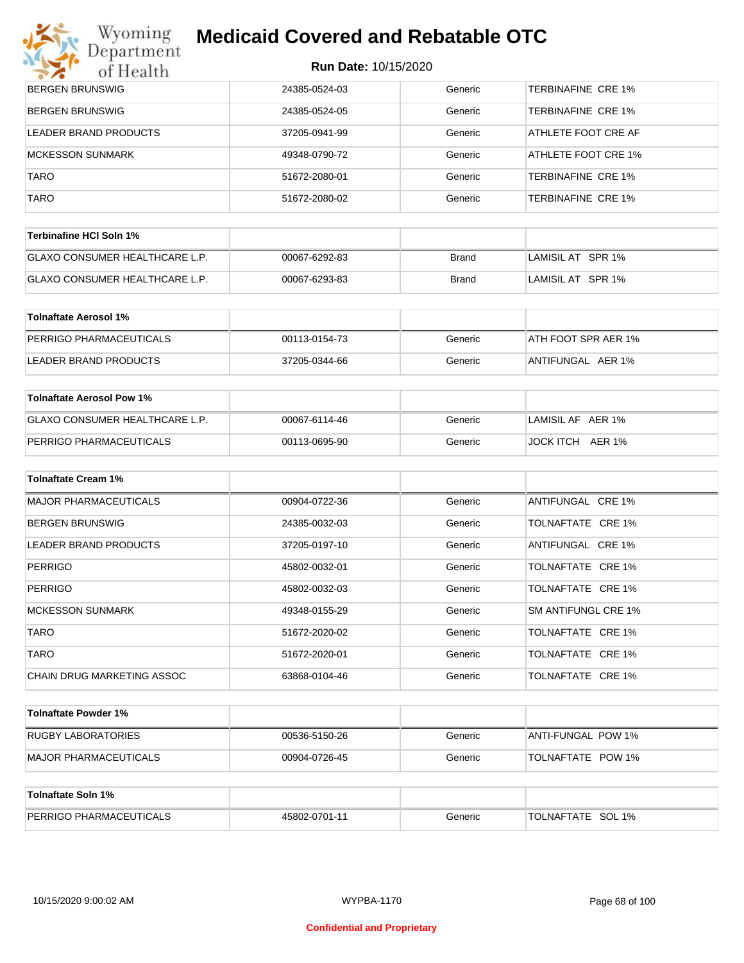# **Myoming Medicaid Covered and Rebatable OTC**

| of Health                        | Run Date: 10/15/2020 |         |                           |  |
|----------------------------------|----------------------|---------|---------------------------|--|
| BERGEN BRUNSWIG                  | 24385-0524-03        | Generic | <b>TERBINAFINE CRE 1%</b> |  |
| <b>BERGEN BRUNSWIG</b>           | 24385-0524-05        | Generic | <b>TERBINAFINE CRE 1%</b> |  |
| LEADER BRAND PRODUCTS            | 37205-0941-99        | Generic | ATHLETE FOOT CRE AF       |  |
| <b>MCKESSON SUNMARK</b>          | 49348-0790-72        | Generic | ATHLETE FOOT CRE 1%       |  |
| <b>TARO</b>                      | 51672-2080-01        | Generic | <b>TERBINAFINE CRE 1%</b> |  |
| <b>TARO</b>                      | 51672-2080-02        | Generic | <b>TERBINAFINE CRE 1%</b> |  |
| <b>Terbinafine HCI Soln 1%</b>   |                      |         |                           |  |
| GLAXO CONSUMER HEALTHCARE L.P.   | 00067-6292-83        | Brand   | LAMISIL AT SPR 1%         |  |
| GLAXO CONSUMER HEALTHCARE L.P.   | 00067-6293-83        | Brand   | LAMISIL AT SPR 1%         |  |
| <b>Tolnaftate Aerosol 1%</b>     |                      |         |                           |  |
| PERRIGO PHARMACEUTICALS          | 00113-0154-73        | Generic | ATH FOOT SPR AER 1%       |  |
| LEADER BRAND PRODUCTS            | 37205-0344-66        | Generic | ANTIFUNGAL AER 1%         |  |
| <b>Toinaftate Aerosol Pow 1%</b> |                      |         |                           |  |
| GLAXO CONSUMER HEALTHCARE L.P.   | 00067-6114-46        | Generic | LAMISIL AF AER 1%         |  |
| PERRIGO PHARMACEUTICALS          | 00113-0695-90        | Generic | JOCK ITCH AER 1%          |  |
| <b>Tolnaftate Cream 1%</b>       |                      |         |                           |  |
| <b>MAJOR PHARMACEUTICALS</b>     | 00904-0722-36        | Generic | ANTIFUNGAL CRE 1%         |  |
| <b>BERGEN BRUNSWIG</b>           | 24385-0032-03        | Generic | TOLNAFTATE CRE 1%         |  |
| LEADER BRAND PRODUCTS            | 37205-0197-10        | Generic | ANTIFUNGAL CRE 1%         |  |
| PERRIGO                          | 45802-0032-01        | Generic | TOLNAFTATE CRE 1%         |  |
| PERRIGO                          | 45802-0032-03        | Generic | TOLNAFTATE CRE 1%         |  |
| MCKESSON SUNMARK                 | 49348-0155-29        | Generic | SM ANTIFUNGL CRE 1%       |  |
| TARO                             | 51672-2020-02        | Generic | TOLNAFTATE CRE 1%         |  |
| <b>TARO</b>                      | 51672-2020-01        | Generic | TOLNAFTATE CRE 1%         |  |
| CHAIN DRUG MARKETING ASSOC       | 63868-0104-46        | Generic | TOLNAFTATE CRE 1%         |  |
| <b>Tolnaftate Powder 1%</b>      |                      |         |                           |  |
| RUGBY LABORATORIES               | 00536-5150-26        | Generic | ANTI-FUNGAL POW 1%        |  |
| MAJOR PHARMACEUTICALS            | 00904-0726-45        | Generic | TOLNAFTATE POW 1%         |  |
|                                  |                      |         |                           |  |

| Tolnaftate Soln 1%             |               |         |                             |
|--------------------------------|---------------|---------|-----------------------------|
| <b>PERRIGO PHARMACEUTICALS</b> | 45802-0701-11 | Generic | SOL 1%<br><b>TOLNAFTATE</b> |

 $\frac{1}{2}$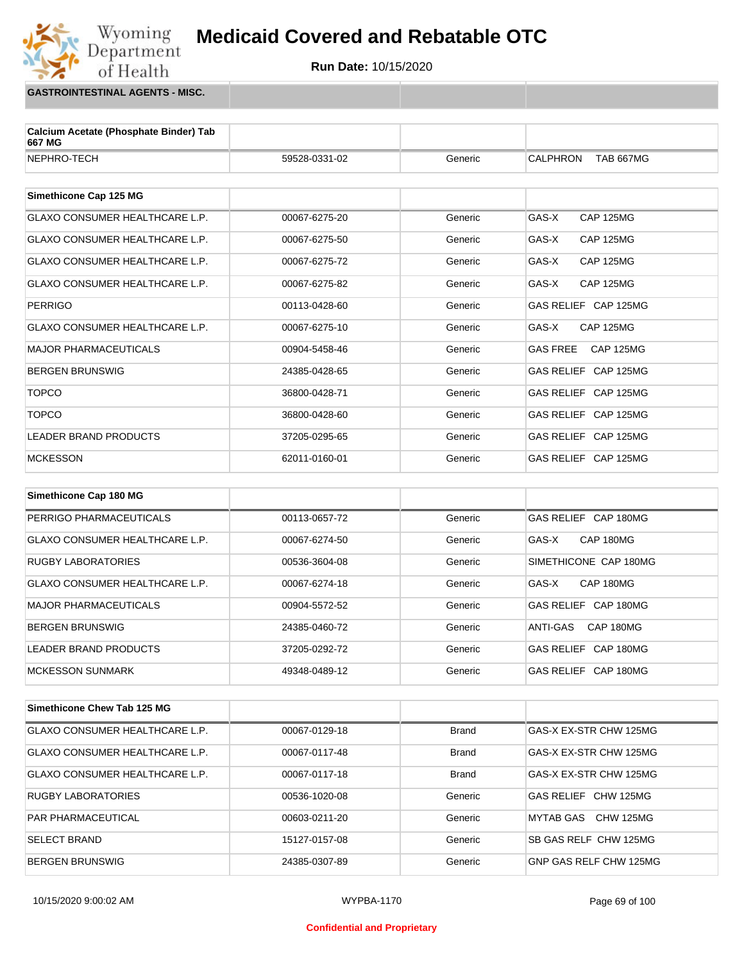**Run Date:** 10/15/2020

**GASTROINTESTINAL AGENTS - MISC.**

Wyoming<br>Department

of Health

| Calcium Acetate (Phosphate Binder) Tab<br>667 MG |               |         |                                     |
|--------------------------------------------------|---------------|---------|-------------------------------------|
| NEPHRO-TECH                                      | 59528-0331-02 | Generic | <b>CALPHRON</b><br><b>TAB 667MG</b> |
| Simethicone Cap 125 MG                           |               |         |                                     |
| <b>GLAXO CONSUMER HEALTHCARE L.P.</b>            | 00067-6275-20 | Generic | GAS-X<br><b>CAP 125MG</b>           |
| GLAXO CONSUMER HEALTHCARE L.P.                   | 00067-6275-50 | Generic | GAS-X<br><b>CAP 125MG</b>           |
| GLAXO CONSUMER HEALTHCARE L.P.                   | 00067-6275-72 | Generic | GAS-X<br><b>CAP 125MG</b>           |
| GLAXO CONSUMER HEALTHCARE L.P.                   | 00067-6275-82 | Generic | GAS-X<br><b>CAP 125MG</b>           |
| <b>PERRIGO</b>                                   | 00113-0428-60 | Generic | GAS RELIEF CAP 125MG                |
| <b>GLAXO CONSUMER HEALTHCARE L.P.</b>            | 00067-6275-10 | Generic | <b>CAP 125MG</b><br>GAS-X           |
| <b>MAJOR PHARMACEUTICALS</b>                     | 00904-5458-46 | Generic | CAP 125MG<br><b>GAS FREE</b>        |
| <b>BERGEN BRUNSWIG</b>                           | 24385-0428-65 | Generic | GAS RELIEF CAP 125MG                |
| <b>TOPCO</b>                                     | 36800-0428-71 | Generic | GAS RELIEF CAP 125MG                |
| <b>TOPCO</b>                                     | 36800-0428-60 | Generic | GAS RELIEF CAP 125MG                |
| <b>LEADER BRAND PRODUCTS</b>                     | 37205-0295-65 | Generic | GAS RELIEF CAP 125MG                |
| <b>MCKESSON</b>                                  | 62011-0160-01 | Generic | GAS RELIEF CAP 125MG                |
|                                                  |               |         |                                     |
| Simethicone Cap 180 MG                           |               |         |                                     |
| PERRIGO PHARMACEUTICALS                          | 00113-0657-72 | Generic | GAS RELIEF CAP 180MG                |
| <b>GLAXO CONSUMER HEALTHCARE L.P.</b>            | 00067-6274-50 | Generic | GAS-X<br>CAP 180MG                  |
| <b>RUGBY LABORATORIES</b>                        | 00536-3604-08 | Generic | SIMETHICONE CAP 180MG               |
| <b>GLAXO CONSUMER HEALTHCARE L.P.</b>            | 00067-6274-18 | Generic | GAS-X<br>CAP 180MG                  |
| <b>MAJOR PHARMACEUTICALS</b>                     | 00904-5572-52 | Generic | GAS RELIEF CAP 180MG                |
| <b>BERGEN BRUNSWIG</b>                           | 24385-0460-72 | Generic | CAP 180MG<br>ANTI-GAS               |
| <b>LEADER BRAND PRODUCTS</b>                     | 37205-0292-72 | Generic | GAS RELIEF CAP 180MG                |
| <b>MCKESSON SUNMARK</b>                          | 49348-0489-12 | Generic | GAS RELIEF CAP 180MG                |
|                                                  |               |         |                                     |
| Simethicone Chew Tab 125 MG                      |               |         |                                     |

GLAXO CONSUMER HEALTHCARE L.P. 00067-0129-18 Brand GAS-X EX-STR CHW 125MG GLAXO CONSUMER HEALTHCARE L.P.  $\vert$  00067-0117-48 Brand GAS-X EX-STR CHW 125MG GLAXO CONSUMER HEALTHCARE L.P.  $\qquad$  00067-0117-18 Brand GAS-X EX-STR CHW 125MG RUGBY LABORATORIES 
and the oots36-1020-08 (Case Gas RELIEF CHW 125MG PAR PHARMACEUTICAL **COMBUS 200603-0211-20** O0603-0211-20 Generic MYTAB GAS CHW 125MG SELECT BRAND **15127-0157-08** Generic SB GAS RELF CHW 125MG BERGEN BRUNSWIG **EXAMPLE 24385-0307-89** Ceneric GNP GAS RELF CHW 125MG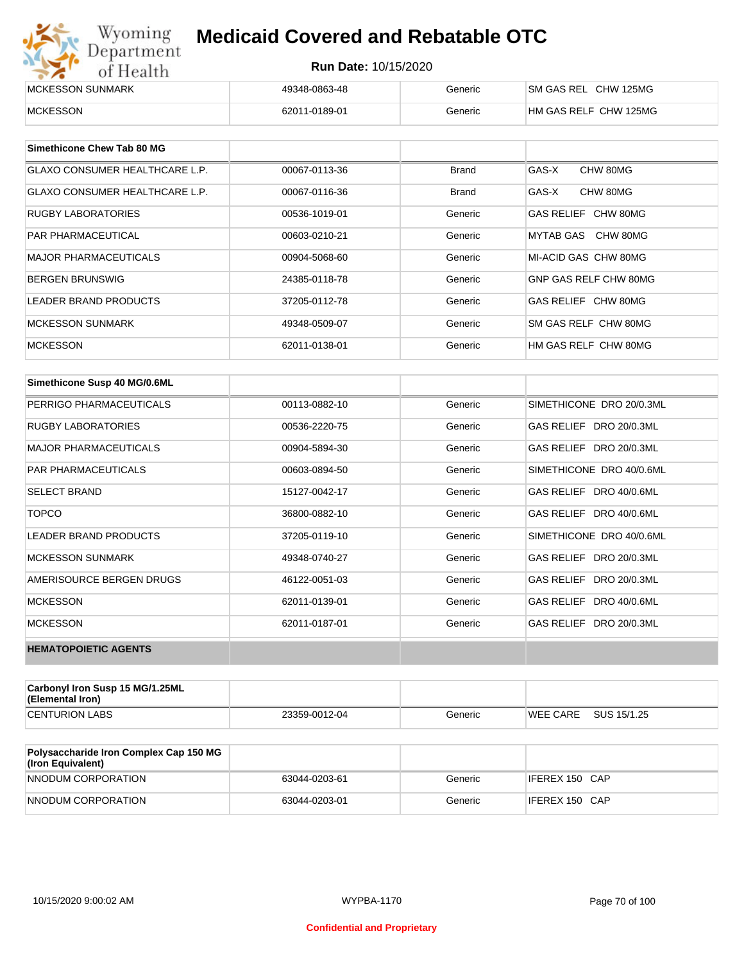| Wyoming<br>Department | <b>Medicaid Covered and Rebatable OTC</b><br><b>Run Date: 10/15/2020</b> |         |                       |  |  |
|-----------------------|--------------------------------------------------------------------------|---------|-----------------------|--|--|
| of Health             |                                                                          |         |                       |  |  |
| MCKESSON SUNMARK      | 49348-0863-48                                                            | Generic | SM GAS REL CHW 125MG  |  |  |
| <b>MCKESSON</b>       | 62011-0189-01                                                            | Generic | HM GAS RELF CHW 125MG |  |  |

| Simethicone Chew Tab 80 MG            |               |              |                       |
|---------------------------------------|---------------|--------------|-----------------------|
| <b>GLAXO CONSUMER HEALTHCARE L.P.</b> | 00067-0113-36 | Brand        | CHW 80MG<br>GAS-X     |
| <b>GLAXO CONSUMER HEALTHCARE L.P.</b> | 00067-0116-36 | <b>Brand</b> | GAS-X<br>CHW 80MG     |
| RUGBY LABORATORIES                    | 00536-1019-01 | Generic      | GAS RELIEF CHW 80MG   |
| <b>PAR PHARMACEUTICAL</b>             | 00603-0210-21 | Generic      | MYTAB GAS CHW 80MG    |
| <b>MAJOR PHARMACEUTICALS</b>          | 00904-5068-60 | Generic      | MI-ACID GAS CHW 80MG  |
| <b>BERGEN BRUNSWIG</b>                | 24385-0118-78 | Generic      | GNP GAS RELF CHW 80MG |
| <b>LEADER BRAND PRODUCTS</b>          | 37205-0112-78 | Generic      | GAS RELIEF CHW 80MG   |
| <b>MCKESSON SUNMARK</b>               | 49348-0509-07 | Generic      | SM GAS RELF CHW 80MG  |
| <b>MCKESSON</b>                       | 62011-0138-01 | Generic      | HM GAS RELF CHW 80MG  |

| Simethicone Susp 40 MG/0.6ML |               |         |                          |
|------------------------------|---------------|---------|--------------------------|
| PERRIGO PHARMACEUTICALS      | 00113-0882-10 | Generic | SIMETHICONE DRO 20/0.3ML |
| <b>RUGBY LABORATORIES</b>    | 00536-2220-75 | Generic | GAS RELIEF DRO 20/0.3ML  |
| <b>MAJOR PHARMACEUTICALS</b> | 00904-5894-30 | Generic | GAS RELIEF DRO 20/0.3ML  |
| <b>PAR PHARMACEUTICALS</b>   | 00603-0894-50 | Generic | SIMETHICONE DRO 40/0.6ML |
| <b>SELECT BRAND</b>          | 15127-0042-17 | Generic | GAS RELIEF DRO 40/0.6ML  |
| <b>TOPCO</b>                 | 36800-0882-10 | Generic | GAS RELIEF DRO 40/0.6ML  |
| <b>LEADER BRAND PRODUCTS</b> | 37205-0119-10 | Generic | SIMETHICONE DRO 40/0.6ML |
| <b>MCKESSON SUNMARK</b>      | 49348-0740-27 | Generic | GAS RELIEF DRO 20/0.3ML  |
| AMERISOURCE BERGEN DRUGS     | 46122-0051-03 | Generic | GAS RELIEF DRO 20/0.3ML  |
| <b>MCKESSON</b>              | 62011-0139-01 | Generic | GAS RELIEF DRO 40/0.6ML  |
| <b>MCKESSON</b>              | 62011-0187-01 | Generic | GAS RELIEF DRO 20/0.3ML  |
| <b>HEMATOPOIETIC AGENTS</b>  |               |         |                          |

| <b>Carbonyl Iron Susp 15 MG/1.25ML</b><br>(Elemental Iron) |               |         |          |             |
|------------------------------------------------------------|---------------|---------|----------|-------------|
| <b>CENTURION LABS</b>                                      | 23359-0012-04 | Generic | WEE CARE | SUS 15/1.25 |

| <b>Polysaccharide Iron Complex Cap 150 MG</b><br>(Iron Equivalent) |               |         |                |
|--------------------------------------------------------------------|---------------|---------|----------------|
| NNODUM CORPORATION                                                 | 63044-0203-61 | Generic | IFEREX 150 CAP |
| NNODUM CORPORATION                                                 | 63044-0203-01 | Generic | IFEREX 150 CAP |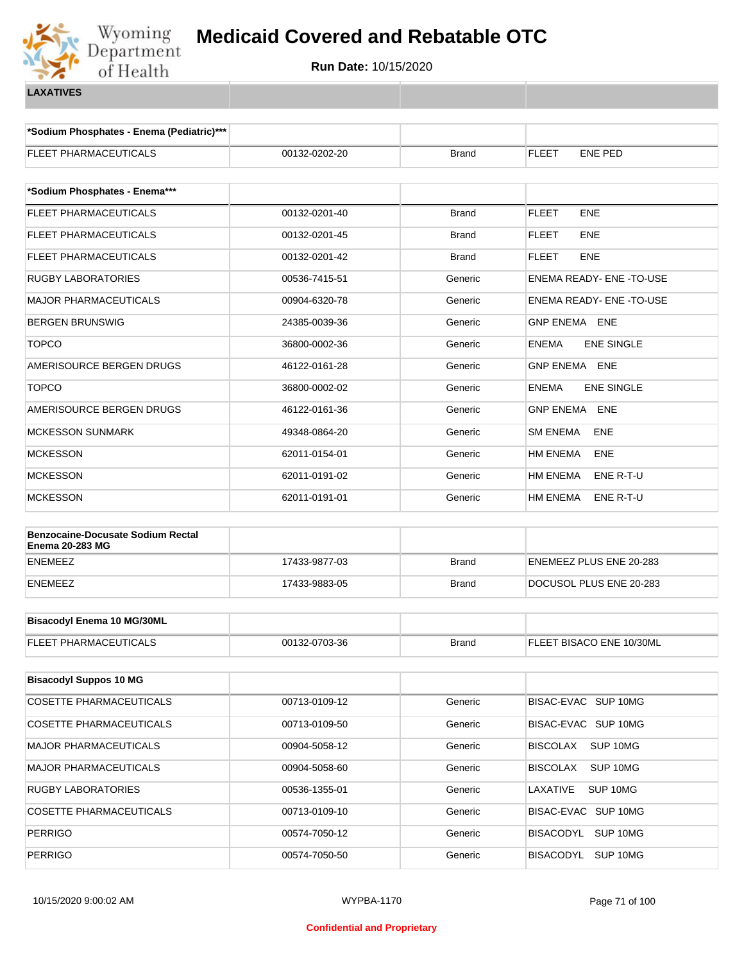

**\*Sodium Phosphates - Enema (Pediatric)\*\*\***

| ENEMA READY- ENE -TO-USE<br>ENEMA READY- ENE -TO-USE<br><b>GNP ENEMA ENE</b><br><b>ENE SINGLE</b><br><b>GNP ENEMA ENE</b><br><b>ENE SINGLE</b><br><b>GNP ENEMA ENE</b> |
|------------------------------------------------------------------------------------------------------------------------------------------------------------------------|
|                                                                                                                                                                        |
|                                                                                                                                                                        |
|                                                                                                                                                                        |
|                                                                                                                                                                        |
|                                                                                                                                                                        |
|                                                                                                                                                                        |
|                                                                                                                                                                        |
|                                                                                                                                                                        |
|                                                                                                                                                                        |
|                                                                                                                                                                        |
|                                                                                                                                                                        |
| ENE                                                                                                                                                                    |
| ENE                                                                                                                                                                    |
| ENE R-T-U                                                                                                                                                              |
| ENE R-T-U                                                                                                                                                              |
|                                                                                                                                                                        |
| ENEMEEZ PLUS ENE 20-283                                                                                                                                                |
| DOCUSOL PLUS ENE 20-283                                                                                                                                                |
|                                                                                                                                                                        |
|                                                                                                                                                                        |
| FLEET BISACO ENE 10/30ML                                                                                                                                               |
|                                                                                                                                                                        |
|                                                                                                                                                                        |
| BISAC-EVAC SUP 10MG                                                                                                                                                    |
| BISAC-EVAC SUP 10MG                                                                                                                                                    |
| SUP 10MG                                                                                                                                                               |
| SUP 10MG                                                                                                                                                               |
| SUP 10MG                                                                                                                                                               |
| BISAC-EVAC SUP 10MG                                                                                                                                                    |
| BISACODYL SUP 10MG                                                                                                                                                     |
|                                                                                                                                                                        |
|                                                                                                                                                                        |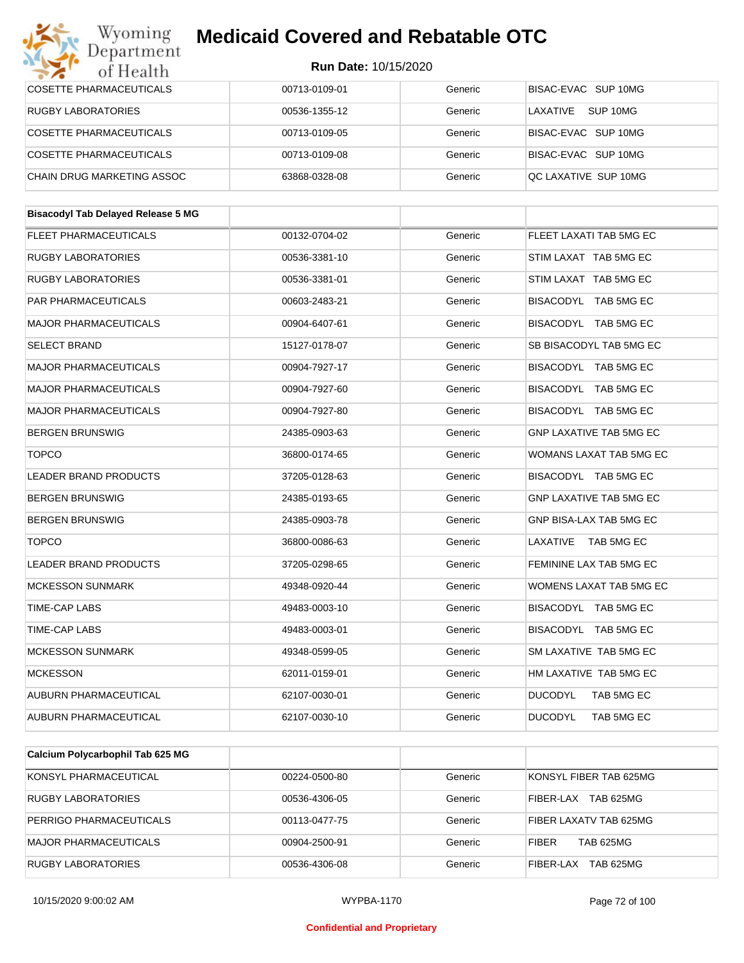#### Wyoming<br>Department **Medicaid Covered and Rebatable OTC**

| of Health                                 | <b>Run Date: 10/15/2020</b> |         |                                |
|-------------------------------------------|-----------------------------|---------|--------------------------------|
| <b>COSETTE PHARMACEUTICALS</b>            | 00713-0109-01               | Generic | BISAC-EVAC SUP 10MG            |
| <b>RUGBY LABORATORIES</b>                 | 00536-1355-12               | Generic | LAXATIVE<br>SUP 10MG           |
| <b>COSETTE PHARMACEUTICALS</b>            | 00713-0109-05               | Generic | BISAC-EVAC SUP 10MG            |
| COSETTE PHARMACEUTICALS                   | 00713-0109-08               | Generic | BISAC-EVAC SUP 10MG            |
| <b>CHAIN DRUG MARKETING ASSOC</b>         | 63868-0328-08               | Generic | QC LAXATIVE SUP 10MG           |
|                                           |                             |         |                                |
| <b>Bisacodyl Tab Delayed Release 5 MG</b> |                             |         |                                |
| FLEET PHARMACEUTICALS                     | 00132-0704-02               | Generic | FLEET LAXATI TAB 5MG EC        |
| <b>RUGBY LABORATORIES</b>                 | 00536-3381-10               | Generic | STIM LAXAT TAB 5MG EC          |
| <b>RUGBY LABORATORIES</b>                 | 00536-3381-01               | Generic | STIM LAXAT TAB 5MG EC          |
| PAR PHARMACEUTICALS                       | 00603-2483-21               | Generic | BISACODYL TAB 5MG EC           |
| <b>MAJOR PHARMACEUTICALS</b>              | 00904-6407-61               | Generic | BISACODYL TAB 5MG EC           |
| <b>SELECT BRAND</b>                       | 15127-0178-07               | Generic | SB BISACODYL TAB 5MG EC        |
| <b>MAJOR PHARMACEUTICALS</b>              | 00904-7927-17               | Generic | BISACODYL TAB 5MG EC           |
| <b>MAJOR PHARMACEUTICALS</b>              | 00904-7927-60               | Generic | BISACODYL TAB 5MG EC           |
| <b>MAJOR PHARMACEUTICALS</b>              | 00904-7927-80               | Generic | BISACODYL TAB 5MG EC           |
| <b>BERGEN BRUNSWIG</b>                    | 24385-0903-63               | Generic | <b>GNP LAXATIVE TAB 5MG EC</b> |
| <b>TOPCO</b>                              | 36800-0174-65               | Generic | WOMANS LAXAT TAB 5MG EC        |
| LEADER BRAND PRODUCTS                     | 37205-0128-63               | Generic | BISACODYL TAB 5MG EC           |
| <b>BERGEN BRUNSWIG</b>                    | 24385-0193-65               | Generic | <b>GNP LAXATIVE TAB 5MG EC</b> |
| <b>BERGEN BRUNSWIG</b>                    | 24385-0903-78               | Generic | GNP BISA-LAX TAB 5MG EC        |
| <b>TOPCO</b>                              | 36800-0086-63               | Generic | LAXATIVE TAB 5MG EC            |
| LEADER BRAND PRODUCTS                     | 37205-0298-65               | Generic | FEMININE LAX TAB 5MG EC        |
| <b>MCKESSON SUNMARK</b>                   | 49348-0920-44               | Generic | WOMENS LAXAT TAB 5MG EC        |
| TIME-CAP LABS                             | 49483-0003-10               | Generic | BISACODYL TAB 5MG EC           |
| TIME-CAP LABS                             | 49483-0003-01               | Generic | BISACODYL TAB 5MG EC           |
| <b>MCKESSON SUNMARK</b>                   | 49348-0599-05               | Generic | SM LAXATIVE TAB 5MG EC         |
| <b>MCKESSON</b>                           | 62011-0159-01               | Generic | HM LAXATIVE TAB 5MG EC         |
| AUBURN PHARMACEUTICAL                     | 62107-0030-01               | Generic | <b>DUCODYL</b><br>TAB 5MG EC   |
| AUBURN PHARMACEUTICAL                     | 62107-0030-10               | Generic | <b>DUCODYL</b><br>TAB 5MG EC   |
|                                           |                             |         |                                |
| Calcium Polycarbophil Tab 625 MG          |                             |         |                                |

| KONSYL PHARMACEUTICAL          | 00224-0500-80 | Generic | KONSYL FIBER TAB 625MG           |
|--------------------------------|---------------|---------|----------------------------------|
| <b>RUGBY LABORATORIES</b>      | 00536-4306-05 | Generic | TAB 625MG<br>FIBER-LAX           |
| <b>PERRIGO PHARMACEUTICALS</b> | 00113-0477-75 | Generic | FIBER LAXATV TAB 625MG           |
| MAJOR PHARMACEUTICALS          | 00904-2500-91 | Generic | <b>TAB 625MG</b><br><b>FIBER</b> |
| <b>RUGBY LABORATORIES</b>      | 00536-4306-08 | Generic | TAB 625MG<br>FIBER-LAX           |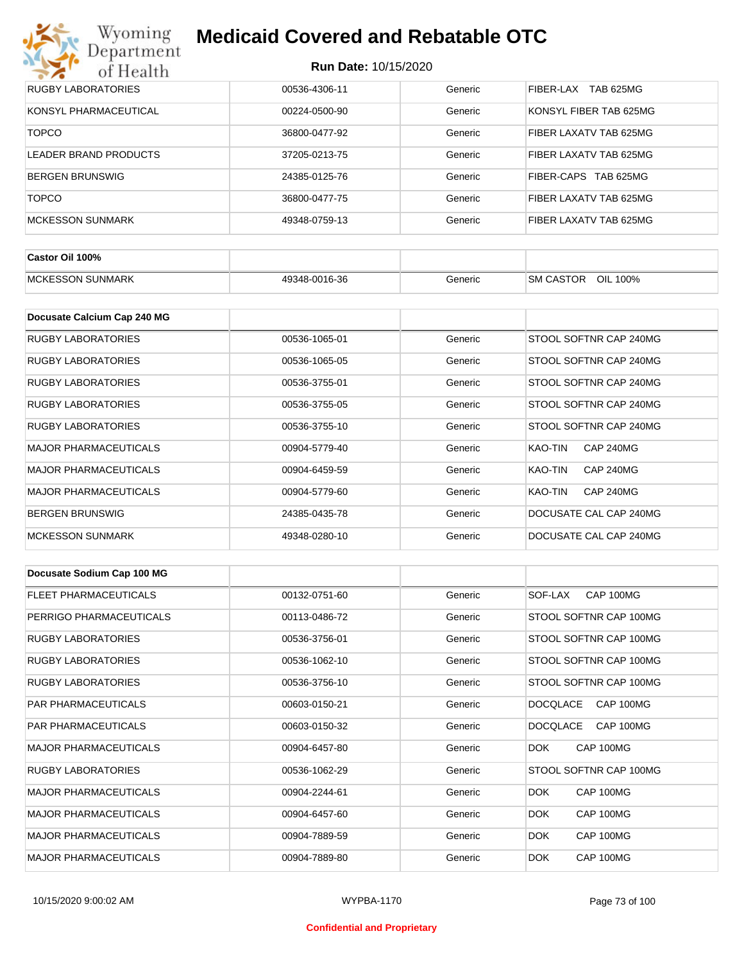

| <b>RUGBY LABORATORIES</b> | 00536-4306-11 | Generic | TAB 625MG<br>FIBER-LAX |
|---------------------------|---------------|---------|------------------------|
| KONSYL PHARMACEUTICAL     | 00224-0500-90 | Generic | KONSYL FIBER TAB 625MG |
| <b>TOPCO</b>              | 36800-0477-92 | Generic | FIBER LAXATV TAB 625MG |
| LEADER BRAND PRODUCTS     | 37205-0213-75 | Generic | FIBER LAXATV TAB 625MG |
| <b>BERGEN BRUNSWIG</b>    | 24385-0125-76 | Generic | FIBER-CAPS TAB 625MG   |
| <b>TOPCO</b>              | 36800-0477-75 | Generic | FIBER LAXATV TAB 625MG |
| MCKESSON SUNMARK          | 49348-0759-13 | Generic | FIBER LAXATV TAB 625MG |

| Castor Oil 100%         |               |         |                                 |
|-------------------------|---------------|---------|---------------------------------|
| <b>MCKESSON SUNMARK</b> | 49348-0016-36 | Beneric | OIL<br><b>SM CASTOR</b><br>100% |

| Docusate Calcium Cap 240 MG  |               |         |                             |
|------------------------------|---------------|---------|-----------------------------|
| RUGBY LABORATORIES           | 00536-1065-01 | Generic | STOOL SOFTNR CAP 240MG      |
| RUGBY LABORATORIES           | 00536-1065-05 | Generic | STOOL SOFTNR CAP 240MG      |
| RUGBY LABORATORIES           | 00536-3755-01 | Generic | STOOL SOFTNR CAP 240MG      |
| <b>RUGBY LABORATORIES</b>    | 00536-3755-05 | Generic | STOOL SOFTNR CAP 240MG      |
| RUGBY LABORATORIES           | 00536-3755-10 | Generic | STOOL SOFTNR CAP 240MG      |
| <b>MAJOR PHARMACEUTICALS</b> | 00904-5779-40 | Generic | <b>CAP 240MG</b><br>KAO-TIN |
| <b>MAJOR PHARMACEUTICALS</b> | 00904-6459-59 | Generic | KAO-TIN<br><b>CAP 240MG</b> |
| <b>MAJOR PHARMACEUTICALS</b> | 00904-5779-60 | Generic | <b>CAP 240MG</b><br>KAO-TIN |
| <b>BERGEN BRUNSWIG</b>       | 24385-0435-78 | Generic | DOCUSATE CAL CAP 240MG      |
| <b>MCKESSON SUNMARK</b>      | 49348-0280-10 | Generic | DOCUSATE CAL CAP 240MG      |

| Docusate Sodium Cap 100 MG   |               |         |                              |
|------------------------------|---------------|---------|------------------------------|
| <b>FLEET PHARMACEUTICALS</b> | 00132-0751-60 | Generic | CAP 100MG<br>SOF-LAX         |
| PERRIGO PHARMACEUTICALS      | 00113-0486-72 | Generic | STOOL SOFTNR CAP 100MG       |
| RUGBY LABORATORIES           | 00536-3756-01 | Generic | STOOL SOFTNR CAP 100MG       |
| <b>RUGBY LABORATORIES</b>    | 00536-1062-10 | Generic | STOOL SOFTNR CAP 100MG       |
| <b>RUGBY LABORATORIES</b>    | 00536-3756-10 | Generic | STOOL SOFTNR CAP 100MG       |
| <b>PAR PHARMACEUTICALS</b>   | 00603-0150-21 | Generic | <b>DOCQLACE</b><br>CAP 100MG |
| <b>PAR PHARMACEUTICALS</b>   | 00603-0150-32 | Generic | CAP 100MG<br><b>DOCQLACE</b> |
| <b>MAJOR PHARMACEUTICALS</b> | 00904-6457-80 | Generic | CAP 100MG<br>DOK.            |
| <b>RUGBY LABORATORIES</b>    | 00536-1062-29 | Generic | STOOL SOFTNR CAP 100MG       |
| <b>MAJOR PHARMACEUTICALS</b> | 00904-2244-61 | Generic | DOK.<br>CAP 100MG            |
| <b>MAJOR PHARMACEUTICALS</b> | 00904-6457-60 | Generic | DOK.<br>CAP 100MG            |
| <b>MAJOR PHARMACEUTICALS</b> | 00904-7889-59 | Generic | <b>DOK</b><br>CAP 100MG      |
| <b>MAJOR PHARMACEUTICALS</b> | 00904-7889-80 | Generic | DOK.<br>CAP 100MG            |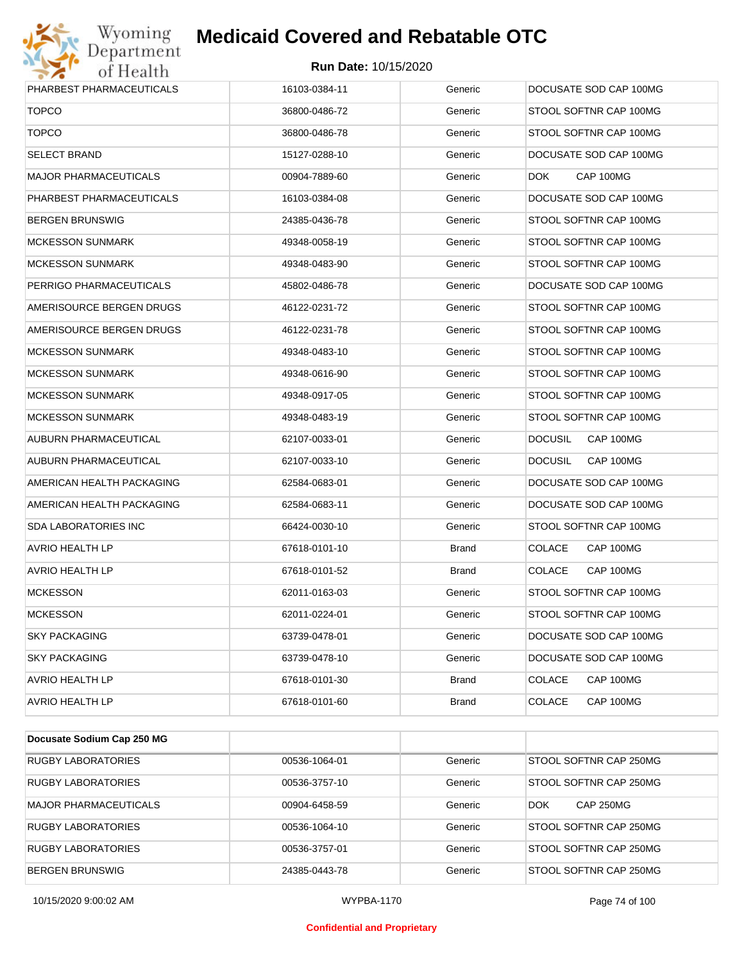# Wyoming<br>Department<br>of Health

# **Medicaid Covered and Rebatable OTC**

#### **Run Date:** 10/15/2020

| PHARBEST PHARMACEUTICALS     | 16103-0384-11 | Generic      | DOCUSATE SOD CAP 100MG      |
|------------------------------|---------------|--------------|-----------------------------|
| <b>TOPCO</b>                 | 36800-0486-72 | Generic      | STOOL SOFTNR CAP 100MG      |
| <b>TOPCO</b>                 | 36800-0486-78 | Generic      | STOOL SOFTNR CAP 100MG      |
| <b>SELECT BRAND</b>          | 15127-0288-10 | Generic      | DOCUSATE SOD CAP 100MG      |
| <b>MAJOR PHARMACEUTICALS</b> | 00904-7889-60 | Generic      | CAP 100MG<br>DOK.           |
| PHARBEST PHARMACEUTICALS     | 16103-0384-08 | Generic      | DOCUSATE SOD CAP 100MG      |
| <b>BERGEN BRUNSWIG</b>       | 24385-0436-78 | Generic      | STOOL SOFTNR CAP 100MG      |
| <b>MCKESSON SUNMARK</b>      | 49348-0058-19 | Generic      | STOOL SOFTNR CAP 100MG      |
| <b>MCKESSON SUNMARK</b>      | 49348-0483-90 | Generic      | STOOL SOFTNR CAP 100MG      |
| PERRIGO PHARMACEUTICALS      | 45802-0486-78 | Generic      | DOCUSATE SOD CAP 100MG      |
| AMERISOURCE BERGEN DRUGS     | 46122-0231-72 | Generic      | STOOL SOFTNR CAP 100MG      |
| AMERISOURCE BERGEN DRUGS     | 46122-0231-78 | Generic      | STOOL SOFTNR CAP 100MG      |
| <b>MCKESSON SUNMARK</b>      | 49348-0483-10 | Generic      | STOOL SOFTNR CAP 100MG      |
| <b>MCKESSON SUNMARK</b>      | 49348-0616-90 | Generic      | STOOL SOFTNR CAP 100MG      |
| <b>MCKESSON SUNMARK</b>      | 49348-0917-05 | Generic      | STOOL SOFTNR CAP 100MG      |
| <b>MCKESSON SUNMARK</b>      | 49348-0483-19 | Generic      | STOOL SOFTNR CAP 100MG      |
| AUBURN PHARMACEUTICAL        | 62107-0033-01 | Generic      | CAP 100MG<br><b>DOCUSIL</b> |
| AUBURN PHARMACEUTICAL        | 62107-0033-10 | Generic      | <b>DOCUSIL</b><br>CAP 100MG |
| AMERICAN HEALTH PACKAGING    | 62584-0683-01 | Generic      | DOCUSATE SOD CAP 100MG      |
| AMERICAN HEALTH PACKAGING    | 62584-0683-11 | Generic      | DOCUSATE SOD CAP 100MG      |
| SDA LABORATORIES INC         | 66424-0030-10 | Generic      | STOOL SOFTNR CAP 100MG      |
| AVRIO HEALTH LP              | 67618-0101-10 | <b>Brand</b> | <b>COLACE</b><br>CAP 100MG  |
| <b>AVRIO HEALTH LP</b>       | 67618-0101-52 | <b>Brand</b> | <b>COLACE</b><br>CAP 100MG  |
| <b>MCKESSON</b>              | 62011-0163-03 | Generic      | STOOL SOFTNR CAP 100MG      |
| <b>MCKESSON</b>              | 62011-0224-01 | Generic      | STOOL SOFTNR CAP 100MG      |
| <b>SKY PACKAGING</b>         | 63739-0478-01 | Generic      | DOCUSATE SOD CAP 100MG      |
| <b>SKY PACKAGING</b>         | 63739-0478-10 | Generic      | DOCUSATE SOD CAP 100MG      |
| <b>AVRIO HEALTH LP</b>       | 67618-0101-30 | <b>Brand</b> | COLACE<br>CAP 100MG         |
| AVRIO HEALTH LP              | 67618-0101-60 | <b>Brand</b> | COLACE<br>CAP 100MG         |

| Docusate Sodium Cap 250 MG   |               |         |                                |
|------------------------------|---------------|---------|--------------------------------|
| <b>RUGBY LABORATORIES</b>    | 00536-1064-01 | Generic | STOOL SOFTNR CAP 250MG         |
| <b>RUGBY LABORATORIES</b>    | 00536-3757-10 | Generic | STOOL SOFTNR CAP 250MG         |
| <b>MAJOR PHARMACEUTICALS</b> | 00904-6458-59 | Generic | <b>CAP 250MG</b><br><b>DOK</b> |
| <b>RUGBY LABORATORIES</b>    | 00536-1064-10 | Generic | STOOL SOFTNR CAP 250MG         |
| <b>RUGBY LABORATORIES</b>    | 00536-3757-01 | Generic | STOOL SOFTNR CAP 250MG         |
| <b>BERGEN BRUNSWIG</b>       | 24385-0443-78 | Generic | STOOL SOFTNR CAP 250MG         |

10/15/2020 9:00:02 AM WYPBA-1170 Page 74 of 100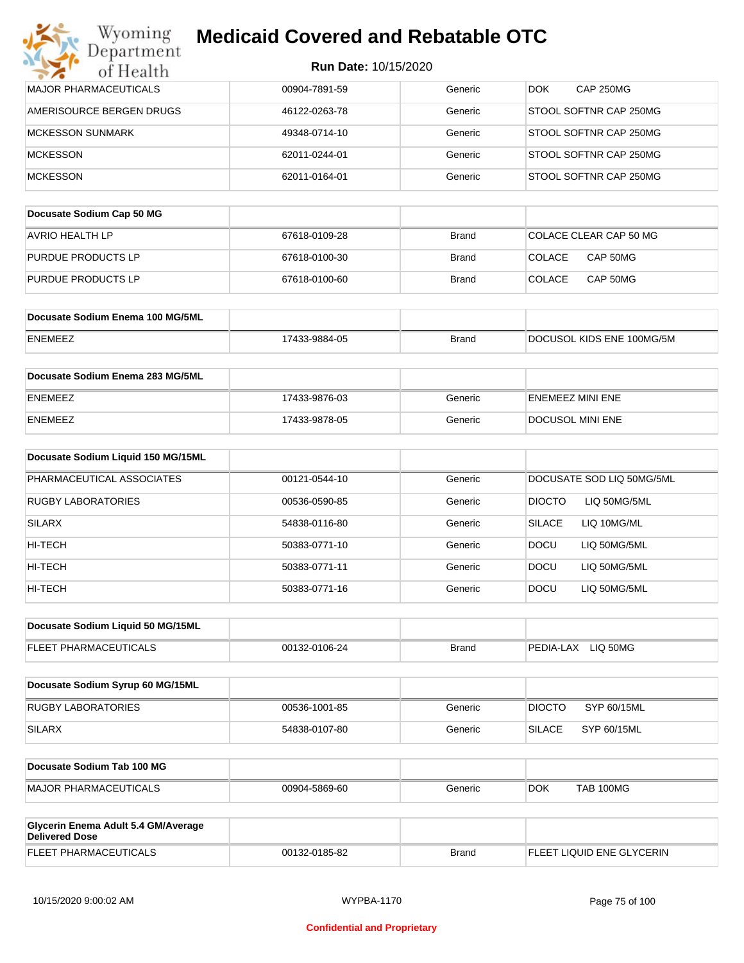| Wyoming                                                      | <b>Medicaid Covered and Rebatable OTC</b> |              |                               |
|--------------------------------------------------------------|-------------------------------------------|--------------|-------------------------------|
| Department<br>of Health                                      | Run Date: 10/15/2020                      |              |                               |
| MAJOR PHARMACEUTICALS                                        | 00904-7891-59                             | Generic      | <b>CAP 250MG</b><br>DOK.      |
| AMERISOURCE BERGEN DRUGS                                     | 46122-0263-78                             | Generic      | STOOL SOFTNR CAP 250MG        |
| <b>MCKESSON SUNMARK</b>                                      | 49348-0714-10                             | Generic      | STOOL SOFTNR CAP 250MG        |
| <b>MCKESSON</b>                                              | 62011-0244-01                             | Generic      | STOOL SOFTNR CAP 250MG        |
| <b>MCKESSON</b>                                              | 62011-0164-01                             | Generic      | STOOL SOFTNR CAP 250MG        |
| Docusate Sodium Cap 50 MG                                    |                                           |              |                               |
| <b>AVRIO HEALTH LP</b>                                       | 67618-0109-28                             | <b>Brand</b> | COLACE CLEAR CAP 50 MG        |
| PURDUE PRODUCTS LP                                           | 67618-0100-30                             | Brand        | <b>COLACE</b><br>CAP 50MG     |
| <b>PURDUE PRODUCTS LP</b>                                    | 67618-0100-60                             | Brand        | <b>COLACE</b><br>CAP 50MG     |
|                                                              |                                           |              |                               |
| Docusate Sodium Enema 100 MG/5ML                             |                                           |              |                               |
| <b>ENEMEEZ</b>                                               | 17433-9884-05                             | <b>Brand</b> | DOCUSOL KIDS ENE 100MG/5M     |
| Docusate Sodium Enema 283 MG/5ML                             |                                           |              |                               |
| <b>ENEMEEZ</b>                                               | 17433-9876-03                             | Generic      | <b>ENEMEEZ MINI ENE</b>       |
| <b>ENEMEEZ</b>                                               | 17433-9878-05                             | Generic      | DOCUSOL MINI ENE              |
| Docusate Sodium Liquid 150 MG/15ML                           |                                           |              |                               |
| PHARMACEUTICAL ASSOCIATES                                    | 00121-0544-10                             | Generic      | DOCUSATE SOD LIQ 50MG/5ML     |
| <b>RUGBY LABORATORIES</b>                                    | 00536-0590-85                             | Generic      | <b>DIOCTO</b><br>LIQ 50MG/5ML |
| <b>SILARX</b>                                                | 54838-0116-80                             | Generic      | <b>SILACE</b><br>LIQ 10MG/ML  |
| HI-TECH                                                      | 50383-0771-10                             | Generic      | LIQ 50MG/5ML<br><b>DOCU</b>   |
| HI-TECH                                                      | 50383-0771-11                             | Generic      | DOCU<br>LIQ 50MG/5ML          |
| HI-TECH                                                      | 50383-0771-16                             | Generic      | <b>DOCU</b><br>LIQ 50MG/5ML   |
| Docusate Sodium Liquid 50 MG/15ML                            |                                           |              |                               |
| FLEET PHARMACEUTICALS                                        |                                           |              |                               |
|                                                              | 00132-0106-24                             | <b>Brand</b> | PEDIA-LAX LIQ 50MG            |
| Docusate Sodium Syrup 60 MG/15ML                             |                                           |              |                               |
| <b>RUGBY LABORATORIES</b>                                    | 00536-1001-85                             | Generic      | <b>DIOCTO</b><br>SYP 60/15ML  |
| <b>SILARX</b>                                                | 54838-0107-80                             | Generic      | <b>SILACE</b><br>SYP 60/15ML  |
| Docusate Sodium Tab 100 MG                                   |                                           |              |                               |
| <b>MAJOR PHARMACEUTICALS</b>                                 | 00904-5869-60                             | Generic      | <b>TAB 100MG</b><br>DOK.      |
|                                                              |                                           |              |                               |
| Glycerin Enema Adult 5.4 GM/Average<br><b>Delivered Dose</b> |                                           |              |                               |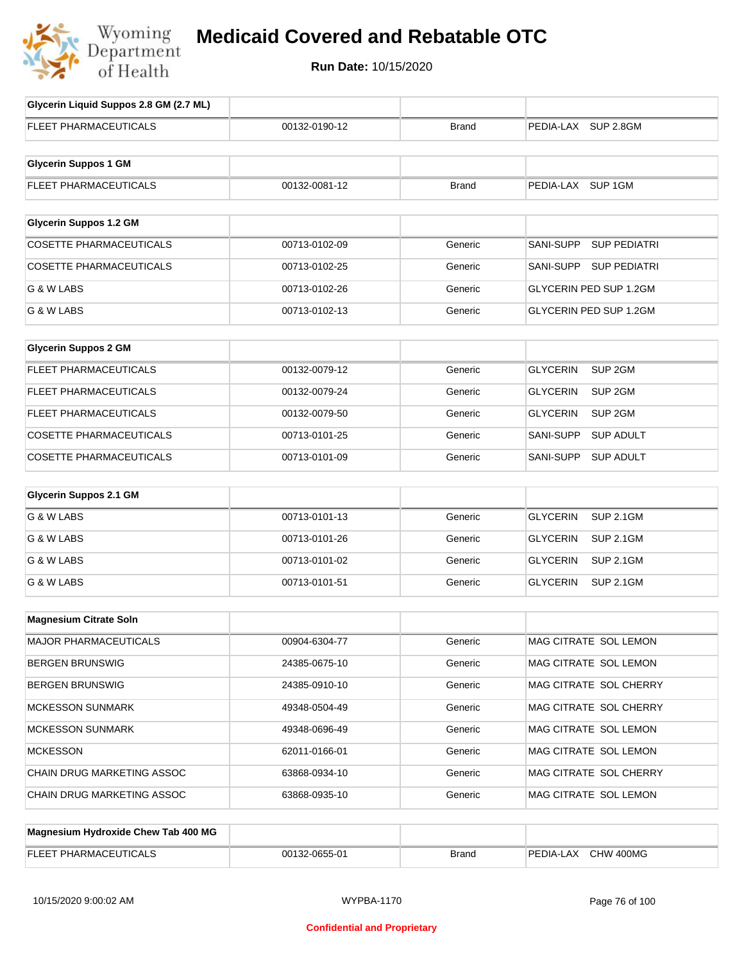

# **Medicaid Covered and Rebatable OTC**

**Run Date:** 10/15/2020

| Glycerin Liquid Suppos 2.8 GM (2.7 ML) |               |              |                                       |
|----------------------------------------|---------------|--------------|---------------------------------------|
| <b>FLEET PHARMACEUTICALS</b>           | 00132-0190-12 | <b>Brand</b> | PEDIA-LAX SUP 2.8GM                   |
| <b>Glycerin Suppos 1 GM</b>            |               |              |                                       |
| FLEET PHARMACEUTICALS                  | 00132-0081-12 | <b>Brand</b> | PEDIA-LAX SUP 1GM                     |
| <b>Glycerin Suppos 1.2 GM</b>          |               |              |                                       |
| <b>COSETTE PHARMACEUTICALS</b>         | 00713-0102-09 | Generic      | SANI-SUPP<br><b>SUP PEDIATRI</b>      |
| <b>COSETTE PHARMACEUTICALS</b>         | 00713-0102-25 | Generic      | SANI-SUPP<br><b>SUP PEDIATRI</b>      |
| G & W LABS                             | 00713-0102-26 | Generic      | <b>GLYCERIN PED SUP 1.2GM</b>         |
| G & W LABS                             | 00713-0102-13 | Generic      | GLYCERIN PED SUP 1.2GM                |
| <b>Glycerin Suppos 2 GM</b>            |               |              |                                       |
| FLEET PHARMACEUTICALS                  | 00132-0079-12 | Generic      | SUP <sub>2GM</sub><br><b>GLYCERIN</b> |
| FLEET PHARMACEUTICALS                  | 00132-0079-24 | Generic      | <b>GLYCERIN</b><br>SUP <sub>2GM</sub> |
| FLEET PHARMACEUTICALS                  | 00132-0079-50 | Generic      | <b>GLYCERIN</b><br>SUP <sub>2GM</sub> |
| COSETTE PHARMACEUTICALS                | 00713-0101-25 | Generic      | <b>SANI-SUPP</b><br><b>SUP ADULT</b>  |
| <b>COSETTE PHARMACEUTICALS</b>         | 00713-0101-09 | Generic      | SANI-SUPP<br><b>SUP ADULT</b>         |
| <b>Glycerin Suppos 2.1 GM</b>          |               |              |                                       |
| G & W LABS                             | 00713-0101-13 | Generic      | <b>GLYCERIN</b><br><b>SUP 2.1GM</b>   |
| G & W LABS                             | 00713-0101-26 | Generic      | <b>GLYCERIN</b><br><b>SUP 2.1GM</b>   |
| G & W LABS                             | 00713-0101-02 | Generic      | <b>GLYCERIN</b><br><b>SUP 2.1GM</b>   |
| G & W LABS                             | 00713-0101-51 | Generic      | <b>GLYCERIN</b><br><b>SUP 2.1GM</b>   |
| <b>Magnesium Citrate Soln</b>          |               |              |                                       |
| MAJOR PHARMACEUTICALS                  | 00904-6304-77 | Generic      | MAG CITRATE SOL LEMON                 |
| <b>BERGEN BRUNSWIG</b>                 | 24385-0675-10 | Generic      | MAG CITRATE SOL LEMON                 |
| <b>BERGEN BRUNSWIG</b>                 | 24385-0910-10 | Generic      | MAG CITRATE SOL CHERRY                |
| <b>MCKESSON SUNMARK</b>                | 49348-0504-49 | Generic      | MAG CITRATE SOL CHERRY                |
| <b>MCKESSON SUNMARK</b>                | 49348-0696-49 | Generic      | MAG CITRATE SOL LEMON                 |
| <b>MCKESSON</b>                        | 62011-0166-01 | Generic      | MAG CITRATE SOL LEMON                 |
| CHAIN DRUG MARKETING ASSOC             | 63868-0934-10 | Generic      | MAG CITRATE SOL CHERRY                |
| CHAIN DRUG MARKETING ASSOC             | 63868-0935-10 | Generic      | MAG CITRATE SOL LEMON                 |
|                                        |               |              |                                       |
| Magnesium Hydroxide Chew Tab 400 MG    |               |              |                                       |

| EL EEI<br>PHARMAL<br>IC AL | $-0655-01$<br>00132 | Brand | 400MG<br><b>CHW</b><br><b>PEDIA</b><br>∟AX |
|----------------------------|---------------------|-------|--------------------------------------------|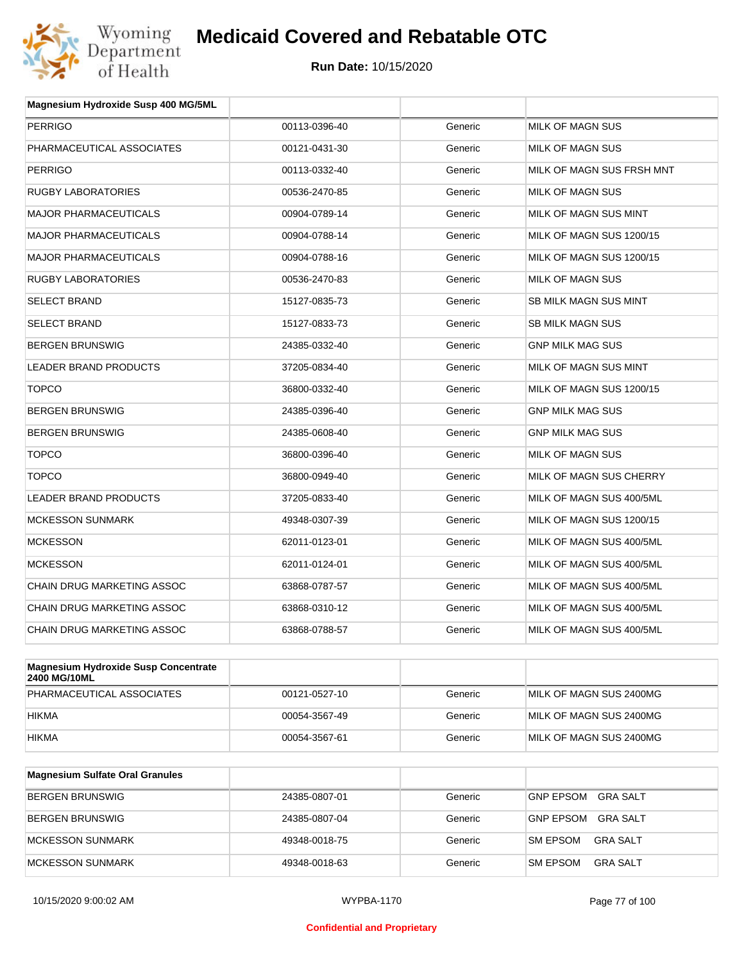

| <b>PERRIGO</b><br>00113-0396-40<br>MILK OF MAGN SUS<br>Generic<br>PHARMACEUTICAL ASSOCIATES<br>MILK OF MAGN SUS<br>00121-0431-30<br>Generic<br><b>PERRIGO</b><br>MILK OF MAGN SUS FRSH MNT<br>00113-0332-40<br>Generic<br><b>RUGBY LABORATORIES</b><br>MILK OF MAGN SUS<br>00536-2470-85<br>Generic<br><b>MAJOR PHARMACEUTICALS</b><br>MILK OF MAGN SUS MINT<br>00904-0789-14<br>Generic<br><b>MAJOR PHARMACEUTICALS</b><br>Generic<br>MILK OF MAGN SUS 1200/15<br>00904-0788-14<br><b>MAJOR PHARMACEUTICALS</b><br>MILK OF MAGN SUS 1200/15<br>00904-0788-16<br>Generic<br><b>RUGBY LABORATORIES</b><br>Generic<br><b>MILK OF MAGN SUS</b><br>00536-2470-83<br><b>SELECT BRAND</b><br>15127-0835-73<br><b>SB MILK MAGN SUS MINT</b><br>Generic |  |
|-------------------------------------------------------------------------------------------------------------------------------------------------------------------------------------------------------------------------------------------------------------------------------------------------------------------------------------------------------------------------------------------------------------------------------------------------------------------------------------------------------------------------------------------------------------------------------------------------------------------------------------------------------------------------------------------------------------------------------------------------|--|
|                                                                                                                                                                                                                                                                                                                                                                                                                                                                                                                                                                                                                                                                                                                                                 |  |
|                                                                                                                                                                                                                                                                                                                                                                                                                                                                                                                                                                                                                                                                                                                                                 |  |
|                                                                                                                                                                                                                                                                                                                                                                                                                                                                                                                                                                                                                                                                                                                                                 |  |
|                                                                                                                                                                                                                                                                                                                                                                                                                                                                                                                                                                                                                                                                                                                                                 |  |
|                                                                                                                                                                                                                                                                                                                                                                                                                                                                                                                                                                                                                                                                                                                                                 |  |
|                                                                                                                                                                                                                                                                                                                                                                                                                                                                                                                                                                                                                                                                                                                                                 |  |
|                                                                                                                                                                                                                                                                                                                                                                                                                                                                                                                                                                                                                                                                                                                                                 |  |
|                                                                                                                                                                                                                                                                                                                                                                                                                                                                                                                                                                                                                                                                                                                                                 |  |
|                                                                                                                                                                                                                                                                                                                                                                                                                                                                                                                                                                                                                                                                                                                                                 |  |
| <b>SELECT BRAND</b><br><b>SB MILK MAGN SUS</b><br>15127-0833-73<br>Generic                                                                                                                                                                                                                                                                                                                                                                                                                                                                                                                                                                                                                                                                      |  |
| <b>BERGEN BRUNSWIG</b><br>24385-0332-40<br>Generic<br><b>GNP MILK MAG SUS</b>                                                                                                                                                                                                                                                                                                                                                                                                                                                                                                                                                                                                                                                                   |  |
| MILK OF MAGN SUS MINT<br>LEADER BRAND PRODUCTS<br>37205-0834-40<br>Generic                                                                                                                                                                                                                                                                                                                                                                                                                                                                                                                                                                                                                                                                      |  |
| <b>TOPCO</b><br>36800-0332-40<br>Generic<br>MILK OF MAGN SUS 1200/15                                                                                                                                                                                                                                                                                                                                                                                                                                                                                                                                                                                                                                                                            |  |
| <b>BERGEN BRUNSWIG</b><br>24385-0396-40<br>Generic<br><b>GNP MILK MAG SUS</b>                                                                                                                                                                                                                                                                                                                                                                                                                                                                                                                                                                                                                                                                   |  |
| <b>BERGEN BRUNSWIG</b><br>24385-0608-40<br>Generic<br><b>GNP MILK MAG SUS</b>                                                                                                                                                                                                                                                                                                                                                                                                                                                                                                                                                                                                                                                                   |  |
| <b>TOPCO</b><br>MILK OF MAGN SUS<br>36800-0396-40<br>Generic                                                                                                                                                                                                                                                                                                                                                                                                                                                                                                                                                                                                                                                                                    |  |
| <b>TOPCO</b><br>36800-0949-40<br>Generic<br>MILK OF MAGN SUS CHERRY                                                                                                                                                                                                                                                                                                                                                                                                                                                                                                                                                                                                                                                                             |  |
| <b>LEADER BRAND PRODUCTS</b><br>MILK OF MAGN SUS 400/5ML<br>37205-0833-40<br>Generic                                                                                                                                                                                                                                                                                                                                                                                                                                                                                                                                                                                                                                                            |  |
| <b>MCKESSON SUNMARK</b><br>MILK OF MAGN SUS 1200/15<br>49348-0307-39<br>Generic                                                                                                                                                                                                                                                                                                                                                                                                                                                                                                                                                                                                                                                                 |  |
| <b>MCKESSON</b><br>62011-0123-01<br>Generic<br>MILK OF MAGN SUS 400/5ML                                                                                                                                                                                                                                                                                                                                                                                                                                                                                                                                                                                                                                                                         |  |
| <b>MCKESSON</b><br>MILK OF MAGN SUS 400/5ML<br>62011-0124-01<br>Generic                                                                                                                                                                                                                                                                                                                                                                                                                                                                                                                                                                                                                                                                         |  |
| <b>CHAIN DRUG MARKETING ASSOC</b><br>Generic<br>MILK OF MAGN SUS 400/5ML<br>63868-0787-57                                                                                                                                                                                                                                                                                                                                                                                                                                                                                                                                                                                                                                                       |  |
| CHAIN DRUG MARKETING ASSOC<br>MILK OF MAGN SUS 400/5ML<br>63868-0310-12<br>Generic                                                                                                                                                                                                                                                                                                                                                                                                                                                                                                                                                                                                                                                              |  |
| <b>CHAIN DRUG MARKETING ASSOC</b><br>63868-0788-57<br>Generic<br>MILK OF MAGN SUS 400/5ML                                                                                                                                                                                                                                                                                                                                                                                                                                                                                                                                                                                                                                                       |  |
| Magnosium Hydroxido Susp Concontrato                                                                                                                                                                                                                                                                                                                                                                                                                                                                                                                                                                                                                                                                                                            |  |

| Magnesium Hydroxide Susp Concentrate<br><b>2400 MG/10ML</b> |               |         |                         |
|-------------------------------------------------------------|---------------|---------|-------------------------|
| PHARMACEUTICAL ASSOCIATES                                   | 00121-0527-10 | Generic | MILK OF MAGN SUS 2400MG |
| <b>HIKMA</b>                                                | 00054-3567-49 | Generic | MILK OF MAGN SUS 2400MG |
| <b>HIKMA</b>                                                | 00054-3567-61 | Generic | MILK OF MAGN SUS 2400MG |

| <b>Magnesium Sulfate Oral Granules</b> |               |         |                                    |
|----------------------------------------|---------------|---------|------------------------------------|
| <b>BERGEN BRUNSWIG</b>                 | 24385-0807-01 | Generic | GRA SALT<br>GNP EPSOM              |
| <b>BERGEN BRUNSWIG</b>                 | 24385-0807-04 | Generic | GRA SALT<br><b>GNP EPSOM</b>       |
| MCKESSON SUNMARK                       | 49348-0018-75 | Generic | <b>SM EPSOM</b><br>GRA SALT        |
| MCKESSON SUNMARK                       | 49348-0018-63 | Generic | <b>SM EPSOM</b><br><b>GRA SALT</b> |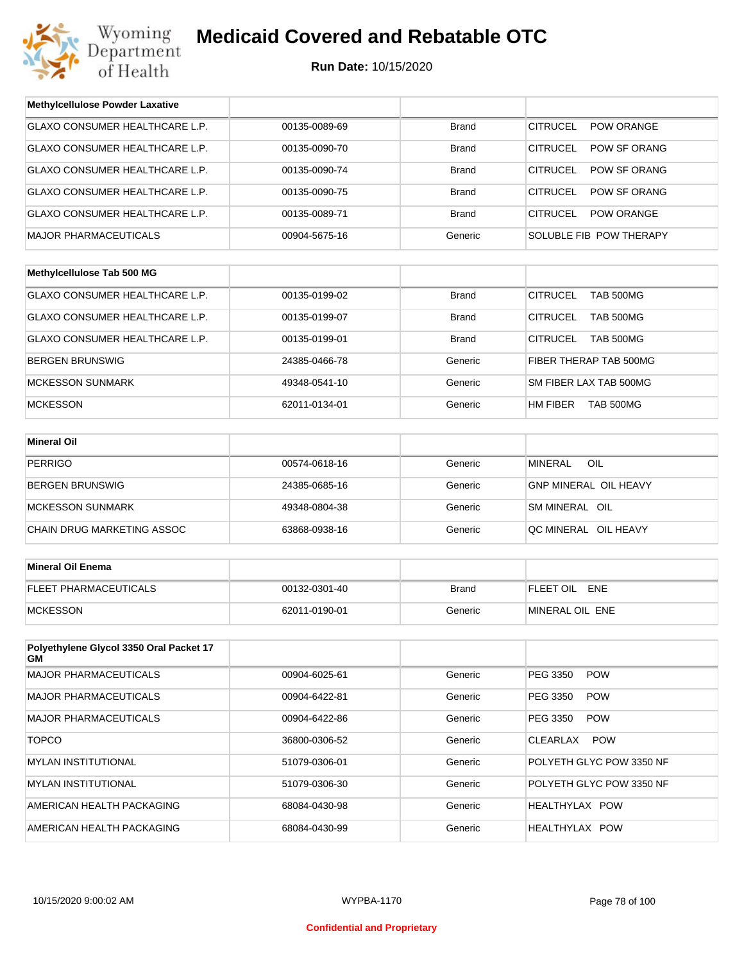

| <b>Methylcellulose Powder Laxative</b>         |               |              |                                     |
|------------------------------------------------|---------------|--------------|-------------------------------------|
| GLAXO CONSUMER HEALTHCARE L.P.                 | 00135-0089-69 | <b>Brand</b> | <b>CITRUCEL</b><br>POW ORANGE       |
| GLAXO CONSUMER HEALTHCARE L.P.                 | 00135-0090-70 | <b>Brand</b> | <b>CITRUCEL</b><br>POW SF ORANG     |
| GLAXO CONSUMER HEALTHCARE L.P.                 | 00135-0090-74 | <b>Brand</b> | <b>CITRUCEL</b><br>POW SF ORANG     |
| GLAXO CONSUMER HEALTHCARE L.P.                 | 00135-0090-75 | <b>Brand</b> | <b>CITRUCEL</b><br>POW SF ORANG     |
| GLAXO CONSUMER HEALTHCARE L.P.                 | 00135-0089-71 | <b>Brand</b> | <b>CITRUCEL</b><br>POW ORANGE       |
| <b>MAJOR PHARMACEUTICALS</b>                   | 00904-5675-16 | Generic      | SOLUBLE FIB POW THERAPY             |
|                                                |               |              |                                     |
| Methylcellulose Tab 500 MG                     |               |              |                                     |
| GLAXO CONSUMER HEALTHCARE L.P.                 | 00135-0199-02 | <b>Brand</b> | <b>CITRUCEL</b><br><b>TAB 500MG</b> |
| GLAXO CONSUMER HEALTHCARE L.P.                 | 00135-0199-07 | <b>Brand</b> | <b>CITRUCEL</b><br>TAB 500MG        |
| GLAXO CONSUMER HEALTHCARE L.P.                 | 00135-0199-01 | <b>Brand</b> | <b>CITRUCEL</b><br><b>TAB 500MG</b> |
| <b>BERGEN BRUNSWIG</b>                         | 24385-0466-78 | Generic      | FIBER THERAP TAB 500MG              |
| <b>MCKESSON SUNMARK</b>                        | 49348-0541-10 | Generic      | SM FIBER LAX TAB 500MG              |
| <b>MCKESSON</b>                                | 62011-0134-01 | Generic      | HM FIBER<br>TAB 500MG               |
|                                                |               |              |                                     |
| <b>Mineral Oil</b>                             |               |              |                                     |
| <b>PERRIGO</b>                                 | 00574-0618-16 | Generic      | OIL<br><b>MINERAL</b>               |
| <b>BERGEN BRUNSWIG</b>                         | 24385-0685-16 | Generic      | <b>GNP MINERAL OIL HEAVY</b>        |
| <b>MCKESSON SUNMARK</b>                        | 49348-0804-38 | Generic      | SM MINERAL OIL                      |
| CHAIN DRUG MARKETING ASSOC                     | 63868-0938-16 | Generic      | QC MINERAL OIL HEAVY                |
|                                                |               |              |                                     |
| <b>Mineral Oil Enema</b>                       |               |              |                                     |
| <b>FLEET PHARMACEUTICALS</b>                   | 00132-0301-40 | <b>Brand</b> | FLEET OIL ENE                       |
| <b>MCKESSON</b>                                | 62011-0190-01 | Generic      | MINERAL OIL ENE                     |
|                                                |               |              |                                     |
| Polyethylene Glycol 3350 Oral Packet 17<br>GM. |               |              |                                     |
| <b>MAJOR PHARMACEUTICALS</b>                   | 00904-6025-61 | Generic      | PEG 3350<br><b>POW</b>              |
| <b>MAJOR PHARMACEUTICALS</b>                   | 00904-6422-81 | Generic      | PEG 3350<br><b>POW</b>              |
| <b>MAJOR PHARMACEUTICALS</b>                   | 00904-6422-86 | Generic      | PEG 3350<br><b>POW</b>              |
| <b>TOPCO</b>                                   | 36800-0306-52 | Generic      | CLEARLAX<br><b>POW</b>              |
| <b>MYLAN INSTITUTIONAL</b>                     | 51079-0306-01 | Generic      | POLYETH GLYC POW 3350 NF            |
| <b>MYLAN INSTITUTIONAL</b>                     | 51079-0306-30 | Generic      | POLYETH GLYC POW 3350 NF            |
| AMERICAN HEALTH PACKAGING                      | 68084-0430-98 | Generic      | HEALTHYLAX POW                      |
| AMERICAN HEALTH PACKAGING                      | 68084-0430-99 | Generic      | HEALTHYLAX POW                      |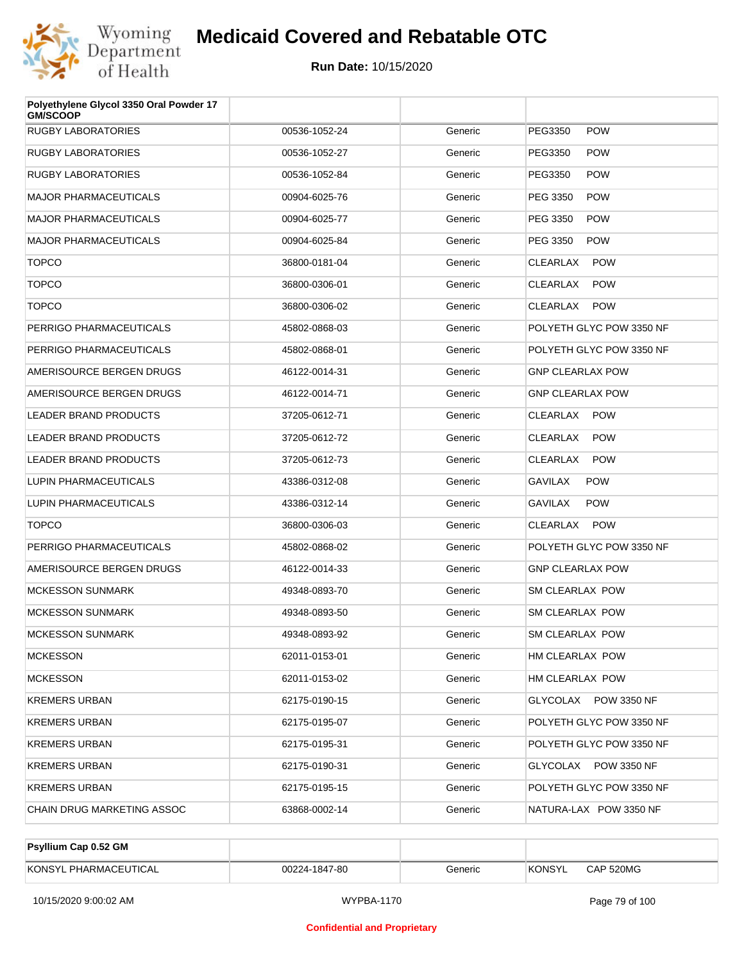

| Polyethylene Glycol 3350 Oral Powder 17<br><b>GM/SCOOP</b> |               |         |                               |
|------------------------------------------------------------|---------------|---------|-------------------------------|
| <b>RUGBY LABORATORIES</b>                                  | 00536-1052-24 | Generic | PEG3350<br><b>POW</b>         |
| <b>RUGBY LABORATORIES</b>                                  | 00536-1052-27 | Generic | PEG3350<br><b>POW</b>         |
| <b>RUGBY LABORATORIES</b>                                  | 00536-1052-84 | Generic | <b>POW</b><br>PEG3350         |
| <b>MAJOR PHARMACEUTICALS</b>                               | 00904-6025-76 | Generic | PEG 3350<br><b>POW</b>        |
| <b>MAJOR PHARMACEUTICALS</b>                               | 00904-6025-77 | Generic | PEG 3350<br><b>POW</b>        |
| <b>MAJOR PHARMACEUTICALS</b>                               | 00904-6025-84 | Generic | PEG 3350<br><b>POW</b>        |
| <b>TOPCO</b>                                               | 36800-0181-04 | Generic | <b>POW</b><br><b>CLEARLAX</b> |
| <b>TOPCO</b>                                               | 36800-0306-01 | Generic | <b>CLEARLAX</b><br><b>POW</b> |
| <b>TOPCO</b>                                               | 36800-0306-02 | Generic | <b>POW</b><br>CLEARLAX        |
| PERRIGO PHARMACEUTICALS                                    | 45802-0868-03 | Generic | POLYETH GLYC POW 3350 NF      |
| PERRIGO PHARMACEUTICALS                                    | 45802-0868-01 | Generic | POLYETH GLYC POW 3350 NF      |
| AMERISOURCE BERGEN DRUGS                                   | 46122-0014-31 | Generic | <b>GNP CLEARLAX POW</b>       |
| AMERISOURCE BERGEN DRUGS                                   | 46122-0014-71 | Generic | <b>GNP CLEARLAX POW</b>       |
| <b>LEADER BRAND PRODUCTS</b>                               | 37205-0612-71 | Generic | <b>POW</b><br>CLEARLAX        |
| LEADER BRAND PRODUCTS                                      | 37205-0612-72 | Generic | <b>POW</b><br>CLEARLAX        |
| <b>LEADER BRAND PRODUCTS</b>                               | 37205-0612-73 | Generic | <b>CLEARLAX</b><br><b>POW</b> |
| LUPIN PHARMACEUTICALS                                      | 43386-0312-08 | Generic | <b>POW</b><br>GAVILAX         |
| LUPIN PHARMACEUTICALS                                      | 43386-0312-14 | Generic | <b>POW</b><br>GAVILAX         |
| <b>TOPCO</b>                                               | 36800-0306-03 | Generic | <b>POW</b><br>CLEARLAX        |
| PERRIGO PHARMACEUTICALS                                    | 45802-0868-02 | Generic | POLYETH GLYC POW 3350 NF      |
| AMERISOURCE BERGEN DRUGS                                   | 46122-0014-33 | Generic | <b>GNP CLEARLAX POW</b>       |
| <b>MCKESSON SUNMARK</b>                                    | 49348-0893-70 | Generic | SM CLEARLAX POW               |
| <b>MCKESSON SUNMARK</b>                                    | 49348-0893-50 | Generic | SM CLEARLAX POW               |
| <b>MCKESSON SUNMARK</b>                                    | 49348-0893-92 | Generic | SM CLEARLAX POW               |
| <b>MCKESSON</b>                                            | 62011-0153-01 | Generic | HM CLEARLAX POW               |
| <b>MCKESSON</b>                                            | 62011-0153-02 | Generic | HM CLEARLAX POW               |
| <b>KREMERS URBAN</b>                                       | 62175-0190-15 | Generic | GLYCOLAX POW 3350 NF          |
| <b>KREMERS URBAN</b>                                       | 62175-0195-07 | Generic | POLYETH GLYC POW 3350 NF      |
| <b>KREMERS URBAN</b>                                       | 62175-0195-31 | Generic | POLYETH GLYC POW 3350 NF      |
| <b>KREMERS URBAN</b>                                       | 62175-0190-31 | Generic | GLYCOLAX POW 3350 NF          |
| <b>KREMERS URBAN</b>                                       | 62175-0195-15 | Generic | POLYETH GLYC POW 3350 NF      |
| CHAIN DRUG MARKETING ASSOC                                 | 63868-0002-14 | Generic | NATURA-LAX POW 3350 NF        |

| Psyllium Cap 0.52 GM  |               |         |        |           |
|-----------------------|---------------|---------|--------|-----------|
| KONSYL PHARMACEUTICAL | 00224-1847-80 | Generic | KONSYL | CAP 520MG |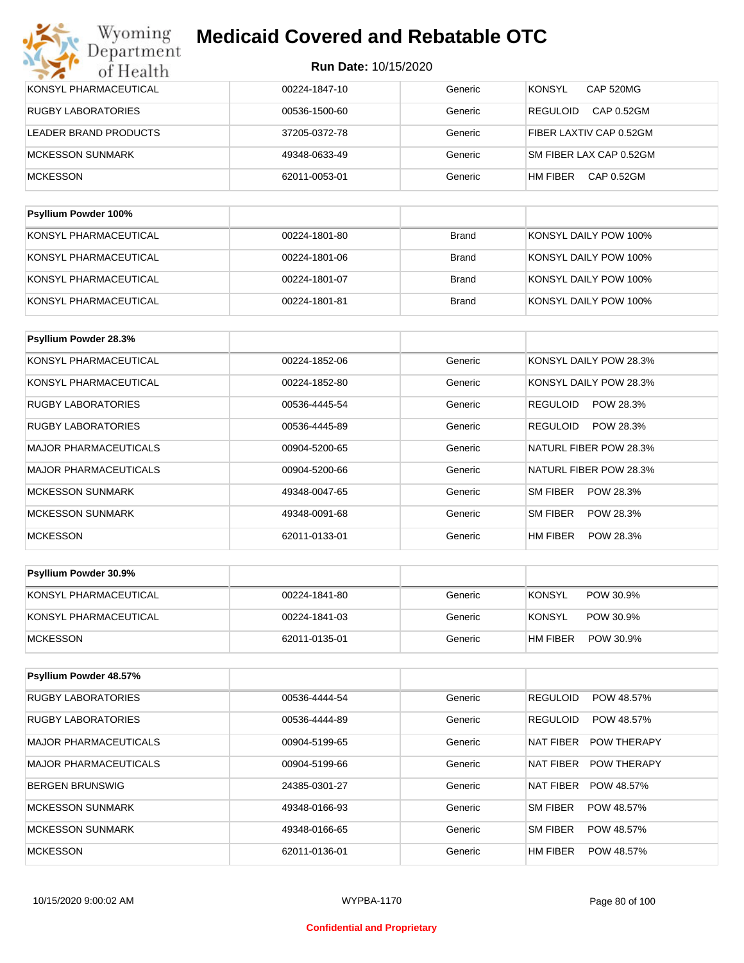| <b>MCKESSON</b>              | 62011-0053-01 | Generic | HM FIBER<br>CAP 0.52GM            |
|------------------------------|---------------|---------|-----------------------------------|
| MCKESSON SUNMARK             | 49348-0633-49 | Generic | SM FIBER LAX CAP 0.52GM           |
| LEADER BRAND PRODUCTS        | 37205-0372-78 | Generic | FIBER LAXTIV CAP 0.52GM           |
| RUGBY LABORATORIES           | 00536-1500-60 | Generic | CAP 0.52GM<br><b>REGULOID</b>     |
| <b>KONSYL PHARMACEUTICAL</b> | 00224-1847-10 | Generic | <b>KONSYL</b><br><b>CAP 520MG</b> |

| KONSYL PHARMACEUTICAL | 00224-1801-80 | Brand | KONSYL DAILY POW 100% |
|-----------------------|---------------|-------|-----------------------|
| KONSYL PHARMACEUTICAL | 00224-1801-06 | Brand | KONSYL DAILY POW 100% |
| KONSYL PHARMACEUTICAL | 00224-1801-07 | Brand | KONSYL DAILY POW 100% |
| KONSYL PHARMACEUTICAL | 00224-1801-81 | Brand | KONSYL DAILY POW 100% |

| Psyllium Powder 28.3%        |               |         |                              |
|------------------------------|---------------|---------|------------------------------|
| KONSYL PHARMACEUTICAL        | 00224-1852-06 | Generic | KONSYL DAILY POW 28.3%       |
| KONSYL PHARMACEUTICAL        | 00224-1852-80 | Generic | KONSYL DAILY POW 28.3%       |
| RUGBY LABORATORIES           | 00536-4445-54 | Generic | <b>REGULOID</b><br>POW 28.3% |
| RUGBY LABORATORIES           | 00536-4445-89 | Generic | <b>REGULOID</b><br>POW 28.3% |
| <b>MAJOR PHARMACEUTICALS</b> | 00904-5200-65 | Generic | NATURL FIBER POW 28.3%       |
| <b>MAJOR PHARMACEUTICALS</b> | 00904-5200-66 | Generic | NATURL FIBER POW 28.3%       |
| <b>MCKESSON SUNMARK</b>      | 49348-0047-65 | Generic | SM FIBER<br>POW 28.3%        |
| <b>MCKESSON SUNMARK</b>      | 49348-0091-68 | Generic | SM FIBER<br>POW 28.3%        |
| <b>MCKESSON</b>              | 62011-0133-01 | Generic | HM FIBER<br>POW 28.3%        |

| <b>Psyllium Powder 30.9%</b> |               |         |                       |
|------------------------------|---------------|---------|-----------------------|
| KONSYL PHARMACEUTICAL        | 00224-1841-80 | Generic | KONSYL<br>POW 30.9%   |
| KONSYL PHARMACEUTICAL        | 00224-1841-03 | Generic | KONSYL<br>POW 30.9%   |
| MCKESSON                     | 62011-0135-01 | Generic | POW 30.9%<br>HM FIBER |

| Psyllium Powder 48.57%       |               |         |                                 |
|------------------------------|---------------|---------|---------------------------------|
| <b>RUGBY LABORATORIES</b>    | 00536-4444-54 | Generic | <b>REGULOID</b><br>POW 48.57%   |
| <b>RUGBY LABORATORIES</b>    | 00536-4444-89 | Generic | <b>REGULOID</b><br>POW 48.57%   |
| <b>MAJOR PHARMACEUTICALS</b> | 00904-5199-65 | Generic | <b>POW THERAPY</b><br>NAT FIBER |
| MAJOR PHARMACEUTICALS        | 00904-5199-66 | Generic | NAT FIBER<br><b>POW THERAPY</b> |
| BERGEN BRUNSWIG              | 24385-0301-27 | Generic | NAT FIBER<br>POW 48.57%         |
| MCKESSON SUNMARK             | 49348-0166-93 | Generic | SM FIBER<br>POW 48.57%          |
| MCKESSON SUNMARK             | 49348-0166-65 | Generic | SM FIBER<br>POW 48.57%          |
| <b>MCKESSON</b>              | 62011-0136-01 | Generic | HM FIBER<br>POW 48.57%          |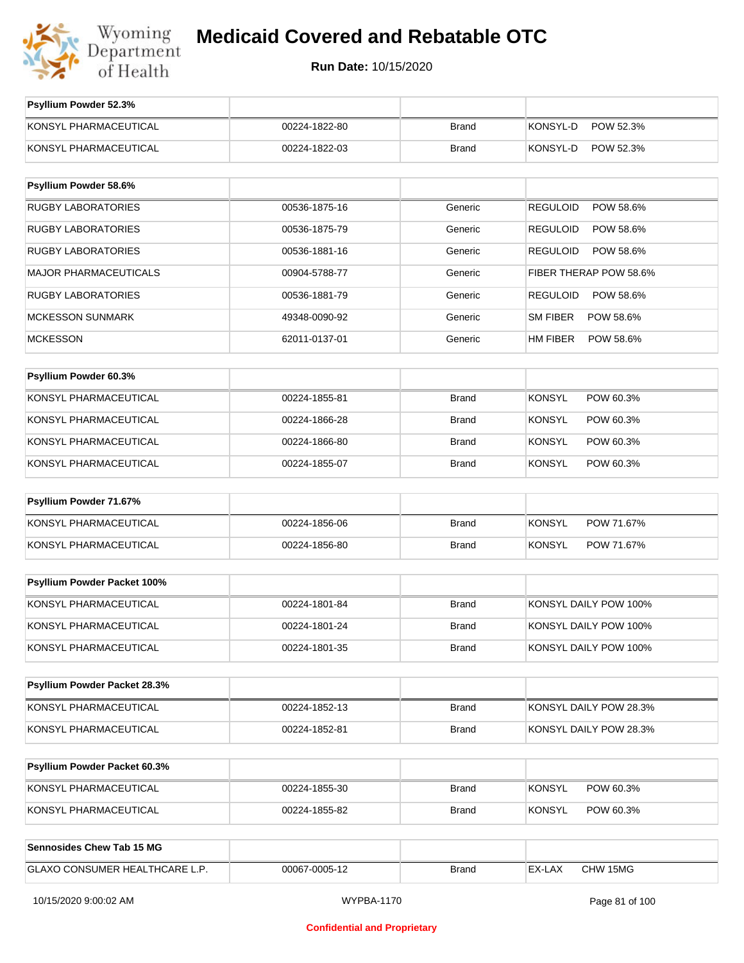

| Psyllium Powder 52.3%               |               |              |                              |
|-------------------------------------|---------------|--------------|------------------------------|
| KONSYL PHARMACEUTICAL               | 00224-1822-80 | <b>Brand</b> | KONSYL-D<br>POW 52.3%        |
| KONSYL PHARMACEUTICAL               | 00224-1822-03 | <b>Brand</b> | KONSYL-D<br>POW 52.3%        |
|                                     |               |              |                              |
| Psyllium Powder 58.6%               |               |              |                              |
| <b>RUGBY LABORATORIES</b>           | 00536-1875-16 | Generic      | <b>REGULOID</b><br>POW 58.6% |
| <b>RUGBY LABORATORIES</b>           | 00536-1875-79 | Generic      | <b>REGULOID</b><br>POW 58.6% |
| <b>RUGBY LABORATORIES</b>           | 00536-1881-16 | Generic      | <b>REGULOID</b><br>POW 58.6% |
| <b>MAJOR PHARMACEUTICALS</b>        | 00904-5788-77 | Generic      | FIBER THERAP POW 58.6%       |
| <b>RUGBY LABORATORIES</b>           | 00536-1881-79 | Generic      | <b>REGULOID</b><br>POW 58.6% |
| <b>MCKESSON SUNMARK</b>             | 49348-0090-92 | Generic      | <b>SM FIBER</b><br>POW 58.6% |
| <b>MCKESSON</b>                     | 62011-0137-01 | Generic      | HM FIBER<br>POW 58.6%        |
|                                     |               |              |                              |
| Psyllium Powder 60.3%               |               |              |                              |
| KONSYL PHARMACEUTICAL               | 00224-1855-81 | <b>Brand</b> | <b>KONSYL</b><br>POW 60.3%   |
| KONSYL PHARMACEUTICAL               | 00224-1866-28 | <b>Brand</b> | <b>KONSYL</b><br>POW 60.3%   |
| KONSYL PHARMACEUTICAL               | 00224-1866-80 | <b>Brand</b> | <b>KONSYL</b><br>POW 60.3%   |
| KONSYL PHARMACEUTICAL               | 00224-1855-07 | <b>Brand</b> | <b>KONSYL</b><br>POW 60.3%   |
| Psyllium Powder 71.67%              |               |              |                              |
| KONSYL PHARMACEUTICAL               | 00224-1856-06 | <b>Brand</b> | <b>KONSYL</b><br>POW 71.67%  |
| KONSYL PHARMACEUTICAL               | 00224-1856-80 | <b>Brand</b> | <b>KONSYL</b><br>POW 71.67%  |
|                                     |               |              |                              |
| Psyllium Powder Packet 100%         |               |              |                              |
| KONSYL PHARMACEUTICAL               | 00224-1801-84 | <b>Brand</b> | KONSYL DAILY POW 100%        |
| KONSYL PHARMACEUTICAL               | 00224-1801-24 | <b>Brand</b> | KONSYL DAILY POW 100%        |
| KONSYL PHARMACEUTICAL               | 00224-1801-35 | <b>Brand</b> | KONSYL DAILY POW 100%        |
|                                     |               |              |                              |
| Psyllium Powder Packet 28.3%        |               |              |                              |
| KONSYL PHARMACEUTICAL               | 00224-1852-13 | <b>Brand</b> | KONSYL DAILY POW 28.3%       |
| KONSYL PHARMACEUTICAL               | 00224-1852-81 | <b>Brand</b> | KONSYL DAILY POW 28.3%       |
|                                     |               |              |                              |
| <b>Psyllium Powder Packet 60.3%</b> |               |              |                              |
| KONSYL PHARMACEUTICAL               | 00224-1855-30 | <b>Brand</b> | <b>KONSYL</b><br>POW 60.3%   |
| KONSYL PHARMACEUTICAL               | 00224-1855-82 | <b>Brand</b> | <b>KONSYL</b><br>POW 60.3%   |
|                                     |               |              |                              |
| <b>Sennosides Chew Tab 15 MG</b>    |               |              |                              |
| GLAXO CONSUMER HEALTHCARE L.P.      | 00067-0005-12 | <b>Brand</b> | EX-LAX<br>CHW 15MG           |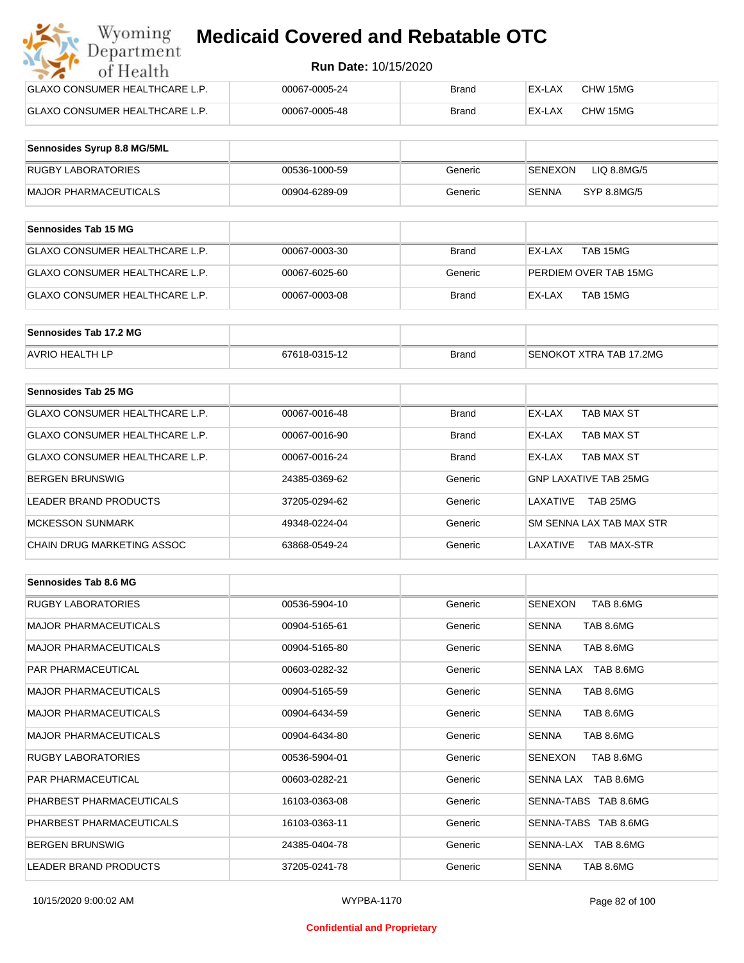| Wyoming<br><b>Medicaid Covered and Rebatable OTC</b><br>Department |                             |              |        |          |  |
|--------------------------------------------------------------------|-----------------------------|--------------|--------|----------|--|
| of Health                                                          | <b>Run Date: 10/15/2020</b> |              |        |          |  |
| <b>GLAXO CONSUMER HEALTHCARE L.P.</b>                              | 00067-0005-24               | Brand        | EX-LAX | CHW 15MG |  |
| <b>GLAXO CONSUMER HEALTHCARE L.P.</b>                              | 00067-0005-48               | <b>Brand</b> | EX-LAX | CHW 15MG |  |

| Sennosides Syrup 8.8 MG/5ML |               |         |                        |
|-----------------------------|---------------|---------|------------------------|
| <b>RUGBY LABORATORIES</b>   | 00536-1000-59 | Generic | SENEXON<br>LIQ 8.8MG/5 |
| MAJOR PHARMACEUTICALS       | 00904-6289-09 | Generic | SYP 8.8MG/5<br>SENNA   |

| <b>Sennosides Tab 15 MG</b>    |               |              |                       |
|--------------------------------|---------------|--------------|-----------------------|
| GLAXO CONSUMER HEALTHCARE L.P. | 00067-0003-30 | <b>Brand</b> | TAB 15MG<br>EX-LAX    |
| GLAXO CONSUMER HEALTHCARE L.P. | 00067-6025-60 | Generic      | PERDIEM OVER TAB 15MG |
| GLAXO CONSUMER HEALTHCARE L.P. | 00067-0003-08 | <b>Brand</b> | TAB 15MG<br>EX-LAX    |

| Sennosides Tab 17.2 MG |               |              |                                |
|------------------------|---------------|--------------|--------------------------------|
| <b>AVRIO HEALTH LP</b> | 67618-0315-12 | <b>Brand</b> | <b>SENOKOT XTRA TAB 17,2MG</b> |

| Sennosides Tab 25 MG           |               |              |                                |
|--------------------------------|---------------|--------------|--------------------------------|
| GLAXO CONSUMER HEALTHCARE L.P. | 00067-0016-48 | <b>Brand</b> | EX-LAX<br>TAB MAX ST           |
| GLAXO CONSUMER HEALTHCARE L.P. | 00067-0016-90 | <b>Brand</b> | TAB MAX ST<br>EX-LAX           |
| GLAXO CONSUMER HEALTHCARE L.P. | 00067-0016-24 | <b>Brand</b> | TAB MAX ST<br>EX-LAX           |
| <b>BERGEN BRUNSWIG</b>         | 24385-0369-62 | Generic      | <b>GNP LAXATIVE TAB 25MG</b>   |
| LEADER BRAND PRODUCTS          | 37205-0294-62 | Generic      | TAB 25MG<br>LAXATIVE           |
| <b>MCKESSON SUNMARK</b>        | 49348-0224-04 | Generic      | SM SENNA LAX TAB MAX STR       |
| CHAIN DRUG MARKETING ASSOC     | 63868-0549-24 | Generic      | LAXATIVE<br><b>TAB MAX-STR</b> |

| Sennosides Tab 8.6 MG        |               |         |                             |
|------------------------------|---------------|---------|-----------------------------|
| <b>RUGBY LABORATORIES</b>    | 00536-5904-10 | Generic | TAB 8.6MG<br><b>SENEXON</b> |
| <b>MAJOR PHARMACEUTICALS</b> | 00904-5165-61 | Generic | <b>SENNA</b><br>TAB 8.6MG   |
| <b>MAJOR PHARMACEUTICALS</b> | 00904-5165-80 | Generic | TAB 8.6MG<br><b>SENNA</b>   |
| <b>PAR PHARMACEUTICAL</b>    | 00603-0282-32 | Generic | SENNA LAX TAB 8.6MG         |
| <b>MAJOR PHARMACEUTICALS</b> | 00904-5165-59 | Generic | <b>SENNA</b><br>TAB 8.6MG   |
| <b>MAJOR PHARMACEUTICALS</b> | 00904-6434-59 | Generic | TAB 8.6MG<br><b>SENNA</b>   |
| <b>MAJOR PHARMACEUTICALS</b> | 00904-6434-80 | Generic | TAB 8.6MG<br><b>SENNA</b>   |
| <b>RUGBY LABORATORIES</b>    | 00536-5904-01 | Generic | TAB 8.6MG<br>SENEXON        |
| <b>PAR PHARMACEUTICAL</b>    | 00603-0282-21 | Generic | SENNA LAX TAB 8.6MG         |
| PHARBEST PHARMACEUTICALS     | 16103-0363-08 | Generic | SENNA-TABS TAB 8.6MG        |
| PHARBEST PHARMACEUTICALS     | 16103-0363-11 | Generic | SENNA-TABS TAB 8.6MG        |
| <b>BERGEN BRUNSWIG</b>       | 24385-0404-78 | Generic | SENNA-LAX TAB 8.6MG         |
| <b>LEADER BRAND PRODUCTS</b> | 37205-0241-78 | Generic | <b>SENNA</b><br>TAB 8.6MG   |

#### **Confidential and Proprietary**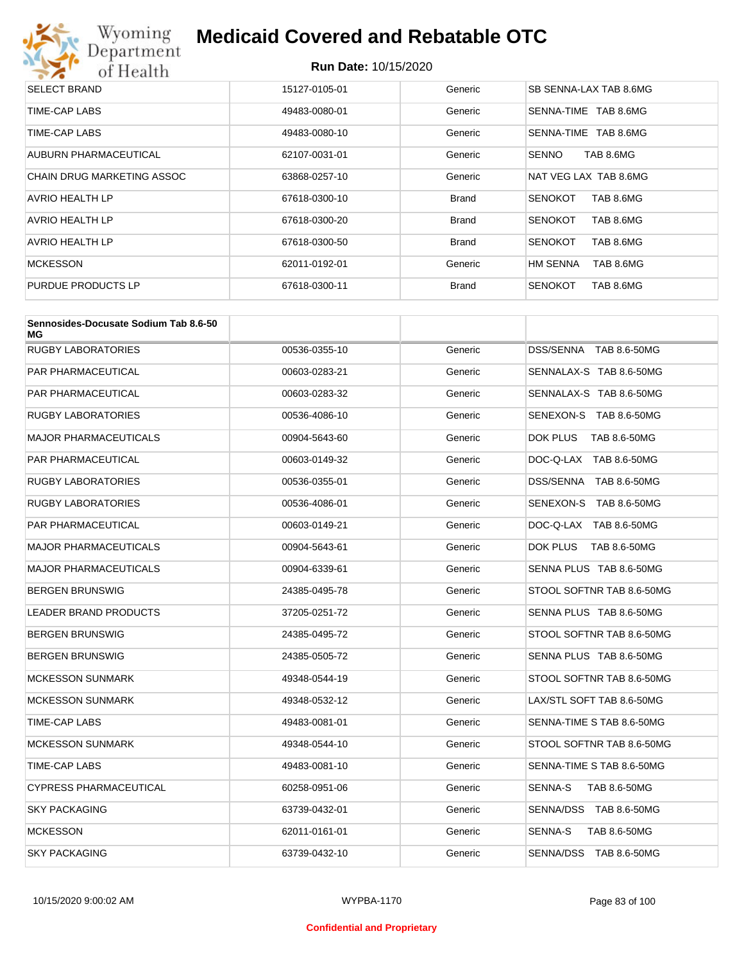

| <b>SELECT BRAND</b>               | 15127-0105-01 | Generic      | SB SENNA-LAX TAB 8.6MG       |
|-----------------------------------|---------------|--------------|------------------------------|
| TIME-CAP LABS                     | 49483-0080-01 | Generic      | TAB 8.6MG<br>SENNA-TIME      |
| TIME-CAP LABS                     | 49483-0080-10 | Generic      | TAB 8.6MG<br>SENNA-TIME      |
| AUBURN PHARMACEUTICAL             | 62107-0031-01 | Generic      | <b>SENNO</b><br>TAB 8.6MG    |
| <b>CHAIN DRUG MARKETING ASSOC</b> | 63868-0257-10 | Generic      | NAT VEG LAX TAB 8.6MG        |
| <b>AVRIO HEALTH LP</b>            | 67618-0300-10 | <b>Brand</b> | TAB 8.6MG<br><b>SENOKOT</b>  |
| AVRIO HEALTH LP                   | 67618-0300-20 | <b>Brand</b> | TAB 8.6MG<br><b>SENOKOT</b>  |
| AVRIO HEALTH LP                   | 67618-0300-50 | <b>Brand</b> | TAB 8.6MG<br><b>SENOKOT</b>  |
| <b>MCKESSON</b>                   | 62011-0192-01 | Generic      | <b>HM SENNA</b><br>TAB 8.6MG |
| PURDUE PRODUCTS LP                | 67618-0300-11 | <b>Brand</b> | <b>SENOKOT</b><br>TAB 8.6MG  |

| Sennosides-Docusate Sodium Tab 8.6-50<br>МG |               |         |                           |
|---------------------------------------------|---------------|---------|---------------------------|
| <b>RUGBY LABORATORIES</b>                   | 00536-0355-10 | Generic | DSS/SENNA TAB 8.6-50MG    |
| PAR PHARMACEUTICAL                          | 00603-0283-21 | Generic | SENNALAX-S TAB 8.6-50MG   |
| PAR PHARMACEUTICAL                          | 00603-0283-32 | Generic | SENNALAX-S TAB 8.6-50MG   |
| RUGBY LABORATORIES                          | 00536-4086-10 | Generic | SENEXON-S TAB 8.6-50MG    |
| MAJOR PHARMACEUTICALS                       | 00904-5643-60 | Generic | DOK PLUS<br>TAB 8.6-50MG  |
| PAR PHARMACEUTICAL                          | 00603-0149-32 | Generic | DOC-Q-LAX TAB 8.6-50MG    |
| <b>RUGBY LABORATORIES</b>                   | 00536-0355-01 | Generic | DSS/SENNA TAB 8.6-50MG    |
| RUGBY LABORATORIES                          | 00536-4086-01 | Generic | SENEXON-S TAB 8.6-50MG    |
| PAR PHARMACEUTICAL                          | 00603-0149-21 | Generic | DOC-Q-LAX TAB 8.6-50MG    |
| MAJOR PHARMACEUTICALS                       | 00904-5643-61 | Generic | DOK PLUS<br>TAB 8.6-50MG  |
| MAJOR PHARMACEUTICALS                       | 00904-6339-61 | Generic | SENNA PLUS TAB 8.6-50MG   |
| BERGEN BRUNSWIG                             | 24385-0495-78 | Generic | STOOL SOFTNR TAB 8.6-50MG |
| <b>LEADER BRAND PRODUCTS</b>                | 37205-0251-72 | Generic | SENNA PLUS TAB 8.6-50MG   |
| BERGEN BRUNSWIG                             | 24385-0495-72 | Generic | STOOL SOFTNR TAB 8.6-50MG |
| BERGEN BRUNSWIG                             | 24385-0505-72 | Generic | SENNA PLUS TAB 8.6-50MG   |
| <b>MCKESSON SUNMARK</b>                     | 49348-0544-19 | Generic | STOOL SOFTNR TAB 8.6-50MG |
| <b>MCKESSON SUNMARK</b>                     | 49348-0532-12 | Generic | LAX/STL SOFT TAB 8.6-50MG |
| TIME-CAP LABS                               | 49483-0081-01 | Generic | SENNA-TIME S TAB 8.6-50MG |
| <b>MCKESSON SUNMARK</b>                     | 49348-0544-10 | Generic | STOOL SOFTNR TAB 8.6-50MG |
| TIME-CAP LABS                               | 49483-0081-10 | Generic | SENNA-TIME S TAB 8.6-50MG |
| CYPRESS PHARMACEUTICAL                      | 60258-0951-06 | Generic | SENNA-S<br>TAB 8.6-50MG   |
| <b>SKY PACKAGING</b>                        | 63739-0432-01 | Generic | SENNA/DSS TAB 8.6-50MG    |
| <b>MCKESSON</b>                             | 62011-0161-01 | Generic | SENNA-S<br>TAB 8.6-50MG   |
| <b>SKY PACKAGING</b>                        | 63739-0432-10 | Generic | SENNA/DSS TAB 8.6-50MG    |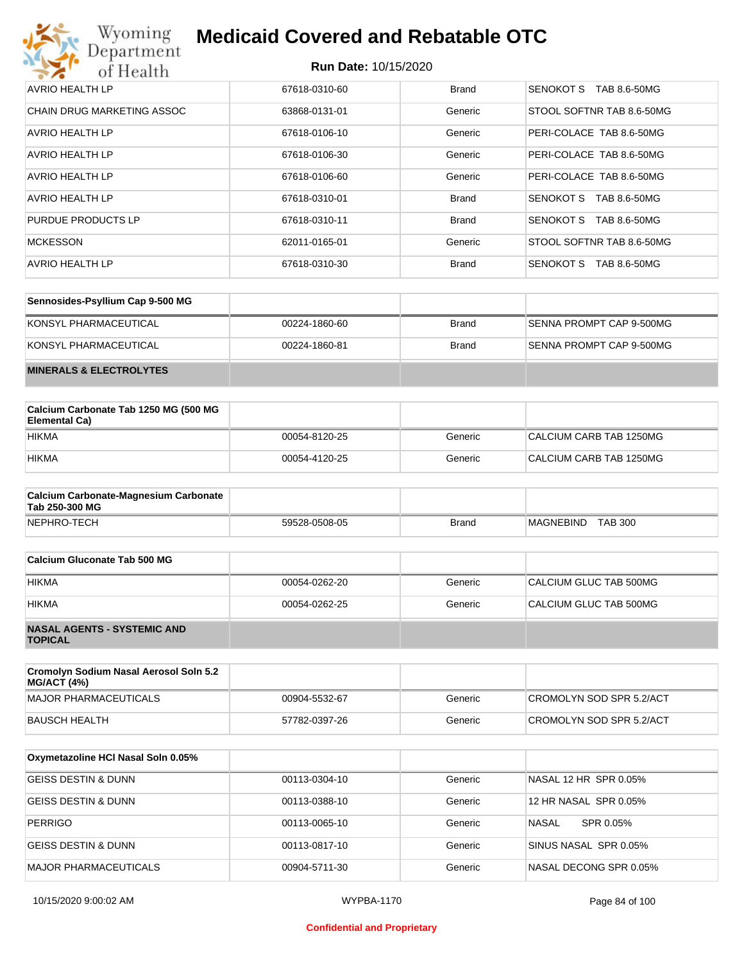

| AVRIO HEALTH LP            | 67618-0310-60 | <b>Brand</b> | SENOKOT S<br>TAB 8.6-50MG        |
|----------------------------|---------------|--------------|----------------------------------|
| CHAIN DRUG MARKETING ASSOC | 63868-0131-01 | Generic      | STOOL SOFTNR TAB 8.6-50MG        |
| AVRIO HEALTH LP            | 67618-0106-10 | Generic      | PERI-COLACE TAB 8.6-50MG         |
| AVRIO HEALTH LP            | 67618-0106-30 | Generic      | PERI-COLACE TAB 8.6-50MG         |
| <b>AVRIO HEALTH LP</b>     | 67618-0106-60 | Generic      | PERI-COLACE TAB 8.6-50MG         |
| <b>AVRIO HEALTH LP</b>     | 67618-0310-01 | <b>Brand</b> | TAB 8.6-50MG<br><b>SENOKOT S</b> |
| PURDUE PRODUCTS LP         | 67618-0310-11 | <b>Brand</b> | SENOKOT S<br>TAB 8.6-50MG        |
| <b>MCKESSON</b>            | 62011-0165-01 | Generic      | STOOL SOFTNR TAB 8.6-50MG        |
| AVRIO HEALTH LP            | 67618-0310-30 | <b>Brand</b> | <b>SENOKOT S</b><br>TAB 8.6-50MG |

| Sennosides-Psyllium Cap 9-500 MG   |               |              |                          |
|------------------------------------|---------------|--------------|--------------------------|
| KONSYL PHARMACEUTICAL              | 00224-1860-60 | Brand        | SENNA PROMPT CAP 9-500MG |
| KONSYL PHARMACEUTICAL              | 00224-1860-81 | <b>Brand</b> | SENNA PROMPT CAP 9-500MG |
| <b>MINERALS &amp; ELECTROLYTES</b> |               |              |                          |

| Calcium Carbonate Tab 1250 MG (500 MG<br>Elemental Ca) |               |         |                         |
|--------------------------------------------------------|---------------|---------|-------------------------|
| <b>HIKMA</b>                                           | 00054-8120-25 | Generic | CALCIUM CARB TAB 1250MG |
| <b>HIKMA</b>                                           | 00054-4120-25 | Generic | CALCIUM CARB TAB 1250MG |

| <b>Calcium Carbonate-Magnesium Carbonate</b><br>Tab 250-300 MG |               |              |                             |
|----------------------------------------------------------------|---------------|--------------|-----------------------------|
| NEPHRO-TECH                                                    | 59528-0508-05 | <b>Brand</b> | <b>TAB 300</b><br>MAGNEBIND |

| Calcium Gluconate Tab 500 MG                         |               |         |                        |
|------------------------------------------------------|---------------|---------|------------------------|
| <b>HIKMA</b>                                         | 00054-0262-20 | Generic | CALCIUM GLUC TAB 500MG |
| <b>HIKMA</b>                                         | 00054-0262-25 | Generic | CALCIUM GLUC TAB 500MG |
| <b>NASAL AGENTS - SYSTEMIC AND</b><br><b>TOPICAL</b> |               |         |                        |

| Cromolyn Sodium Nasal Aerosol Soln 5.2<br><b>MG/ACT (4%)</b> |               |         |                          |
|--------------------------------------------------------------|---------------|---------|--------------------------|
| MAJOR PHARMACEUTICALS                                        | 00904-5532-67 | Generic | CROMOLYN SOD SPR 5.2/ACT |
| BAUSCH HEALTH                                                | 57782-0397-26 | Generic | CROMOLYN SOD SPR 5.2/ACT |

| Oxymetazoline HCI Nasal Soln 0.05% |               |         |                        |
|------------------------------------|---------------|---------|------------------------|
| <b>GEISS DESTIN &amp; DUNN</b>     | 00113-0304-10 | Generic | NASAL 12 HR SPR 0.05%  |
| <b>GEISS DESTIN &amp; DUNN</b>     | 00113-0388-10 | Generic | 12 HR NASAL SPR 0.05%  |
| <b>PERRIGO</b>                     | 00113-0065-10 | Generic | NASAL<br>SPR 0.05%     |
| GEISS DESTIN & DUNN                | 00113-0817-10 | Generic | SINUS NASAL SPR 0.05%  |
| MAJOR PHARMACEUTICALS              | 00904-5711-30 | Generic | NASAL DECONG SPR 0.05% |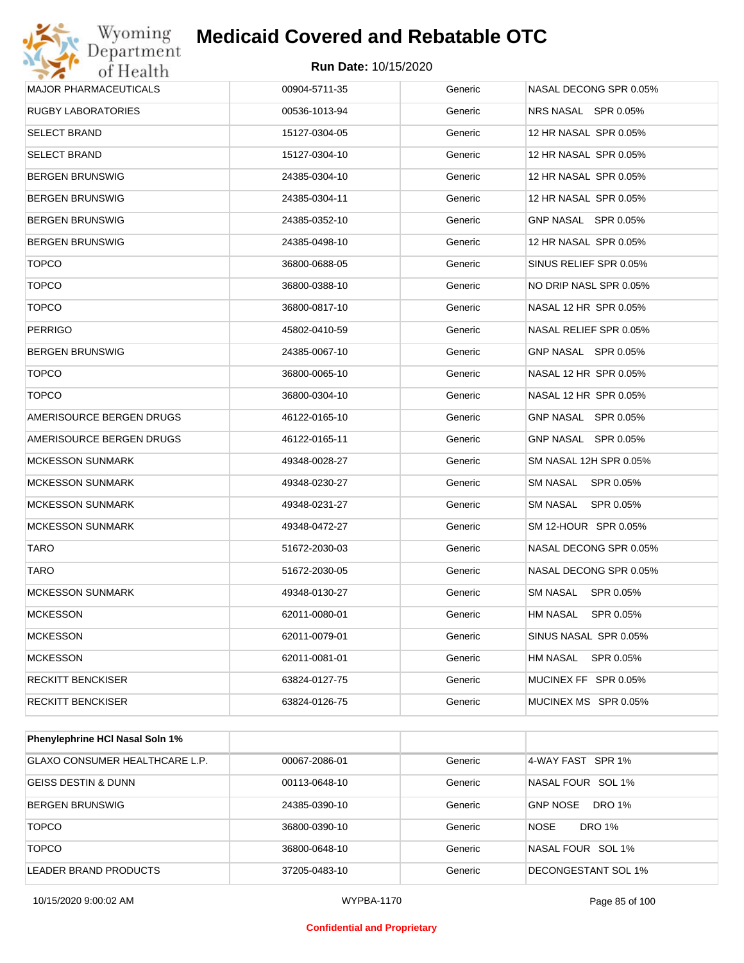

#### **Run Date:** 10/15/2020

| <b>MAJOR PHARMACEUTICALS</b> | 00904-5711-35 | Generic | NASAL DECONG SPR 0.05% |
|------------------------------|---------------|---------|------------------------|
| <b>RUGBY LABORATORIES</b>    | 00536-1013-94 | Generic | NRS NASAL SPR 0.05%    |
| <b>SELECT BRAND</b>          | 15127-0304-05 | Generic | 12 HR NASAL SPR 0.05%  |
| <b>SELECT BRAND</b>          | 15127-0304-10 | Generic | 12 HR NASAL SPR 0.05%  |
| <b>BERGEN BRUNSWIG</b>       | 24385-0304-10 | Generic | 12 HR NASAL SPR 0.05%  |
| <b>BERGEN BRUNSWIG</b>       | 24385-0304-11 | Generic | 12 HR NASAL SPR 0.05%  |
| <b>BERGEN BRUNSWIG</b>       | 24385-0352-10 | Generic | GNP NASAL SPR 0.05%    |
| <b>BERGEN BRUNSWIG</b>       | 24385-0498-10 | Generic | 12 HR NASAL SPR 0.05%  |
| <b>TOPCO</b>                 | 36800-0688-05 | Generic | SINUS RELIEF SPR 0.05% |
| <b>TOPCO</b>                 | 36800-0388-10 | Generic | NO DRIP NASL SPR 0.05% |
| <b>TOPCO</b>                 | 36800-0817-10 | Generic | NASAL 12 HR SPR 0.05%  |
| <b>PERRIGO</b>               | 45802-0410-59 | Generic | NASAL RELIEF SPR 0.05% |
| <b>BERGEN BRUNSWIG</b>       | 24385-0067-10 | Generic | GNP NASAL SPR 0.05%    |
| <b>TOPCO</b>                 | 36800-0065-10 | Generic | NASAL 12 HR SPR 0.05%  |
| <b>TOPCO</b>                 | 36800-0304-10 | Generic | NASAL 12 HR SPR 0.05%  |
| AMERISOURCE BERGEN DRUGS     | 46122-0165-10 | Generic | GNP NASAL SPR 0.05%    |
| AMERISOURCE BERGEN DRUGS     | 46122-0165-11 | Generic | GNP NASAL SPR 0.05%    |
| <b>MCKESSON SUNMARK</b>      | 49348-0028-27 | Generic | SM NASAL 12H SPR 0.05% |
| <b>MCKESSON SUNMARK</b>      | 49348-0230-27 | Generic | SM NASAL SPR 0.05%     |
| <b>MCKESSON SUNMARK</b>      | 49348-0231-27 | Generic | SM NASAL SPR 0.05%     |
| <b>MCKESSON SUNMARK</b>      | 49348-0472-27 | Generic | SM 12-HOUR SPR 0.05%   |
| <b>TARO</b>                  | 51672-2030-03 | Generic | NASAL DECONG SPR 0.05% |
| <b>TARO</b>                  | 51672-2030-05 | Generic | NASAL DECONG SPR 0.05% |
| <b>MCKESSON SUNMARK</b>      | 49348-0130-27 | Generic | SM NASAL SPR 0.05%     |
| <b>MCKESSON</b>              | 62011-0080-01 | Generic | HM NASAL<br>SPR 0.05%  |
| <b>MCKESSON</b>              | 62011-0079-01 | Generic | SINUS NASAL SPR 0.05%  |
| <b>MCKESSON</b>              | 62011-0081-01 | Generic | HM NASAL SPR 0.05%     |
| <b>RECKITT BENCKISER</b>     | 63824-0127-75 | Generic | MUCINEX FF SPR 0.05%   |
| <b>RECKITT BENCKISER</b>     | 63824-0126-75 | Generic | MUCINEX MS SPR 0.05%   |
|                              |               |         |                        |

| Phenylephrine HCI Nasal Soln 1% |               |         |                                  |
|---------------------------------|---------------|---------|----------------------------------|
| GLAXO CONSUMER HEALTHCARE L.P.  | 00067-2086-01 | Generic | 4-WAY FAST SPR 1%                |
| <b>GEISS DESTIN &amp; DUNN</b>  | 00113-0648-10 | Generic | NASAL FOUR SOL 1%                |
| <b>BERGEN BRUNSWIG</b>          | 24385-0390-10 | Generic | <b>GNP NOSE</b><br><b>DRO 1%</b> |
| <b>TOPCO</b>                    | 36800-0390-10 | Generic | <b>NOSE</b><br>DRO 1%            |
| <b>TOPCO</b>                    | 36800-0648-10 | Generic | NASAL FOUR SOL 1%                |
| LEADER BRAND PRODUCTS           | 37205-0483-10 | Generic | DECONGESTANT SOL 1%              |

10/15/2020 9:00:02 AM WYPBA-1170 Page 85 of 100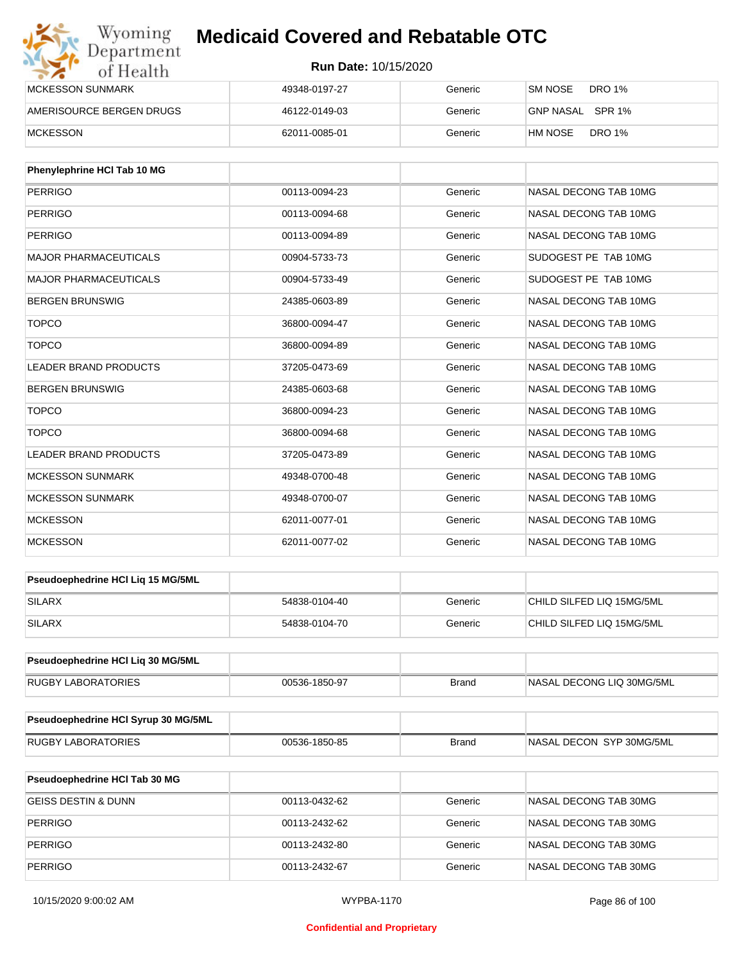| Wyoming<br>Department    | <b>Medicaid Covered and Rebatable OTC</b><br><b>Run Date: 10/15/2020</b> |         |                          |  |
|--------------------------|--------------------------------------------------------------------------|---------|--------------------------|--|
| of Health                |                                                                          |         |                          |  |
| <b>MCKESSON SUNMARK</b>  | 49348-0197-27                                                            | Generic | DRO 1%<br>SM NOSE        |  |
| AMERISOURCE BERGEN DRUGS | 46122-0149-03                                                            | Generic | GNP NASAL SPR 1%         |  |
| <b>MCKESSON</b>          | 62011-0085-01                                                            | Generic | <b>DRO 1%</b><br>HM NOSE |  |

| Phenylephrine HCI Tab 10 MG  |               |         |                       |
|------------------------------|---------------|---------|-----------------------|
| PERRIGO                      | 00113-0094-23 | Generic | NASAL DECONG TAB 10MG |
| PERRIGO                      | 00113-0094-68 | Generic | NASAL DECONG TAB 10MG |
| <b>PERRIGO</b>               | 00113-0094-89 | Generic | NASAL DECONG TAB 10MG |
| <b>MAJOR PHARMACEUTICALS</b> | 00904-5733-73 | Generic | SUDOGEST PE TAB 10MG  |
| <b>MAJOR PHARMACEUTICALS</b> | 00904-5733-49 | Generic | SUDOGEST PE TAB 10MG  |
| <b>BERGEN BRUNSWIG</b>       | 24385-0603-89 | Generic | NASAL DECONG TAB 10MG |
| <b>TOPCO</b>                 | 36800-0094-47 | Generic | NASAL DECONG TAB 10MG |
| <b>TOPCO</b>                 | 36800-0094-89 | Generic | NASAL DECONG TAB 10MG |
| <b>LEADER BRAND PRODUCTS</b> | 37205-0473-69 | Generic | NASAL DECONG TAB 10MG |
| <b>BERGEN BRUNSWIG</b>       | 24385-0603-68 | Generic | NASAL DECONG TAB 10MG |
| <b>TOPCO</b>                 | 36800-0094-23 | Generic | NASAL DECONG TAB 10MG |
| <b>TOPCO</b>                 | 36800-0094-68 | Generic | NASAL DECONG TAB 10MG |
| LEADER BRAND PRODUCTS        | 37205-0473-89 | Generic | NASAL DECONG TAB 10MG |
| <b>MCKESSON SUNMARK</b>      | 49348-0700-48 | Generic | NASAL DECONG TAB 10MG |
| <b>MCKESSON SUNMARK</b>      | 49348-0700-07 | Generic | NASAL DECONG TAB 10MG |
| <b>MCKESSON</b>              | 62011-0077-01 | Generic | NASAL DECONG TAB 10MG |
| <b>MCKESSON</b>              | 62011-0077-02 | Generic | NASAL DECONG TAB 10MG |

| <b>Pseudoephedrine HCI Lig 15 MG/5ML</b> |               |         |                            |
|------------------------------------------|---------------|---------|----------------------------|
| SILARX                                   | 54838-0104-40 | Generic | └CHILD SILFED LIQ 15MG/5ML |
| <b>SILARX</b>                            | 54838-0104-70 | Generic | CHILD SILFED LIQ 15MG/5ML  |

| <b>Pseudoephedrine HCI Lig 30 MG/5ML</b> |               |       |                           |
|------------------------------------------|---------------|-------|---------------------------|
| <b>RUGBY LABORATORIES</b>                | 00536-1850-97 | Brand | NASAL DECONG LIQ 30MG/5ML |

| Pseudoephedrine HCI Syrup 30 MG/5ML |               |       |                           |
|-------------------------------------|---------------|-------|---------------------------|
| <b>RUGBY LABORATORIES</b>           | 00536-1850-85 | Brand | INASAL DECON SYP 30MG/5ML |

| <b>Pseudoephedrine HCI Tab 30 MG</b> |               |         |                       |
|--------------------------------------|---------------|---------|-----------------------|
| GEISS DESTIN & DUNN                  | 00113-0432-62 | Generic | NASAL DECONG TAB 30MG |
| PERRIGO                              | 00113-2432-62 | Generic | NASAL DECONG TAB 30MG |
| PERRIGO                              | 00113-2432-80 | Generic | NASAL DECONG TAB 30MG |
| PERRIGO                              | 00113-2432-67 | Generic | NASAL DECONG TAB 30MG |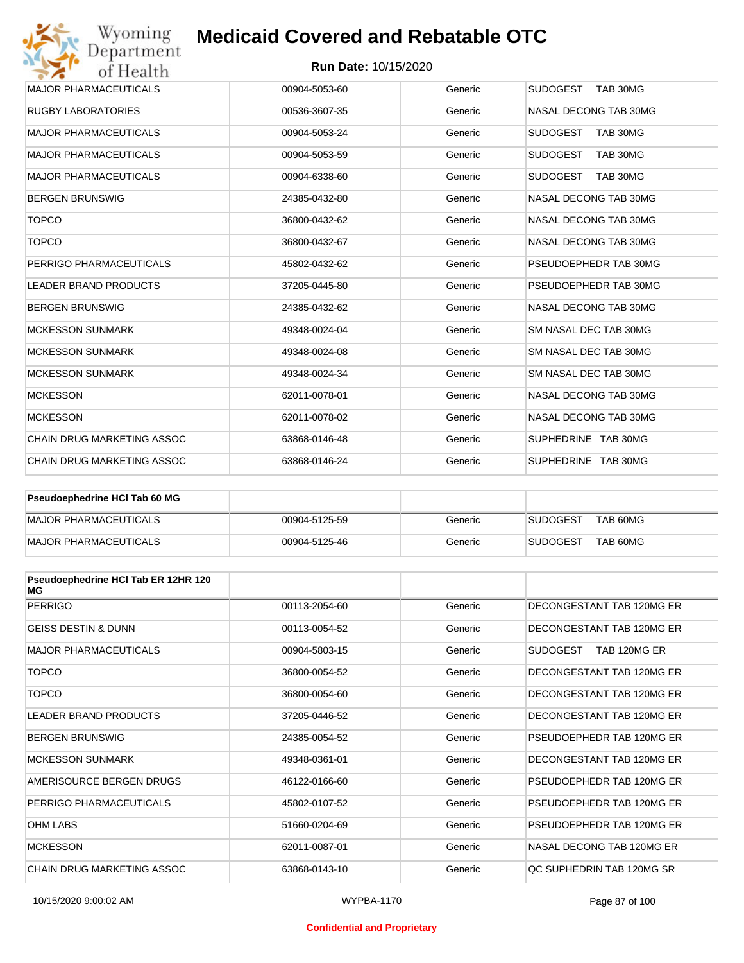#### **Run Date:** 10/15/2020

| Wyoming<br>Department             | <b>Medicaid Covered and Rebatable OTC</b> |         |                             |
|-----------------------------------|-------------------------------------------|---------|-----------------------------|
| of Health                         | <b>Run Date: 10/15/2020</b>               |         |                             |
| <b>MAJOR PHARMACEUTICALS</b>      | 00904-5053-60                             | Generic | <b>SUDOGEST</b><br>TAB 30MG |
| <b>RUGBY LABORATORIES</b>         | 00536-3607-35                             | Generic | NASAL DECONG TAB 30MG       |
| <b>MAJOR PHARMACEUTICALS</b>      | 00904-5053-24                             | Generic | <b>SUDOGEST</b><br>TAB 30MG |
| <b>MAJOR PHARMACEUTICALS</b>      | 00904-5053-59                             | Generic | <b>SUDOGEST</b><br>TAB 30MG |
| <b>MAJOR PHARMACEUTICALS</b>      | 00904-6338-60                             | Generic | <b>SUDOGEST</b><br>TAB 30MG |
| <b>BERGEN BRUNSWIG</b>            | 24385-0432-80                             | Generic | NASAL DECONG TAB 30MG       |
| <b>TOPCO</b>                      | 36800-0432-62                             | Generic | NASAL DECONG TAB 30MG       |
| <b>TOPCO</b>                      | 36800-0432-67                             | Generic | NASAL DECONG TAB 30MG       |
| PERRIGO PHARMACEUTICALS           | 45802-0432-62                             | Generic | PSEUDOEPHEDR TAB 30MG       |
| <b>LEADER BRAND PRODUCTS</b>      | 37205-0445-80                             | Generic | PSEUDOEPHEDR TAB 30MG       |
| <b>BERGEN BRUNSWIG</b>            | 24385-0432-62                             | Generic | NASAL DECONG TAB 30MG       |
| <b>MCKESSON SUNMARK</b>           | 49348-0024-04                             | Generic | SM NASAL DEC TAB 30MG       |
| <b>MCKESSON SUNMARK</b>           | 49348-0024-08                             | Generic | SM NASAL DEC TAB 30MG       |
| <b>MCKESSON SUNMARK</b>           | 49348-0024-34                             | Generic | SM NASAL DEC TAB 30MG       |
| <b>MCKESSON</b>                   | 62011-0078-01                             | Generic | NASAL DECONG TAB 30MG       |
| <b>MCKESSON</b>                   | 62011-0078-02                             | Generic | NASAL DECONG TAB 30MG       |
| CHAIN DRUG MARKETING ASSOC        | 63868-0146-48                             | Generic | SUPHEDRINE TAB 30MG         |
| <b>CHAIN DRUG MARKETING ASSOC</b> | 63868-0146-24                             | Generic | SUPHEDRINE TAB 30MG         |

| <b>Pseudoephedrine HCI Tab 60 MG</b> |               |         |                             |
|--------------------------------------|---------------|---------|-----------------------------|
| MAJOR PHARMACEUTICALS                | 00904-5125-59 | Generic | TAB 60MG<br><b>SUDOGEST</b> |
| MAJOR PHARMACEUTICALS                | 00904-5125-46 | Generic | TAB 60MG<br><b>SUDOGEST</b> |

| Pseudoephedrine HCI Tab ER 12HR 120<br>МG |               |         |                                 |
|-------------------------------------------|---------------|---------|---------------------------------|
| <b>PERRIGO</b>                            | 00113-2054-60 | Generic | DECONGESTANT TAB 120MG ER       |
| <b>GEISS DESTIN &amp; DUNN</b>            | 00113-0054-52 | Generic | DECONGESTANT TAB 120MG ER       |
| <b>MAJOR PHARMACEUTICALS</b>              | 00904-5803-15 | Generic | <b>SUDOGEST</b><br>TAB 120MG ER |
| <b>TOPCO</b>                              | 36800-0054-52 | Generic | DECONGESTANT TAB 120MG ER       |
| <b>TOPCO</b>                              | 36800-0054-60 | Generic | DECONGESTANT TAB 120MG ER       |
| <b>LEADER BRAND PRODUCTS</b>              | 37205-0446-52 | Generic | DECONGESTANT TAB 120MG ER       |
| <b>BERGEN BRUNSWIG</b>                    | 24385-0054-52 | Generic | PSEUDOEPHEDR TAB 120MG ER       |
| <b>MCKESSON SUNMARK</b>                   | 49348-0361-01 | Generic | DECONGESTANT TAB 120MG ER       |
| AMERISOURCE BERGEN DRUGS                  | 46122-0166-60 | Generic | PSEUDOEPHEDR TAB 120MG ER       |
| PERRIGO PHARMACEUTICALS                   | 45802-0107-52 | Generic | PSEUDOEPHEDR TAB 120MG ER       |
| <b>OHM LABS</b>                           | 51660-0204-69 | Generic | PSEUDOEPHEDR TAB 120MG ER       |
| <b>MCKESSON</b>                           | 62011-0087-01 | Generic | NASAL DECONG TAB 120MG ER       |
| <b>CHAIN DRUG MARKETING ASSOC</b>         | 63868-0143-10 | Generic | OC SUPHEDRIN TAB 120MG SR       |

#### **Confidential and Proprietary**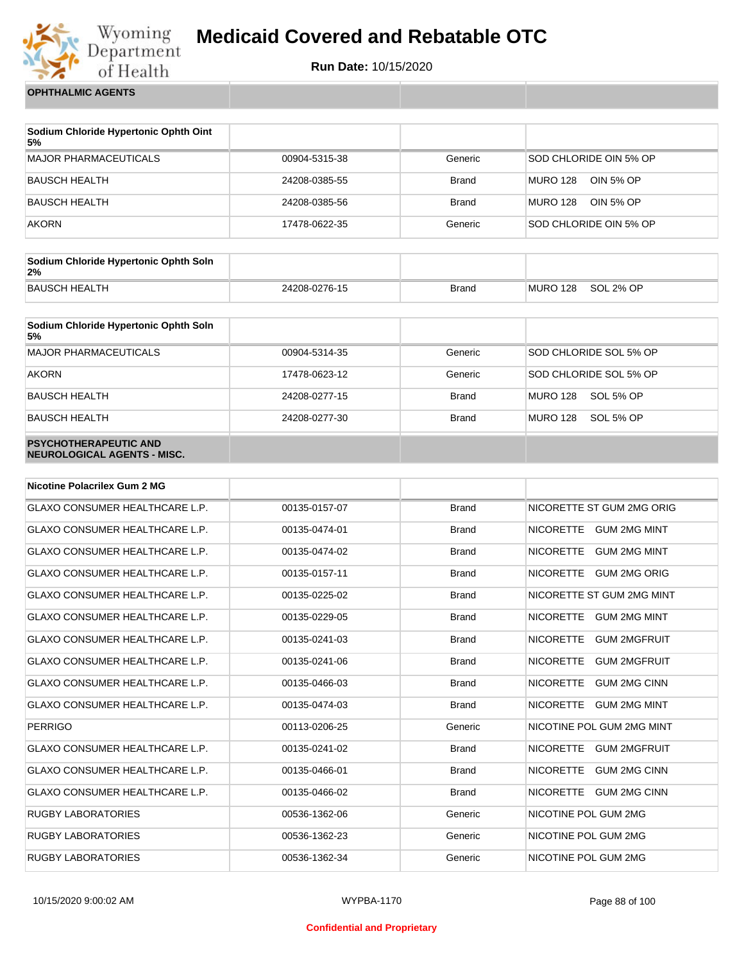

**Run Date:** 10/15/2020

**OPHTHALMIC AGENTS**

| Sodium Chloride Hypertonic Ophth Oint<br>5% |               |              |                              |
|---------------------------------------------|---------------|--------------|------------------------------|
| <b>MAJOR PHARMACEUTICALS</b>                | 00904-5315-38 | Generic      | SOD CHLORIDE OIN 5% OP       |
| <b>BAUSCH HEALTH</b>                        | 24208-0385-55 | <b>Brand</b> | <b>MURO 128</b><br>OIN 5% OP |
| <b>BAUSCH HEALTH</b>                        | 24208-0385-56 | <b>Brand</b> | <b>MURO 128</b><br>OIN 5% OP |
| <b>AKORN</b>                                | 17478-0622-35 | Generic      | SOD CHLORIDE OIN 5% OP       |

| Sodium Chloride Hypertonic Ophth Soln<br>2% |               |              |          |           |
|---------------------------------------------|---------------|--------------|----------|-----------|
| BAUSCH HEALTH                               | 24208-0276-15 | <b>Brand</b> | MURO 128 | SOL 2% OP |

| Sodium Chloride Hypertonic Ophth Soln<br>5%                 |               |              |                        |
|-------------------------------------------------------------|---------------|--------------|------------------------|
| <b>MAJOR PHARMACEUTICALS</b>                                | 00904-5314-35 | Generic      | SOD CHLORIDE SOL 5% OP |
| <b>AKORN</b>                                                | 17478-0623-12 | Generic      | SOD CHLORIDE SOL 5% OP |
| <b>BAUSCH HEALTH</b>                                        | 24208-0277-15 | <b>Brand</b> | MURO 128<br>SOL 5% OP  |
| <b>BAUSCH HEALTH</b>                                        | 24208-0277-30 | <b>Brand</b> | MURO 128<br>SOL 5% OP  |
| <b>PSYCHOTHERAPEUTIC AND</b><br>NEUROLOGICAL AGENTS - MISC. |               |              |                        |

| <b>Nicotine Polacrilex Gum 2 MG</b>   |               |              |                                         |
|---------------------------------------|---------------|--------------|-----------------------------------------|
| <b>GLAXO CONSUMER HEALTHCARE L.P.</b> | 00135-0157-07 | <b>Brand</b> | NICORETTE ST GUM 2MG ORIG               |
| <b>GLAXO CONSUMER HEALTHCARE L.P.</b> | 00135-0474-01 | <b>Brand</b> | NICORETTE GUM 2MG MINT                  |
| <b>GLAXO CONSUMER HEALTHCARE L.P.</b> | 00135-0474-02 | <b>Brand</b> | <b>NICORETTE</b><br><b>GUM 2MG MINT</b> |
| <b>GLAXO CONSUMER HEALTHCARE L.P.</b> | 00135-0157-11 | <b>Brand</b> | <b>NICORETTE</b><br><b>GUM 2MG ORIG</b> |
| <b>GLAXO CONSUMER HEALTHCARE L.P.</b> | 00135-0225-02 | <b>Brand</b> | NICORETTE ST GUM 2MG MINT               |
| <b>GLAXO CONSUMER HEALTHCARE L.P.</b> | 00135-0229-05 | <b>Brand</b> | <b>NICORETTE</b><br><b>GUM 2MG MINT</b> |
| <b>GLAXO CONSUMER HEALTHCARE L.P.</b> | 00135-0241-03 | <b>Brand</b> | <b>NICORETTE</b><br><b>GUM 2MGFRUIT</b> |
| <b>GLAXO CONSUMER HEALTHCARE L.P.</b> | 00135-0241-06 | <b>Brand</b> | <b>NICORETTE</b><br><b>GUM 2MGFRUIT</b> |
| <b>GLAXO CONSUMER HEALTHCARE L.P.</b> | 00135-0466-03 | <b>Brand</b> | <b>NICORETTE</b><br><b>GUM 2MG CINN</b> |
| <b>GLAXO CONSUMER HEALTHCARE L.P.</b> | 00135-0474-03 | <b>Brand</b> | <b>GUM 2MG MINT</b><br><b>NICORETTE</b> |
| <b>PERRIGO</b>                        | 00113-0206-25 | Generic      | NICOTINE POL GUM 2MG MINT               |
| <b>GLAXO CONSUMER HEALTHCARE L.P.</b> | 00135-0241-02 | <b>Brand</b> | <b>NICORETTE</b><br><b>GUM 2MGFRUIT</b> |
| <b>GLAXO CONSUMER HEALTHCARE L.P.</b> | 00135-0466-01 | <b>Brand</b> | <b>NICORETTE</b><br><b>GUM 2MG CINN</b> |
| <b>GLAXO CONSUMER HEALTHCARE L.P.</b> | 00135-0466-02 | <b>Brand</b> | NICORETTE GUM 2MG CINN                  |
| <b>RUGBY LABORATORIES</b>             | 00536-1362-06 | Generic      | NICOTINE POL GUM 2MG                    |
| <b>RUGBY LABORATORIES</b>             | 00536-1362-23 | Generic      | NICOTINE POL GUM 2MG                    |
| <b>RUGBY LABORATORIES</b>             | 00536-1362-34 | Generic      | NICOTINE POL GUM 2MG                    |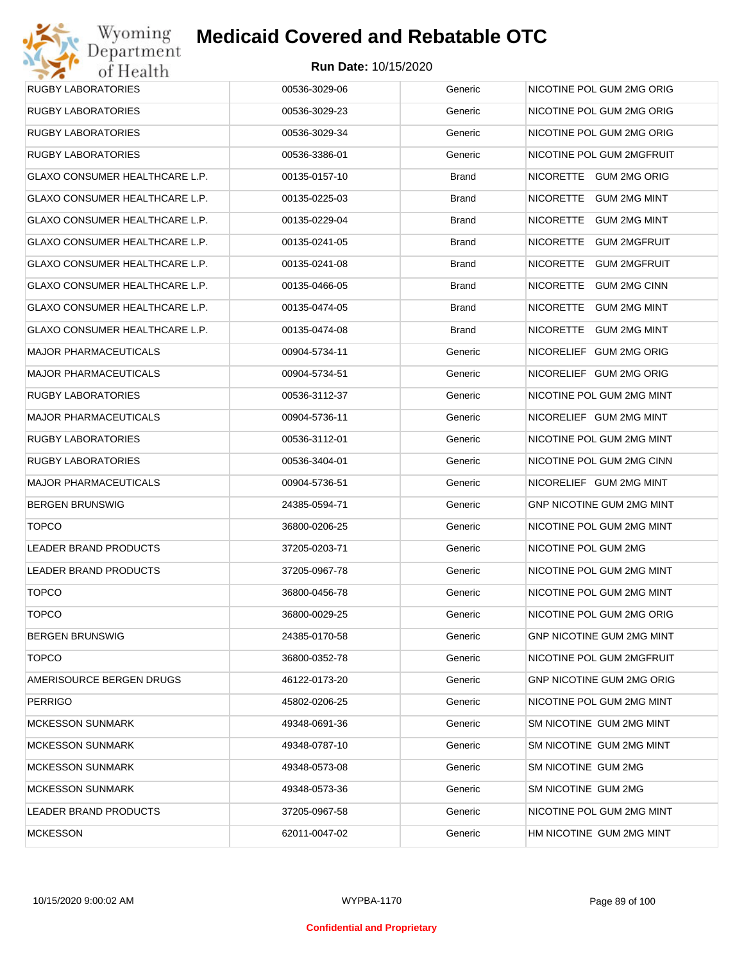| <b>RUGBY LABORATORIES</b>      | 00536-3029-06 | Generic | NICOTINE POL GUM 2MG ORIG        |
|--------------------------------|---------------|---------|----------------------------------|
| <b>RUGBY LABORATORIES</b>      | 00536-3029-23 | Generic | NICOTINE POL GUM 2MG ORIG        |
| <b>RUGBY LABORATORIES</b>      | 00536-3029-34 | Generic | NICOTINE POL GUM 2MG ORIG        |
| <b>RUGBY LABORATORIES</b>      | 00536-3386-01 | Generic | NICOTINE POL GUM 2MGFRUIT        |
| GLAXO CONSUMER HEALTHCARE L.P. | 00135-0157-10 | Brand   | NICORETTE GUM 2MG ORIG           |
| GLAXO CONSUMER HEALTHCARE L.P. | 00135-0225-03 | Brand   | NICORETTE GUM 2MG MINT           |
| GLAXO CONSUMER HEALTHCARE L.P. | 00135-0229-04 | Brand   | NICORETTE GUM 2MG MINT           |
| GLAXO CONSUMER HEALTHCARE L.P. | 00135-0241-05 | Brand   | NICORETTE<br><b>GUM 2MGFRUIT</b> |
| GLAXO CONSUMER HEALTHCARE L.P. | 00135-0241-08 | Brand   | NICORETTE GUM 2MGFRUIT           |
| GLAXO CONSUMER HEALTHCARE L.P. | 00135-0466-05 | Brand   | NICORETTE<br><b>GUM 2MG CINN</b> |
| GLAXO CONSUMER HEALTHCARE L.P. | 00135-0474-05 | Brand   | NICORETTE GUM 2MG MINT           |
| GLAXO CONSUMER HEALTHCARE L.P. | 00135-0474-08 | Brand   | NICORETTE GUM 2MG MINT           |
| <b>MAJOR PHARMACEUTICALS</b>   | 00904-5734-11 | Generic | NICORELIEF GUM 2MG ORIG          |
| <b>MAJOR PHARMACEUTICALS</b>   | 00904-5734-51 | Generic | NICORELIEF GUM 2MG ORIG          |
| RUGBY LABORATORIES             | 00536-3112-37 | Generic | NICOTINE POL GUM 2MG MINT        |
| <b>MAJOR PHARMACEUTICALS</b>   | 00904-5736-11 | Generic | NICORELIEF GUM 2MG MINT          |
| <b>RUGBY LABORATORIES</b>      | 00536-3112-01 | Generic | NICOTINE POL GUM 2MG MINT        |
| <b>RUGBY LABORATORIES</b>      | 00536-3404-01 | Generic | NICOTINE POL GUM 2MG CINN        |
| <b>MAJOR PHARMACEUTICALS</b>   | 00904-5736-51 | Generic | NICORELIEF GUM 2MG MINT          |
| <b>BERGEN BRUNSWIG</b>         | 24385-0594-71 | Generic | GNP NICOTINE GUM 2MG MINT        |
| <b>TOPCO</b>                   | 36800-0206-25 | Generic | NICOTINE POL GUM 2MG MINT        |
| LEADER BRAND PRODUCTS          | 37205-0203-71 | Generic | NICOTINE POL GUM 2MG             |
| LEADER BRAND PRODUCTS          | 37205-0967-78 | Generic | NICOTINE POL GUM 2MG MINT        |
| <b>TOPCO</b>                   | 36800-0456-78 | Generic | NICOTINE POL GUM 2MG MINT        |
| <b>TOPCO</b>                   | 36800-0029-25 | Generic | NICOTINE POL GUM 2MG ORIG        |
| <b>BERGEN BRUNSWIG</b>         | 24385-0170-58 | Generic | GNP NICOTINE GUM 2MG MINT        |
| <b>TOPCO</b>                   | 36800-0352-78 | Generic | NICOTINE POL GUM 2MGFRUIT        |
| AMERISOURCE BERGEN DRUGS       | 46122-0173-20 | Generic | GNP NICOTINE GUM 2MG ORIG        |
| <b>PERRIGO</b>                 | 45802-0206-25 | Generic | NICOTINE POL GUM 2MG MINT        |
| <b>MCKESSON SUNMARK</b>        | 49348-0691-36 | Generic | SM NICOTINE GUM 2MG MINT         |
| <b>MCKESSON SUNMARK</b>        | 49348-0787-10 | Generic | SM NICOTINE GUM 2MG MINT         |
| <b>MCKESSON SUNMARK</b>        | 49348-0573-08 | Generic | SM NICOTINE GUM 2MG              |
| <b>MCKESSON SUNMARK</b>        | 49348-0573-36 | Generic | SM NICOTINE GUM 2MG              |
| LEADER BRAND PRODUCTS          | 37205-0967-58 | Generic | NICOTINE POL GUM 2MG MINT        |
| <b>MCKESSON</b>                | 62011-0047-02 | Generic | HM NICOTINE GUM 2MG MINT         |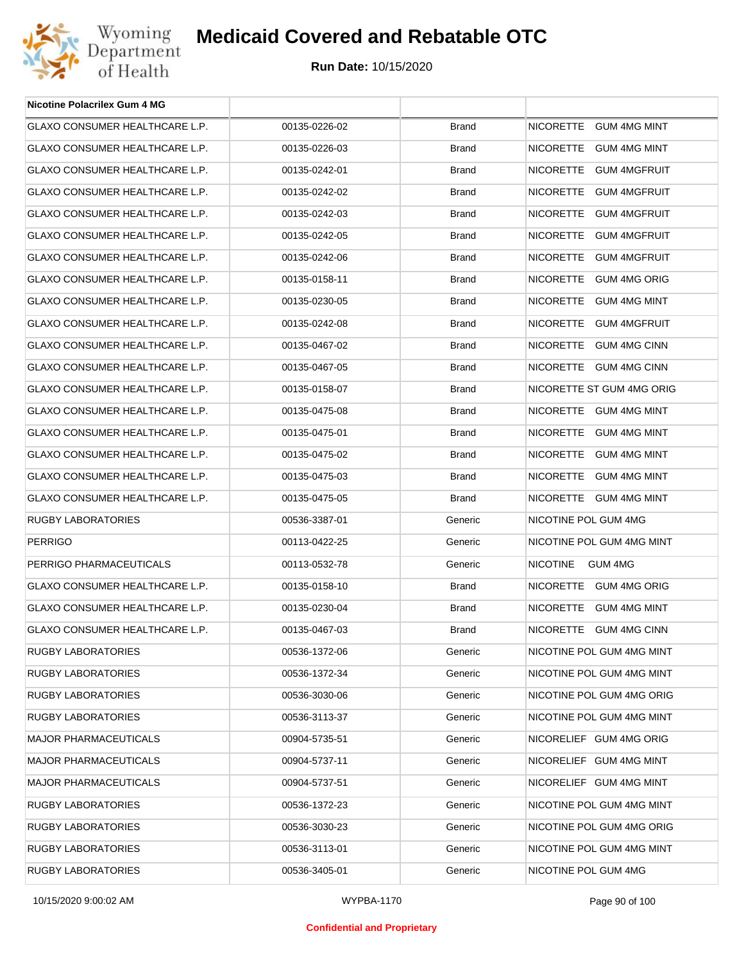

| <b>Nicotine Polacrilex Gum 4 MG</b>   |               |              |                            |
|---------------------------------------|---------------|--------------|----------------------------|
| GLAXO CONSUMER HEALTHCARE L.P.        | 00135-0226-02 | <b>Brand</b> | NICORETTE GUM 4MG MINT     |
| GLAXO CONSUMER HEALTHCARE L.P.        | 00135-0226-03 | <b>Brand</b> | NICORETTE GUM 4MG MINT     |
| <b>GLAXO CONSUMER HEALTHCARE L.P.</b> | 00135-0242-01 | <b>Brand</b> | NICORETTE GUM 4MGFRUIT     |
| GLAXO CONSUMER HEALTHCARE L.P.        | 00135-0242-02 | <b>Brand</b> | NICORETTE GUM 4MGFRUIT     |
| GLAXO CONSUMER HEALTHCARE L.P.        | 00135-0242-03 | <b>Brand</b> | NICORETTE GUM 4MGFRUIT     |
| <b>GLAXO CONSUMER HEALTHCARE L.P.</b> | 00135-0242-05 | <b>Brand</b> | NICORETTE GUM 4MGFRUIT     |
| GLAXO CONSUMER HEALTHCARE L.P.        | 00135-0242-06 | <b>Brand</b> | NICORETTE GUM 4MGFRUIT     |
| GLAXO CONSUMER HEALTHCARE L.P.        | 00135-0158-11 | <b>Brand</b> | NICORETTE GUM 4MG ORIG     |
| GLAXO CONSUMER HEALTHCARE L.P.        | 00135-0230-05 | <b>Brand</b> | NICORETTE GUM 4MG MINT     |
| GLAXO CONSUMER HEALTHCARE L.P.        | 00135-0242-08 | <b>Brand</b> | NICORETTE GUM 4MGFRUIT     |
| GLAXO CONSUMER HEALTHCARE L.P.        | 00135-0467-02 | <b>Brand</b> | NICORETTE GUM 4MG CINN     |
| GLAXO CONSUMER HEALTHCARE L.P.        | 00135-0467-05 | <b>Brand</b> | NICORETTE GUM 4MG CINN     |
| GLAXO CONSUMER HEALTHCARE L.P.        | 00135-0158-07 | <b>Brand</b> | NICORETTE ST GUM 4MG ORIG  |
| GLAXO CONSUMER HEALTHCARE L.P.        | 00135-0475-08 | <b>Brand</b> | NICORETTE GUM 4MG MINT     |
| <b>GLAXO CONSUMER HEALTHCARE L.P.</b> | 00135-0475-01 | <b>Brand</b> | NICORETTE GUM 4MG MINT     |
| GLAXO CONSUMER HEALTHCARE L.P.        | 00135-0475-02 | <b>Brand</b> | NICORETTE GUM 4MG MINT     |
| GLAXO CONSUMER HEALTHCARE L.P.        | 00135-0475-03 | <b>Brand</b> | NICORETTE GUM 4MG MINT     |
| GLAXO CONSUMER HEALTHCARE L.P.        | 00135-0475-05 | <b>Brand</b> | NICORETTE GUM 4MG MINT     |
| <b>RUGBY LABORATORIES</b>             | 00536-3387-01 | Generic      | NICOTINE POL GUM 4MG       |
| <b>PERRIGO</b>                        | 00113-0422-25 | Generic      | NICOTINE POL GUM 4MG MINT  |
| PERRIGO PHARMACEUTICALS               | 00113-0532-78 | Generic      | <b>NICOTINE</b><br>GUM 4MG |
| <b>GLAXO CONSUMER HEALTHCARE L.P.</b> | 00135-0158-10 | <b>Brand</b> | NICORETTE GUM 4MG ORIG     |
| <b>GLAXO CONSUMER HEALTHCARE L.P.</b> | 00135-0230-04 | <b>Brand</b> | NICORETTE GUM 4MG MINT     |
| GLAXO CONSUMER HEALTHCARE L.P.        | 00135-0467-03 | <b>Brand</b> | NICORETTE GUM 4MG CINN     |
| RUGBY LABORATORIES                    | 00536-1372-06 | Generic      | NICOTINE POL GUM 4MG MINT  |
| <b>RUGBY LABORATORIES</b>             | 00536-1372-34 | Generic      | NICOTINE POL GUM 4MG MINT  |
| <b>RUGBY LABORATORIES</b>             | 00536-3030-06 | Generic      | NICOTINE POL GUM 4MG ORIG  |
| RUGBY LABORATORIES                    | 00536-3113-37 | Generic      | NICOTINE POL GUM 4MG MINT  |
| <b>MAJOR PHARMACEUTICALS</b>          | 00904-5735-51 | Generic      | NICORELIEF GUM 4MG ORIG    |
| <b>MAJOR PHARMACEUTICALS</b>          | 00904-5737-11 | Generic      | NICORELIEF GUM 4MG MINT    |
| <b>MAJOR PHARMACEUTICALS</b>          | 00904-5737-51 | Generic      | NICORELIEF GUM 4MG MINT    |
| <b>RUGBY LABORATORIES</b>             | 00536-1372-23 | Generic      | NICOTINE POL GUM 4MG MINT  |
| <b>RUGBY LABORATORIES</b>             | 00536-3030-23 | Generic      | NICOTINE POL GUM 4MG ORIG  |
| RUGBY LABORATORIES                    | 00536-3113-01 | Generic      | NICOTINE POL GUM 4MG MINT  |
| RUGBY LABORATORIES                    | 00536-3405-01 | Generic      | NICOTINE POL GUM 4MG       |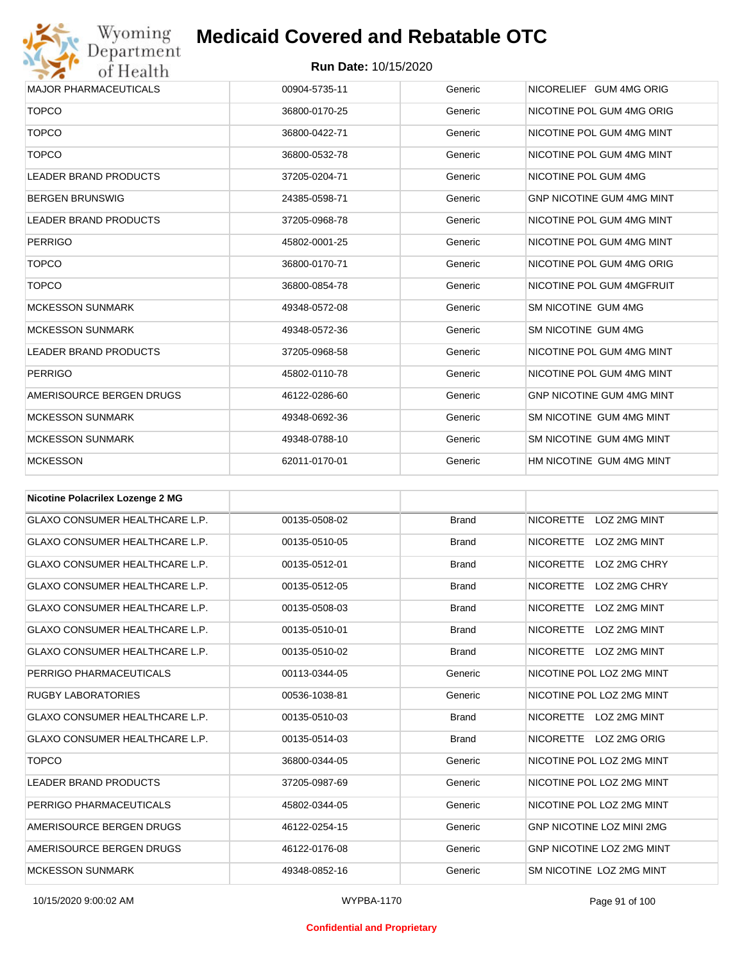

| <b>MAJOR PHARMACEUTICALS</b> | 00904-5735-11 | Generic | NICORELIEF GUM 4MG ORIG          |
|------------------------------|---------------|---------|----------------------------------|
| <b>TOPCO</b>                 | 36800-0170-25 | Generic | NICOTINE POL GUM 4MG ORIG        |
| <b>TOPCO</b>                 | 36800-0422-71 | Generic | NICOTINE POL GUM 4MG MINT        |
| <b>TOPCO</b>                 | 36800-0532-78 | Generic | NICOTINE POL GUM 4MG MINT        |
| <b>LEADER BRAND PRODUCTS</b> | 37205-0204-71 | Generic | NICOTINE POL GUM 4MG             |
| <b>BERGEN BRUNSWIG</b>       | 24385-0598-71 | Generic | <b>GNP NICOTINE GUM 4MG MINT</b> |
| <b>LEADER BRAND PRODUCTS</b> | 37205-0968-78 | Generic | NICOTINE POL GUM 4MG MINT        |
| <b>PERRIGO</b>               | 45802-0001-25 | Generic | NICOTINE POL GUM 4MG MINT        |
| <b>TOPCO</b>                 | 36800-0170-71 | Generic | NICOTINE POL GUM 4MG ORIG        |
| <b>TOPCO</b>                 | 36800-0854-78 | Generic | NICOTINE POL GUM 4MGFRUIT        |
| <b>MCKESSON SUNMARK</b>      | 49348-0572-08 | Generic | SM NICOTINE GUM 4MG              |
| <b>MCKESSON SUNMARK</b>      | 49348-0572-36 | Generic | SM NICOTINE GUM 4MG              |
| <b>LEADER BRAND PRODUCTS</b> | 37205-0968-58 | Generic | NICOTINE POL GUM 4MG MINT        |
| <b>PERRIGO</b>               | 45802-0110-78 | Generic | NICOTINE POL GUM 4MG MINT        |
| AMERISOURCE BERGEN DRUGS     | 46122-0286-60 | Generic | <b>GNP NICOTINE GUM 4MG MINT</b> |
| <b>MCKESSON SUNMARK</b>      | 49348-0692-36 | Generic | SM NICOTINE GUM 4MG MINT         |
| <b>MCKESSON SUNMARK</b>      | 49348-0788-10 | Generic | SM NICOTINE GUM 4MG MINT         |
| <b>MCKESSON</b>              | 62011-0170-01 | Generic | HM NICOTINE GUM 4MG MINT         |
|                              |               |         |                                  |

| <b>Nicotine Polacrilex Lozenge 2 MG</b> |               |              |                                         |
|-----------------------------------------|---------------|--------------|-----------------------------------------|
| <b>GLAXO CONSUMER HEALTHCARE L.P.</b>   | 00135-0508-02 | <b>Brand</b> | <b>NICORETTE</b><br>LOZ 2MG MINT        |
| <b>GLAXO CONSUMER HEALTHCARE L.P.</b>   | 00135-0510-05 | <b>Brand</b> | <b>NICORETTE</b><br>LOZ 2MG MINT        |
| <b>GLAXO CONSUMER HEALTHCARE L.P.</b>   | 00135-0512-01 | <b>Brand</b> | <b>NICORETTE</b><br>LOZ 2MG CHRY        |
| <b>GLAXO CONSUMER HEALTHCARE L.P.</b>   | 00135-0512-05 | <b>Brand</b> | <b>NICORETTE</b><br>LOZ 2MG CHRY        |
| <b>GLAXO CONSUMER HEALTHCARE L.P.</b>   | 00135-0508-03 | <b>Brand</b> | <b>NICORETTE</b><br><b>LOZ 2MG MINT</b> |
| <b>GLAXO CONSUMER HEALTHCARE L.P.</b>   | 00135-0510-01 | <b>Brand</b> | <b>NICORETTE</b><br><b>LOZ 2MG MINT</b> |
| <b>GLAXO CONSUMER HEALTHCARE L.P.</b>   | 00135-0510-02 | <b>Brand</b> | <b>NICORETTE</b><br><b>LOZ 2MG MINT</b> |
| PERRIGO PHARMACEUTICALS                 | 00113-0344-05 | Generic      | NICOTINE POL LOZ 2MG MINT               |
| <b>RUGBY LABORATORIES</b>               | 00536-1038-81 | Generic      | NICOTINE POL LOZ 2MG MINT               |
| <b>GLAXO CONSUMER HEALTHCARE L.P.</b>   | 00135-0510-03 | <b>Brand</b> | NICORETTE LOZ 2MG MINT                  |
| <b>GLAXO CONSUMER HEALTHCARE L.P.</b>   | 00135-0514-03 | <b>Brand</b> | NICORETTE LOZ 2MG ORIG                  |
| <b>TOPCO</b>                            | 36800-0344-05 | Generic      | NICOTINE POL LOZ 2MG MINT               |
| <b>LEADER BRAND PRODUCTS</b>            | 37205-0987-69 | Generic      | NICOTINE POL LOZ 2MG MINT               |
| PERRIGO PHARMACEUTICALS                 | 45802-0344-05 | Generic      | NICOTINE POL LOZ 2MG MINT               |
| AMERISOURCE BERGEN DRUGS                | 46122-0254-15 | Generic      | <b>GNP NICOTINE LOZ MINI 2MG</b>        |
| AMERISOURCE BERGEN DRUGS                | 46122-0176-08 | Generic      | <b>GNP NICOTINE LOZ 2MG MINT</b>        |
| <b>MCKESSON SUNMARK</b>                 | 49348-0852-16 | Generic      | SM NICOTINE LOZ 2MG MINT                |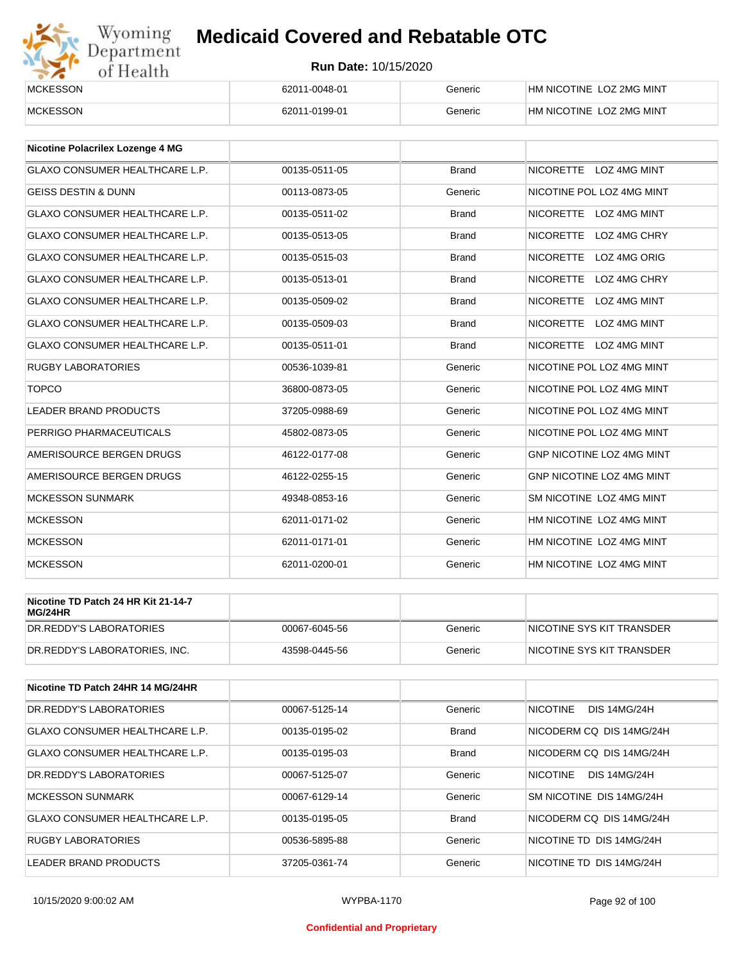

| <b>MCKESSON</b> | 62011-0048-01 | Generic | HM NICOTINE LOZ 2MG MINT |
|-----------------|---------------|---------|--------------------------|
| <b>MCKESSON</b> | 62011-0199-01 | Beneric | HM NICOTINE LOZ 2MG MINT |

| Nicotine Polacrilex Lozenge 4 MG      |               |              |                                         |
|---------------------------------------|---------------|--------------|-----------------------------------------|
| <b>GLAXO CONSUMER HEALTHCARE L.P.</b> | 00135-0511-05 | <b>Brand</b> | NICORETTE LOZ 4MG MINT                  |
| <b>GEISS DESTIN &amp; DUNN</b>        | 00113-0873-05 | Generic      | NICOTINE POL LOZ 4MG MINT               |
| <b>GLAXO CONSUMER HEALTHCARE L.P.</b> | 00135-0511-02 | <b>Brand</b> | <b>NICORETTE</b><br>LOZ 4MG MINT        |
| <b>GLAXO CONSUMER HEALTHCARE L.P.</b> | 00135-0513-05 | <b>Brand</b> | <b>NICORETTE</b><br>LOZ 4MG CHRY        |
| <b>GLAXO CONSUMER HEALTHCARE L.P.</b> | 00135-0515-03 | <b>Brand</b> | <b>NICORETTE</b><br>LOZ 4MG ORIG        |
| <b>GLAXO CONSUMER HEALTHCARE L.P.</b> | 00135-0513-01 | <b>Brand</b> | LOZ 4MG CHRY<br><b>NICORETTE</b>        |
| <b>GLAXO CONSUMER HEALTHCARE L.P.</b> | 00135-0509-02 | <b>Brand</b> | <b>NICORETTE</b><br>LOZ 4MG MINT        |
| <b>GLAXO CONSUMER HEALTHCARE L.P.</b> | 00135-0509-03 | <b>Brand</b> | <b>NICORETTE</b><br><b>LOZ 4MG MINT</b> |
| <b>GLAXO CONSUMER HEALTHCARE L.P.</b> | 00135-0511-01 | <b>Brand</b> | NICORETTE LOZ 4MG MINT                  |
| <b>RUGBY LABORATORIES</b>             | 00536-1039-81 | Generic      | NICOTINE POL LOZ 4MG MINT               |
| <b>TOPCO</b>                          | 36800-0873-05 | Generic      | NICOTINE POL LOZ 4MG MINT               |
| <b>LEADER BRAND PRODUCTS</b>          | 37205-0988-69 | Generic      | NICOTINE POL LOZ 4MG MINT               |
| PERRIGO PHARMACEUTICALS               | 45802-0873-05 | Generic      | NICOTINE POL LOZ 4MG MINT               |
| AMERISOURCE BERGEN DRUGS              | 46122-0177-08 | Generic      | <b>GNP NICOTINE LOZ 4MG MINT</b>        |
| AMERISOURCE BERGEN DRUGS              | 46122-0255-15 | Generic      | <b>GNP NICOTINE LOZ 4MG MINT</b>        |
| <b>MCKESSON SUNMARK</b>               | 49348-0853-16 | Generic      | SM NICOTINE LOZ 4MG MINT                |
| <b>MCKESSON</b>                       | 62011-0171-02 | Generic      | HM NICOTINE LOZ 4MG MINT                |
| <b>MCKESSON</b>                       | 62011-0171-01 | Generic      | HM NICOTINE LOZ 4MG MINT                |
| <b>MCKESSON</b>                       | 62011-0200-01 | Generic      | HM NICOTINE LOZ 4MG MINT                |

| Nicotine TD Patch 24 HR Kit 21-14-7<br>MG/24HR |               |         |                            |
|------------------------------------------------|---------------|---------|----------------------------|
| DR.REDDY'S LABORATORIES                        | 00067-6045-56 | Generic | INICOTINE SYS KIT TRANSDER |
| DR.REDDY'S LABORATORIES. INC.                  | 43598-0445-56 | Generic | NICOTINE SYS KIT TRANSDER  |

| Nicotine TD Patch 24HR 14 MG/24HR     |               |              |                                        |
|---------------------------------------|---------------|--------------|----------------------------------------|
| DR. REDDY'S LABORATORIES              | 00067-5125-14 | Generic      | <b>NICOTINE</b><br><b>DIS 14MG/24H</b> |
| GLAXO CONSUMER HEALTHCARE L.P.        | 00135-0195-02 | <b>Brand</b> | NICODERM CO DIS 14MG/24H               |
| <b>GLAXO CONSUMER HEALTHCARE L.P.</b> | 00135-0195-03 | <b>Brand</b> | NICODERM CO DIS 14MG/24H               |
| DR.REDDY'S LABORATORIES               | 00067-5125-07 | Generic      | <b>NICOTINE</b><br><b>DIS 14MG/24H</b> |
| <b>MCKESSON SUNMARK</b>               | 00067-6129-14 | Generic      | SM NICOTINE DIS 14MG/24H               |
| GLAXO CONSUMER HEALTHCARE L.P.        | 00135-0195-05 | <b>Brand</b> | NICODERM CO DIS 14MG/24H               |
| <b>RUGBY LABORATORIES</b>             | 00536-5895-88 | Generic      | NICOTINE TD DIS 14MG/24H               |
| LEADER BRAND PRODUCTS                 | 37205-0361-74 | Generic      | NICOTINE TD DIS 14MG/24H               |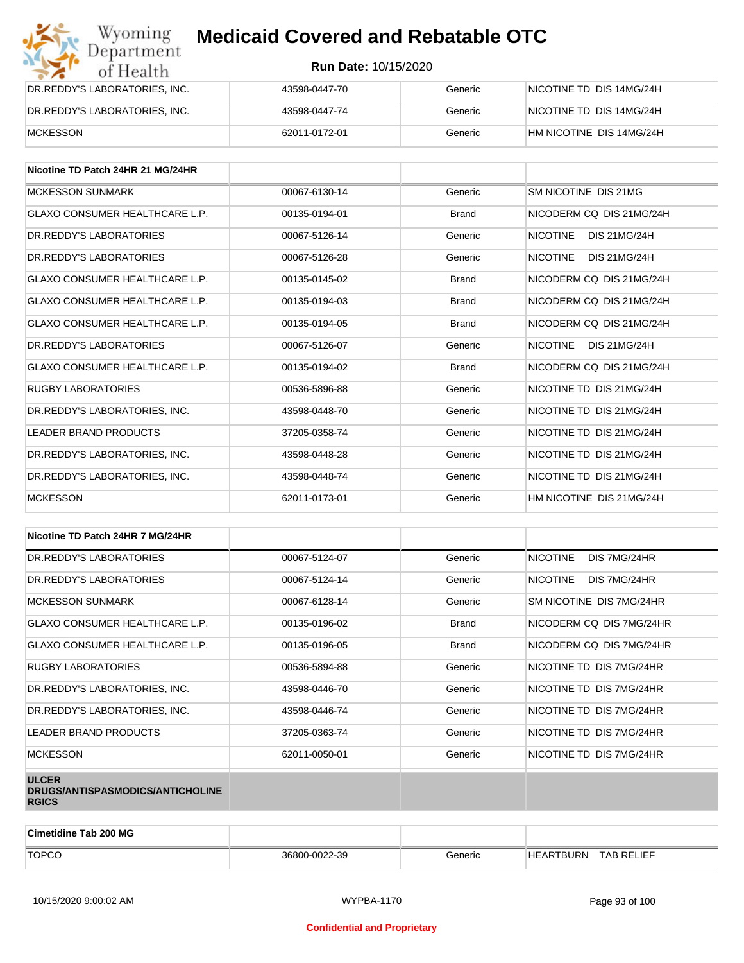| Wyoming<br><b>Medicaid Covered and Rebatable OTC</b><br>Department |                             |         |                          |
|--------------------------------------------------------------------|-----------------------------|---------|--------------------------|
| of Health                                                          | <b>Run Date: 10/15/2020</b> |         |                          |
| DR.REDDY'S LABORATORIES, INC.                                      | 43598-0447-70               | Generic | NICOTINE TD DIS 14MG/24H |
| DR.REDDY'S LABORATORIES, INC.                                      | 43598-0447-74               | Generic | NICOTINE TD DIS 14MG/24H |
| <b>MCKESSON</b>                                                    | 62011-0172-01               | Generic | HM NICOTINE DIS 14MG/24H |

| Nicotine TD Patch 24HR 21 MG/24HR     |               |              |                                        |
|---------------------------------------|---------------|--------------|----------------------------------------|
| <b>MCKESSON SUNMARK</b>               | 00067-6130-14 | Generic      | SM NICOTINE DIS 21MG                   |
| GLAXO CONSUMER HEALTHCARE L.P.        | 00135-0194-01 | <b>Brand</b> | NICODERM CO DIS 21MG/24H               |
| DR. REDDY'S LABORATORIES              | 00067-5126-14 | Generic      | <b>NICOTINE</b><br>DIS 21MG/24H        |
| DR. REDDY'S LABORATORIES              | 00067-5126-28 | Generic      | <b>NICOTINE</b><br><b>DIS 21MG/24H</b> |
| <b>GLAXO CONSUMER HEALTHCARE L.P.</b> | 00135-0145-02 | <b>Brand</b> | NICODERM CQ DIS 21MG/24H               |
| <b>GLAXO CONSUMER HEALTHCARE L.P.</b> | 00135-0194-03 | <b>Brand</b> | NICODERM CO DIS 21MG/24H               |
| <b>GLAXO CONSUMER HEALTHCARE L.P.</b> | 00135-0194-05 | <b>Brand</b> | NICODERM CO DIS 21MG/24H               |
| DR. REDDY'S LABORATORIES              | 00067-5126-07 | Generic      | <b>NICOTINE</b><br><b>DIS 21MG/24H</b> |
| <b>GLAXO CONSUMER HEALTHCARE L.P.</b> | 00135-0194-02 | <b>Brand</b> | NICODERM CO DIS 21MG/24H               |
| <b>RUGBY LABORATORIES</b>             | 00536-5896-88 | Generic      | NICOTINE TD DIS 21MG/24H               |
| DR. REDDY'S LABORATORIES. INC.        | 43598-0448-70 | Generic      | NICOTINE TD DIS 21MG/24H               |
| <b>LEADER BRAND PRODUCTS</b>          | 37205-0358-74 | Generic      | NICOTINE TD DIS 21MG/24H               |
| DR. REDDY'S LABORATORIES. INC.        | 43598-0448-28 | Generic      | NICOTINE TD DIS 21MG/24H               |
| DR.REDDY'S LABORATORIES, INC.         | 43598-0448-74 | Generic      | NICOTINE TD DIS 21MG/24H               |
| <b>MCKESSON</b>                       | 62011-0173-01 | Generic      | HM NICOTINE DIS 21MG/24H               |

| Nicotine TD Patch 24HR 7 MG/24HR                                 |               |              |                                 |
|------------------------------------------------------------------|---------------|--------------|---------------------------------|
| DR. REDDY'S LABORATORIES                                         | 00067-5124-07 | Generic      | <b>NICOTINE</b><br>DIS 7MG/24HR |
| DR. REDDY'S LABORATORIES                                         | 00067-5124-14 | Generic      | <b>NICOTINE</b><br>DIS 7MG/24HR |
| <b>MCKESSON SUNMARK</b>                                          | 00067-6128-14 | Generic      | SM NICOTINE DIS 7MG/24HR        |
| <b>GLAXO CONSUMER HEALTHCARE L.P.</b>                            | 00135-0196-02 | <b>Brand</b> | NICODERM CQ DIS 7MG/24HR        |
| GLAXO CONSUMER HEALTHCARE L.P.                                   | 00135-0196-05 | <b>Brand</b> | NICODERM CO DIS 7MG/24HR        |
| <b>RUGBY LABORATORIES</b>                                        | 00536-5894-88 | Generic      | NICOTINE TD DIS 7MG/24HR        |
| DR.REDDY'S LABORATORIES, INC.                                    | 43598-0446-70 | Generic      | NICOTINE TD DIS 7MG/24HR        |
| DR.REDDY'S LABORATORIES, INC.                                    | 43598-0446-74 | Generic      | NICOTINE TD DIS 7MG/24HR        |
| LEADER BRAND PRODUCTS                                            | 37205-0363-74 | Generic      | NICOTINE TD DIS 7MG/24HR        |
| <b>MCKESSON</b>                                                  | 62011-0050-01 | Generic      | NICOTINE TD DIS 7MG/24HR        |
| <b>ULCER</b><br>DRUGS/ANTISPASMODICS/ANTICHOLINE<br><b>RGICS</b> |               |              |                                 |

| <b>Cimetidine Tab 200 MG</b> |               |         |                                     |  |
|------------------------------|---------------|---------|-------------------------------------|--|
| <b>TOPCO</b>                 | 36800-0022-39 | Generic | <b>TAB RELIEF</b><br>EARTBURN<br>HF |  |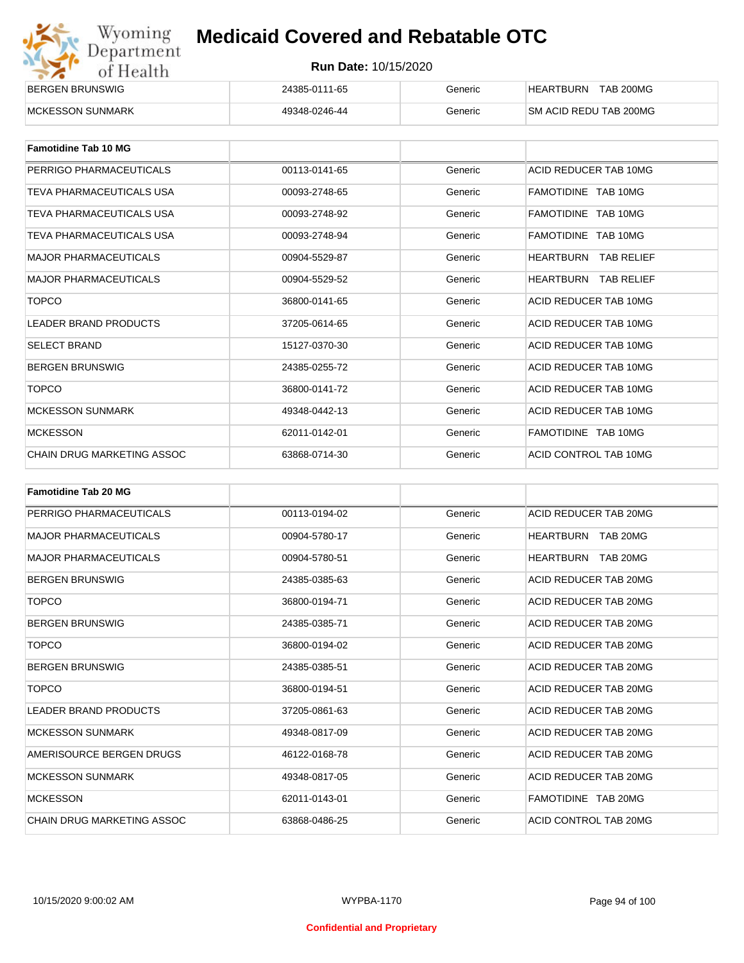| Wyoming    |
|------------|
| Department |
| of Health  |

| <b>BERGEN BRUNSWIG</b>   | 24385-0111-65 | Beneric | <b>HEARTBURN</b><br><b>TAB 200MG</b> |
|--------------------------|---------------|---------|--------------------------------------|
| <b>IMCKESSON SUNMARK</b> | 49348-0246-44 | Beneric | SM ACID REDU TAB 200MG               |

| <b>Famotidine Tab 10 MG</b>  |               |         |                             |
|------------------------------|---------------|---------|-----------------------------|
| PERRIGO PHARMACEUTICALS      | 00113-0141-65 | Generic | ACID REDUCER TAB 10MG       |
| TEVA PHARMACEUTICALS USA     | 00093-2748-65 | Generic | FAMOTIDINE TAB 10MG         |
| TEVA PHARMACEUTICALS USA     | 00093-2748-92 | Generic | FAMOTIDINE TAB 10MG         |
| TEVA PHARMACEUTICALS USA     | 00093-2748-94 | Generic | FAMOTIDINE TAB 10MG         |
| <b>MAJOR PHARMACEUTICALS</b> | 00904-5529-87 | Generic | HEARTBURN<br>TAB RELIEF     |
| <b>MAJOR PHARMACEUTICALS</b> | 00904-5529-52 | Generic | <b>HEARTBURN TAB RELIEF</b> |
| <b>TOPCO</b>                 | 36800-0141-65 | Generic | ACID REDUCER TAB 10MG       |
| <b>LEADER BRAND PRODUCTS</b> | 37205-0614-65 | Generic | ACID REDUCER TAB 10MG       |
| <b>SELECT BRAND</b>          | 15127-0370-30 | Generic | ACID REDUCER TAB 10MG       |
| <b>BERGEN BRUNSWIG</b>       | 24385-0255-72 | Generic | ACID REDUCER TAB 10MG       |
| <b>TOPCO</b>                 | 36800-0141-72 | Generic | ACID REDUCER TAB 10MG       |
| <b>MCKESSON SUNMARK</b>      | 49348-0442-13 | Generic | ACID REDUCER TAB 10MG       |
| <b>MCKESSON</b>              | 62011-0142-01 | Generic | FAMOTIDINE TAB 10MG         |
| CHAIN DRUG MARKETING ASSOC   | 63868-0714-30 | Generic | ACID CONTROL TAB 10MG       |

| <b>Famotidine Tab 20 MG</b>       |               |         |                       |
|-----------------------------------|---------------|---------|-----------------------|
| PERRIGO PHARMACEUTICALS           | 00113-0194-02 | Generic | ACID REDUCER TAB 20MG |
| <b>MAJOR PHARMACEUTICALS</b>      | 00904-5780-17 | Generic | HEARTBURN TAB 20MG    |
| <b>MAJOR PHARMACEUTICALS</b>      | 00904-5780-51 | Generic | HEARTBURN<br>TAB 20MG |
| <b>BERGEN BRUNSWIG</b>            | 24385-0385-63 | Generic | ACID REDUCER TAB 20MG |
| <b>TOPCO</b>                      | 36800-0194-71 | Generic | ACID REDUCER TAB 20MG |
| <b>BERGEN BRUNSWIG</b>            | 24385-0385-71 | Generic | ACID REDUCER TAB 20MG |
| <b>TOPCO</b>                      | 36800-0194-02 | Generic | ACID REDUCER TAB 20MG |
| <b>BERGEN BRUNSWIG</b>            | 24385-0385-51 | Generic | ACID REDUCER TAB 20MG |
| <b>TOPCO</b>                      | 36800-0194-51 | Generic | ACID REDUCER TAB 20MG |
| <b>LEADER BRAND PRODUCTS</b>      | 37205-0861-63 | Generic | ACID REDUCER TAB 20MG |
| <b>MCKESSON SUNMARK</b>           | 49348-0817-09 | Generic | ACID REDUCER TAB 20MG |
| AMERISOURCE BERGEN DRUGS          | 46122-0168-78 | Generic | ACID REDUCER TAB 20MG |
| <b>MCKESSON SUNMARK</b>           | 49348-0817-05 | Generic | ACID REDUCER TAB 20MG |
| <b>MCKESSON</b>                   | 62011-0143-01 | Generic | FAMOTIDINE TAB 20MG   |
| <b>CHAIN DRUG MARKETING ASSOC</b> | 63868-0486-25 | Generic | ACID CONTROL TAB 20MG |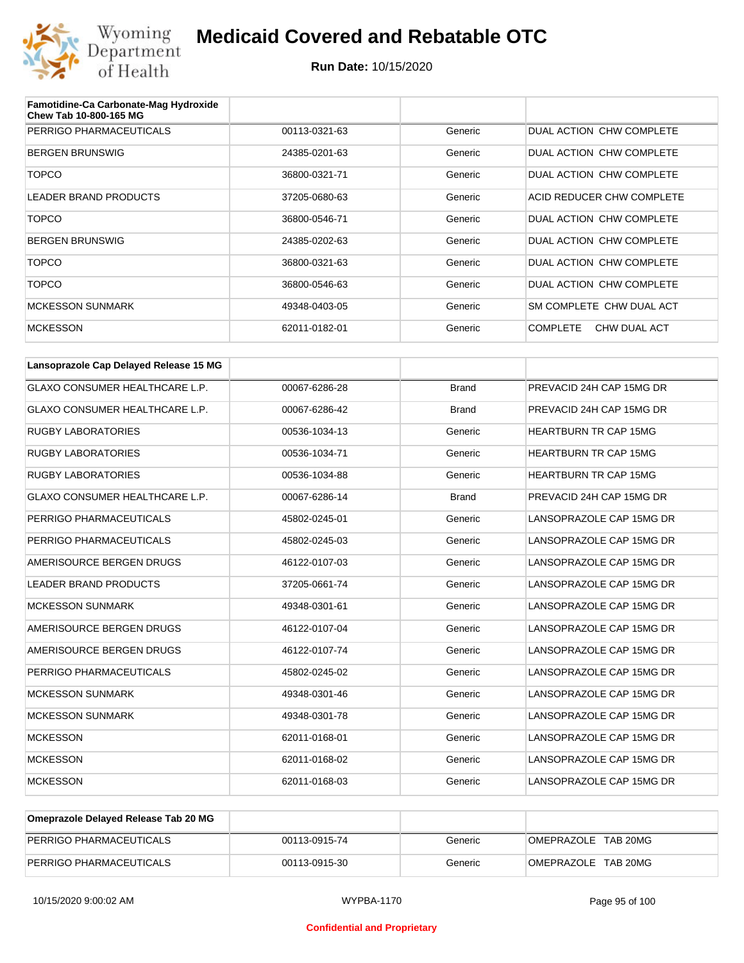

| Famotidine-Ca Carbonate-Mag Hydroxide<br>Chew Tab 10-800-165 MG |               |         |                                 |
|-----------------------------------------------------------------|---------------|---------|---------------------------------|
| PERRIGO PHARMACEUTICALS                                         | 00113-0321-63 | Generic | DUAL ACTION CHW COMPLETE        |
| <b>BERGEN BRUNSWIG</b>                                          | 24385-0201-63 | Generic | DUAL ACTION CHW COMPLETE        |
| <b>TOPCO</b>                                                    | 36800-0321-71 | Generic | DUAL ACTION CHW COMPLETE        |
| LEADER BRAND PRODUCTS                                           | 37205-0680-63 | Generic | ACID REDUCER CHW COMPLETE       |
| <b>TOPCO</b>                                                    | 36800-0546-71 | Generic | DUAL ACTION CHW COMPLETE        |
| <b>BERGEN BRUNSWIG</b>                                          | 24385-0202-63 | Generic | DUAL ACTION CHW COMPLETE        |
| <b>TOPCO</b>                                                    | 36800-0321-63 | Generic | DUAL ACTION CHW COMPLETE        |
| <b>TOPCO</b>                                                    | 36800-0546-63 | Generic | DUAL ACTION CHW COMPLETE        |
| <b>MCKESSON SUNMARK</b>                                         | 49348-0403-05 | Generic | SM COMPLETE CHW DUAL ACT        |
| <b>MCKESSON</b>                                                 | 62011-0182-01 | Generic | <b>COMPLETE</b><br>CHW DUAL ACT |

| Lansoprazole Cap Delayed Release 15 MG |               |              |                              |
|----------------------------------------|---------------|--------------|------------------------------|
| <b>GLAXO CONSUMER HEALTHCARE L.P.</b>  | 00067-6286-28 | <b>Brand</b> | PREVACID 24H CAP 15MG DR     |
| <b>GLAXO CONSUMER HEALTHCARE L.P.</b>  | 00067-6286-42 | <b>Brand</b> | PREVACID 24H CAP 15MG DR     |
| <b>RUGBY LABORATORIES</b>              | 00536-1034-13 | Generic      | <b>HEARTBURN TR CAP 15MG</b> |
| <b>RUGBY LABORATORIES</b>              | 00536-1034-71 | Generic      | <b>HEARTBURN TR CAP 15MG</b> |
| <b>RUGBY LABORATORIES</b>              | 00536-1034-88 | Generic      | <b>HEARTBURN TR CAP 15MG</b> |
| <b>GLAXO CONSUMER HEALTHCARE L.P.</b>  | 00067-6286-14 | <b>Brand</b> | PREVACID 24H CAP 15MG DR     |
| PERRIGO PHARMACEUTICALS                | 45802-0245-01 | Generic      | LANSOPRAZOLE CAP 15MG DR     |
| PERRIGO PHARMACEUTICALS                | 45802-0245-03 | Generic      | LANSOPRAZOLE CAP 15MG DR     |
| AMERISOURCE BERGEN DRUGS               | 46122-0107-03 | Generic      | LANSOPRAZOLE CAP 15MG DR     |
| <b>LEADER BRAND PRODUCTS</b>           | 37205-0661-74 | Generic      | LANSOPRAZOLE CAP 15MG DR     |
| <b>MCKESSON SUNMARK</b>                | 49348-0301-61 | Generic      | LANSOPRAZOLE CAP 15MG DR     |
| AMERISOURCE BERGEN DRUGS               | 46122-0107-04 | Generic      | LANSOPRAZOLE CAP 15MG DR     |
| AMERISOURCE BERGEN DRUGS               | 46122-0107-74 | Generic      | LANSOPRAZOLE CAP 15MG DR     |
| PERRIGO PHARMACEUTICALS                | 45802-0245-02 | Generic      | LANSOPRAZOLE CAP 15MG DR     |
| <b>MCKESSON SUNMARK</b>                | 49348-0301-46 | Generic      | LANSOPRAZOLE CAP 15MG DR     |
| <b>MCKESSON SUNMARK</b>                | 49348-0301-78 | Generic      | LANSOPRAZOLE CAP 15MG DR     |
| <b>MCKESSON</b>                        | 62011-0168-01 | Generic      | LANSOPRAZOLE CAP 15MG DR     |
| <b>MCKESSON</b>                        | 62011-0168-02 | Generic      | LANSOPRAZOLE CAP 15MG DR     |
| <b>MCKESSON</b>                        | 62011-0168-03 | Generic      | LANSOPRAZOLE CAP 15MG DR     |

| Omeprazole Delayed Release Tab 20 MG |               |         |                     |
|--------------------------------------|---------------|---------|---------------------|
| PERRIGO PHARMACEUTICALS              | 00113-0915-74 | Generic | OMEPRAZOLE TAB 20MG |
| PERRIGO PHARMACEUTICALS              | 00113-0915-30 | Generic | OMEPRAZOLE TAB 20MG |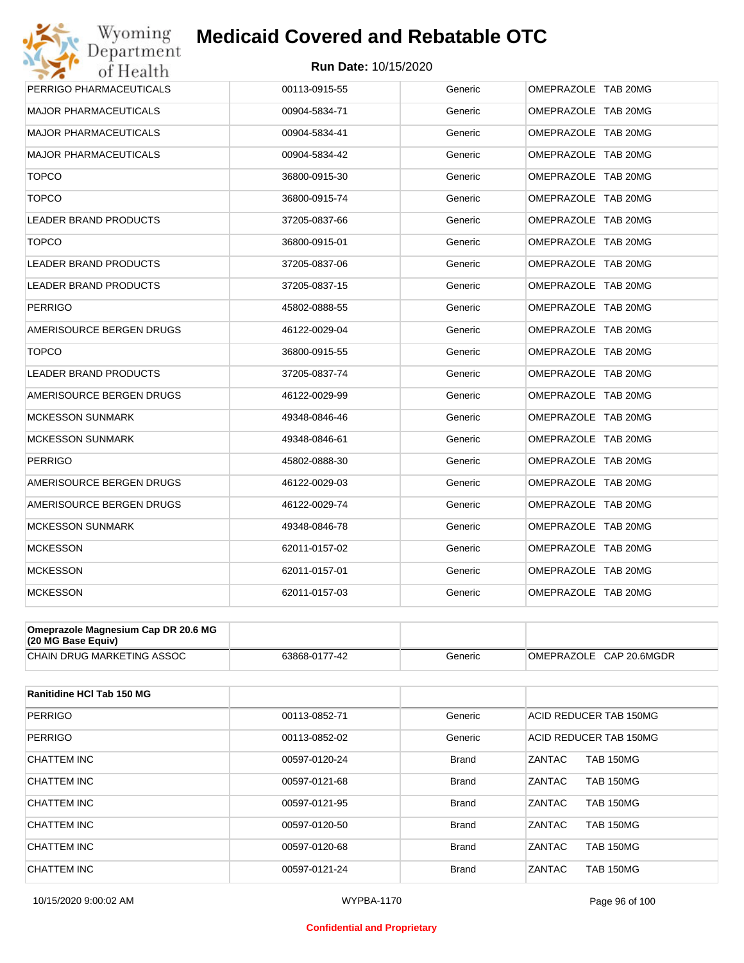

| Wyoming<br><b>Medicaid Covered and Rebatable OTC</b> |                             |         |                     |
|------------------------------------------------------|-----------------------------|---------|---------------------|
| Department<br>of Health                              | <b>Run Date: 10/15/2020</b> |         |                     |
| PERRIGO PHARMACEUTICALS                              | 00113-0915-55               | Generic | OMEPRAZOLE TAB 20MG |
| <b>MAJOR PHARMACEUTICALS</b>                         | 00904-5834-71               | Generic | OMEPRAZOLE TAB 20MG |
| <b>MAJOR PHARMACEUTICALS</b>                         | 00904-5834-41               | Generic | OMEPRAZOLE TAB 20MG |
| <b>MAJOR PHARMACEUTICALS</b>                         | 00904-5834-42               | Generic | OMEPRAZOLE TAB 20MG |
| <b>TOPCO</b>                                         | 36800-0915-30               | Generic | OMEPRAZOLE TAB 20MG |
| <b>TOPCO</b>                                         | 36800-0915-74               | Generic | OMEPRAZOLE TAB 20MG |
| <b>LEADER BRAND PRODUCTS</b>                         | 37205-0837-66               | Generic | OMEPRAZOLE TAB 20MG |
| <b>TOPCO</b>                                         | 36800-0915-01               | Generic | OMEPRAZOLE TAB 20MG |
| <b>LEADER BRAND PRODUCTS</b>                         | 37205-0837-06               | Generic | OMEPRAZOLE TAB 20MG |
| LEADER BRAND PRODUCTS                                | 37205-0837-15               | Generic | OMEPRAZOLE TAB 20MG |
| <b>PERRIGO</b>                                       | 45802-0888-55               | Generic | OMEPRAZOLE TAB 20MG |
| AMERISOURCE BERGEN DRUGS                             | 46122-0029-04               | Generic | OMEPRAZOLE TAB 20MG |
| <b>TOPCO</b>                                         | 36800-0915-55               | Generic | OMEPRAZOLE TAB 20MG |
| LEADER BRAND PRODUCTS                                | 37205-0837-74               | Generic | OMEPRAZOLE TAB 20MG |
| AMERISOURCE BERGEN DRUGS                             | 46122-0029-99               | Generic | OMEPRAZOLE TAB 20MG |
| <b>MCKESSON SUNMARK</b>                              | 49348-0846-46               | Generic | OMEPRAZOLE TAB 20MG |
| <b>MCKESSON SUNMARK</b>                              | 49348-0846-61               | Generic | OMEPRAZOLE TAB 20MG |
| <b>PERRIGO</b>                                       | 45802-0888-30               | Generic | OMEPRAZOLE TAB 20MG |
| AMERISOURCE BERGEN DRUGS                             | 46122-0029-03               | Generic | OMEPRAZOLE TAB 20MG |
| AMERISOURCE BERGEN DRUGS                             | 46122-0029-74               | Generic | OMEPRAZOLE TAB 20MG |
| <b>MCKESSON SUNMARK</b>                              | 49348-0846-78               | Generic | OMEPRAZOLE TAB 20MG |
| <b>MCKESSON</b>                                      | 62011-0157-02               | Generic | OMEPRAZOLE TAB 20MG |
| <b>MCKESSON</b>                                      | 62011-0157-01               | Generic | OMEPRAZOLE TAB 20MG |
| <b>MCKESSON</b>                                      | 62011-0157-03               | Generic | OMEPRAZOLE TAB 20MG |

| Omeprazole Magnesium Cap DR 20.6 MG<br>(20 MG Base Equiv) |               |         |                         |
|-----------------------------------------------------------|---------------|---------|-------------------------|
| CHAIN DRUG MARKETING ASSOC                                | 63868-0177-42 | Generic | OMEPRAZOLE CAP 20.6MGDR |

| Ranitidine HCI Tab 150 MG |               |              |                                   |
|---------------------------|---------------|--------------|-----------------------------------|
| <b>PERRIGO</b>            | 00113-0852-71 | Generic      | ACID REDUCER TAB 150MG            |
| <b>PERRIGO</b>            | 00113-0852-02 | Generic      | ACID REDUCER TAB 150MG            |
| CHATTEM INC               | 00597-0120-24 | <b>Brand</b> | ZANTAC<br><b>TAB 150MG</b>        |
| CHATTEM INC               | 00597-0121-68 | <b>Brand</b> | ZANTAC<br><b>TAB 150MG</b>        |
| CHATTEM INC               | 00597-0121-95 | <b>Brand</b> | ZANTAC<br><b>TAB 150MG</b>        |
| CHATTEM INC               | 00597-0120-50 | <b>Brand</b> | ZANTAC<br><b>TAB 150MG</b>        |
| CHATTEM INC               | 00597-0120-68 | <b>Brand</b> | ZANTAC<br><b>TAB 150MG</b>        |
| CHATTEM INC               | 00597-0121-24 | <b>Brand</b> | <b>ZANTAC</b><br><b>TAB 150MG</b> |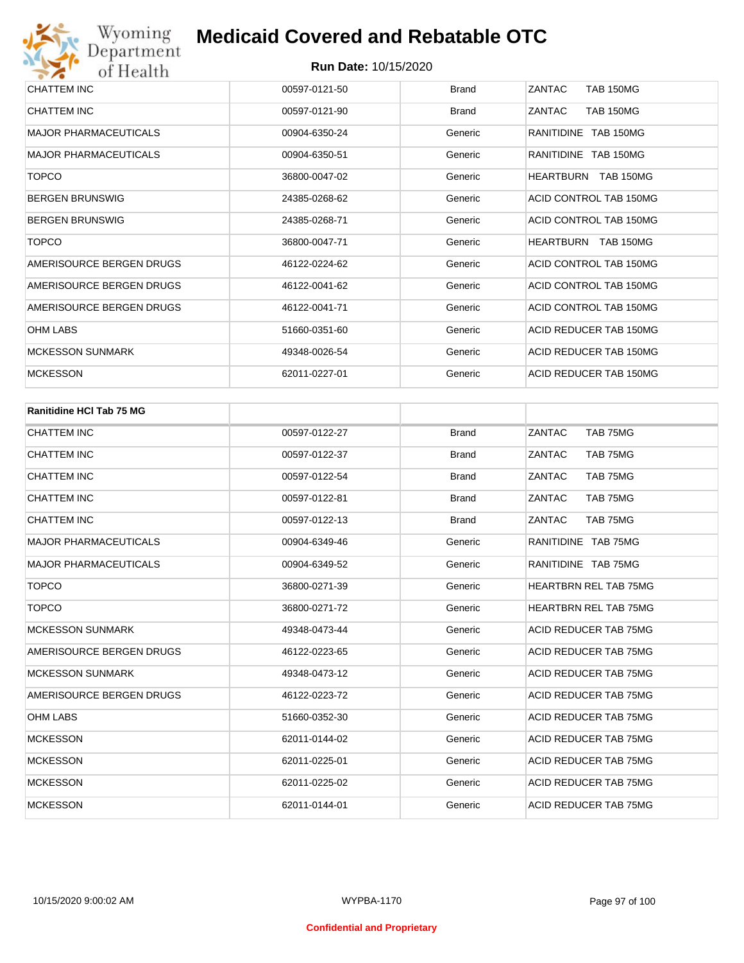| CHATTEM INC                  | 00597-0121-50 | <b>Brand</b> | <b>TAB 150MG</b><br>ZANTAC |
|------------------------------|---------------|--------------|----------------------------|
| CHATTEM INC                  | 00597-0121-90 | <b>Brand</b> | <b>TAB 150MG</b><br>ZANTAC |
| <b>MAJOR PHARMACEUTICALS</b> | 00904-6350-24 | Generic      | RANITIDINE TAB 150MG       |
| MAJOR PHARMACEUTICALS        | 00904-6350-51 | Generic      | RANITIDINE TAB 150MG       |
| <b>TOPCO</b>                 | 36800-0047-02 | Generic      | HEARTBURN TAB 150MG        |
| <b>BERGEN BRUNSWIG</b>       | 24385-0268-62 | Generic      | ACID CONTROL TAB 150MG     |
| <b>BERGEN BRUNSWIG</b>       | 24385-0268-71 | Generic      | ACID CONTROL TAB 150MG     |
| <b>TOPCO</b>                 | 36800-0047-71 | Generic      | HEARTBURN TAB 150MG        |
| AMERISOURCE BERGEN DRUGS     | 46122-0224-62 | Generic      | ACID CONTROL TAB 150MG     |
| AMERISOURCE BERGEN DRUGS     | 46122-0041-62 | Generic      | ACID CONTROL TAB 150MG     |
| AMERISOURCE BERGEN DRUGS     | 46122-0041-71 | Generic      | ACID CONTROL TAB 150MG     |
| OHM LABS                     | 51660-0351-60 | Generic      | ACID REDUCER TAB 150MG     |
| <b>MCKESSON SUNMARK</b>      | 49348-0026-54 | Generic      | ACID REDUCER TAB 150MG     |
| <b>MCKESSON</b>              | 62011-0227-01 | Generic      | ACID REDUCER TAB 150MG     |

| <b>Ranitidine HCI Tab 75 MG</b> |               |              |                              |
|---------------------------------|---------------|--------------|------------------------------|
| <b>CHATTEM INC</b>              | 00597-0122-27 | <b>Brand</b> | TAB 75MG<br>ZANTAC           |
| <b>CHATTEM INC</b>              | 00597-0122-37 | <b>Brand</b> | TAB 75MG<br>ZANTAC           |
| <b>CHATTEM INC</b>              | 00597-0122-54 | <b>Brand</b> | ZANTAC<br>TAB 75MG           |
| <b>CHATTEM INC</b>              | 00597-0122-81 | <b>Brand</b> | TAB 75MG<br>ZANTAC           |
| <b>CHATTEM INC</b>              | 00597-0122-13 | <b>Brand</b> | ZANTAC<br>TAB 75MG           |
| <b>MAJOR PHARMACEUTICALS</b>    | 00904-6349-46 | Generic      | RANITIDINE TAB 75MG          |
| <b>MAJOR PHARMACEUTICALS</b>    | 00904-6349-52 | Generic      | RANITIDINE TAB 75MG          |
| <b>TOPCO</b>                    | 36800-0271-39 | Generic      | <b>HEARTBRN REL TAB 75MG</b> |
| <b>TOPCO</b>                    | 36800-0271-72 | Generic      | <b>HEARTBRN REL TAB 75MG</b> |
| <b>MCKESSON SUNMARK</b>         | 49348-0473-44 | Generic      | ACID REDUCER TAB 75MG        |
| AMERISOURCE BERGEN DRUGS        | 46122-0223-65 | Generic      | ACID REDUCER TAB 75MG        |
| <b>MCKESSON SUNMARK</b>         | 49348-0473-12 | Generic      | ACID REDUCER TAB 75MG        |
| AMERISOURCE BERGEN DRUGS        | 46122-0223-72 | Generic      | <b>ACID REDUCER TAB 75MG</b> |
| <b>OHM LABS</b>                 | 51660-0352-30 | Generic      | ACID REDUCER TAB 75MG        |
| <b>MCKESSON</b>                 | 62011-0144-02 | Generic      | ACID REDUCER TAB 75MG        |
| <b>MCKESSON</b>                 | 62011-0225-01 | Generic      | ACID REDUCER TAB 75MG        |
| <b>MCKESSON</b>                 | 62011-0225-02 | Generic      | ACID REDUCER TAB 75MG        |
| <b>MCKESSON</b>                 | 62011-0144-01 | Generic      | <b>ACID REDUCER TAB 75MG</b> |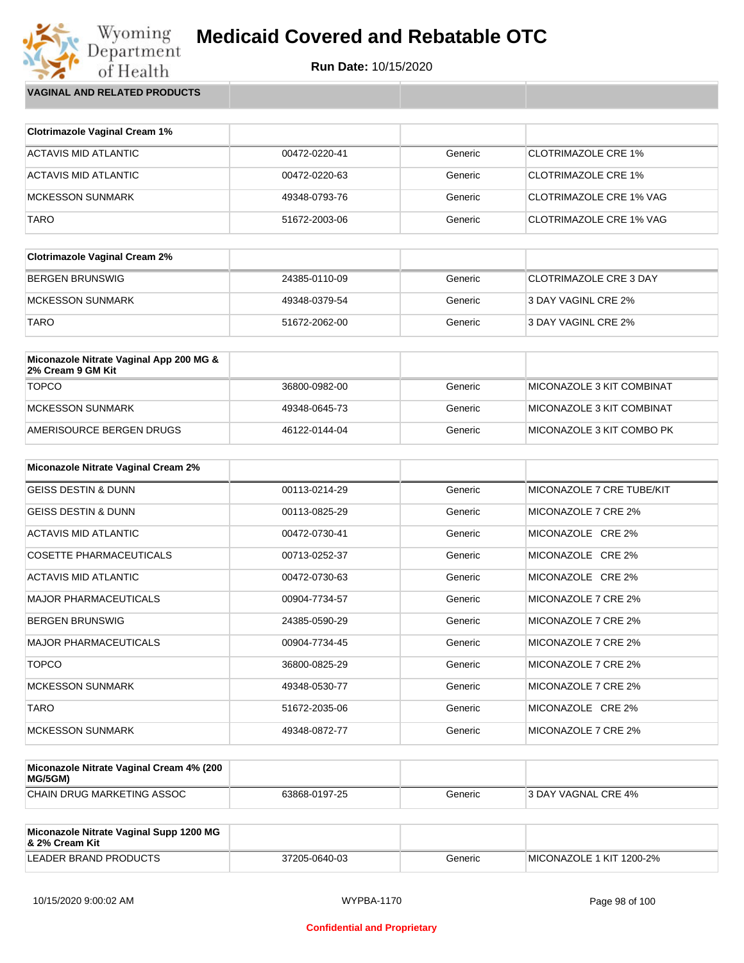

Wyoming<br>Department<br>of Health **VAGINAL AND RELATED PRODUCTS**

| <b>Clotrimazole Vaginal Cream 1%</b> |               |         |                            |
|--------------------------------------|---------------|---------|----------------------------|
| ACTAVIS MID ATLANTIC                 | 00472-0220-41 | Generic | <b>CLOTRIMAZOLE CRE 1%</b> |
| ACTAVIS MID ATLANTIC                 | 00472-0220-63 | Generic | <b>CLOTRIMAZOLE CRE 1%</b> |
| <b>MCKESSON SUNMARK</b>              | 49348-0793-76 | Generic | CLOTRIMAZOLE CRE 1% VAG    |
| <b>TARO</b>                          | 51672-2003-06 | Generic | CLOTRIMAZOLE CRE 1% VAG    |

| <b>Clotrimazole Vaginal Cream 2%</b> |               |         |                               |
|--------------------------------------|---------------|---------|-------------------------------|
| BERGEN BRUNSWIG                      | 24385-0110-09 | Generic | <b>CLOTRIMAZOLE CRE 3 DAY</b> |
| IMCKESSON SUNMARK                    | 49348-0379-54 | Generic | 3 DAY VAGINL CRE 2%           |
| <b>TARO</b>                          | 51672-2062-00 | Generic | 3 DAY VAGINL CRE 2%           |

| Miconazole Nitrate Vaginal App 200 MG &<br>2% Cream 9 GM Kit |               |         |                            |
|--------------------------------------------------------------|---------------|---------|----------------------------|
| <b>TOPCO</b>                                                 | 36800-0982-00 | Generic | MICONAZOLE 3 KIT COMBINAT  |
| MCKESSON SUNMARK                                             | 49348-0645-73 | Generic | ™IICONAZOLE 3 KIT COMBINAT |
| AMERISOURCE BERGEN DRUGS                                     | 46122-0144-04 | Generic | MICONAZOLE 3 KIT COMBO PK  |

| <b>Miconazole Nitrate Vaginal Cream 2%</b> |               |         |                           |
|--------------------------------------------|---------------|---------|---------------------------|
| <b>GEISS DESTIN &amp; DUNN</b>             | 00113-0214-29 | Generic | MICONAZOLE 7 CRE TUBE/KIT |
| <b>GEISS DESTIN &amp; DUNN</b>             | 00113-0825-29 | Generic | MICONAZOLE 7 CRE 2%       |
| ACTAVIS MID ATLANTIC                       | 00472-0730-41 | Generic | MICONAZOLE CRE 2%         |
| <b>COSETTE PHARMACEUTICALS</b>             | 00713-0252-37 | Generic | MICONAZOLE CRE 2%         |
| ACTAVIS MID ATLANTIC                       | 00472-0730-63 | Generic | MICONAZOLE CRE 2%         |
| <b>MAJOR PHARMACEUTICALS</b>               | 00904-7734-57 | Generic | MICONAZOLE 7 CRE 2%       |
| <b>BERGEN BRUNSWIG</b>                     | 24385-0590-29 | Generic | MICONAZOLE 7 CRE 2%       |
| <b>MAJOR PHARMACEUTICALS</b>               | 00904-7734-45 | Generic | MICONAZOLE 7 CRE 2%       |
| <b>TOPCO</b>                               | 36800-0825-29 | Generic | MICONAZOLE 7 CRE 2%       |
| <b>MCKESSON SUNMARK</b>                    | 49348-0530-77 | Generic | MICONAZOLE 7 CRE 2%       |
| <b>TARO</b>                                | 51672-2035-06 | Generic | MICONAZOLE CRE 2%         |
| <b>MCKESSON SUNMARK</b>                    | 49348-0872-77 | Generic | MICONAZOLE 7 CRE 2%       |

| Miconazole Nitrate Vaginal Cream 4% (200<br>MG/5GM) |               |         |                     |
|-----------------------------------------------------|---------------|---------|---------------------|
| CHAIN DRUG MARKETING ASSOC                          | 63868-0197-25 | Generic | 3 DAY VAGNAL CRE 4% |

| Miconazole Nitrate Vaginal Supp 1200 MG<br>8. 2% Cream Kit |               |         |                          |
|------------------------------------------------------------|---------------|---------|--------------------------|
| LEADER BRAND PRODUCTS                                      | 37205-0640-03 | Generic | MICONAZOLE 1 KIT 1200-2% |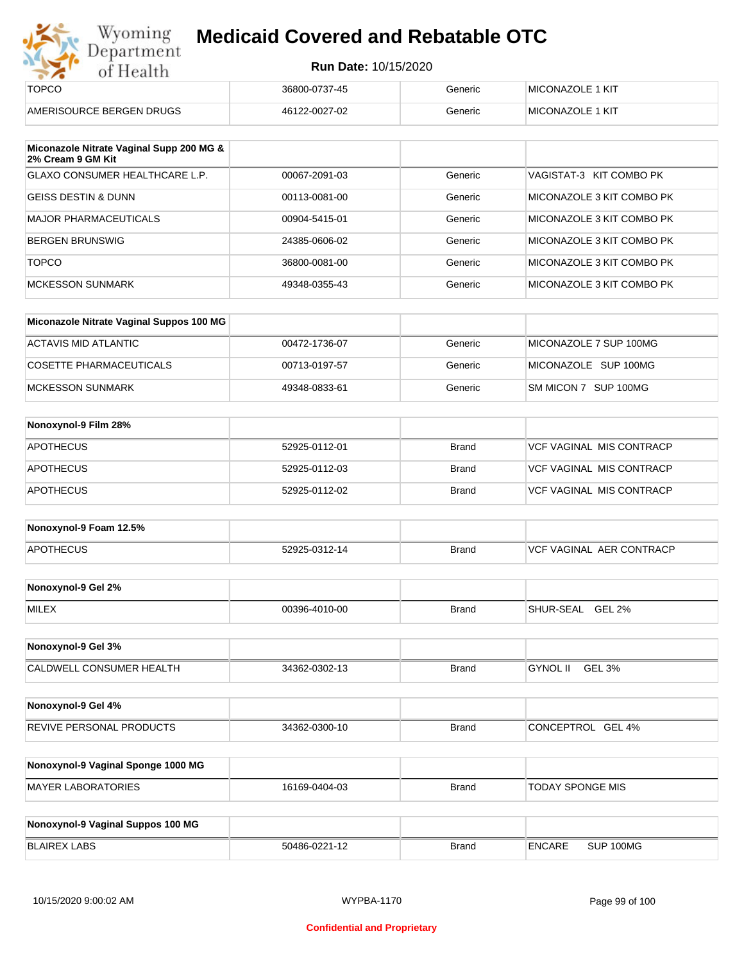| Wyoming    |
|------------|
| Department |
| of Health  |

| ---                      |               |         |                          |
|--------------------------|---------------|---------|--------------------------|
| <b>TOPCO</b>             | 36800-0737-45 | Generic | MICONAZOLE 1 KIT         |
| AMERISOURCE BERGEN DRUGS | 46122-0027-02 | Generic | <b>IMICONAZOLE 1 KIT</b> |

| Miconazole Nitrate Vaginal Supp 200 MG &<br>2% Cream 9 GM Kit |               |         |                           |
|---------------------------------------------------------------|---------------|---------|---------------------------|
| GLAXO CONSUMER HEALTHCARE L.P.                                | 00067-2091-03 | Generic | VAGISTAT-3 KIT COMBO PK   |
| <b>GEISS DESTIN &amp; DUNN</b>                                | 00113-0081-00 | Generic | MICONAZOLE 3 KIT COMBO PK |
| <b>MAJOR PHARMACEUTICALS</b>                                  | 00904-5415-01 | Generic | MICONAZOLE 3 KIT COMBO PK |
| <b>BERGEN BRUNSWIG</b>                                        | 24385-0606-02 | Generic | MICONAZOLE 3 KIT COMBO PK |
| <b>TOPCO</b>                                                  | 36800-0081-00 | Generic | MICONAZOLE 3 KIT COMBO PK |
| MCKESSON SUNMARK                                              | 49348-0355-43 | Generic | MICONAZOLE 3 KIT COMBO PK |

| Miconazole Nitrate Vaginal Suppos 100 MG |               |         |                        |
|------------------------------------------|---------------|---------|------------------------|
| ACTAVIS MID ATLANTIC                     | 00472-1736-07 | Generic | MICONAZOLE 7 SUP 100MG |
| COSETTE PHARMACEUTICALS                  | 00713-0197-57 | Generic | MICONAZOLE SUP 100MG   |
| IMCKESSON SUNMARK                        | 49348-0833-61 | Generic | SM MICON 7 SUP 100MG   |

| Nonoxynol-9 Film 28% |               |              |                          |
|----------------------|---------------|--------------|--------------------------|
| APOTHECUS            | 52925-0112-01 | <b>Brand</b> | VCF VAGINAL MIS CONTRACP |
| <b>APOTHECUS</b>     | 52925-0112-03 | Brand        | VCF VAGINAL MIS CONTRACP |
| <b>APOTHECUS</b>     | 52925-0112-02 | Brand        | VCF VAGINAL MIS CONTRACP |

| Nonoxynol-9 Foam 12.5% |               |              |                               |
|------------------------|---------------|--------------|-------------------------------|
| <b>APOTHECUS</b>       | 52925-0312-14 | <b>Brand</b> | . AER CONTRACP<br>VCF VAGINAL |

| Nonoxynol-9 Gel 2% |               |       |                            |
|--------------------|---------------|-------|----------------------------|
| <b>MILEX</b>       | 00396-4010-00 | Brand | <b>GEL 2%</b><br>SHUR-SEAL |

| Nonoxynol-9 Gel 3%              |               |       |                           |  |
|---------------------------------|---------------|-------|---------------------------|--|
| <b>CALDWELL CONSUMER HEALTH</b> | 34362-0302-13 | Brand | <b>GYNOL II</b><br>GEL 3% |  |

| Nonoxynol-9 Gel 4%              |               |       |                   |
|---------------------------------|---------------|-------|-------------------|
| <b>REVIVE PERSONAL PRODUCTS</b> | 34362-0300-10 | Brand | CONCEPTROL GEL 4% |

| Nonoxynol-9 Vaginal Sponge 1000 MG |               |       |                  |
|------------------------------------|---------------|-------|------------------|
| MAYER LABORATORIES                 | 16169-0404-03 | Brand | TODAY SPONGE MIS |

| Nonoxynol-9 Vaginal Suppos 100 MG |               |              |        |           |
|-----------------------------------|---------------|--------------|--------|-----------|
| BLAIREX LABS                      | 50486-0221-12 | <b>Brand</b> | ENCARE | SUP 100MG |